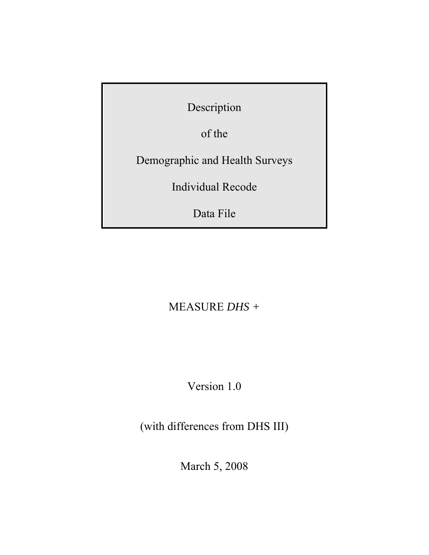Description

of the

Demographic and Health Surveys

Individual Recode

Data File

# MEASURE *DHS +*

Version 1.0

(with differences from DHS III)

March 5, 2008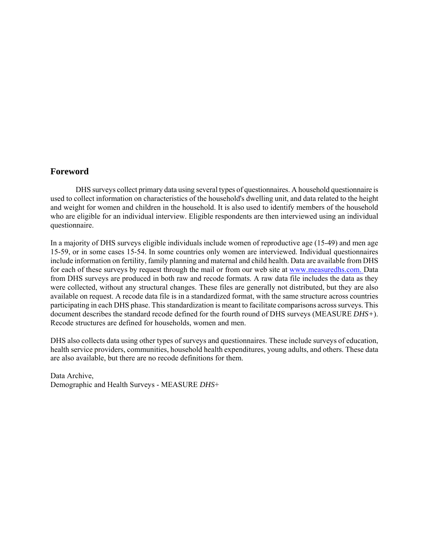# **Foreword**

DHS surveys collect primary data using several types of questionnaires. A household questionnaire is used to collect information on characteristics of the household's dwelling unit, and data related to the height and weight for women and children in the household. It is also used to identify members of the household who are eligible for an individual interview. Eligible respondents are then interviewed using an individual questionnaire.

In a majority of DHS surveys eligible individuals include women of reproductive age (15-49) and men age 15-59, or in some cases 15-54. In some countries only women are interviewed. Individual questionnaires include information on fertility, family planning and maternal and child health. Data are available from DHS for each of these surveys by request through the mail or from our web site at www.measuredhs.com. Data from DHS surveys are produced in both raw and recode formats. A raw data file includes the data as they were collected, without any structural changes. These files are generally not distributed, but they are also available on request. A recode data file is in a standardized format, with the same structure across countries participating in each DHS phase. This standardization is meant to facilitate comparisons across surveys. This document describes the standard recode defined for the fourth round of DHS surveys (MEASURE *DHS+*). Recode structures are defined for households, women and men.

DHS also collects data using other types of surveys and questionnaires. These include surveys of education, health service providers, communities, household health expenditures, young adults, and others. These data are also available, but there are no recode definitions for them.

Data Archive, Demographic and Health Surveys - MEASURE *DHS*+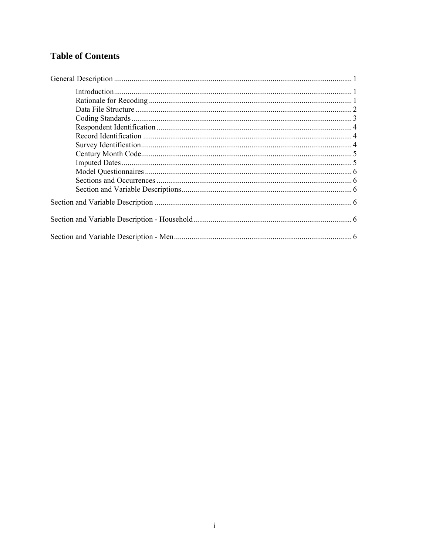# **Table of Contents**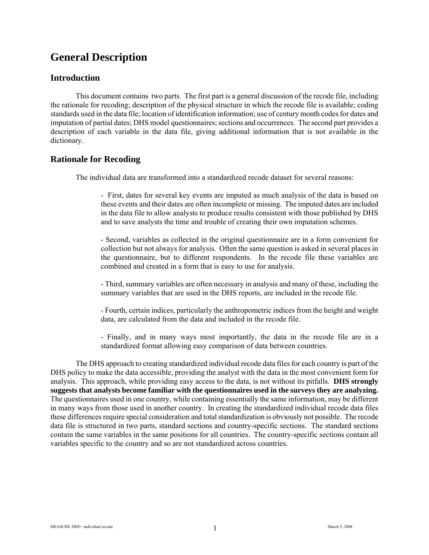# **General Description**

# **Introduction**

This document contains two parts. The first part is a general discussion of the recode file, including the rationale for recoding; description of the physical structure in which the recode file is available; coding standards used in the data file; location of identification information; use of century month codes for dates and imputation of partial dates; DHS model questionnaires; sections and occurrences. The second part provides a description of each variable in the data file, giving additional information that is not available in the dictionary.

# **Rationale for Recoding**

The individual data are transformed into a standardized recode dataset for several reasons:

- First, dates for several key events are imputed as much analysis of the data is based on these events and their dates are often incomplete or missing. The imputed dates are included in the data file to allow analysts to produce results consistent with those published by DHS and to save analysts the time and trouble of creating their own imputation schemes.

- Second, variables as collected in the original questionnaire are in a form convenient for collection but not always for analysis. Often the same question is asked in several places in the questionnaire, but to different respondents. In the recode file these variables are combined and created in a form that is easy to use for analysis.

- Third, summary variables are often necessary in analysis and many of these, including the summary variables that are used in the DHS reports, are included in the recode file.

- Fourth, certain indices, particularly the anthropometric indices from the height and weight data, are calculated from the data and included in the recode file.

- Finally, and in many ways most importantly, the data in the recode file are in a standardized format allowing easy comparison of data between countries.

The DHS approach to creating standardized individual recode data files for each country is part of the DHS policy to make the data accessible, providing the analyst with the data in the most convenient form for analysis. This approach, while providing easy access to the data, is not without its pitfalls. **DHS strongly suggests that analysts become familiar with the questionnaires used in the surveys they are analyzing.** The questionnaires used in one country, while containing essentially the same information, may be different in many ways from those used in another country. In creating the standardized individual recode data files these differences require special consideration and total standardization is obviously not possible. The recode data file is structured in two parts, standard sections and country-specific sections. The standard sections contain the same variables in the same positions for all countries. The country-specific sections contain all variables specific to the country and so are not standardized across countries.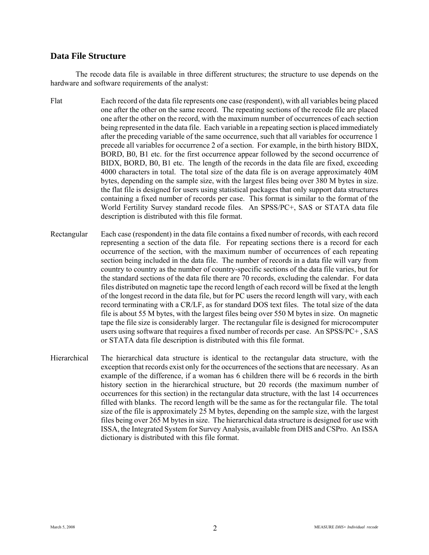# **Data File Structure**

The recode data file is available in three different structures; the structure to use depends on the hardware and software requirements of the analyst:

- Flat Each record of the data file represents one case (respondent), with all variables being placed one after the other on the same record. The repeating sections of the recode file are placed one after the other on the record, with the maximum number of occurrences of each section being represented in the data file. Each variable in a repeating section is placed immediately after the preceding variable of the same occurrence, such that all variables for occurrence 1 precede all variables for occurrence 2 of a section. For example, in the birth history BIDX, BORD, B0, B1 etc. for the first occurrence appear followed by the second occurrence of BIDX, BORD, B0, B1 etc. The length of the records in the data file are fixed, exceeding 4000 characters in total. The total size of the data file is on average approximately 40M bytes, depending on the sample size, with the largest files being over 380 M bytes in size. the flat file is designed for users using statistical packages that only support data structures containing a fixed number of records per case. This format is similar to the format of the World Fertility Survey standard recode files. An SPSS/PC+, SAS or STATA data file description is distributed with this file format.
- Rectangular Each case (respondent) in the data file contains a fixed number of records, with each record representing a section of the data file. For repeating sections there is a record for each occurrence of the section, with the maximum number of occurrences of each repeating section being included in the data file. The number of records in a data file will vary from country to country as the number of country-specific sections of the data file varies, but for the standard sections of the data file there are 70 records, excluding the calendar. For data files distributed on magnetic tape the record length of each record will be fixed at the length of the longest record in the data file, but for PC users the record length will vary, with each record terminating with a CR/LF, as for standard DOS text files. The total size of the data file is about 55 M bytes, with the largest files being over 550 M bytes in size. On magnetic tape the file size is considerably larger. The rectangular file is designed for microcomputer users using software that requires a fixed number of records per case. An SPSS/PC+ , SAS or STATA data file description is distributed with this file format.
- Hierarchical The hierarchical data structure is identical to the rectangular data structure, with the exception that records exist only for the occurrences of the sections that are necessary. As an example of the difference, if a woman has 6 children there will be 6 records in the birth history section in the hierarchical structure, but 20 records (the maximum number of occurrences for this section) in the rectangular data structure, with the last 14 occurrences filled with blanks. The record length will be the same as for the rectangular file. The total size of the file is approximately 25 M bytes, depending on the sample size, with the largest files being over 265 M bytes in size. The hierarchical data structure is designed for use with ISSA, the Integrated System for Survey Analysis, available from DHS and CSPro. An ISSA dictionary is distributed with this file format.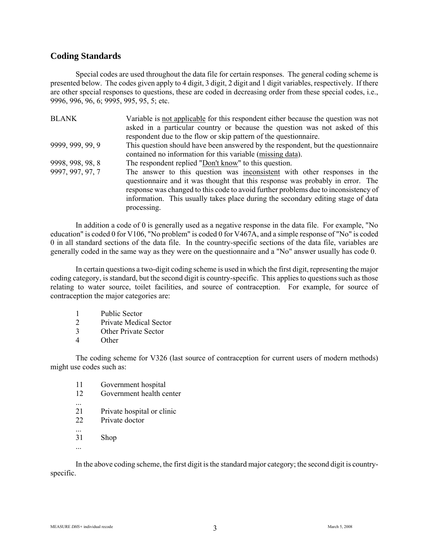# **Coding Standards**

Special codes are used throughout the data file for certain responses. The general coding scheme is presented below. The codes given apply to 4 digit, 3 digit, 2 digit and 1 digit variables, respectively. If there are other special responses to questions, these are coded in decreasing order from these special codes, i.e., 9996, 996, 96, 6; 9995, 995, 95, 5; etc.

| <b>BLANK</b>     | Variable is not applicable for this respondent either because the question was not                                                                                                                                                                                                                                                                   |
|------------------|------------------------------------------------------------------------------------------------------------------------------------------------------------------------------------------------------------------------------------------------------------------------------------------------------------------------------------------------------|
|                  | asked in a particular country or because the question was not asked of this                                                                                                                                                                                                                                                                          |
|                  | respondent due to the flow or skip pattern of the questionnaire.                                                                                                                                                                                                                                                                                     |
| 9999, 999, 99, 9 | This question should have been answered by the respondent, but the questionnaire                                                                                                                                                                                                                                                                     |
|                  | contained no information for this variable (missing data).                                                                                                                                                                                                                                                                                           |
| 9998, 998, 98, 8 | The respondent replied "Don't know" to this question.                                                                                                                                                                                                                                                                                                |
| 9997, 997, 97, 7 | The answer to this question was inconsistent with other responses in the<br>questionnaire and it was thought that this response was probably in error. The<br>response was changed to this code to avoid further problems due to inconsistency of<br>information. This usually takes place during the secondary editing stage of data<br>processing. |

In addition a code of 0 is generally used as a negative response in the data file. For example, "No education" is coded 0 for V106, "No problem" is coded 0 for V467A, and a simple response of "No" is coded 0 in all standard sections of the data file. In the country-specific sections of the data file, variables are generally coded in the same way as they were on the questionnaire and a "No" answer usually has code 0.

In certain questions a two-digit coding scheme is used in which the first digit, representing the major coding category, is standard, but the second digit is country-specific. This applies to questions such as those relating to water source, toilet facilities, and source of contraception. For example, for source of contraception the major categories are:

- 1 Public Sector
- 2 Private Medical Sector
- 3 Other Private Sector
- 4 Other

The coding scheme for V326 (last source of contraception for current users of modern methods) might use codes such as:

- 11 Government hospital
- 12 Government health center
- 21 Private hospital or clinic
- 22 Private doctor
- 31 Shop
- ...

...

...

In the above coding scheme, the first digit is the standard major category; the second digit is countryspecific.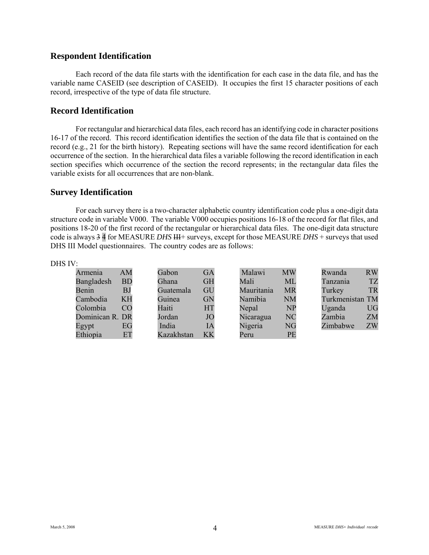# **Respondent Identification**

Each record of the data file starts with the identification for each case in the data file, and has the variable name CASEID (see description of CASEID). It occupies the first 15 character positions of each record, irrespective of the type of data file structure.

# **Record Identification**

For rectangular and hierarchical data files, each record has an identifying code in character positions 16-17 of the record. This record identification identifies the section of the data file that is contained on the record (e.g., 21 for the birth history). Repeating sections will have the same record identification for each occurrence of the section. In the hierarchical data files a variable following the record identification in each section specifies which occurrence of the section the record represents; in the rectangular data files the variable exists for all occurrences that are non-blank.

# **Survey Identification**

For each survey there is a two-character alphabetic country identification code plus a one-digit data structure code in variable V000. The variable V000 occupies positions 16-18 of the record for flat files, and positions 18-20 of the first record of the rectangular or hierarchical data files. The one-digit data structure code is always  $3\overline{4}$  for MEASURE *DHS* III<sup>+</sup> surveys, except for those MEASURE *DHS* + surveys that used DHS III Model questionnaires. The country codes are as follows:

#### DHS IV:

| Armenia         | AM        | Gabon      | <b>GA</b> | Malawi     | <b>MW</b> | Rwanda          | <b>RW</b> |
|-----------------|-----------|------------|-----------|------------|-----------|-----------------|-----------|
| Bangladesh      | <b>BD</b> | Ghana      | <b>GH</b> | Mali       | ML        | Tanzania        | <b>TZ</b> |
| Benin           | BJ        | Guatemala  | GU        | Mauritania | <b>MR</b> | Turkey          | <b>TR</b> |
| Cambodia        | KH        | Guinea     | <b>GN</b> | Namibia    | <b>NM</b> | Turkmenistan TM |           |
| Colombia        | CO        | Haiti      | HT        | Nepal      | NP        | Uganda          | UG        |
| Dominican R. DR |           | Jordan     | JO        | Nicaragua  | <b>NC</b> | Zambia          | <b>ZM</b> |
| Egypt           | EG        | India      | ĪΑ        | Nigeria    | NG        | Zimbabwe        | ZW        |
| Ethiopia        | ET        | Kazakhstan | KK        | Peru       | PE        |                 |           |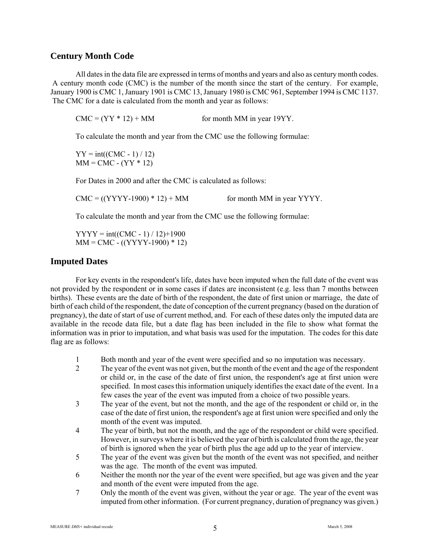# **Century Month Code**

All dates in the data file are expressed in terms of months and years and also as century month codes. A century month code (CMC) is the number of the month since the start of the century. For example, January 1900 is CMC 1, January 1901 is CMC 13, January 1980 is CMC 961, September 1994 is CMC 1137. The CMC for a date is calculated from the month and year as follows:

 $CMC = (YY * 12) + MM$  for month MM in year 19YY.

To calculate the month and year from the CMC use the following formulae:

 $YY = int((CMC - 1) / 12)$  $MM = CMC - (YY * 12)$ 

For Dates in 2000 and after the CMC is calculated as follows:

 $CMC = ((YYYY-1900) * 12) + MM$  for month MM in year YYYY.

To calculate the month and year from the CMC use the following formulae:

 $YYYY = int((CMC - 1) / 12) + 1900$  $MM = CMC - ((YYYY-1900) * 12)$ 

# **Imputed Dates**

For key events in the respondent's life, dates have been imputed when the full date of the event was not provided by the respondent or in some cases if dates are inconsistent (e.g. less than 7 months between births). These events are the date of birth of the respondent, the date of first union or marriage, the date of birth of each child of the respondent, the date of conception of the current pregnancy (based on the duration of pregnancy), the date of start of use of current method, and. For each of these dates only the imputed data are available in the recode data file, but a date flag has been included in the file to show what format the information was in prior to imputation, and what basis was used for the imputation. The codes for this date flag are as follows:

- 1 Both month and year of the event were specified and so no imputation was necessary.
- 2 The year of the event was not given, but the month of the event and the age of the respondent or child or, in the case of the date of first union, the respondent's age at first union were specified. In most cases this information uniquely identifies the exact date of the event. In a few cases the year of the event was imputed from a choice of two possible years.
- 3 The year of the event, but not the month, and the age of the respondent or child or, in the case of the date of first union, the respondent's age at first union were specified and only the month of the event was imputed.
- 4 The year of birth, but not the month, and the age of the respondent or child were specified. However, in surveys where it is believed the year of birth is calculated from the age, the year of birth is ignored when the year of birth plus the age add up to the year of interview.
- 5 The year of the event was given but the month of the event was not specified, and neither was the age. The month of the event was imputed.
- 6 Neither the month nor the year of the event were specified, but age was given and the year and month of the event were imputed from the age.
- 7 Only the month of the event was given, without the year or age. The year of the event was imputed from other information. (For current pregnancy, duration of pregnancy was given.)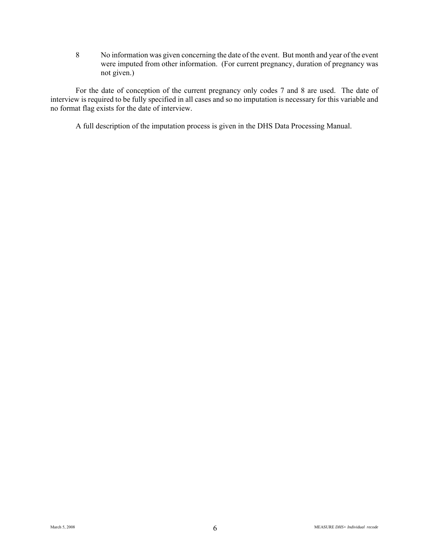8 No information was given concerning the date of the event. But month and year of the event were imputed from other information. (For current pregnancy, duration of pregnancy was not given.)

For the date of conception of the current pregnancy only codes 7 and 8 are used. The date of interview is required to be fully specified in all cases and so no imputation is necessary for this variable and no format flag exists for the date of interview.

A full description of the imputation process is given in the DHS Data Processing Manual.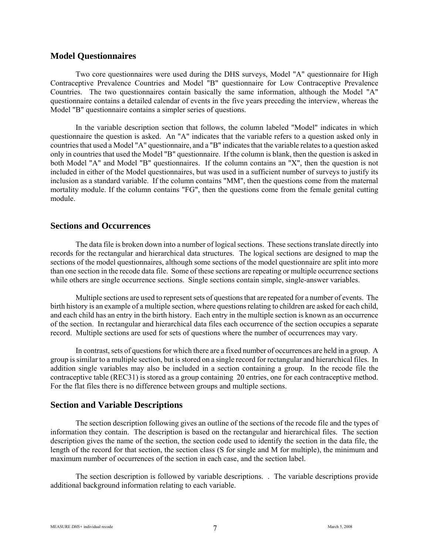### **Model Questionnaires**

Two core questionnaires were used during the DHS surveys, Model "A" questionnaire for High Contraceptive Prevalence Countries and Model "B" questionnaire for Low Contraceptive Prevalence Countries. The two questionnaires contain basically the same information, although the Model "A" questionnaire contains a detailed calendar of events in the five years preceding the interview, whereas the Model "B" questionnaire contains a simpler series of questions.

In the variable description section that follows, the column labeled "Model" indicates in which questionnaire the question is asked. An "A" indicates that the variable refers to a question asked only in countries that used a Model "A" questionnaire, and a "B" indicates that the variable relates to a question asked only in countries that used the Model "B" questionnaire. If the column is blank, then the question is asked in both Model "A" and Model "B" questionnaires. If the column contains an "X", then the question is not included in either of the Model questionnaires, but was used in a sufficient number of surveys to justify its inclusion as a standard variable. If the column contains "MM", then the questions come from the maternal mortality module. If the column contains "FG", then the questions come from the female genital cutting module.

### **Sections and Occurrences**

The data file is broken down into a number of logical sections. These sections translate directly into records for the rectangular and hierarchical data structures. The logical sections are designed to map the sections of the model questionnaires, although some sections of the model questionnaire are split into more than one section in the recode data file. Some of these sections are repeating or multiple occurrence sections while others are single occurrence sections. Single sections contain simple, single-answer variables.

Multiple sections are used to represent sets of questions that are repeated for a number of events. The birth history is an example of a multiple section, where questions relating to children are asked for each child, and each child has an entry in the birth history. Each entry in the multiple section is known as an occurrence of the section. In rectangular and hierarchical data files each occurrence of the section occupies a separate record. Multiple sections are used for sets of questions where the number of occurrences may vary.

In contrast, sets of questions for which there are a fixed number of occurrences are held in a group. A group is similar to a multiple section, but is stored on a single record for rectangular and hierarchical files. In addition single variables may also be included in a section containing a group. In the recode file the contraceptive table (REC31) is stored as a group containing 20 entries, one for each contraceptive method. For the flat files there is no difference between groups and multiple sections.

# **Section and Variable Descriptions**

The section description following gives an outline of the sections of the recode file and the types of information they contain. The description is based on the rectangular and hierarchical files. The section description gives the name of the section, the section code used to identify the section in the data file, the length of the record for that section, the section class (S for single and M for multiple), the minimum and maximum number of occurrences of the section in each case, and the section label.

The section description is followed by variable descriptions. . The variable descriptions provide additional background information relating to each variable.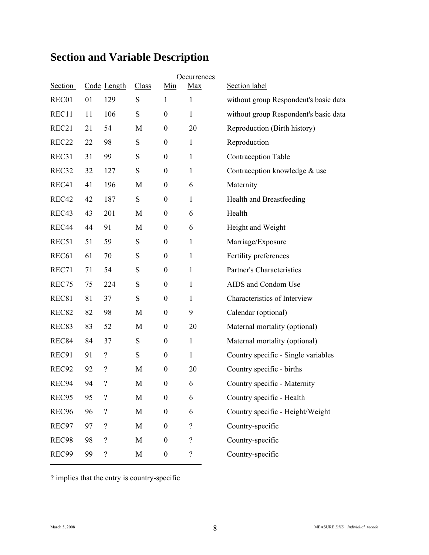# **Section and Variable Description**

| Section           |    | Code Length              | Class     | <u>Min</u>       | Occurrences<br><b>Max</b> | Section label                         |
|-------------------|----|--------------------------|-----------|------------------|---------------------------|---------------------------------------|
| REC01             | 01 | 129                      | ${\bf S}$ | $\mathbf{1}$     | $\mathbf{1}$              | without group Respondent's basic data |
| REC11             | 11 | 106                      | S         | $\boldsymbol{0}$ | $\mathbf{1}$              | without group Respondent's basic data |
| REC <sub>21</sub> | 21 | 54                       | M         | $\boldsymbol{0}$ | 20                        | Reproduction (Birth history)          |
| REC <sub>22</sub> | 22 | 98                       | ${\bf S}$ | $\boldsymbol{0}$ | $\mathbf{1}$              | Reproduction                          |
| REC31             | 31 | 99                       | ${\bf S}$ | $\boldsymbol{0}$ | $\mathbf{1}$              | Contraception Table                   |
| REC32             | 32 | 127                      | S         | $\boldsymbol{0}$ | $\mathbf{1}$              | Contraception knowledge & use         |
| REC41             | 41 | 196                      | M         | $\boldsymbol{0}$ | 6                         | Maternity                             |
| REC42             | 42 | 187                      | S         | $\boldsymbol{0}$ | $\mathbf{1}$              | Health and Breastfeeding              |
| REC43             | 43 | 201                      | M         | $\boldsymbol{0}$ | 6                         | Health                                |
| REC44             | 44 | 91                       | M         | $\boldsymbol{0}$ | 6                         | Height and Weight                     |
| REC51             | 51 | 59                       | S         | $\boldsymbol{0}$ | $\mathbf{1}$              | Marriage/Exposure                     |
| REC <sub>61</sub> | 61 | 70                       | S         | $\boldsymbol{0}$ | $\mathbf{1}$              | Fertility preferences                 |
| REC71             | 71 | 54                       | ${\bf S}$ | $\boldsymbol{0}$ | $\mathbf{1}$              | Partner's Characteristics             |
| REC75             | 75 | 224                      | S         | $\boldsymbol{0}$ | $\mathbf{1}$              | AIDS and Condom Use                   |
| REC81             | 81 | 37                       | ${\bf S}$ | $\boldsymbol{0}$ | 1                         | Characteristics of Interview          |
| REC <sub>82</sub> | 82 | 98                       | M         | $\boldsymbol{0}$ | 9                         | Calendar (optional)                   |
| REC <sub>83</sub> | 83 | 52                       | M         | $\boldsymbol{0}$ | 20                        | Maternal mortality (optional)         |
| REC84             | 84 | 37                       | S         | $\boldsymbol{0}$ | $\mathbf{1}$              | Maternal mortality (optional)         |
| REC91             | 91 | $\overline{\mathcal{L}}$ | S         | $\boldsymbol{0}$ | $\mathbf{1}$              | Country specific - Single variables   |
| REC <sub>92</sub> | 92 | $\overline{\mathcal{L}}$ | M         | $\boldsymbol{0}$ | 20                        | Country specific - births             |
| REC94             | 94 | $\overline{\mathcal{L}}$ | M         | $\boldsymbol{0}$ | 6                         | Country specific - Maternity          |
| REC95             | 95 | $\overline{?}$           | M         | $\boldsymbol{0}$ | 6                         | Country specific - Health             |
| REC <sub>96</sub> | 96 | $\overline{\mathcal{L}}$ | M         | $\boldsymbol{0}$ | 6                         | Country specific - Height/Weight      |
| REC97             | 97 | $\overline{\mathcal{L}}$ | M         | $\boldsymbol{0}$ | $\overline{\mathcal{L}}$  | Country-specific                      |
| REC98             | 98 | $\overline{\mathcal{C}}$ | M         | $\boldsymbol{0}$ | $\overline{?}$            | Country-specific                      |
| REC99             | 99 | $\overline{?}$           | M         | $\boldsymbol{0}$ | $\overline{\mathcal{L}}$  | Country-specific                      |

? implies that the entry is country-specific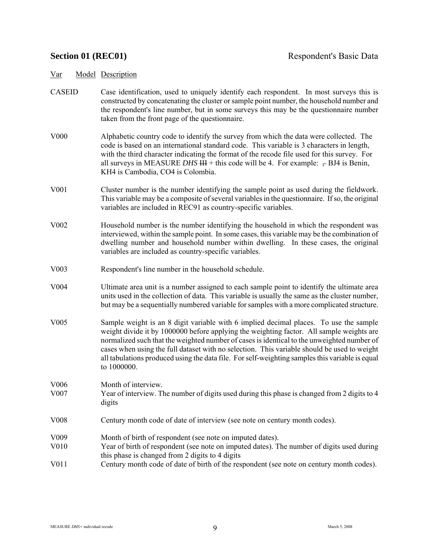- CASEID Case identification, used to uniquely identify each respondent. In most surveys this is constructed by concatenating the cluster or sample point number, the household number and the respondent's line number, but in some surveys this may be the questionnaire number taken from the front page of the questionnaire.
- V000 Alphabetic country code to identify the survey from which the data were collected. The code is based on an international standard code. This variable is 3 characters in length, with the third character indicating the format of the recode file used for this survey. For all surveys in MEASURE *DHS*  $HH$  + this code will be 4. For example:  $- BJ4$  is Benin, KH4 is Cambodia, CO4 is Colombia.
- V001 Cluster number is the number identifying the sample point as used during the fieldwork. This variable may be a composite of several variables in the questionnaire. If so, the original variables are included in REC91 as country-specific variables.
- V002 Household number is the number identifying the household in which the respondent was interviewed, within the sample point. In some cases, this variable may be the combination of dwelling number and household number within dwelling. In these cases, the original variables are included as country-specific variables.
- V003 Respondent's line number in the household schedule.
- V004 Ultimate area unit is a number assigned to each sample point to identify the ultimate area units used in the collection of data. This variable is usually the same as the cluster number, but may be a sequentially numbered variable for samples with a more complicated structure.
- V005 Sample weight is an 8 digit variable with 6 implied decimal places. To use the sample weight divide it by 1000000 before applying the weighting factor. All sample weights are normalized such that the weighted number of cases is identical to the unweighted number of cases when using the full dataset with no selection. This variable should be used to weight all tabulations produced using the data file. For self-weighting samples this variable is equal to 1000000.
- V006 Month of interview. V007 Year of interview. The number of digits used during this phase is changed from 2 digits to 4 digits
- V008 Century month code of date of interview (see note on century month codes).
- V009 Month of birth of respondent (see note on imputed dates).
- V010 Year of birth of respondent (see note on imputed dates). The number of digits used during this phase is changed from 2 digits to 4 digits
- V011 Century month code of date of birth of the respondent (see note on century month codes).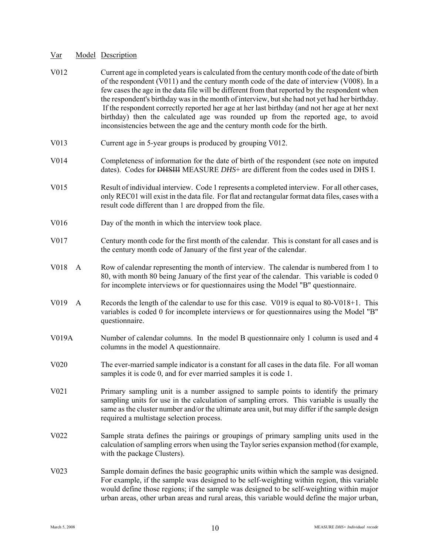| V012                              | Current age in completed years is calculated from the century month code of the date of birth<br>of the respondent (V011) and the century month code of the date of interview (V008). In a<br>few cases the age in the data file will be different from that reported by the respondent when<br>the respondent's birthday was in the month of interview, but she had not yet had her birthday.<br>If the respondent correctly reported her age at her last birthday (and not her age at her next<br>birthday) then the calculated age was rounded up from the reported age, to avoid<br>inconsistencies between the age and the century month code for the birth. |
|-----------------------------------|-------------------------------------------------------------------------------------------------------------------------------------------------------------------------------------------------------------------------------------------------------------------------------------------------------------------------------------------------------------------------------------------------------------------------------------------------------------------------------------------------------------------------------------------------------------------------------------------------------------------------------------------------------------------|
| V013                              | Current age in 5-year groups is produced by grouping V012.                                                                                                                                                                                                                                                                                                                                                                                                                                                                                                                                                                                                        |
| V014                              | Completeness of information for the date of birth of the respondent (see note on imputed<br>dates). Codes for DHSHI MEASURE DHS+ are different from the codes used in DHS I.                                                                                                                                                                                                                                                                                                                                                                                                                                                                                      |
| V <sub>0</sub> 15                 | Result of individual interview. Code 1 represents a completed interview. For all other cases,<br>only REC01 will exist in the data file. For flat and rectangular format data files, cases with a<br>result code different than 1 are dropped from the file.                                                                                                                                                                                                                                                                                                                                                                                                      |
| V016                              | Day of the month in which the interview took place.                                                                                                                                                                                                                                                                                                                                                                                                                                                                                                                                                                                                               |
| V017                              | Century month code for the first month of the calendar. This is constant for all cases and is<br>the century month code of January of the first year of the calendar.                                                                                                                                                                                                                                                                                                                                                                                                                                                                                             |
| V018<br>A                         | Row of calendar representing the month of interview. The calendar is numbered from 1 to<br>80, with month 80 being January of the first year of the calendar. This variable is coded 0<br>for incomplete interviews or for questionnaires using the Model "B" questionnaire.                                                                                                                                                                                                                                                                                                                                                                                      |
| V <sub>0</sub> 19<br>$\mathbf{A}$ | Records the length of the calendar to use for this case. V019 is equal to 80-V018+1. This<br>variables is coded 0 for incomplete interviews or for questionnaires using the Model "B"<br>questionnaire.                                                                                                                                                                                                                                                                                                                                                                                                                                                           |
| V019A                             | Number of calendar columns. In the model B questionnaire only 1 column is used and 4<br>columns in the model A questionnaire.                                                                                                                                                                                                                                                                                                                                                                                                                                                                                                                                     |
| V <sub>0</sub> 20                 | The ever-married sample indicator is a constant for all cases in the data file. For all woman<br>samples it is code 0, and for ever married samples it is code 1.                                                                                                                                                                                                                                                                                                                                                                                                                                                                                                 |
| V021                              | Primary sampling unit is a number assigned to sample points to identify the primary<br>sampling units for use in the calculation of sampling errors. This variable is usually the<br>same as the cluster number and/or the ultimate area unit, but may differ if the sample design<br>required a multistage selection process.                                                                                                                                                                                                                                                                                                                                    |
| V <sub>0</sub> 22                 | Sample strata defines the pairings or groupings of primary sampling units used in the<br>calculation of sampling errors when using the Taylor series expansion method (for example,<br>with the package Clusters).                                                                                                                                                                                                                                                                                                                                                                                                                                                |
| V <sub>0</sub> 23                 | Sample domain defines the basic geographic units within which the sample was designed.<br>For example, if the sample was designed to be self-weighting within region, this variable<br>would define those regions; if the sample was designed to be self-weighting within major<br>urban areas, other urban areas and rural areas, this variable would define the major urban,                                                                                                                                                                                                                                                                                    |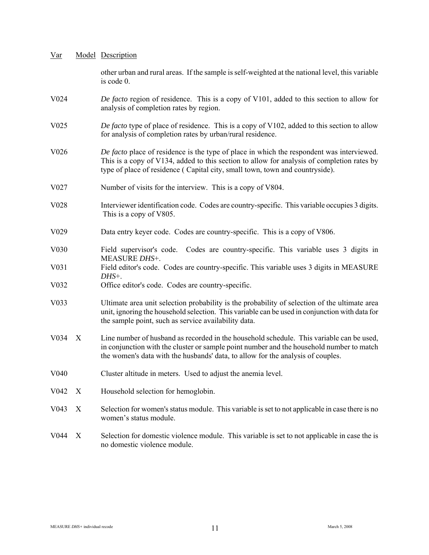| <u>Var</u>        |                  | Model Description                                                                                                                                                                                                                                                       |
|-------------------|------------------|-------------------------------------------------------------------------------------------------------------------------------------------------------------------------------------------------------------------------------------------------------------------------|
|                   |                  | other urban and rural areas. If the sample is self-weighted at the national level, this variable<br>is code 0.                                                                                                                                                          |
| V <sub>0</sub> 24 |                  | De facto region of residence. This is a copy of V101, added to this section to allow for<br>analysis of completion rates by region.                                                                                                                                     |
| V025              |                  | De facto type of place of residence. This is a copy of V102, added to this section to allow<br>for analysis of completion rates by urban/rural residence.                                                                                                               |
| V <sub>026</sub>  |                  | De facto place of residence is the type of place in which the respondent was interviewed.<br>This is a copy of V134, added to this section to allow for analysis of completion rates by<br>type of place of residence (Capital city, small town, town and countryside). |
| V <sub>027</sub>  |                  | Number of visits for the interview. This is a copy of V804.                                                                                                                                                                                                             |
| V <sub>028</sub>  |                  | Interviewer identification code. Codes are country-specific. This variable occupies 3 digits.<br>This is a copy of V805.                                                                                                                                                |
| V <sub>029</sub>  |                  | Data entry keyer code. Codes are country-specific. This is a copy of V806.                                                                                                                                                                                              |
| V <sub>0</sub> 30 |                  | Field supervisor's code. Codes are country-specific. This variable uses 3 digits in                                                                                                                                                                                     |
| V031              |                  | MEASURE DHS+.<br>Field editor's code. Codes are country-specific. This variable uses 3 digits in MEASURE<br>DHS+.                                                                                                                                                       |
| V032              |                  | Office editor's code. Codes are country-specific.                                                                                                                                                                                                                       |
| V <sub>0</sub> 33 |                  | Ultimate area unit selection probability is the probability of selection of the ultimate area<br>unit, ignoring the household selection. This variable can be used in conjunction with data for<br>the sample point, such as service availability data.                 |
| V034              | $\boldsymbol{X}$ | Line number of husband as recorded in the household schedule. This variable can be used,<br>in conjunction with the cluster or sample point number and the household number to match<br>the women's data with the husbands' data, to allow for the analysis of couples. |
| V <sub>040</sub>  |                  | Cluster altitude in meters. Used to adjust the anemia level.                                                                                                                                                                                                            |
| V <sub>042</sub>  | X                | Household selection for hemoglobin.                                                                                                                                                                                                                                     |
| V <sub>043</sub>  | X                | Selection for women's status module. This variable is set to not applicable in case there is no<br>women's status module.                                                                                                                                               |
| V044              | X                | Selection for domestic violence module. This variable is set to not applicable in case the is<br>no domestic violence module.                                                                                                                                           |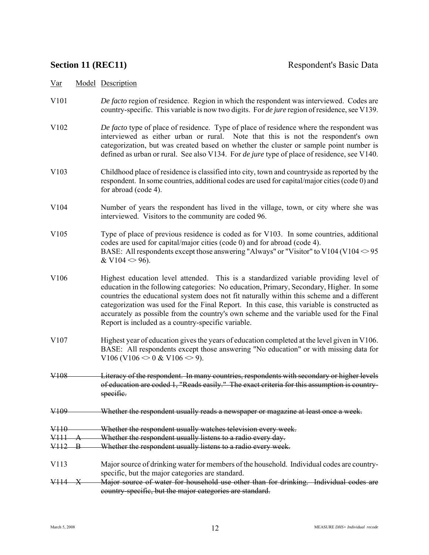- V101 *De facto* region of residence. Region in which the respondent was interviewed. Codes are country-specific. This variable is now two digits. For *de jure* region of residence, see V139.
- V102 *De facto* type of place of residence. Type of place of residence where the respondent was interviewed as either urban or rural. Note that this is not the respondent's own categorization, but was created based on whether the cluster or sample point number is defined as urban or rural. See also V134. For *de jure* type of place of residence, see V140.
- V103 Childhood place of residence is classified into city, town and countryside as reported by the respondent. In some countries, additional codes are used for capital/major cities (code 0) and for abroad (code 4).
- V104 Number of years the respondent has lived in the village, town, or city where she was interviewed. Visitors to the community are coded 96.
- V105 Type of place of previous residence is coded as for V103. In some countries, additional codes are used for capital/major cities (code 0) and for abroad (code 4). BASE: All respondents except those answering "Always" or "Visitor" to V104 (V104  $\approx$  95  $& V104 \leq 96$ .
- V106 Highest education level attended. This is a standardized variable providing level of education in the following categories: No education, Primary, Secondary, Higher. In some countries the educational system does not fit naturally within this scheme and a different categorization was used for the Final Report. In this case, this variable is constructed as accurately as possible from the country's own scheme and the variable used for the Final Report is included as a country-specific variable.
- V107 Highest year of education gives the years of education completed at the level given in V106. BASE: All respondents except those answering "No education" or with missing data for V106 (V106  $\leq$  0 & V106  $\leq$  9).
- V108 Literacy of the respondent. In many countries, respondents with secondary or higher levels of education are coded 1, "Reads easily." The exact criteria for this assumption is countryspecific.
- V109 Whether the respondent usually reads a newspaper or magazine at least once a week.
- V110 Whether the respondent usually watches television every week.
- V111 A Whether the respondent usually listens to a radio every day.
- V112 B Whether the respondent usually listens to a radio every week.
- V113 Major source of drinking water for members of the household. Individual codes are countryspecific, but the major categories are standard.
- V114 X Major source of water for household use other than for drinking. Individual codes are country-specific, but the major categories are standard.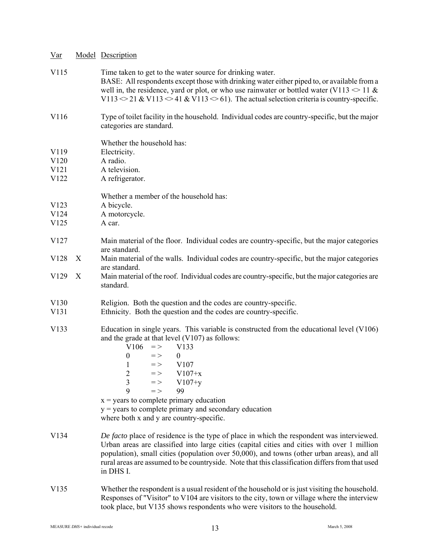| $Var$                                                |                  | <b>Model Description</b>                                                                                                                                                                                                                                                                                                                                                                                                                                                        |
|------------------------------------------------------|------------------|---------------------------------------------------------------------------------------------------------------------------------------------------------------------------------------------------------------------------------------------------------------------------------------------------------------------------------------------------------------------------------------------------------------------------------------------------------------------------------|
| V115                                                 |                  | Time taken to get to the water source for drinking water.<br>BASE: All respondents except those with drinking water either piped to, or available from a<br>well in, the residence, yard or plot, or who use rainwater or bottled water (V113 $\approx$ 11 &<br>V113 $\geq$ 21 & V113 $\leq$ 41 & V113 $\leq$ 61). The actual selection criteria is country-specific.                                                                                                           |
| V116                                                 |                  | Type of toilet facility in the household. Individual codes are country-specific, but the major<br>categories are standard.                                                                                                                                                                                                                                                                                                                                                      |
| V119<br>V <sub>120</sub><br>V <sub>121</sub><br>V122 |                  | Whether the household has:<br>Electricity.<br>A radio.<br>A television.<br>A refrigerator.                                                                                                                                                                                                                                                                                                                                                                                      |
| V <sub>123</sub><br>V <sub>124</sub><br>V125         |                  | Whether a member of the household has:<br>A bicycle.<br>A motorcycle.<br>A car.                                                                                                                                                                                                                                                                                                                                                                                                 |
| V <sub>127</sub>                                     |                  | Main material of the floor. Individual codes are country-specific, but the major categories                                                                                                                                                                                                                                                                                                                                                                                     |
| V <sub>128</sub>                                     | $\boldsymbol{X}$ | are standard.<br>Main material of the walls. Individual codes are country-specific, but the major categories                                                                                                                                                                                                                                                                                                                                                                    |
| V129                                                 | $\boldsymbol{X}$ | are standard.<br>Main material of the roof. Individual codes are country-specific, but the major categories are<br>standard.                                                                                                                                                                                                                                                                                                                                                    |
| V <sub>130</sub><br>V <sub>131</sub>                 |                  | Religion. Both the question and the codes are country-specific.<br>Ethnicity. Both the question and the codes are country-specific.                                                                                                                                                                                                                                                                                                                                             |
| V133                                                 |                  | Education in single years. This variable is constructed from the educational level (V106)<br>and the grade at that level $(V107)$ as follows:<br>V106<br>$\,$ $\,$ $\,$<br>V133<br>$\theta$<br>$=$ $>$<br>$\theta$<br>V107<br>1 $\Rightarrow$<br>$=$ > V107+x<br>$\overline{2}$<br>3 => $V107+y$<br>$=$ ><br>9<br>99<br>$x =$ years to complete primary education<br>$y = \text{years}$ to complete primary and secondary education<br>where both x and y are country-specific. |
| V134                                                 |                  | De facto place of residence is the type of place in which the respondent was interviewed.<br>Urban areas are classified into large cities (capital cities and cities with over 1 million<br>population), small cities (population over 50,000), and towns (other urban areas), and all<br>rural areas are assumed to be countryside. Note that this classification differs from that used<br>in DHS I.                                                                          |
| V <sub>1</sub> 35                                    |                  | Whether the respondent is a usual resident of the household or is just visiting the household.<br>Responses of "Visitor" to V104 are visitors to the city, town or village where the interview                                                                                                                                                                                                                                                                                  |

took place, but V135 shows respondents who were visitors to the household.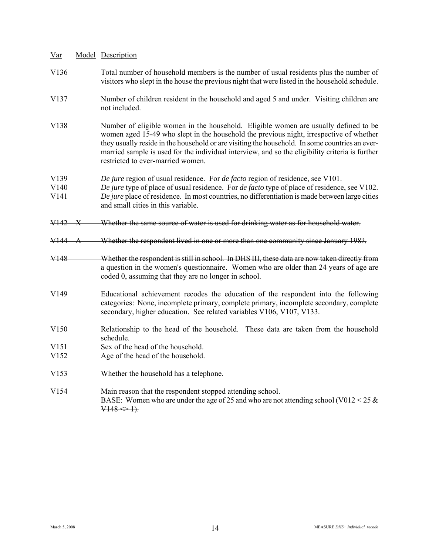| $Var$                                                    |              | Model Description                                                                                                                                                                                                                                                                                                                                                                                                        |
|----------------------------------------------------------|--------------|--------------------------------------------------------------------------------------------------------------------------------------------------------------------------------------------------------------------------------------------------------------------------------------------------------------------------------------------------------------------------------------------------------------------------|
| V <sub>136</sub>                                         |              | Total number of household members is the number of usual residents plus the number of<br>visitors who slept in the house the previous night that were listed in the household schedule.                                                                                                                                                                                                                                  |
| V <sub>137</sub>                                         |              | Number of children resident in the household and aged 5 and under. Visiting children are<br>not included.                                                                                                                                                                                                                                                                                                                |
| V138                                                     |              | Number of eligible women in the household. Eligible women are usually defined to be<br>women aged 15-49 who slept in the household the previous night, irrespective of whether<br>they usually reside in the household or are visiting the household. In some countries an ever-<br>married sample is used for the individual interview, and so the eligibility criteria is further<br>restricted to ever-married women. |
| V <sub>139</sub><br>V <sub>140</sub><br>V <sub>141</sub> |              | De jure region of usual residence. For de facto region of residence, see V101.<br>De jure type of place of usual residence. For <i>de facto</i> type of place of residence, see V102.<br>De jure place of residence. In most countries, no differentiation is made between large cities<br>and small cities in this variable.                                                                                            |
| V <sub>142</sub>                                         | $\mathbf{X}$ | Whether the same source of water is used for drinking water as for household water.                                                                                                                                                                                                                                                                                                                                      |
| V144                                                     | Α            | Whether the respondent lived in one or more than one community since January 198?.                                                                                                                                                                                                                                                                                                                                       |
| V <sub>148</sub>                                         |              | Whether the respondent is still in school. In DHS III, these data are now taken directly from<br>a question in the women's questionnaire. Women who are older than 24 years of age are<br>coded 0, assuming that they are no longer in school.                                                                                                                                                                           |
| V149                                                     |              | Educational achievement recodes the education of the respondent into the following<br>categories: None, incomplete primary, complete primary, incomplete secondary, complete<br>secondary, higher education. See related variables V106, V107, V133.                                                                                                                                                                     |
| V <sub>150</sub>                                         |              | Relationship to the head of the household. These data are taken from the household<br>schedule.                                                                                                                                                                                                                                                                                                                          |
| V <sub>151</sub>                                         |              | Sex of the head of the household.                                                                                                                                                                                                                                                                                                                                                                                        |
| V <sub>152</sub>                                         |              | Age of the head of the household.                                                                                                                                                                                                                                                                                                                                                                                        |
| V <sub>153</sub>                                         |              | Whether the household has a telephone.                                                                                                                                                                                                                                                                                                                                                                                   |
| <del>V154</del>                                          |              | Main reason that the respondent stopped attending school.<br>BASE: Women who are under the age of 25 and who are not attending school (V012 < 25 $\&$<br>$V148 \Leftrightarrow 1$ .                                                                                                                                                                                                                                      |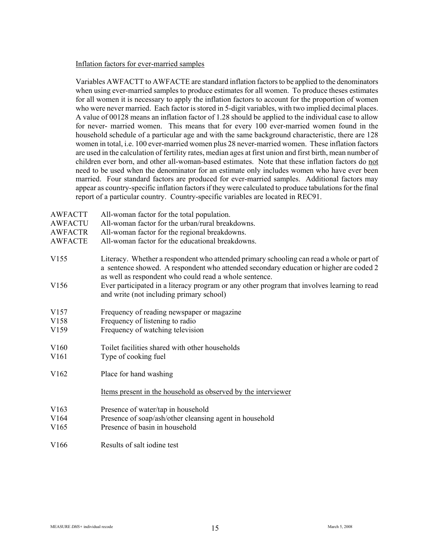#### Inflation factors for ever-married samples

Variables AWFACTT to AWFACTE are standard inflation factors to be applied to the denominators when using ever-married samples to produce estimates for all women. To produce theses estimates for all women it is necessary to apply the inflation factors to account for the proportion of women who were never married. Each factor is stored in 5-digit variables, with two implied decimal places. A value of 00128 means an inflation factor of 1.28 should be applied to the individual case to allow for never- married women. This means that for every 100 ever-married women found in the household schedule of a particular age and with the same background characteristic, there are 128 women in total, i.e. 100 ever-married women plus 28 never-married women. These inflation factors are used in the calculation of fertility rates, median ages at first union and first birth, mean number of children ever born, and other all-woman-based estimates. Note that these inflation factors do not need to be used when the denominator for an estimate only includes women who have ever been married. Four standard factors are produced for ever-married samples. Additional factors may appear as country-specific inflation factors if they were calculated to produce tabulations for the final report of a particular country. Country-specific variables are located in REC91.

AWFACTT All-woman factor for the total population. AWFACTU All-woman factor for the urban/rural breakdowns. AWFACTR All-woman factor for the regional breakdowns. AWFACTE All-woman factor for the educational breakdowns. V155 Literacy. Whether a respondent who attended primary schooling can read a whole or part of a sentence showed. A respondent who attended secondary education or higher are coded 2 as well as respondent who could read a whole sentence. V156 Ever participated in a literacy program or any other program that involves learning to read and write (not including primary school) V157 Frequency of reading newspaper or magazine V158 Frequency of listening to radio V159 Frequency of watching television V160 Toilet facilities shared with other households V<sub>161</sub> Type of cooking fuel V162 Place for hand washing Items present in the household as observed by the interviewer V163 Presence of water/tap in household V164 Presence of soap/ash/other cleansing agent in household V165 Presence of basin in household V166 Results of salt iodine test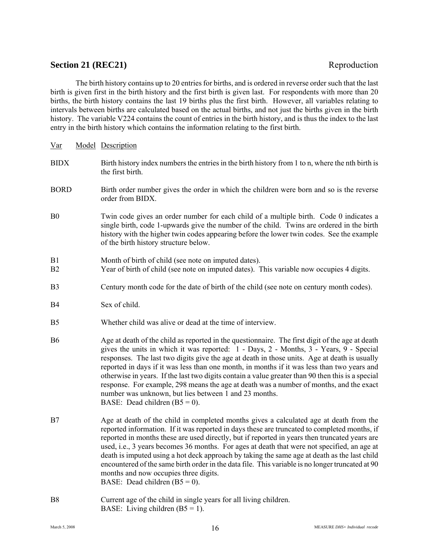# **Section 21 (REC21)** Reproduction

The birth history contains up to 20 entries for births, and is ordered in reverse order such that the last birth is given first in the birth history and the first birth is given last. For respondents with more than 20 births, the birth history contains the last 19 births plus the first birth. However, all variables relating to intervals between births are calculated based on the actual births, and not just the births given in the birth history. The variable V224 contains the count of entries in the birth history, and is thus the index to the last entry in the birth history which contains the information relating to the first birth.

| $\underline{\text{Var}}$ | Model Description                                                                                                                                                                                                                                                                                                                                                                                                                                                                                                                                                                                                                                                                     |
|--------------------------|---------------------------------------------------------------------------------------------------------------------------------------------------------------------------------------------------------------------------------------------------------------------------------------------------------------------------------------------------------------------------------------------------------------------------------------------------------------------------------------------------------------------------------------------------------------------------------------------------------------------------------------------------------------------------------------|
| <b>BIDX</b>              | Birth history index numbers the entries in the birth history from 1 to n, where the nth birth is<br>the first birth.                                                                                                                                                                                                                                                                                                                                                                                                                                                                                                                                                                  |
| <b>BORD</b>              | Birth order number gives the order in which the children were born and so is the reverse<br>order from BIDX.                                                                                                                                                                                                                                                                                                                                                                                                                                                                                                                                                                          |
| B <sub>0</sub>           | Twin code gives an order number for each child of a multiple birth. Code 0 indicates a<br>single birth, code 1-upwards give the number of the child. Twins are ordered in the birth<br>history with the higher twin codes appearing before the lower twin codes. See the example<br>of the birth history structure below.                                                                                                                                                                                                                                                                                                                                                             |
| B1<br>B <sub>2</sub>     | Month of birth of child (see note on imputed dates).<br>Year of birth of child (see note on imputed dates). This variable now occupies 4 digits.                                                                                                                                                                                                                                                                                                                                                                                                                                                                                                                                      |
| B <sub>3</sub>           | Century month code for the date of birth of the child (see note on century month codes).                                                                                                                                                                                                                                                                                                                                                                                                                                                                                                                                                                                              |
| B4                       | Sex of child.                                                                                                                                                                                                                                                                                                                                                                                                                                                                                                                                                                                                                                                                         |
| B <sub>5</sub>           | Whether child was alive or dead at the time of interview.                                                                                                                                                                                                                                                                                                                                                                                                                                                                                                                                                                                                                             |
| <b>B6</b>                | Age at death of the child as reported in the questionnaire. The first digit of the age at death<br>gives the units in which it was reported: 1 - Days, 2 - Months, 3 - Years, 9 - Special<br>responses. The last two digits give the age at death in those units. Age at death is usually<br>reported in days if it was less than one month, in months if it was less than two years and<br>otherwise in years. If the last two digits contain a value greater than 90 then this is a special<br>response. For example, 298 means the age at death was a number of months, and the exact<br>number was unknown, but lies between 1 and 23 months.<br>BASE: Dead children $(B5 = 0)$ . |
| B7                       | Age at death of the child in completed months gives a calculated age at death from the<br>reported information. If it was reported in days these are truncated to completed months, if<br>reported in months these are used directly, but if reported in years then truncated years are<br>used, i.e., 3 years becomes 36 months. For ages at death that were not specified, an age at<br>death is imputed using a hot deck approach by taking the same age at death as the last child<br>encountered of the same birth order in the data file. This variable is no longer truncated at 90<br>months and now occupies three digits.<br>BASE: Dead children $(B5 = 0)$ .               |
| B8                       | Current age of the child in single years for all living children.                                                                                                                                                                                                                                                                                                                                                                                                                                                                                                                                                                                                                     |

BASE: Living children  $(B5 = 1)$ .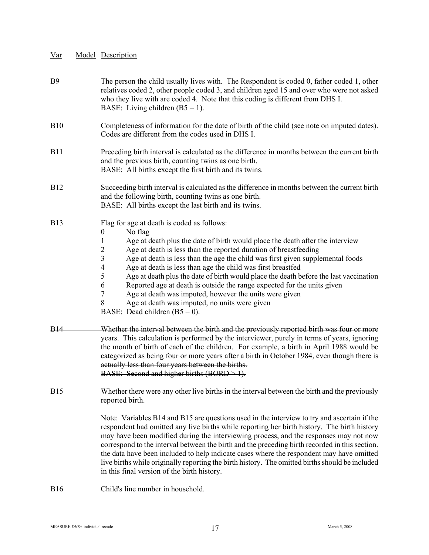- B9 The person the child usually lives with. The Respondent is coded 0, father coded 1, other relatives coded 2, other people coded 3, and children aged 15 and over who were not asked who they live with are coded 4. Note that this coding is different from DHS I. BASE: Living children  $(B5 = 1)$ . B10 Completeness of information for the date of birth of the child (see note on imputed dates). Codes are different from the codes used in DHS I. B11 Preceding birth interval is calculated as the difference in months between the current birth and the previous birth, counting twins as one birth. BASE: All births except the first birth and its twins. B12 Succeeding birth interval is calculated as the difference in months between the current birth and the following birth, counting twins as one birth. BASE: All births except the last birth and its twins. B13 Flag for age at death is coded as follows: 0 No flag 1 Age at death plus the date of birth would place the death after the interview 2 Age at death is less than the reported duration of breastfeeding 3 Age at death is less than the age the child was first given supplemental foods 4 Age at death is less than age the child was first breastfed 5 Age at death plus the date of birth would place the death before the last vaccination 6 Reported age at death is outside the range expected for the units given 7 Age at death was imputed, however the units were given 8 Age at death was imputed, no units were given BASE: Dead children  $(B5 = 0)$ . B14 Whether the interval between the birth and the previously reported birth was four or more years. This calculation is performed by the interviewer, purely in terms of years, ignoring the month of birth of each of the children. For example, a birth in April 1988 would be categorized as being four or more years after a birth in October 1984, even though there is actually less than four years between the births. BASE: Second and higher births  $(BORD > 1)$ . B15 Whether there were any other live births in the interval between the birth and the previously reported birth. Note: Variables B14 and B15 are questions used in the interview to try and ascertain if the respondent had omitted any live births while reporting her birth history. The birth history may have been modified during the interviewing process, and the responses may not now correspond to the interval between the birth and the preceding birth recorded in this section. the data have been included to help indicate cases where the respondent may have omitted live births while originally reporting the birth history. The omitted births should be included in this final version of the birth history.
- B16 Child's line number in household.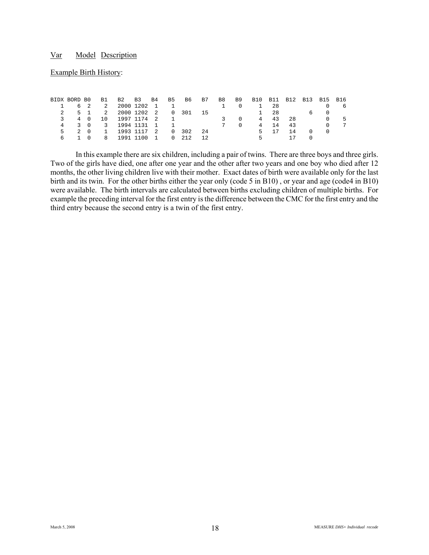#### Example Birth History:

| BIDX BORD BO | B1 B2 B3 B4 B5 B6 B7       |  |  |                                   |                |                | B8 B9 B10 B11 B12 B13 B15 B16 |      |     |                                     |   |
|--------------|----------------------------|--|--|-----------------------------------|----------------|----------------|-------------------------------|------|-----|-------------------------------------|---|
|              | 6 2 2 2000 1202 1 1        |  |  | the control of the first state of |                | $\overline{0}$ |                               | 1 28 |     |                                     | h |
|              | 5 1 2 2000 1202 2 0 301 15 |  |  |                                   |                |                | 1 28                          |      |     | 6 0                                 |   |
| 3.           | 4 0 10 1997 1174 2 1       |  |  |                                   | -3             | $\overline{0}$ |                               | 4 43 | -28 | - 0                                 | 5 |
|              | 4 3 0 3 1994 1131 1 1      |  |  |                                   | $\overline{7}$ | $\Omega$       | 4                             | 14   | 43  | $\cap$                              |   |
|              | 2 0 1 1993 1117 2 0 302 24 |  |  |                                   |                |                |                               | 5 17 | 14  | $\begin{matrix} 0 & 0 \end{matrix}$ |   |
| 6 1 0        | 8 1991 1100 1 0 212 12     |  |  |                                   |                |                | 5.                            |      |     |                                     |   |

In this example there are six children, including a pair of twins. There are three boys and three girls. Two of the girls have died, one after one year and the other after two years and one boy who died after 12 months, the other living children live with their mother. Exact dates of birth were available only for the last birth and its twin. For the other births either the year only (code 5 in B10) , or year and age (code4 in B10) were available. The birth intervals are calculated between births excluding children of multiple births. For example the preceding interval for the first entry is the difference between the CMC for the first entry and the third entry because the second entry is a twin of the first entry.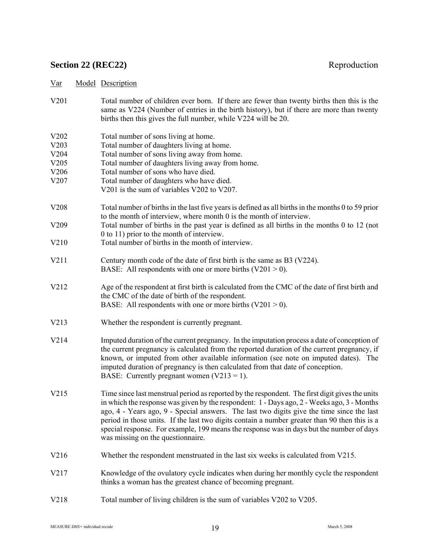# **Section 22 (REC22)** Reproduction

- V201 Total number of children ever born. If there are fewer than twenty births then this is the same as V224 (Number of entries in the birth history), but if there are more than twenty births then this gives the full number, while V224 will be 20.
- V202 Total number of sons living at home.<br>V203 Total number of daughters living at h Total number of daughters living at home. V204 Total number of sons living away from home. V205 Total number of daughters living away from home. V206 Total number of sons who have died. V207 Total number of daughters who have died. V201 is the sum of variables V202 to V207. V208 Total number of births in the last five years is defined as all births in the months 0 to 59 prior to the month of interview, where month 0 is the month of interview. V209 Total number of births in the past year is defined as all births in the months 0 to 12 (not 0 to 11) prior to the month of interview. V210 Total number of births in the month of interview. V211 Century month code of the date of first birth is the same as B3 (V224). BASE: All respondents with one or more births  $(V201 > 0)$ .
- V212 Age of the respondent at first birth is calculated from the CMC of the date of first birth and the CMC of the date of birth of the respondent. BASE: All respondents with one or more births  $(V201 > 0)$ .
- V213 Whether the respondent is currently pregnant.
- V214 Imputed duration of the current pregnancy. In the imputation process a date of conception of the current pregnancy is calculated from the reported duration of the current pregnancy, if known, or imputed from other available information (see note on imputed dates). The imputed duration of pregnancy is then calculated from that date of conception. BASE: Currently pregnant women  $(V213 = 1)$ .
- V215 Time since last menstrual period as reported by the respondent. The first digit gives the units in which the response was given by the respondent: 1 - Days ago, 2 - Weeks ago, 3 - Months ago, 4 - Years ago, 9 - Special answers. The last two digits give the time since the last period in those units. If the last two digits contain a number greater than 90 then this is a special response. For example, 199 means the response was in days but the number of days was missing on the questionnaire.
- V216 Whether the respondent menstruated in the last six weeks is calculated from V215.
- V217 Knowledge of the ovulatory cycle indicates when during her monthly cycle the respondent thinks a woman has the greatest chance of becoming pregnant.
- V218 Total number of living children is the sum of variables V202 to V205.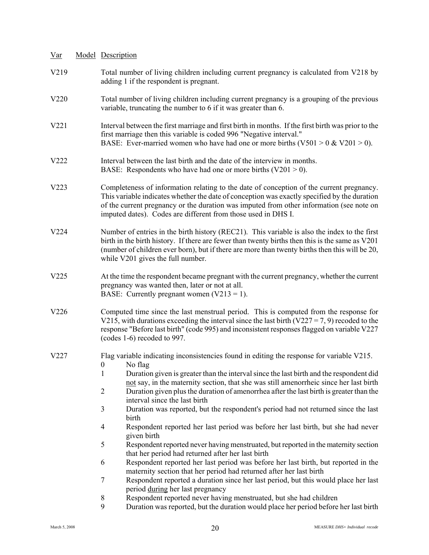| $Var$ | Model Description                                                                                                                                                                                                                                                                                                                                                                                                                                                                                                                                                                                                                                                                                                                                                                                                                                                                                                                                                                                                                                                                                                                                                                               |
|-------|-------------------------------------------------------------------------------------------------------------------------------------------------------------------------------------------------------------------------------------------------------------------------------------------------------------------------------------------------------------------------------------------------------------------------------------------------------------------------------------------------------------------------------------------------------------------------------------------------------------------------------------------------------------------------------------------------------------------------------------------------------------------------------------------------------------------------------------------------------------------------------------------------------------------------------------------------------------------------------------------------------------------------------------------------------------------------------------------------------------------------------------------------------------------------------------------------|
| V219  | Total number of living children including current pregnancy is calculated from V218 by<br>adding 1 if the respondent is pregnant.                                                                                                                                                                                                                                                                                                                                                                                                                                                                                                                                                                                                                                                                                                                                                                                                                                                                                                                                                                                                                                                               |
| V220  | Total number of living children including current pregnancy is a grouping of the previous<br>variable, truncating the number to 6 if it was greater than 6.                                                                                                                                                                                                                                                                                                                                                                                                                                                                                                                                                                                                                                                                                                                                                                                                                                                                                                                                                                                                                                     |
| V221  | Interval between the first marriage and first birth in months. If the first birth was prior to the<br>first marriage then this variable is coded 996 "Negative interval."<br>BASE: Ever-married women who have had one or more births ( $V501 > 0$ & $V201 > 0$ ).                                                                                                                                                                                                                                                                                                                                                                                                                                                                                                                                                                                                                                                                                                                                                                                                                                                                                                                              |
| V222  | Interval between the last birth and the date of the interview in months.<br>BASE: Respondents who have had one or more births $(V201 > 0)$ .                                                                                                                                                                                                                                                                                                                                                                                                                                                                                                                                                                                                                                                                                                                                                                                                                                                                                                                                                                                                                                                    |
| V223  | Completeness of information relating to the date of conception of the current pregnancy.<br>This variable indicates whether the date of conception was exactly specified by the duration<br>of the current pregnancy or the duration was imputed from other information (see note on<br>imputed dates). Codes are different from those used in DHS I.                                                                                                                                                                                                                                                                                                                                                                                                                                                                                                                                                                                                                                                                                                                                                                                                                                           |
| V224  | Number of entries in the birth history (REC21). This variable is also the index to the first<br>birth in the birth history. If there are fewer than twenty births then this is the same as V201<br>(number of children ever born), but if there are more than twenty births then this will be 20,<br>while V201 gives the full number.                                                                                                                                                                                                                                                                                                                                                                                                                                                                                                                                                                                                                                                                                                                                                                                                                                                          |
| V225  | At the time the respondent became pregnant with the current pregnancy, whether the current<br>pregnancy was wanted then, later or not at all.<br>BASE: Currently pregnant women $(V213 = 1)$ .                                                                                                                                                                                                                                                                                                                                                                                                                                                                                                                                                                                                                                                                                                                                                                                                                                                                                                                                                                                                  |
| V226  | Computed time since the last menstrual period. This is computed from the response for<br>V215, with durations exceeding the interval since the last birth (V227 = 7, 9) recoded to the<br>response "Before last birth" (code 995) and inconsistent responses flagged on variable V227<br>(codes 1-6) recoded to 997.                                                                                                                                                                                                                                                                                                                                                                                                                                                                                                                                                                                                                                                                                                                                                                                                                                                                            |
| V227  | Flag variable indicating inconsistencies found in editing the response for variable V215.<br>$0$ No flag<br>Duration given is greater than the interval since the last birth and the respondent did<br>1<br>not say, in the maternity section, that she was still amenorrheic since her last birth<br>$\overline{2}$<br>Duration given plus the duration of amenorrhea after the last birth is greater than the<br>interval since the last birth<br>3<br>Duration was reported, but the respondent's period had not returned since the last<br>birth<br>Respondent reported her last period was before her last birth, but she had never<br>4<br>given birth<br>5<br>Respondent reported never having menstruated, but reported in the maternity section<br>that her period had returned after her last birth<br>Respondent reported her last period was before her last birth, but reported in the<br>6<br>maternity section that her period had returned after her last birth<br>$\tau$<br>Respondent reported a duration since her last period, but this would place her last<br>period during her last pregnancy<br>Respondent reported never having menstruated, but she had children<br>8 |
|       | 9<br>Duration was reported, but the duration would place her period before her last birth                                                                                                                                                                                                                                                                                                                                                                                                                                                                                                                                                                                                                                                                                                                                                                                                                                                                                                                                                                                                                                                                                                       |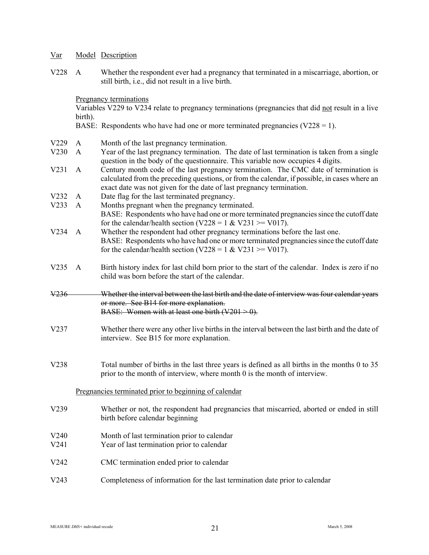V228 A Whether the respondent ever had a pregnancy that terminated in a miscarriage, abortion, or still birth, i.e., did not result in a live birth.

Pregnancy terminations

Variables V229 to V234 relate to pregnancy terminations (pregnancies that did not result in a live birth).

BASE: Respondents who have had one or more terminated pregnancies  $(V228 = 1)$ .

- V229 A Month of the last pregnancy termination.
- V230 A Year of the last pregnancy termination. The date of last termination is taken from a single question in the body of the questionnaire. This variable now occupies 4 digits.
- V231 A Century month code of the last pregnancy termination. The CMC date of termination is calculated from the preceding questions, or from the calendar, if possible, in cases where an exact date was not given for the date of last pregnancy termination.
- V232 A Date flag for the last terminated pregnancy.
- V233 A Months pregnant when the pregnancy terminated. BASE: Respondents who have had one or more terminated pregnancies since the cutoff date for the calendar/health section (V228 = 1 & V231 >= V017).
- V234 A Whether the respondent had other pregnancy terminations before the last one. BASE: Respondents who have had one or more terminated pregnancies since the cutoff date for the calendar/health section (V228 = 1 & V231 >= V017).
- V235 A Birth history index for last child born prior to the start of the calendar. Index is zero if no child was born before the start of the calendar.

### V236 Whether the interval between the last birth and the date of interview was four calendar years or more. See B14 for more explanation. BASE: Women with at least one birth  $(V201 > 0)$ .

- V237 Whether there were any other live births in the interval between the last birth and the date of interview. See B15 for more explanation.
- V238 Total number of births in the last three years is defined as all births in the months 0 to 35 prior to the month of interview, where month 0 is the month of interview.

### Pregnancies terminated prior to beginning of calendar

- V239 Whether or not, the respondent had pregnancies that miscarried, aborted or ended in still birth before calendar beginning
- V240 Month of last termination prior to calendar
- V241 Year of last termination prior to calendar
- V242 CMC termination ended prior to calendar
- V243 Completeness of information for the last termination date prior to calendar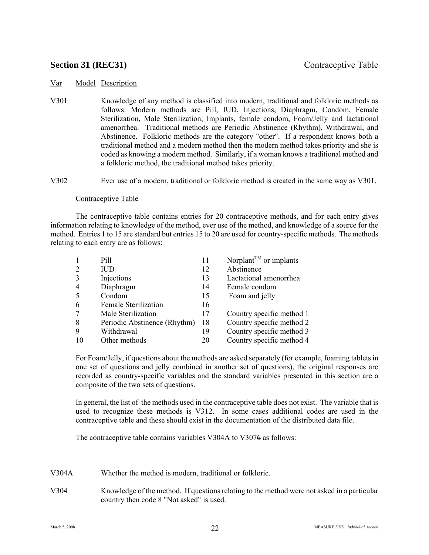# **Section 31 (REC31)** Contraceptive Table

### Var Model Description

V301 Knowledge of any method is classified into modern, traditional and folkloric methods as follows: Modern methods are Pill, IUD, Injections, Diaphragm, Condom, Female Sterilization, Male Sterilization, Implants, female condom, Foam/Jelly and lactational amenorrhea. Traditional methods are Periodic Abstinence (Rhythm), Withdrawal, and Abstinence. Folkloric methods are the category "other". If a respondent knows both a traditional method and a modern method then the modern method takes priority and she is coded as knowing a modern method. Similarly, if a woman knows a traditional method and a folkloric method, the traditional method takes priority.

V302 Ever use of a modern, traditional or folkloric method is created in the same way as V301.

### Contraceptive Table

The contraceptive table contains entries for 20 contraceptive methods, and for each entry gives information relating to knowledge of the method, ever use of the method, and knowledge of a source for the method. Entries 1 to 15 are standard but entries 15 to 20 are used for country-specific methods. The methods relating to each entry are as follows:

|                | Pill                         | 11 | Norplant <sup><math>TM</math></sup> or implants |
|----------------|------------------------------|----|-------------------------------------------------|
| $\overline{2}$ | <b>IUD</b>                   | 12 | Abstinence                                      |
| 3              | Injections                   | 13 | Lactational amenorrhea                          |
| 4              | Diaphragm                    | 14 | Female condom                                   |
| 5              | Condom                       | 15 | Foam and jelly                                  |
| 6              | <b>Female Sterilization</b>  | 16 |                                                 |
| 7              | Male Sterilization           | 17 | Country specific method 1                       |
| 8              | Periodic Abstinence (Rhythm) | 18 | Country specific method 2                       |
| 9              | Withdrawal                   | 19 | Country specific method 3                       |
| 10             | Other methods                | 20 | Country specific method 4                       |

For Foam/Jelly, if questions about the methods are asked separately (for example, foaming tablets in one set of questions and jelly combined in another set of questions), the original responses are recorded as country-specific variables and the standard variables presented in this section are a composite of the two sets of questions.

In general, the list of the methods used in the contraceptive table does not exist. The variable that is used to recognize these methods is V312. In some cases additional codes are used in the contraceptive table and these should exist in the documentation of the distributed data file.

The contraceptive table contains variables V304A to V3076 as follows:

- V304A Whether the method is modern, traditional or folkloric.
- V304 Knowledge of the method. If questions relating to the method were not asked in a particular country then code 8 "Not asked" is used.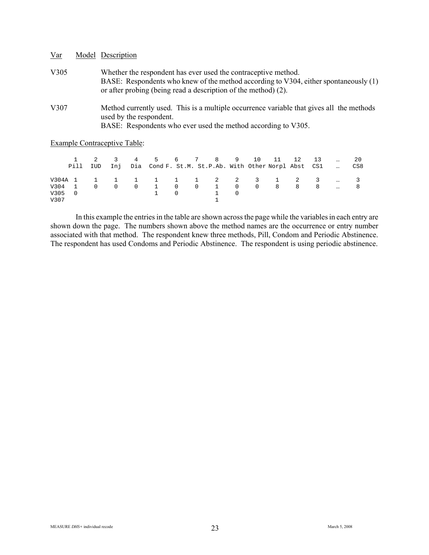| $\frac{Var}{Var}$ | Model Description                                                                                                                                                                                                        |
|-------------------|--------------------------------------------------------------------------------------------------------------------------------------------------------------------------------------------------------------------------|
| V305              | Whether the respondent has ever used the contraceptive method.<br>BASE: Respondents who knew of the method according to V304, either spontaneously (1)<br>or after probing (being read a description of the method) (2). |
| V307              | Method currently used. This is a multiple occurrence variable that gives all the methods<br>used by the respondent.<br>BASE: Respondents who ever used the method according to V305.                                     |

Example Contraceptive Table:

|        | Pill IUD       |          |          |                | 2 3 4 5 6 7 8 9 10 11 12<br>Inj Dia Cond F. St.M. St.P.Ab. With Other Norpl Abst CS1 |  |                |          |  |                | 13  | CS8 |
|--------|----------------|----------|----------|----------------|--------------------------------------------------------------------------------------|--|----------------|----------|--|----------------|-----|-----|
|        |                |          |          |                |                                                                                      |  |                |          |  |                |     |     |
|        |                |          |          |                | V304A 1 1 1 1 1 1 1 1 2 2 3 1 2 3                                                    |  |                |          |  |                |     |     |
| V304 1 |                | $\Omega$ | $\Omega$ | $\overline{0}$ | 1 0 0 1 0 0 8                                                                        |  |                |          |  | 8 <sup>1</sup> | - 8 |     |
| V305   | $\overline{0}$ |          |          |                | $\begin{array}{ccc} 1 & & 0 \end{array}$                                             |  | $\overline{1}$ | $\Omega$ |  |                |     |     |
| V307   |                |          |          |                |                                                                                      |  |                |          |  |                |     |     |

In this example the entries in the table are shown across the page while the variables in each entry are shown down the page. The numbers shown above the method names are the occurrence or entry number associated with that method. The respondent knew three methods, Pill, Condom and Periodic Abstinence. The respondent has used Condoms and Periodic Abstinence. The respondent is using periodic abstinence.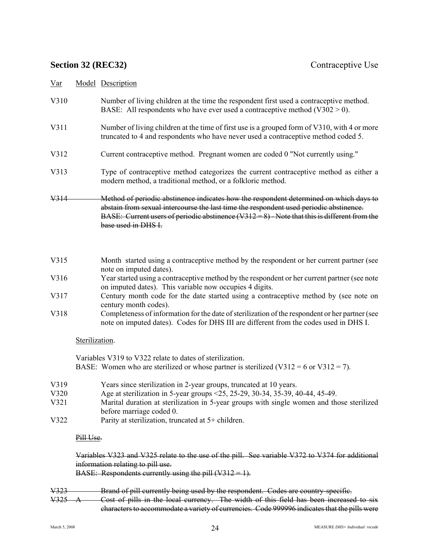# **Section 32 (REC32)** Contraceptive Use

| Model Description<br>Var |
|--------------------------|
|--------------------------|

| V310 | Number of living children at the time the respondent first used a contraceptive method. |
|------|-----------------------------------------------------------------------------------------|
|      | BASE: All respondents who have ever used a contraceptive method ( $V302 > 0$ ).         |

- V311 Number of living children at the time of first use is a grouped form of V310, with 4 or more truncated to 4 and respondents who have never used a contraceptive method coded 5.
- V312 Current contraceptive method. Pregnant women are coded 0 "Not currently using."
- V313 Type of contraceptive method categorizes the current contraceptive method as either a modern method, a traditional method, or a folkloric method.
- V314 Method of periodic abstinence indicates how the respondent determined on which days to abstain from sexual intercourse the last time the respondent used periodic abstinence. BASE: Current users of periodic abstinence  $(V312 = 8)$  - Note that this is different from the base used in DHS I.
- V315 Month started using a contraceptive method by the respondent or her current partner (see note on imputed dates).
- V316 Year started using a contraceptive method by the respondent or her current partner (see note on imputed dates). This variable now occupies 4 digits.
- V317 Century month code for the date started using a contraceptive method by (see note on century month codes).
- V318 Completeness of information for the date of sterilization of the respondent or her partner (see note on imputed dates). Codes for DHS III are different from the codes used in DHS I.

### Sterilization.

Variables V319 to V322 relate to dates of sterilization. BASE: Women who are sterilized or whose partner is sterilized  $(V312 = 6$  or  $V312 = 7)$ .

- V319 Years since sterilization in 2-year groups, truncated at 10 years.
- V320 Age at sterilization in 5-year groups <25, 25-29, 30-34, 35-39, 40-44, 45-49.<br>V321 Marital duration at sterilization in 5-year groups with single women and the
- Marital duration at sterilization in 5-year groups with single women and those sterilized before marriage coded 0.
- V322 Parity at sterilization, truncated at 5+ children.

### Pill Use.

Variables V323 and V325 relate to the use of the pill. See variable V372 to V374 for additional information relating to pill use.

BASE: Respondents currently using the pill  $(V312 = 1)$ .

- V323 Brand of pill currently being used by the respondent. Codes are country-specific.
- V325 A Cost of pills in the local currency. The width of this field has been increased to six characters to accommodate a variety of currencies. Code 999996 indicates that the pills were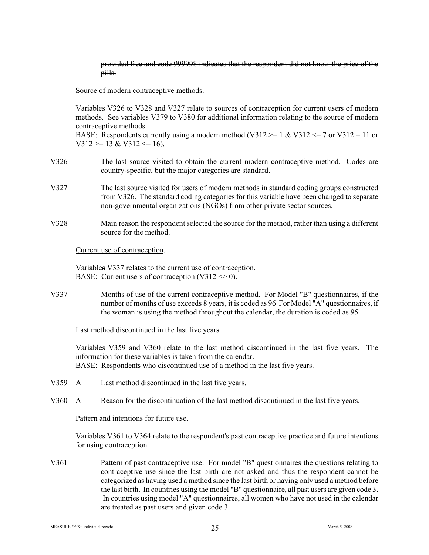provided free and code 999998 indicates that the respondent did not know the price of the pills.

#### Source of modern contraceptive methods.

Variables V326 to V328 and V327 relate to sources of contraception for current users of modern methods. See variables V379 to V380 for additional information relating to the source of modern contraceptive methods.

BASE: Respondents currently using a modern method (V312  $>= 1$  & V312  $<= 7$  or V312 = 11 or  $V312 \geq 13 \& V312 \leq 16$ .

- V326 The last source visited to obtain the current modern contraceptive method. Codes are country-specific, but the major categories are standard.
- V327 The last source visited for users of modern methods in standard coding groups constructed from V326. The standard coding categories for this variable have been changed to separate non-governmental organizations (NGOs) from other private sector sources.

#### V328 Main reason the respondent selected the source for the method, rather than using a different source for the method.

Current use of contraception.

Variables V337 relates to the current use of contraception. BASE: Current users of contraception (V312  $\leq$  0).

V337 Months of use of the current contraceptive method. For Model "B" questionnaires, if the number of months of use exceeds 8 years, it is coded as 96 For Model "A" questionnaires, if the woman is using the method throughout the calendar, the duration is coded as 95.

#### Last method discontinued in the last five years.

Variables V359 and V360 relate to the last method discontinued in the last five years. The information for these variables is taken from the calendar. BASE: Respondents who discontinued use of a method in the last five years.

- V359 A Last method discontinued in the last five years.
- V360 A Reason for the discontinuation of the last method discontinued in the last five years.

Pattern and intentions for future use.

Variables V361 to V364 relate to the respondent's past contraceptive practice and future intentions for using contraception.

V361 Pattern of past contraceptive use. For model "B" questionnaires the questions relating to contraceptive use since the last birth are not asked and thus the respondent cannot be categorized as having used a method since the last birth or having only used a method before the last birth. In countries using the model "B" questionnaire, all past users are given code 3. In countries using model "A" questionnaires, all women who have not used in the calendar are treated as past users and given code 3.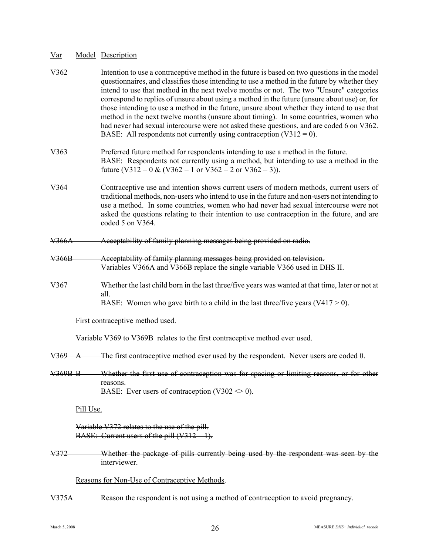| V362             |                | Intention to use a contraceptive method in the future is based on two questions in the model<br>questionnaires, and classifies those intending to use a method in the future by whether they<br>intend to use that method in the next twelve months or not. The two "Unsure" categories<br>correspond to replies of unsure about using a method in the future (unsure about use) or, for<br>those intending to use a method in the future, unsure about whether they intend to use that<br>method in the next twelve months (unsure about timing). In some countries, women who<br>had never had sexual intercourse were not asked these questions, and are coded 6 on V362.<br>BASE: All respondents not currently using contraception $(V312 = 0)$ . |  |  |  |  |  |
|------------------|----------------|--------------------------------------------------------------------------------------------------------------------------------------------------------------------------------------------------------------------------------------------------------------------------------------------------------------------------------------------------------------------------------------------------------------------------------------------------------------------------------------------------------------------------------------------------------------------------------------------------------------------------------------------------------------------------------------------------------------------------------------------------------|--|--|--|--|--|
| V363             |                | Preferred future method for respondents intending to use a method in the future.<br>BASE: Respondents not currently using a method, but intending to use a method in the<br>future (V312 = 0 & (V362 = 1 or V362 = 2 or V362 = 3)).                                                                                                                                                                                                                                                                                                                                                                                                                                                                                                                    |  |  |  |  |  |
| V364             |                | Contraceptive use and intention shows current users of modern methods, current users of<br>traditional methods, non-users who intend to use in the future and non-users not intending to<br>use a method. In some countries, women who had never had sexual intercourse were not<br>asked the questions relating to their intention to use contraception in the future, and are<br>coded 5 on V364.                                                                                                                                                                                                                                                                                                                                                    |  |  |  |  |  |
| V366A            |                | Acceptability of family planning messages being provided on radio.                                                                                                                                                                                                                                                                                                                                                                                                                                                                                                                                                                                                                                                                                     |  |  |  |  |  |
| V366B            |                | Acceptability of family planning messages being provided on television.<br>Variables V366A and V366B replace the single variable V366 used in DHS II.                                                                                                                                                                                                                                                                                                                                                                                                                                                                                                                                                                                                  |  |  |  |  |  |
| V367             |                | Whether the last child born in the last three/five years was wanted at that time, later or not at<br>all.<br>BASE: Women who gave birth to a child in the last three/five years $(V417 > 0)$ .                                                                                                                                                                                                                                                                                                                                                                                                                                                                                                                                                         |  |  |  |  |  |
|                  |                | First contraceptive method used.                                                                                                                                                                                                                                                                                                                                                                                                                                                                                                                                                                                                                                                                                                                       |  |  |  |  |  |
|                  |                | Variable V369 to V369B relates to the first contraceptive method ever used.                                                                                                                                                                                                                                                                                                                                                                                                                                                                                                                                                                                                                                                                            |  |  |  |  |  |
| V <sub>369</sub> | $\bm{\lambda}$ | The first contraceptive method ever used by the respondent. Never users are coded 0.                                                                                                                                                                                                                                                                                                                                                                                                                                                                                                                                                                                                                                                                   |  |  |  |  |  |
| $V369B$ B        |                | Whether the first use of contraception was for spacing or limiting reasons, or for other<br>reasons.<br>BASE: Ever users of contraception $(V302 \Leftrightarrow 0)$ .                                                                                                                                                                                                                                                                                                                                                                                                                                                                                                                                                                                 |  |  |  |  |  |
|                  | Pill Use.      |                                                                                                                                                                                                                                                                                                                                                                                                                                                                                                                                                                                                                                                                                                                                                        |  |  |  |  |  |
|                  |                | Variable V372 relates to the use of the pill.<br>BASE: Current users of the pill $(V312 = 1)$ .                                                                                                                                                                                                                                                                                                                                                                                                                                                                                                                                                                                                                                                        |  |  |  |  |  |
| <del>V372</del>  |                | Whether the package of pills currently being used by the respondent was seen by the<br>interviewer.                                                                                                                                                                                                                                                                                                                                                                                                                                                                                                                                                                                                                                                    |  |  |  |  |  |
|                  |                | Reasons for Non-Use of Contraceptive Methods.                                                                                                                                                                                                                                                                                                                                                                                                                                                                                                                                                                                                                                                                                                          |  |  |  |  |  |
| V375A            |                | Reason the respondent is not using a method of contraception to avoid pregnancy.                                                                                                                                                                                                                                                                                                                                                                                                                                                                                                                                                                                                                                                                       |  |  |  |  |  |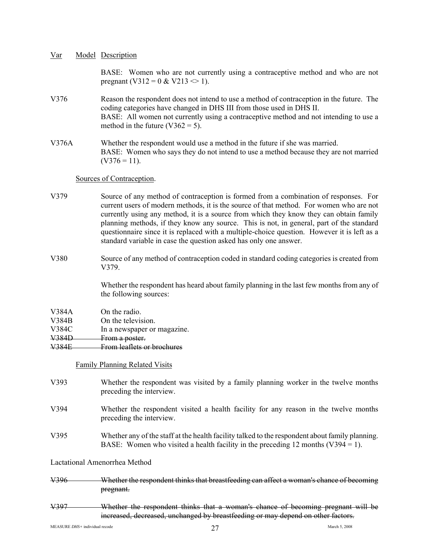| Var | Model Description |  |
|-----|-------------------|--|
|     |                   |  |

BASE: Women who are not currently using a contraceptive method and who are not pregnant (V312 = 0 & V213  $\infty$  1).

- V376 Reason the respondent does not intend to use a method of contraception in the future. The coding categories have changed in DHS III from those used in DHS II. BASE: All women not currently using a contraceptive method and not intending to use a method in the future  $(V362 = 5)$ .
- V376A Whether the respondent would use a method in the future if she was married. BASE: Women who says they do not intend to use a method because they are not married  $(V376 = 11)$ .

#### Sources of Contraception.

- V379 Source of any method of contraception is formed from a combination of responses. For current users of modern methods, it is the source of that method. For women who are not currently using any method, it is a source from which they know they can obtain family planning methods, if they know any source. This is not, in general, part of the standard questionnaire since it is replaced with a multiple-choice question. However it is left as a standard variable in case the question asked has only one answer.
- V380 Source of any method of contraception coded in standard coding categories is created from V379.

Whether the respondent has heard about family planning in the last few months from any of the following sources:

# V384A On the radio.

- V384B On the television.
- V384C In a newspaper or magazine.

#### V<sub>384</sub>D From a poster.

V384E From leaflets or brochures

Family Planning Related Visits

- V393 Whether the respondent was visited by a family planning worker in the twelve months preceding the interview.
- V394 Whether the respondent visited a health facility for any reason in the twelve months preceding the interview.
- V395 Whether any of the staff at the health facility talked to the respondent about family planning. BASE: Women who visited a health facility in the preceding 12 months  $(V394 = 1)$ .

Lactational Amenorrhea Method

- V396 Whether the respondent thinks that breastfeeding can affect a woman's chance of becoming pregnant.
- V397 Whether the respondent thinks that a woman's chance of becoming pregnant will be increased, decreased, unchanged by breastfeeding or may depend on other factors.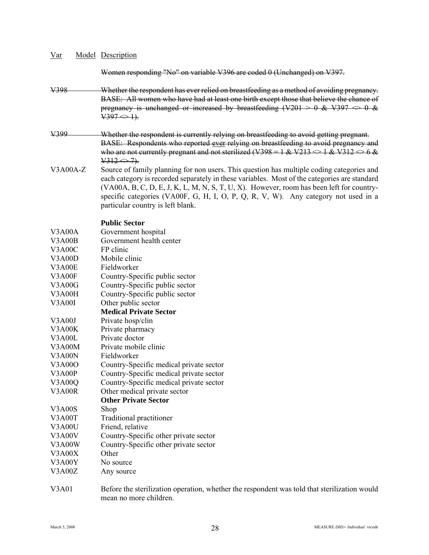| Var             |  | <b>Model Description</b>                                                                                                                                                                                                                                                                                                                                                                                            |  |  |  |  |  |
|-----------------|--|---------------------------------------------------------------------------------------------------------------------------------------------------------------------------------------------------------------------------------------------------------------------------------------------------------------------------------------------------------------------------------------------------------------------|--|--|--|--|--|
|                 |  | Women responding "No" on variable V396 are coded 0 (Unchanged) on V397.                                                                                                                                                                                                                                                                                                                                             |  |  |  |  |  |
| V398            |  | Whether the respondent has ever relied on breastfeeding as a method of avoiding pregnancy.<br>BASE: All women who have had at least one birth except those that believe the chance of<br>pregnancy is unchanged or increased by breastfeeding $(V201 \ge 0 \& V397 \le 0 \&$<br>$V397 \Leftrightarrow 1$ .                                                                                                          |  |  |  |  |  |
| V399            |  | Whether the respondent is currently relying on breastfeeding to avoid getting pregnant.<br>BASE: Respondents who reported ever relying on breastfeeding to avoid pregnancy and<br>who are not currently pregnant and not sterilized (V398 = 1 & V213 $\leq$ 1 & V312 $\leq$ 6 &<br>$\frac{1}{312}$ $\leftarrow$ 7).                                                                                                 |  |  |  |  |  |
| $V3A00A-Z$      |  | Source of family planning for non users. This question has multiple coding categories and<br>each category is recorded separately in these variables. Most of the categories are standard<br>$(VAO0A, B, C, D, E, J, K, L, M, N, S, T, U, X)$ . However, room has been left for country-<br>specific categories (VA00F, G, H, I, O, P, Q, R, V, W). Any category not used in a<br>particular country is left blank. |  |  |  |  |  |
|                 |  | <b>Public Sector</b>                                                                                                                                                                                                                                                                                                                                                                                                |  |  |  |  |  |
| V3A00A          |  | Government hospital                                                                                                                                                                                                                                                                                                                                                                                                 |  |  |  |  |  |
| V3A00B          |  | Government health center                                                                                                                                                                                                                                                                                                                                                                                            |  |  |  |  |  |
| V3A00C          |  | FP clinic                                                                                                                                                                                                                                                                                                                                                                                                           |  |  |  |  |  |
| V3A00D          |  | Mobile clinic                                                                                                                                                                                                                                                                                                                                                                                                       |  |  |  |  |  |
| V3A00E          |  | Fieldworker                                                                                                                                                                                                                                                                                                                                                                                                         |  |  |  |  |  |
| V3A00F          |  | Country-Specific public sector                                                                                                                                                                                                                                                                                                                                                                                      |  |  |  |  |  |
| <b>V3A00G</b>   |  | Country-Specific public sector                                                                                                                                                                                                                                                                                                                                                                                      |  |  |  |  |  |
| V3A00H          |  | Country-Specific public sector                                                                                                                                                                                                                                                                                                                                                                                      |  |  |  |  |  |
| <b>V3A00I</b>   |  | Other public sector                                                                                                                                                                                                                                                                                                                                                                                                 |  |  |  |  |  |
|                 |  | <b>Medical Private Sector</b>                                                                                                                                                                                                                                                                                                                                                                                       |  |  |  |  |  |
| V3A00J          |  | Private hosp/clin                                                                                                                                                                                                                                                                                                                                                                                                   |  |  |  |  |  |
| V3A00K          |  | Private pharmacy                                                                                                                                                                                                                                                                                                                                                                                                    |  |  |  |  |  |
| V3A00L          |  | Private doctor                                                                                                                                                                                                                                                                                                                                                                                                      |  |  |  |  |  |
| V3A00M          |  | Private mobile clinic                                                                                                                                                                                                                                                                                                                                                                                               |  |  |  |  |  |
| V3A00N          |  | Fieldworker                                                                                                                                                                                                                                                                                                                                                                                                         |  |  |  |  |  |
| V3A00O          |  | Country-Specific medical private sector                                                                                                                                                                                                                                                                                                                                                                             |  |  |  |  |  |
| V3A00P          |  | Country-Specific medical private sector                                                                                                                                                                                                                                                                                                                                                                             |  |  |  |  |  |
| V3A00Q          |  | Country-Specific medical private sector                                                                                                                                                                                                                                                                                                                                                                             |  |  |  |  |  |
| V3A00R          |  | Other medical private sector                                                                                                                                                                                                                                                                                                                                                                                        |  |  |  |  |  |
|                 |  | <b>Other Private Sector</b>                                                                                                                                                                                                                                                                                                                                                                                         |  |  |  |  |  |
| <b>V3A00S</b>   |  | Shop                                                                                                                                                                                                                                                                                                                                                                                                                |  |  |  |  |  |
| V3A00T          |  | <b>Traditional practitioner</b>                                                                                                                                                                                                                                                                                                                                                                                     |  |  |  |  |  |
| V3A00U          |  | Friend, relative                                                                                                                                                                                                                                                                                                                                                                                                    |  |  |  |  |  |
| V3A00V          |  | Country-Specific other private sector                                                                                                                                                                                                                                                                                                                                                                               |  |  |  |  |  |
| V3A00W          |  | Country-Specific other private sector                                                                                                                                                                                                                                                                                                                                                                               |  |  |  |  |  |
| V3A00X          |  | Other                                                                                                                                                                                                                                                                                                                                                                                                               |  |  |  |  |  |
| V3A00Y          |  | No source                                                                                                                                                                                                                                                                                                                                                                                                           |  |  |  |  |  |
| V3A00Z          |  | Any source                                                                                                                                                                                                                                                                                                                                                                                                          |  |  |  |  |  |
| TT <sub>1</sub> |  |                                                                                                                                                                                                                                                                                                                                                                                                                     |  |  |  |  |  |

V3A01 Before the sterilization operation, whether the respondent was told that sterilization would mean no more children.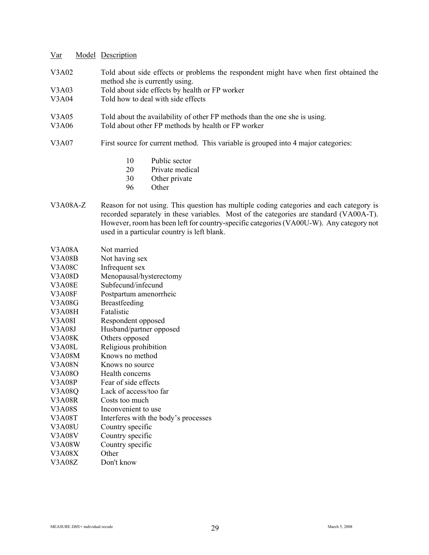- V3A02 Told about side effects or problems the respondent might have when first obtained the method she is currently using.
- V3A03 Told about side effects by health or FP worker
- V3A04 Told how to deal with side effects
- V3A05 Told about the availability of other FP methods than the one she is using.
- V3A06 Told about other FP methods by health or FP worker
- V3A07 First source for current method. This variable is grouped into 4 major categories:
	- 10 Public sector
	- 20 Private medical
	- 30 Other private
	- 96 Other
- V3A08A-Z Reason for not using. This question has multiple coding categories and each category is recorded separately in these variables. Most of the categories are standard (VA00A-T). However, room has been left for country-specific categories (VA00U-W). Any category not used in a particular country is left blank.

| <b>V3A08A</b> | Not married                          |
|---------------|--------------------------------------|
| <b>V3A08B</b> | Not having sex                       |
| V3A08C        | Infrequent sex                       |
| V3A08D        | Menopausal/hysterectomy              |
| <b>V3A08E</b> | Subfecund/infecund                   |
| <b>V3A08F</b> | Postpartum amenorrheic               |
| <b>V3A08G</b> | <b>Breastfeeding</b>                 |
| V3A08H        | Fatalistic                           |
| V3A08I        | Respondent opposed                   |
| <b>V3A08J</b> | Husband/partner opposed              |
| V3A08K        | Others opposed                       |
| V3A08L        | Religious prohibition                |
| V3A08M        | Knows no method                      |
| <b>V3A08N</b> | Knows no source                      |
| V3A08O        | Health concerns                      |
| <b>V3A08P</b> | Fear of side effects                 |
| <b>V3A08Q</b> | Lack of access/too far               |
| <b>V3A08R</b> | Costs too much                       |
| <b>V3A08S</b> | Inconvenient to use                  |
| <b>V3A08T</b> | Interferes with the body's processes |
| <b>V3A08U</b> | Country specific                     |
| <b>V3A08V</b> | Country specific                     |
| <b>V3A08W</b> | Country specific                     |
| V3A08X        | Other                                |
| <b>V3A08Z</b> | Don't know                           |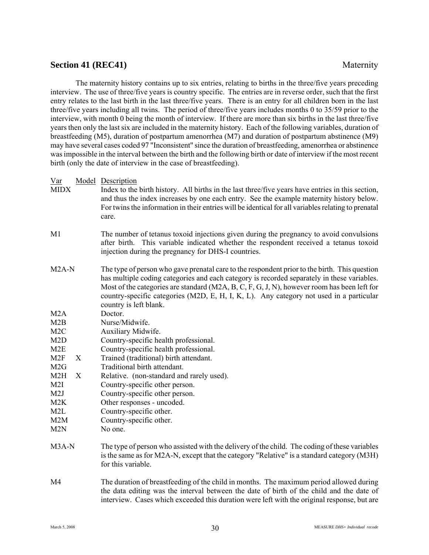# **Section 41 (REC41)** Maternity

The maternity history contains up to six entries, relating to births in the three/five years preceding interview. The use of three/five years is country specific. The entries are in reverse order, such that the first entry relates to the last birth in the last three/five years. There is an entry for all children born in the last three/five years including all twins. The period of three/five years includes months 0 to 35/59 prior to the interview, with month 0 being the month of interview. If there are more than six births in the last three/five years then only the last six are included in the maternity history. Each of the following variables, duration of breastfeeding (M5), duration of postpartum amenorrhea (M7) and duration of postpartum abstinence (M9) may have several cases coded 97 "Inconsistent" since the duration of breastfeeding, amenorrhea or abstinence was impossible in the interval between the birth and the following birth or date of interview if the most recent birth (only the date of interview in the case of breastfeeding).

- Var Model Description
- MIDX Index to the birth history. All births in the last three/five years have entries in this section, and thus the index increases by one each entry. See the example maternity history below. For twins the information in their entries will be identical for all variables relating to prenatal care.
- M1 The number of tetanus toxoid injections given during the pregnancy to avoid convulsions after birth. This variable indicated whether the respondent received a tetanus toxoid injection during the pregnancy for DHS-I countries.
- M2A-N The type of person who gave prenatal care to the respondent prior to the birth. This question has multiple coding categories and each category is recorded separately in these variables. Most of the categories are standard (M2A, B, C, F, G, J, N), however room has been left for country-specific categories (M2D, E, H, I, K, L). Any category not used in a particular country is left blank.
- M2A Doctor.
- M2B Nurse/Midwife.
- M2C Auxiliary Midwife.
- M2D Country-specific health professional.
- M2E Country-specific health professional.
- M2F X Trained (traditional) birth attendant.
- M<sub>2G</sub> Traditional birth attendant.
- $M2H$  X Relative. (non-standard and rarely used).
- M2I Country-specific other person.
- M2J Country-specific other person.
- M2K Other responses uncoded.
- M2L Country-specific other.
- M2M Country-specific other.
- M2N No one.
- M3A-N The type of person who assisted with the delivery of the child. The coding of these variables is the same as for M2A-N, except that the category "Relative" is a standard category (M3H) for this variable.
- M4 The duration of breastfeeding of the child in months. The maximum period allowed during the data editing was the interval between the date of birth of the child and the date of interview. Cases which exceeded this duration were left with the original response, but are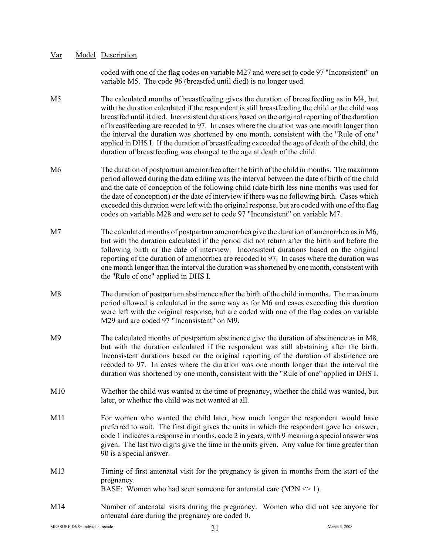| Var | Model Description |
|-----|-------------------|
|     |                   |

coded with one of the flag codes on variable M27 and were set to code 97 "Inconsistent" on variable M5. The code 96 (breastfed until died) is no longer used.

- M5 The calculated months of breastfeeding gives the duration of breastfeeding as in M4, but with the duration calculated if the respondent is still breastfeeding the child or the child was breastfed until it died. Inconsistent durations based on the original reporting of the duration of breastfeeding are recoded to 97. In cases where the duration was one month longer than the interval the duration was shortened by one month, consistent with the "Rule of one" applied in DHS I. If the duration of breastfeeding exceeded the age of death of the child, the duration of breastfeeding was changed to the age at death of the child.
- M6 The duration of postpartum amenorrhea after the birth of the child in months. The maximum period allowed during the data editing was the interval between the date of birth of the child and the date of conception of the following child (date birth less nine months was used for the date of conception) or the date of interview if there was no following birth. Cases which exceeded this duration were left with the original response, but are coded with one of the flag codes on variable M28 and were set to code 97 "Inconsistent" on variable M7.
- M7 The calculated months of postpartum amenorrhea give the duration of amenorrhea as in M6, but with the duration calculated if the period did not return after the birth and before the following birth or the date of interview. Inconsistent durations based on the original reporting of the duration of amenorrhea are recoded to 97. In cases where the duration was one month longer than the interval the duration was shortened by one month, consistent with the "Rule of one" applied in DHS I.
- M8 The duration of postpartum abstinence after the birth of the child in months. The maximum period allowed is calculated in the same way as for M6 and cases exceeding this duration were left with the original response, but are coded with one of the flag codes on variable M29 and are coded 97 "Inconsistent" on M9.
- M9 The calculated months of postpartum abstinence give the duration of abstinence as in M8, but with the duration calculated if the respondent was still abstaining after the birth. Inconsistent durations based on the original reporting of the duration of abstinence are recoded to 97. In cases where the duration was one month longer than the interval the duration was shortened by one month, consistent with the "Rule of one" applied in DHS I.
- M10 Whether the child was wanted at the time of pregnancy, whether the child was wanted, but later, or whether the child was not wanted at all.
- M11 For women who wanted the child later, how much longer the respondent would have preferred to wait. The first digit gives the units in which the respondent gave her answer, code 1 indicates a response in months, code 2 in years, with 9 meaning a special answer was given. The last two digits give the time in the units given. Any value for time greater than 90 is a special answer.
- M13 Timing of first antenatal visit for the pregnancy is given in months from the start of the pregnancy. BASE: Women who had seen someone for antenatal care  $(M2N \le 1)$ .
- M14 Number of antenatal visits during the pregnancy. Women who did not see anyone for antenatal care during the pregnancy are coded 0.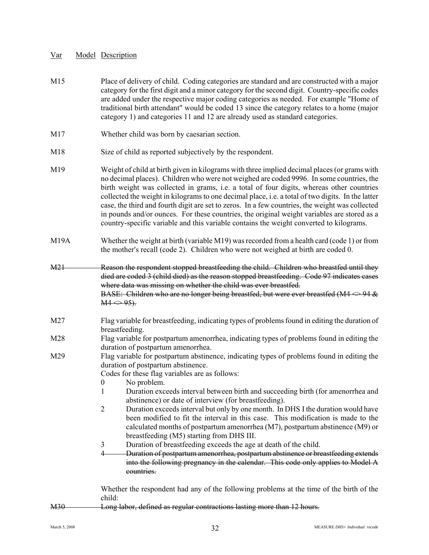- M15 Place of delivery of child. Coding categories are standard and are constructed with a major category for the first digit and a minor category for the second digit. Country-specific codes are added under the respective major coding categories as needed. For example "Home of traditional birth attendant" would be coded 13 since the category relates to a home (major category 1) and categories 11 and 12 are already used as standard categories.
- M17 Whether child was born by caesarian section.
- M18 Size of child as reported subjectively by the respondent.
- M19 Weight of child at birth given in kilograms with three implied decimal places (or grams with no decimal places). Children who were not weighed are coded 9996. In some countries, the birth weight was collected in grams, i.e. a total of four digits, whereas other countries collected the weight in kilograms to one decimal place, i.e. a total of two digits. In the latter case, the third and fourth digit are set to zeros. In a few countries, the weight was collected in pounds and/or ounces. For these countries, the original weight variables are stored as a country-specific variable and this variable contains the weight converted to kilograms.
- M19A Whether the weight at birth (variable M19) was recorded from a health card (code 1) or from the mother's recall (code 2). Children who were not weighed at birth are coded  $0$ .

M<sub>21</sub> Reason the respondent stopped breastfeeding the child. Children who breastfed until they died are coded 3 (child died) as the reason stopped breastfeeding. Code 97 indicates cases where data was missing on whether the child was ever breastfed. BASE: Children who are no longer being breastfed, but were ever breastfed  $(M4 \leq 94 \&$  $M4 \Leftrightarrow 95$ .

- M27 Flag variable for breastfeeding, indicating types of problems found in editing the duration of breastfeeding.
- M28 Flag variable for postpartum amenorrhea, indicating types of problems found in editing the duration of postpartum amenorrhea.
- M29 Flag variable for postpartum abstinence, indicating types of problems found in editing the duration of postpartum abstinence.

Codes for these flag variables are as follows:

- 0 No problem.
- 1 Duration exceeds interval between birth and succeeding birth (for amenorrhea and abstinence) or date of interview (for breastfeeding).
- 2 Duration exceeds interval but only by one month. In DHS I the duration would have been modified to fit the interval in this case. This modification is made to the calculated months of postpartum amenorrhea (M7), postpartum abstinence (M9) or breastfeeding (M5) starting from DHS III.
- 3 Duration of breastfeeding exceeds the age at death of the child.
- 4 Duration of postpartum amenorrhea, postpartum abstinence or breastfeeding extends into the following pregnancy in the calendar. This code only applies to Model A countries.

Whether the respondent had any of the following problems at the time of the birth of the child:

M30 Long labor, defined as regular contractions lasting more than 12 hours.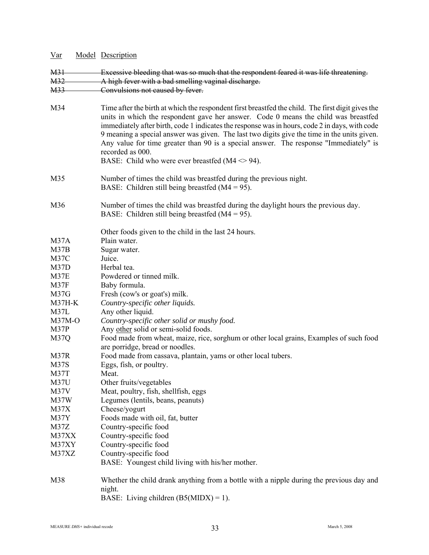| $Var$             | Model Description                                                                                                                                                                                                                                                                                                                                                                                                                                                                                                                                                  |
|-------------------|--------------------------------------------------------------------------------------------------------------------------------------------------------------------------------------------------------------------------------------------------------------------------------------------------------------------------------------------------------------------------------------------------------------------------------------------------------------------------------------------------------------------------------------------------------------------|
| <b>M31</b>        | Excessive bleeding that was so much that the respondent feared it was life threatening.                                                                                                                                                                                                                                                                                                                                                                                                                                                                            |
| M <sub>32</sub>   | A high fever with a bad smelling vaginal discharge.                                                                                                                                                                                                                                                                                                                                                                                                                                                                                                                |
| M33               | Convulsions not caused by fever.                                                                                                                                                                                                                                                                                                                                                                                                                                                                                                                                   |
|                   |                                                                                                                                                                                                                                                                                                                                                                                                                                                                                                                                                                    |
| M34               | Time after the birth at which the respondent first breastfed the child. The first digit gives the<br>units in which the respondent gave her answer. Code 0 means the child was breastfed<br>immediately after birth, code 1 indicates the response was in hours, code 2 in days, with code<br>9 meaning a special answer was given. The last two digits give the time in the units given.<br>Any value for time greater than 90 is a special answer. The response "Immediately" is<br>recorded as 000.<br>BASE: Child who were ever breastfed ( $M4 \approx 94$ ). |
| M35               | Number of times the child was breastfed during the previous night.<br>BASE: Children still being breastfed ( $M4 = 95$ ).                                                                                                                                                                                                                                                                                                                                                                                                                                          |
| M36               | Number of times the child was breastfed during the daylight hours the previous day.<br>BASE: Children still being breastfed $(M4 = 95)$ .                                                                                                                                                                                                                                                                                                                                                                                                                          |
|                   | Other foods given to the child in the last 24 hours.                                                                                                                                                                                                                                                                                                                                                                                                                                                                                                               |
| M <sub>37</sub> A | Plain water.                                                                                                                                                                                                                                                                                                                                                                                                                                                                                                                                                       |
| M37B              | Sugar water.                                                                                                                                                                                                                                                                                                                                                                                                                                                                                                                                                       |
| M37C              | Juice.                                                                                                                                                                                                                                                                                                                                                                                                                                                                                                                                                             |
| M37D              | Herbal tea.                                                                                                                                                                                                                                                                                                                                                                                                                                                                                                                                                        |
| M37E              | Powdered or tinned milk.                                                                                                                                                                                                                                                                                                                                                                                                                                                                                                                                           |
| M37F              | Baby formula.                                                                                                                                                                                                                                                                                                                                                                                                                                                                                                                                                      |
| M37G              | Fresh (cow's or goat's) milk.                                                                                                                                                                                                                                                                                                                                                                                                                                                                                                                                      |
| $M37H-K$          | Country-specific other liquids.                                                                                                                                                                                                                                                                                                                                                                                                                                                                                                                                    |
| M37L              | Any other liquid.                                                                                                                                                                                                                                                                                                                                                                                                                                                                                                                                                  |
| $M37M-O$          | Country-specific other solid or mushy food.                                                                                                                                                                                                                                                                                                                                                                                                                                                                                                                        |
| M37P              | Any other solid or semi-solid foods.                                                                                                                                                                                                                                                                                                                                                                                                                                                                                                                               |
| M37Q              | Food made from wheat, maize, rice, sorghum or other local grains, Examples of such food<br>are porridge, bread or noodles.                                                                                                                                                                                                                                                                                                                                                                                                                                         |
| M37R              | Food made from cassava, plantain, yams or other local tubers.                                                                                                                                                                                                                                                                                                                                                                                                                                                                                                      |
| M37S              | Eggs, fish, or poultry.                                                                                                                                                                                                                                                                                                                                                                                                                                                                                                                                            |
| M37T              | Meat.                                                                                                                                                                                                                                                                                                                                                                                                                                                                                                                                                              |
| M37U              | Other fruits/vegetables                                                                                                                                                                                                                                                                                                                                                                                                                                                                                                                                            |
| M37V              | Meat, poultry, fish, shellfish, eggs                                                                                                                                                                                                                                                                                                                                                                                                                                                                                                                               |
| M37W              | Legumes (lentils, beans, peanuts)                                                                                                                                                                                                                                                                                                                                                                                                                                                                                                                                  |
| M37X              | Cheese/yogurt                                                                                                                                                                                                                                                                                                                                                                                                                                                                                                                                                      |
| M37Y              | Foods made with oil, fat, butter                                                                                                                                                                                                                                                                                                                                                                                                                                                                                                                                   |
| M37Z              | Country-specific food                                                                                                                                                                                                                                                                                                                                                                                                                                                                                                                                              |
| M37XX             | Country-specific food                                                                                                                                                                                                                                                                                                                                                                                                                                                                                                                                              |
| M37XY             | Country-specific food                                                                                                                                                                                                                                                                                                                                                                                                                                                                                                                                              |
| M37XZ             | Country-specific food                                                                                                                                                                                                                                                                                                                                                                                                                                                                                                                                              |
|                   | BASE: Youngest child living with his/her mother.                                                                                                                                                                                                                                                                                                                                                                                                                                                                                                                   |
| M38               | Whether the child drank anything from a bottle with a nipple during the previous day and<br>night.<br>BASE: Living children $(B5(MIDX) = 1)$ .                                                                                                                                                                                                                                                                                                                                                                                                                     |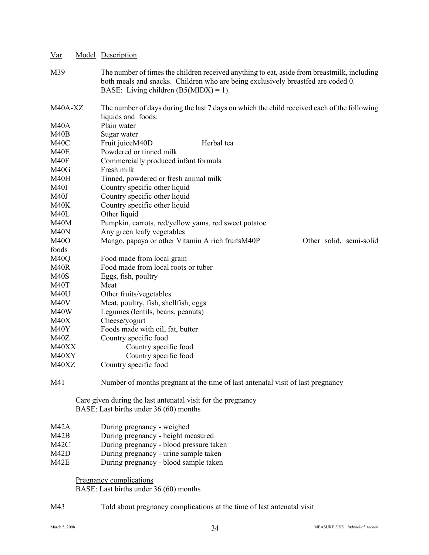| $Var$                                  | Model Description                                                                                                                                                                                                           |
|----------------------------------------|-----------------------------------------------------------------------------------------------------------------------------------------------------------------------------------------------------------------------------|
| M39                                    | The number of times the children received anything to eat, aside from breastmilk, including<br>both meals and snacks. Children who are being exclusively breastfed are coded 0.<br>BASE: Living children $(B5(MIDX) = 1)$ . |
| M40A-XZ                                | The number of days during the last 7 days on which the child received each of the following<br>liquids and foods:                                                                                                           |
| <b>M40A</b>                            | Plain water                                                                                                                                                                                                                 |
| M40B                                   | Sugar water                                                                                                                                                                                                                 |
| M <sub>40</sub> C                      | Fruit juiceM40D<br>Herbal tea                                                                                                                                                                                               |
| M40E                                   | Powdered or tinned milk                                                                                                                                                                                                     |
| M40F                                   | Commercially produced infant formula                                                                                                                                                                                        |
| M40G                                   | Fresh milk                                                                                                                                                                                                                  |
| M40H                                   | Tinned, powdered or fresh animal milk                                                                                                                                                                                       |
| <b>M40I</b>                            | Country specific other liquid                                                                                                                                                                                               |
| M40J                                   | Country specific other liquid                                                                                                                                                                                               |
| M40K                                   | Country specific other liquid                                                                                                                                                                                               |
| M <sub>40</sub> L                      | Other liquid                                                                                                                                                                                                                |
| M40M                                   | Pumpkin, carrots, red/yellow yams, red sweet potatoe                                                                                                                                                                        |
| M <sub>40</sub> N                      | Any green leafy vegetables                                                                                                                                                                                                  |
| M40O                                   | Mango, papaya or other Vitamin A rich fruitsM40P<br>Other solid, semi-solid                                                                                                                                                 |
| foods                                  |                                                                                                                                                                                                                             |
| M <sub>40</sub> Q<br>M <sub>40</sub> R | Food made from local grain<br>Food made from local roots or tuber                                                                                                                                                           |
| <b>M40S</b>                            |                                                                                                                                                                                                                             |
| M40T                                   | Eggs, fish, poultry<br>Meat                                                                                                                                                                                                 |
| M40U                                   | Other fruits/vegetables                                                                                                                                                                                                     |
| M <sub>40</sub> V                      | Meat, poultry, fish, shellfish, eggs                                                                                                                                                                                        |
| M40W                                   | Legumes (lentils, beans, peanuts)                                                                                                                                                                                           |
| M40X                                   | Cheese/yogurt                                                                                                                                                                                                               |
| M40Y                                   | Foods made with oil, fat, butter                                                                                                                                                                                            |
| M40Z                                   | Country specific food                                                                                                                                                                                                       |
| M40XX                                  | Country specific food                                                                                                                                                                                                       |
| M40XY                                  | Country specific food                                                                                                                                                                                                       |
| M40XZ                                  | Country specific food                                                                                                                                                                                                       |
| M41                                    | Number of months pregnant at the time of last antenatal visit of last pregnancy                                                                                                                                             |
|                                        | Care given during the last antenatal visit for the pregnancy<br>BASE: Last births under 36 (60) months                                                                                                                      |
|                                        |                                                                                                                                                                                                                             |
| M42A<br>M42B                           | During pregnancy - weighed                                                                                                                                                                                                  |
| M42C                                   | During pregnancy - height measured<br>During pregnancy - blood pressure taken                                                                                                                                               |
| M42D                                   | During pregnancy - urine sample taken                                                                                                                                                                                       |
| M42E                                   | During pregnancy - blood sample taken                                                                                                                                                                                       |
|                                        |                                                                                                                                                                                                                             |
|                                        | Pregnancy complications<br>BASE: Last births under 36 (60) months                                                                                                                                                           |
| M43                                    | Told about pregnancy complications at the time of last antenatal visit                                                                                                                                                      |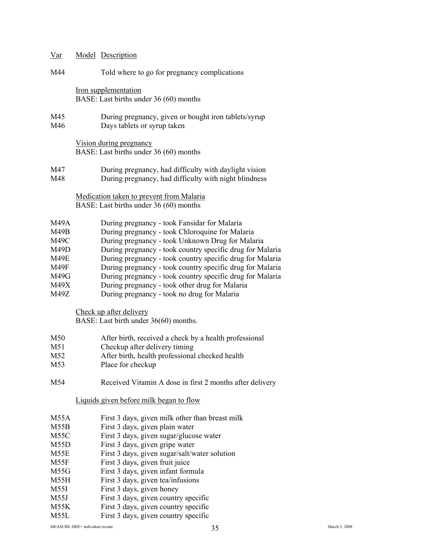| Var                  | Model Description                                                                                                                                   |
|----------------------|-----------------------------------------------------------------------------------------------------------------------------------------------------|
| M44                  | Told where to go for pregnancy complications                                                                                                        |
|                      | Iron supplementation<br>BASE: Last births under 36 (60) months                                                                                      |
| M45<br>M46           | During pregnancy, given or bought iron tablets/syrup<br>Days tablets or syrup taken                                                                 |
|                      | Vision during pregnancy<br>BASE: Last births under 36 (60) months                                                                                   |
| M47<br>M48           | During pregnancy, had difficulty with daylight vision<br>During pregnancy, had difficulty with night blindness                                      |
|                      | Medication taken to prevent from Malaria<br>BASE: Last births under 36 (60) months                                                                  |
| M49A<br>M49B<br>M49C | During pregnancy - took Fansidar for Malaria<br>During pregnancy - took Chloroquine for Malaria<br>During pregnancy - took Unknown Drug for Malaria |

- M49D During pregnancy took country specific drug for Malaria M49E During pregnancy - took country specific drug for Malaria
- M49F During pregnancy took country specific drug for Malaria
- M49G During pregnancy took country specific drug for Malaria
- M49X During pregnancy took other drug for Malaria
- M49Z During pregnancy took no drug for Malaria

Check up after delivery

BASE: Last birth under 36(60) months.

- M50 After birth, received a check by a health professional
- M51 Checkup after delivery timing
- M52 After birth, health professional checked health
- M53 Place for checkup
- M54 Received Vitamin A dose in first 2 months after delivery

Liquids given before milk began to flow

- M55A First 3 days, given milk other than breast milk
- M55B First 3 days, given plain water
- M55C First 3 days, given sugar/glucose water
- M55D First 3 days, given gripe water
- M55E First 3 days, given sugar/salt/water solution
- M55F First 3 days, given fruit juice
- M55G First 3 days, given infant formula
- M55H First 3 days, given tea/infusions
- M55I First 3 days, given honey
- M55J First 3 days, given country specific
- M55K First 3 days, given country specific
- M55L First 3 days, given country specific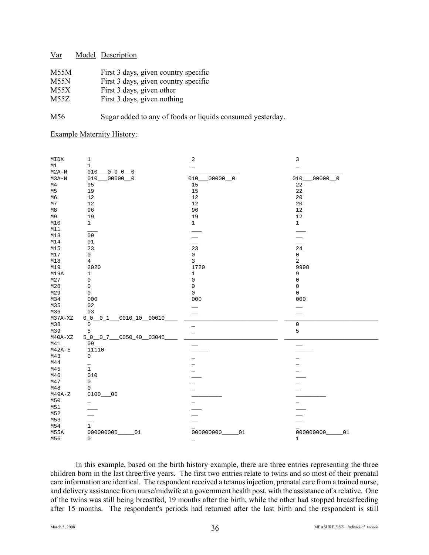| M55M        | First 3 days, given country specific |
|-------------|--------------------------------------|
| M55N        | First 3 days, given country specific |
| M55X        | First 3 days, given other            |
| <b>M557</b> | $\Gamma$ irat 2 daya giyan nathing   |

M55Z First 3 days, given nothing

M56 Sugar added to any of foods or liquids consumed yesterday.

### Example Maternity History:

| MIDX           | $\mathbf 1$                        | $\sqrt{2}$               | 3                   |
|----------------|------------------------------------|--------------------------|---------------------|
| M1             | $\mathbf{1}$                       | $\overline{\phantom{0}}$ |                     |
| $M2A-N$        | 010<br>$0 - 0 - 0 - 0$             |                          |                     |
| $M3A-N$        | $00000$ 0<br>010                   | $00000$ 0<br>010         | $00000$ 0<br>010    |
| M <sub>4</sub> | 95                                 | 15                       | 22                  |
| M <sub>5</sub> | 19                                 | 15                       | 22                  |
| M <sub>6</sub> | 12                                 | 12                       | 20                  |
| M7             | 12                                 | 12                       | 20                  |
| M8             | 96                                 | 96                       | $1\,2$              |
| M9             | 19                                 | 19                       | $1\,2$              |
| M10            | $\mathbf{1}$                       | $\mathbf{1}$             | $\mathbf{1}$        |
| M11            |                                    |                          |                     |
| M13            | 09                                 |                          |                     |
| M14            | 01                                 |                          |                     |
| M15            | 23                                 | $\overline{23}$          | 24                  |
| M17            | 0                                  | $\mathsf{O}\xspace$      | 0                   |
| M18            | $\overline{4}$                     | $\overline{3}$           | $\overline{c}$      |
| M19            | 2020                               | 1720                     | 9998                |
| M19A           | $\mathbf 1$                        | $\,1\,$                  | 9                   |
| M27            | $\mathsf 0$                        | $\mathsf{O}\xspace$      | $\mathsf{O}\xspace$ |
| M28            | 0                                  | $\mathsf 0$              | $\mathsf 0$         |
| M29            | 0                                  | $\mathsf 0$              | $\mathsf{O}\xspace$ |
| M34            | 000                                | 000                      | 000                 |
| M35            | 02                                 |                          |                     |
| M36            | 03                                 |                          |                     |
| $M37A-XZ$      | $0010_10$ 00010<br>$0_{0}$ $0_{1}$ |                          |                     |
| M38            | $\mathsf 0$                        | $\overline{\phantom{0}}$ | $\mathsf{O}\xspace$ |
| M39            | 5                                  | $\equiv$                 | 5                   |
| $M40A-XZ$      | $-0050 - 40 - 03045$<br>$500 - 7$  |                          |                     |
| M41            | 09                                 |                          |                     |
| $M42A-E$       | 11110                              |                          |                     |
| M43            | 0                                  |                          |                     |
| M44            |                                    |                          |                     |
| M45            | $\overline{\overline{1}}$          |                          |                     |
| M46            | 010                                |                          |                     |
| M47            | 0                                  |                          |                     |
| M48            | 0                                  |                          |                     |
| $M49A-Z$       | 0100<br>0 <sup>0</sup>             |                          |                     |
| M50            | $\overline{\phantom{0}}$           |                          |                     |
| M51            |                                    |                          |                     |
| M52            |                                    |                          |                     |
| M53            |                                    |                          |                     |
| M54            | $\mathbf{1}$                       |                          |                     |
| <b>M55A</b>    | 000000000<br>01                    | 000000000<br>01          | 000000000<br>01     |
| M56            | 0                                  | $\overline{\phantom{0}}$ | $\mathbf{1}$        |

In this example, based on the birth history example, there are three entries representing the three children born in the last three/five years. The first two entries relate to twins and so most of their prenatal care information are identical. The respondent received a tetanus injection, prenatal care from a trained nurse, and delivery assistance from nurse/midwife at a government health post, with the assistance of a relative. One of the twins was still being breastfed, 19 months after the birth, while the other had stopped breastfeeding after 15 months. The respondent's periods had returned after the last birth and the respondent is still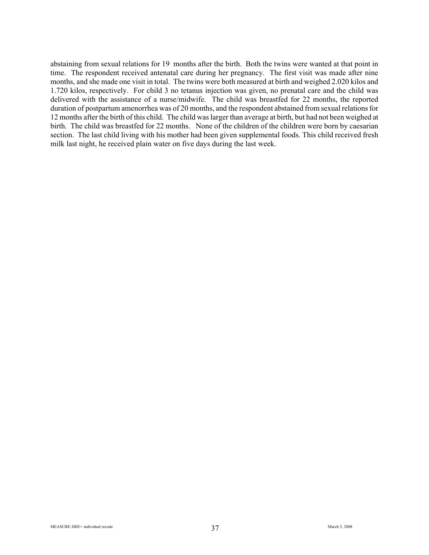abstaining from sexual relations for 19 months after the birth. Both the twins were wanted at that point in time. The respondent received antenatal care during her pregnancy. The first visit was made after nine months, and she made one visit in total. The twins were both measured at birth and weighed 2.020 kilos and 1.720 kilos, respectively. For child 3 no tetanus injection was given, no prenatal care and the child was delivered with the assistance of a nurse/midwife. The child was breastfed for 22 months, the reported duration of postpartum amenorrhea was of 20 months, and the respondent abstained from sexual relations for 12 months after the birth of this child. The child was larger than average at birth, but had not been weighed at birth. The child was breastfed for 22 months. None of the children of the children were born by caesarian section. The last child living with his mother had been given supplemental foods. This child received fresh milk last night, he received plain water on five days during the last week.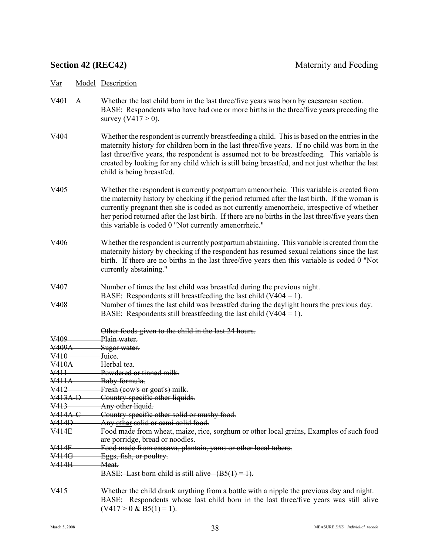- V401 A Whether the last child born in the last three/five years was born by caesarean section. BASE: Respondents who have had one or more births in the three/five years preceding the survey  $(V417 > 0)$ .
- V404 Whether the respondent is currently breastfeeding a child. This is based on the entries in the maternity history for children born in the last three/five years. If no child was born in the last three/five years, the respondent is assumed not to be breastfeeding. This variable is created by looking for any child which is still being breastfed, and not just whether the last child is being breastfed.
- V405 Whether the respondent is currently postpartum amenorrheic. This variable is created from the maternity history by checking if the period returned after the last birth. If the woman is currently pregnant then she is coded as not currently amenorrheic, irrespective of whether her period returned after the last birth. If there are no births in the last three/five years then this variable is coded 0 "Not currently amenorrheic."
- V406 Whether the respondent is currently postpartum abstaining. This variable is created from the maternity history by checking if the respondent has resumed sexual relations since the last birth. If there are no births in the last three/five years then this variable is coded 0 "Not currently abstaining."
- V407 Number of times the last child was breastfed during the previous night.

BASE: Respondents still breastfeeding the last child  $(V404 = 1)$ .

- V408 Number of times the last child was breastfed during the daylight hours the previous day. BASE: Respondents still breastfeeding the last child  $(V404 = 1)$ .
- Other foods given to the child in the last 24 hours. V<sub>409</sub> Plain water.<br>V<sub>409</sub> Plain water. V409A Sugar water.<br>V410 Juice V<sup>410</sup> Juice.<br>V<sup>410A</sup> Herba Herbal tea-V411 Powdered or tinned milk. V411A Baby formula. V412 Fresh (cow's or goat's) milk. V413A-D Country-specific other liquids. V413 Any other liquid. V414A-C Country-specific other solid or mushy food. V414D Any other solid or semi-solid food. V414E Food made from wheat, maize, rice, sorghum or other local grains, Examples of such food are porridge, bread or noodles. V414F Food made from cassava, plantain, yams or other local tubers. V414G Eggs, fish, or poultry. V414H Meat. BASE: Last born child is still alive  $(B5(1) = 1)$ . V415 Whether the child drank anything from a bottle with a nipple the previous day and night. BASE: Respondents whose last child born in the last three/five years was still alive

 $(V417 > 0 \& B5(1) = 1)$ .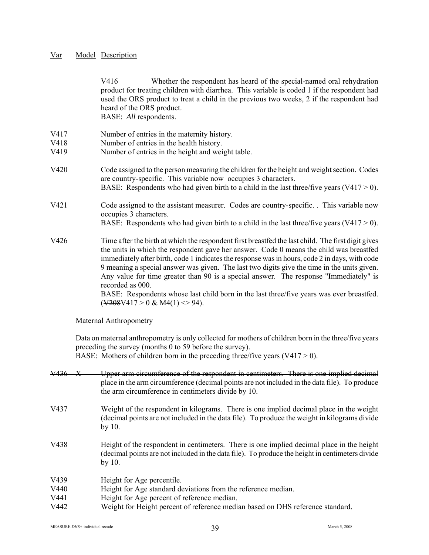V416 Whether the respondent has heard of the special-named oral rehydration product for treating children with diarrhea. This variable is coded 1 if the respondent had used the ORS product to treat a child in the previous two weeks, 2 if the respondent had heard of the ORS product. BASE: *All* respondents. V417 Number of entries in the maternity history. V418 Number of entries in the health history. V419 Number of entries in the height and weight table. V420 Code assigned to the person measuring the children for the height and weight section. Codes are country-specific. This variable now occupies 3 characters. BASE: Respondents who had given birth to a child in the last three/five years  $(V417 > 0)$ . V421 Code assigned to the assistant measurer. Codes are country-specific. . This variable now occupies 3 characters. BASE: Respondents who had given birth to a child in the last three/five years  $(V417 > 0)$ . V426 Time after the birth at which the respondent first breastfed the last child. The first digit gives the units in which the respondent gave her answer. Code 0 means the child was breastfed immediately after birth, code 1 indicates the response was in hours, code 2 in days, with code 9 meaning a special answer was given. The last two digits give the time in the units given. Any value for time greater than 90 is a special answer. The response "Immediately" is recorded as 000. BASE: Respondents whose last child born in the last three/five years was ever breastfed.  $(V208V417 > 0 & M4(1) < 94)$ . Maternal Anthropometry

Data on maternal anthropometry is only collected for mothers of children born in the three/five years preceding the survey (months 0 to 59 before the survey). BASE: Mothers of children born in the preceding three/five years  $(V417 > 0)$ .

V436 X Upper arm circumference of the respondent in centimeters. There is one implied decimal place in the arm circumference (decimal points are not included in the data file). To produce the arm circumference in centimeters divide by 10. V437 Weight of the respondent in kilograms. There is one implied decimal place in the weight (decimal points are not included in the data file). To produce the weight in kilograms divide by 10. V438 Height of the respondent in centimeters. There is one implied decimal place in the height (decimal points are not included in the data file). To produce the height in centimeters divide by 10. V439 Height for Age percentile. V440 Height for Age standard deviations from the reference median. V441 Height for Age percent of reference median. V442 Weight for Height percent of reference median based on DHS reference standard.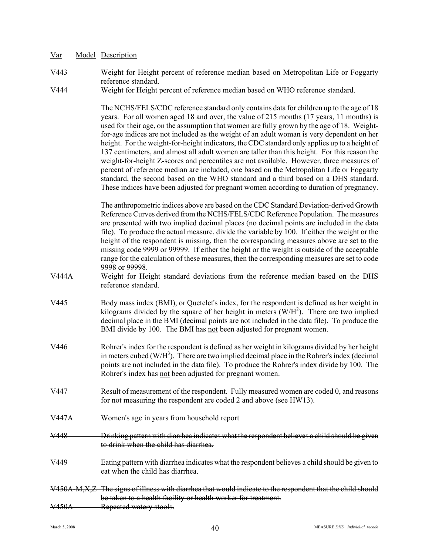- Var Model Description
- V443 Weight for Height percent of reference median based on Metropolitan Life or Foggarty reference standard.
- V444 Weight for Height percent of reference median based on WHO reference standard.

The NCHS/FELS/CDC reference standard only contains data for children up to the age of 18 years. For all women aged 18 and over, the value of 215 months (17 years, 11 months) is used for their age, on the assumption that women are fully grown by the age of 18. Weightfor-age indices are not included as the weight of an adult woman is very dependent on her height. For the weight-for-height indicators, the CDC standard only applies up to a height of 137 centimeters, and almost all adult women are taller than this height. For this reason the weight-for-height Z-scores and percentiles are not available. However, three measures of percent of reference median are included, one based on the Metropolitan Life or Foggarty standard, the second based on the WHO standard and a third based on a DHS standard. These indices have been adjusted for pregnant women according to duration of pregnancy.

The anthropometric indices above are based on the CDC Standard Deviation-derived Growth Reference Curves derived from the NCHS/FELS/CDC Reference Population. The measures are presented with two implied decimal places (no decimal points are included in the data file). To produce the actual measure, divide the variable by 100. If either the weight or the height of the respondent is missing, then the corresponding measures above are set to the missing code 9999 or 99999. If either the height or the weight is outside of the acceptable range for the calculation of these measures, then the corresponding measures are set to code 9998 or 99998.

- V444A Weight for Height standard deviations from the reference median based on the DHS reference standard.
- V445 Body mass index (BMI), or Quetelet's index, for the respondent is defined as her weight in kilograms divided by the square of her height in meters  $(W/H<sup>2</sup>)$ . There are two implied decimal place in the BMI (decimal points are not included in the data file). To produce the BMI divide by 100. The BMI has not been adjusted for pregnant women.
- V446 Rohrer's index for the respondent is defined as her weight in kilograms divided by her height in meters cubed  $(W/H<sup>3</sup>)$ . There are two implied decimal place in the Rohrer's index (decimal points are not included in the data file). To produce the Rohrer's index divide by 100. The Rohrer's index has not been adjusted for pregnant women.
- V447 Result of measurement of the respondent. Fully measured women are coded 0, and reasons for not measuring the respondent are coded 2 and above (see HW13).
- V447A Women's age in years from household report
- V448 Drinking pattern with diarrhea indicates what the respondent believes a child should be given to drink when the child has diarrhea.
- V449 Eating pattern with diarrhea indicates what the respondent believes a child should be given to eat when the child has diarrhea.
- V450A-M,X,Z The signs of illness with diarrhea that would indicate to the respondent that the child should be taken to a health facility or health worker for treatment. V450A Repeated watery stools.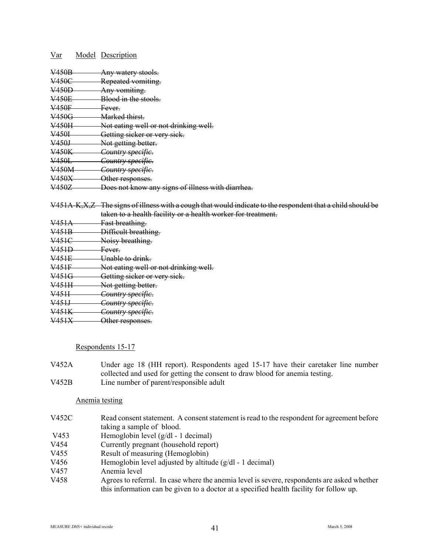| Var                | Model Description                                 |
|--------------------|---------------------------------------------------|
| <b>V450B</b>       | Any watery stools.                                |
| <del>V450C</del>   | Repeated vomiting.                                |
| V <sub>450</sub> D | Any vomiting.                                     |
| V450E              | Blood in the stools.                              |
| $\frac{V450F}{V}$  | <del>Fever.</del>                                 |
| V450G              | Marked thirst.                                    |
| V450H              | Not eating well or not drinking well.             |
| <del>V450I</del> — | Getting sicker or very sick.                      |
| V <sub>450</sub> J | Not getting better.                               |
| V450K              | Country specific.                                 |
| V450L              | Country specific.                                 |
| V450M              | Country specific.                                 |
| <del>V450X</del>   | Other responses.                                  |
| <del>V450Z</del>   | Does not know any signs of illness with diarrhea. |

V451A-K, X, Z The signs of illness with a cough that would indicate to the respondent that a child should be taken to a health facility or a health worker for treatment.

V451A Fast breathing. V451B Difficult breathing. V451C Noisy breathing. V451D Fever. V451E Unable to drink. V451F Not eating well or not drinking well. V451G Getting sicker or very sick. V451H Not getting better. V451I *Country specific*. V451J *Country specific*. V451K *Country specific*. V451X Other responses.

Respondents 15-17

V452A Under age 18 (HH report). Respondents aged 15-17 have their caretaker line number collected and used for getting the consent to draw blood for anemia testing. V452B Line number of parent/responsible adult

## Anemia testing

- V452C Read consent statement. A consent statement is read to the respondent for agreement before taking a sample of blood.
- V453 Hemoglobin level (g/dl 1 decimal)
- V454 Currently pregnant (household report)
- V455 Result of measuring (Hemoglobin)
- V456 Hemoglobin level adjusted by altitude (g/dl 1 decimal)<br>V457 Anemia level
- Anemia level
- V458 Agrees to referral. In case where the anemia level is severe, respondents are asked whether this information can be given to a doctor at a specified health facility for follow up.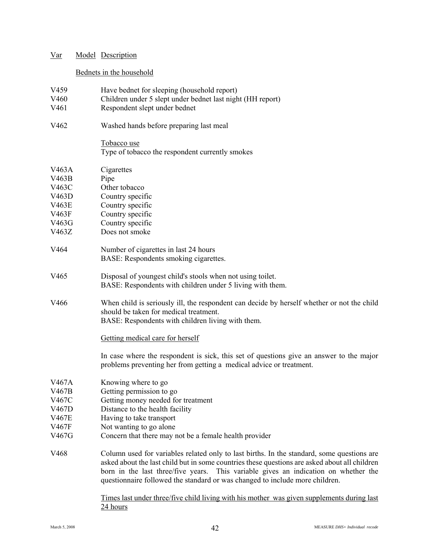| Var                                                                  |                          | <b>Model Description</b>                                                                                                                                                                                                                                                                                                                                                                                                                                                     |  |
|----------------------------------------------------------------------|--------------------------|------------------------------------------------------------------------------------------------------------------------------------------------------------------------------------------------------------------------------------------------------------------------------------------------------------------------------------------------------------------------------------------------------------------------------------------------------------------------------|--|
|                                                                      | Bednets in the household |                                                                                                                                                                                                                                                                                                                                                                                                                                                                              |  |
| V <sub>459</sub><br>V460<br>V <sub>461</sub>                         |                          | Have bednet for sleeping (household report)<br>Children under 5 slept under bednet last night (HH report)<br>Respondent slept under bednet                                                                                                                                                                                                                                                                                                                                   |  |
| V <sub>462</sub>                                                     |                          | Washed hands before preparing last meal                                                                                                                                                                                                                                                                                                                                                                                                                                      |  |
|                                                                      |                          | Tobacco use<br>Type of tobacco the respondent currently smokes                                                                                                                                                                                                                                                                                                                                                                                                               |  |
| V463A<br>V463B<br>V463C<br>V463D<br>V463E<br>V463F<br>V463G<br>V463Z |                          | Cigarettes<br>Pipe<br>Other tobacco<br>Country specific<br>Country specific<br>Country specific<br>Country specific<br>Does not smoke                                                                                                                                                                                                                                                                                                                                        |  |
| V464                                                                 |                          | Number of cigarettes in last 24 hours<br>BASE: Respondents smoking cigarettes.                                                                                                                                                                                                                                                                                                                                                                                               |  |
| V <sub>465</sub>                                                     |                          | Disposal of youngest child's stools when not using toilet.<br>BASE: Respondents with children under 5 living with them.                                                                                                                                                                                                                                                                                                                                                      |  |
| V466                                                                 |                          | When child is seriously ill, the respondent can decide by herself whether or not the child<br>should be taken for medical treatment.<br>BASE: Respondents with children living with them.                                                                                                                                                                                                                                                                                    |  |
|                                                                      |                          | Getting medical care for herself                                                                                                                                                                                                                                                                                                                                                                                                                                             |  |
|                                                                      |                          | In case where the respondent is sick, this set of questions give an answer to the major<br>problems preventing her from getting a medical advice or treatment.                                                                                                                                                                                                                                                                                                               |  |
| V467A<br>V467B<br>V467C<br>V467D<br>V467E<br>V467F<br>V467G          |                          | Knowing where to go<br>Getting permission to go<br>Getting money needed for treatment<br>Distance to the health facility<br>Having to take transport<br>Not wanting to go alone<br>Concern that there may not be a female health provider                                                                                                                                                                                                                                    |  |
| V468                                                                 |                          | Column used for variables related only to last births. In the standard, some questions are<br>asked about the last child but in some countries these questions are asked about all children<br>born in the last three/five years. This variable gives an indication on whether the<br>questionnaire followed the standard or was changed to include more children.<br>Times last under three/five child living with his mother was given supplements during last<br>24 hours |  |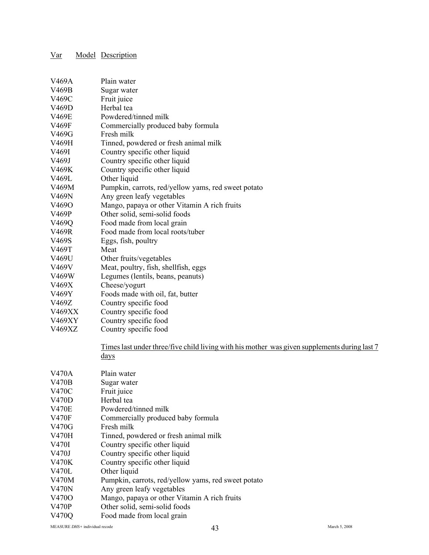| V469A        | Plain water                                                                                  |
|--------------|----------------------------------------------------------------------------------------------|
| V469B        | Sugar water                                                                                  |
| V469C        | Fruit juice                                                                                  |
| V469D        | Herbal tea                                                                                   |
| V469E        | Powdered/tinned milk                                                                         |
| V469F        | Commercially produced baby formula                                                           |
| V469G        | Fresh milk                                                                                   |
| V469H        | Tinned, powdered or fresh animal milk                                                        |
| V469I        | Country specific other liquid                                                                |
| V469J        | Country specific other liquid                                                                |
| V469K        | Country specific other liquid                                                                |
| V469L        | Other liquid                                                                                 |
| V469M        | Pumpkin, carrots, red/yellow yams, red sweet potato                                          |
| V469N        | Any green leafy vegetables                                                                   |
| V4690        | Mango, papaya or other Vitamin A rich fruits                                                 |
| V469P        | Other solid, semi-solid foods                                                                |
| V469Q        | Food made from local grain                                                                   |
| V469R        | Food made from local roots/tuber                                                             |
| V469S        | Eggs, fish, poultry                                                                          |
| V469T        | Meat                                                                                         |
| V469U        | Other fruits/vegetables                                                                      |
| V469V        | Meat, poultry, fish, shellfish, eggs                                                         |
| V469W        | Legumes (lentils, beans, peanuts)                                                            |
| V469X        | Cheese/yogurt                                                                                |
| V469Y        | Foods made with oil, fat, butter                                                             |
| V469Z        | Country specific food                                                                        |
| V469XX       | Country specific food                                                                        |
| V469XY       | Country specific food                                                                        |
| V469XZ       | Country specific food                                                                        |
|              |                                                                                              |
|              | Times last under three/five child living with his mother was given supplements during last 7 |
|              | $\frac{days}{9}$                                                                             |
|              |                                                                                              |
| <b>V470A</b> | Plain water                                                                                  |
| <b>V470B</b> | Sugar water                                                                                  |
| V470C        | Fruit juice                                                                                  |
| <b>V470D</b> | Herbal tea                                                                                   |
| <b>V470E</b> | Powdered/tinned milk                                                                         |
| <b>V470F</b> | Commercially produced baby formula                                                           |
| V470G        | Fresh milk                                                                                   |
| V470H        | Tinned, powdered or fresh animal milk                                                        |
| V470I        | Country specific other liquid                                                                |
| V470J        | Country specific other liquid                                                                |
| V470K        | Country specific other liquid                                                                |
| <b>V470L</b> | Other liquid                                                                                 |
| V470M        | Pumpkin, carrots, red/yellow yams, red sweet potato                                          |
| V470N        | Any green leafy vegetables                                                                   |
| V470O        | Mango, papaya or other Vitamin A rich fruits                                                 |
| V470P        | Other solid semi-solid foods                                                                 |

V470P Other solid, semi-solid foods<br>V470Q Food made from local grain Food made from local grain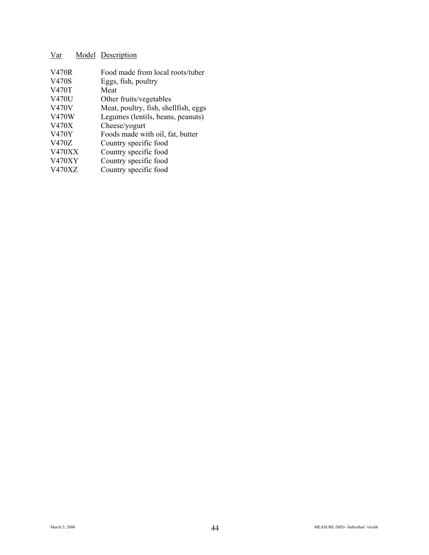| <b>V470R</b>  | Food made from local roots/tuber     |
|---------------|--------------------------------------|
| V470S         | Eggs, fish, poultry                  |
| V470T         | Meat                                 |
| <b>V470U</b>  | Other fruits/vegetables              |
| <b>V470V</b>  | Meat, poultry, fish, shellfish, eggs |
| V470W         | Legumes (lentils, beans, peanuts)    |
| <b>V470X</b>  | Cheese/yogurt                        |
| <b>V470Y</b>  | Foods made with oil, fat, butter     |
| V470Z         | Country specific food                |
| <b>V470XX</b> | Country specific food                |
| <b>V470XY</b> | Country specific food                |
| V470XZ        | Country specific food                |
|               |                                      |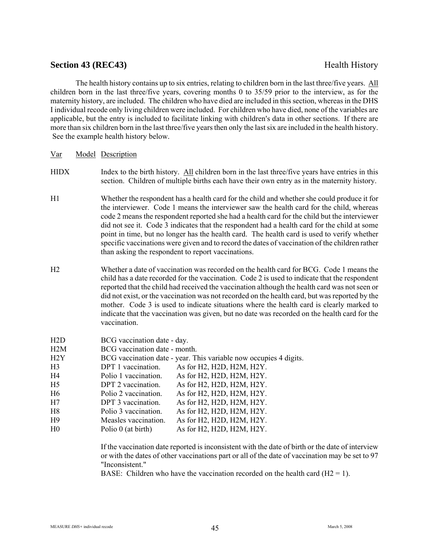## **Section 43 (REC43)** Health History

The health history contains up to six entries, relating to children born in the last three/five years. All children born in the last three/five years, covering months 0 to 35/59 prior to the interview, as for the maternity history, are included. The children who have died are included in this section, whereas in the DHS I individual recode only living children were included. For children who have died, none of the variables are applicable, but the entry is included to facilitate linking with children's data in other sections. If there are more than six children born in the last three/five years then only the last six are included in the health history. See the example health history below.

| Var | Model Description |  |
|-----|-------------------|--|
|     |                   |  |

- HIDX Index to the birth history. All children born in the last three/five years have entries in this section. Children of multiple births each have their own entry as in the maternity history.
- H1 Whether the respondent has a health card for the child and whether she could produce it for the interviewer. Code 1 means the interviewer saw the health card for the child, whereas code 2 means the respondent reported she had a health card for the child but the interviewer did not see it. Code 3 indicates that the respondent had a health card for the child at some point in time, but no longer has the health card. The health card is used to verify whether specific vaccinations were given and to record the dates of vaccination of the children rather than asking the respondent to report vaccinations.
- H2 Whether a date of vaccination was recorded on the health card for BCG. Code 1 means the child has a date recorded for the vaccination. Code 2 is used to indicate that the respondent reported that the child had received the vaccination although the health card was not seen or did not exist, or the vaccination was not recorded on the health card, but was reported by the mother. Code 3 is used to indicate situations where the health card is clearly marked to indicate that the vaccination was given, but no date was recorded on the health card for the vaccination.

| H2D            | BCG vaccination date - day.   |                                                                   |
|----------------|-------------------------------|-------------------------------------------------------------------|
| H2M            | BCG vaccination date - month. |                                                                   |
| H2Y            |                               | BCG vaccination date - year. This variable now occupies 4 digits. |
| H <sub>3</sub> | DPT 1 vaccination.            | As for H2, H2D, H2M, H2Y.                                         |
| H4             | Polio 1 vaccination.          | As for H2, H2D, H2M, H2Y.                                         |
| H <sub>5</sub> | DPT 2 vaccination.            | As for H2, H2D, H2M, H2Y.                                         |
| H <sub>6</sub> | Polio 2 vaccination.          | As for H2, H2D, H2M, H2Y.                                         |
| H7             | DPT 3 vaccination.            | As for H2, H2D, H2M, H2Y.                                         |
| H8             | Polio 3 vaccination.          | As for H2, H2D, H2M, H2Y.                                         |
| H <sub>9</sub> | Measles vaccination.          | As for H2, H2D, H2M, H2Y.                                         |
| H <sub>0</sub> | Polio 0 (at birth)            | As for H2, H2D, H2M, H2Y.                                         |
|                |                               |                                                                   |

If the vaccination date reported is inconsistent with the date of birth or the date of interview or with the dates of other vaccinations part or all of the date of vaccination may be set to 97 "Inconsistent."

BASE: Children who have the vaccination recorded on the health card  $(H2 = 1)$ .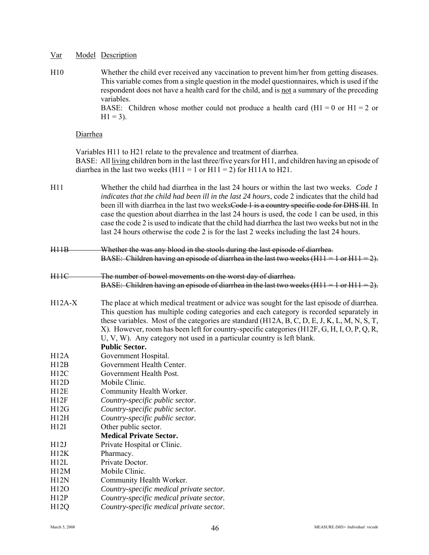H10 Whether the child ever received any vaccination to prevent him/her from getting diseases. This variable comes from a single question in the model questionnaires, which is used if the respondent does not have a health card for the child, and is not a summary of the preceding variables.

BASE: Children whose mother could not produce a health card  $(H1 = 0 \text{ or } H1 = 2 \text{ or } H1$  $H1 = 3$ ).

## Diarrhea

Variables H11 to H21 relate to the prevalence and treatment of diarrhea. BASE: All living children born in the last three/five years for H11, and children having an episode of diarrhea in the last two weeks  $(H11 = 1 \text{ or } H11 = 2)$  for H11A to H21.

- H11 Whether the child had diarrhea in the last 24 hours or within the last two weeks. *Code 1 indicates that the child had been ill in the last 24 hours*, code 2 indicates that the child had been ill with diarrhea in the last two weeksCode 1 is a country specific code for DHS III. In case the question about diarrhea in the last 24 hours is used, the code 1 can be used, in this case the code 2 is used to indicate that the child had diarrhea the last two weeks but not in the last 24 hours otherwise the code 2 is for the last 2 weeks including the last 24 hours.
- H11B Whether the was any blood in the stools during the last episode of diarrhea. BASE: Children having an episode of diarrhea in the last two weeks (H11 = 1 or H11 = 2).
- H11C The number of bowel movements on the worst day of diarrhea. BASE: Children having an episode of diarrhea in the last two weeks  $(H11 = 1$  or  $H11 = 2$ ).
- H12A-X The place at which medical treatment or advice was sought for the last episode of diarrhea. This question has multiple coding categories and each category is recorded separately in these variables. Most of the categories are standard (H12A, B, C, D, E, J, K, L, M, N, S, T, X). However, room has been left for country-specific categories (H12F, G, H, I, O, P, Q, R, U, V, W). Any category not used in a particular country is left blank.

**Public Sector.**

- H12A Government Hospital.
- H12B Government Health Center.
- H12C Government Health Post.
- H12D Mobile Clinic.
- H12E Community Health Worker.
- H12F *Country-specific public sector.*
- H12G *Country-specific public sector.*
- H12H *Country-specific public sector.*
- H12I Other public sector.
	- **Medical Private Sector.**
- H12J Private Hospital or Clinic.
- H12K Pharmacy. H12L Private Doctor.
- H12M Mobile Clinic.
- H12N Community Health Worker.
- H12O *Country-specific medical private sector.*
- H12P *Country-specific medical private sector.*
- H12Q *Country-specific medical private sector.*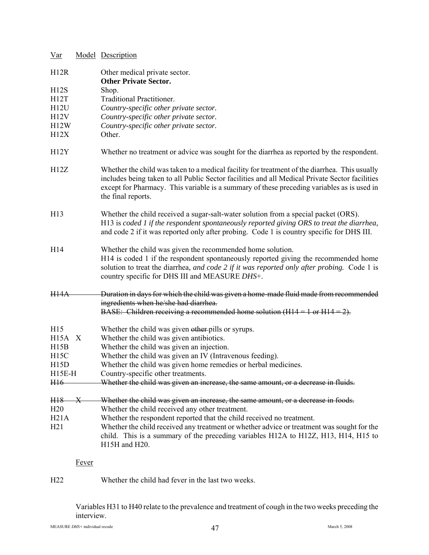| Var             |              | Model Description                                                                                                                                                                                                                                                                                                   |
|-----------------|--------------|---------------------------------------------------------------------------------------------------------------------------------------------------------------------------------------------------------------------------------------------------------------------------------------------------------------------|
| H12R            |              | Other medical private sector.<br><b>Other Private Sector.</b>                                                                                                                                                                                                                                                       |
| H12S            |              | Shop.                                                                                                                                                                                                                                                                                                               |
| H12T            |              | <b>Traditional Practitioner.</b>                                                                                                                                                                                                                                                                                    |
| H12U            |              | Country-specific other private sector.                                                                                                                                                                                                                                                                              |
| H12V            |              | Country-specific other private sector.                                                                                                                                                                                                                                                                              |
| H12W            |              | Country-specific other private sector.                                                                                                                                                                                                                                                                              |
| H12X            |              | Other.                                                                                                                                                                                                                                                                                                              |
| H12Y            |              | Whether no treatment or advice was sought for the diarrhea as reported by the respondent.                                                                                                                                                                                                                           |
| H12Z            |              | Whether the child was taken to a medical facility for treatment of the diarrhea. This usually<br>includes being taken to all Public Sector facilities and all Medical Private Sector facilities<br>except for Pharmacy. This variable is a summary of these preceding variables as is used in<br>the final reports. |
| H <sub>13</sub> |              | Whether the child received a sugar-salt-water solution from a special packet (ORS).<br>H13 is coded 1 if the respondent spontaneously reported giving ORS to treat the diarrhea,<br>and code 2 if it was reported only after probing. Code 1 is country specific for DHS III.                                       |
| H14             |              | Whether the child was given the recommended home solution.<br>H <sub>14</sub> is coded 1 if the respondent spontaneously reported giving the recommended home<br>solution to treat the diarrhea, and code 2 if it was reported only after probing. Code 1 is<br>country specific for DHS III and MEASURE DHS+.      |
| <b>H14A</b>     |              | Duration in days for which the child was given a home-made fluid made from recommended<br>ingredients when he/she had diarrhea.<br>BASE: Children receiving a recommended home solution ( $H14 = 1$ or $H14 = 2$ ).                                                                                                 |
|                 |              |                                                                                                                                                                                                                                                                                                                     |
| H15             |              | Whether the child was given other pills or syrups.                                                                                                                                                                                                                                                                  |
| $H15A \tX$      |              | Whether the child was given antibiotics.                                                                                                                                                                                                                                                                            |
| H15B            |              | Whether the child was given an injection.                                                                                                                                                                                                                                                                           |
| H15C            |              | Whether the child was given an IV (Intravenous feeding).                                                                                                                                                                                                                                                            |
| H15D            |              | Whether the child was given home remedies or herbal medicines.                                                                                                                                                                                                                                                      |
| $H15E-H$        |              | Country-specific other treatments.                                                                                                                                                                                                                                                                                  |
| H16             |              | Whether the child was given an increase, the same amount, or a decrease in fluids.                                                                                                                                                                                                                                  |
| H <sub>18</sub> | $\mathbf x$  | Whether the child was given an increase, the same amount, or a decrease in foods.                                                                                                                                                                                                                                   |
| H20             |              | Whether the child received any other treatment.                                                                                                                                                                                                                                                                     |
| H21A            |              | Whether the respondent reported that the child received no treatment.                                                                                                                                                                                                                                               |
| H21             |              | Whether the child received any treatment or whether advice or treatment was sought for the<br>child. This is a summary of the preceding variables H12A to H12Z, H13, H14, H15 to<br>H15H and H20.                                                                                                                   |
|                 | <b>Fever</b> |                                                                                                                                                                                                                                                                                                                     |
|                 |              |                                                                                                                                                                                                                                                                                                                     |

H22 Whether the child had fever in the last two weeks.

Variables H31 to H40 relate to the prevalence and treatment of cough in the two weeks preceding the interview.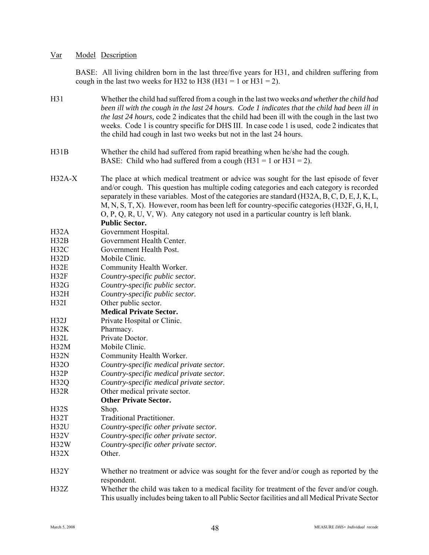BASE: All living children born in the last three/five years for H31, and children suffering from cough in the last two weeks for H32 to H38 (H31 = 1 or H31 = 2).

| H31              | Whether the child had suffered from a cough in the last two weeks and whether the child had<br>been ill with the cough in the last 24 hours. Code 1 indicates that the child had been ill in<br><i>the last 24 hours, code 2 indicates that the child had been ill with the cough in the last two</i><br>weeks. Code 1 is country specific for DHS III. In case code 1 is used, code 2 indicates that<br>the child had cough in last two weeks but not in the last 24 hours.                          |
|------------------|-------------------------------------------------------------------------------------------------------------------------------------------------------------------------------------------------------------------------------------------------------------------------------------------------------------------------------------------------------------------------------------------------------------------------------------------------------------------------------------------------------|
| H31B             | Whether the child had suffered from rapid breathing when he/she had the cough.<br>BASE: Child who had suffered from a cough $(H31 = 1 \text{ or } H31 = 2)$ .                                                                                                                                                                                                                                                                                                                                         |
| $H32A-X$         | The place at which medical treatment or advice was sought for the last episode of fever<br>and/or cough. This question has multiple coding categories and each category is recorded<br>separately in these variables. Most of the categories are standard (H32A, B, C, D, E, J, K, L,<br>M, N, S, T, X). However, room has been left for country-specific categories (H32F, G, H, I,<br>$O, P, Q, R, U, V, W$ . Any category not used in a particular country is left blank.<br><b>Public Sector.</b> |
| H32A             | Government Hospital.                                                                                                                                                                                                                                                                                                                                                                                                                                                                                  |
| H32B             | Government Health Center.                                                                                                                                                                                                                                                                                                                                                                                                                                                                             |
| H32C             | Government Health Post.                                                                                                                                                                                                                                                                                                                                                                                                                                                                               |
| H32D             | Mobile Clinic.                                                                                                                                                                                                                                                                                                                                                                                                                                                                                        |
| H32E             | Community Health Worker.                                                                                                                                                                                                                                                                                                                                                                                                                                                                              |
| H32F             | Country-specific public sector.                                                                                                                                                                                                                                                                                                                                                                                                                                                                       |
| H32G             | Country-specific public sector.                                                                                                                                                                                                                                                                                                                                                                                                                                                                       |
| H32H             | Country-specific public sector.                                                                                                                                                                                                                                                                                                                                                                                                                                                                       |
| H32I             | Other public sector.                                                                                                                                                                                                                                                                                                                                                                                                                                                                                  |
|                  | <b>Medical Private Sector.</b>                                                                                                                                                                                                                                                                                                                                                                                                                                                                        |
| H32J             | Private Hospital or Clinic.                                                                                                                                                                                                                                                                                                                                                                                                                                                                           |
| H32K             | Pharmacy.                                                                                                                                                                                                                                                                                                                                                                                                                                                                                             |
| H32L             | Private Doctor.                                                                                                                                                                                                                                                                                                                                                                                                                                                                                       |
| H32M             | Mobile Clinic.                                                                                                                                                                                                                                                                                                                                                                                                                                                                                        |
| H32N             | Community Health Worker.                                                                                                                                                                                                                                                                                                                                                                                                                                                                              |
| H32O             | Country-specific medical private sector.                                                                                                                                                                                                                                                                                                                                                                                                                                                              |
| H32P             | Country-specific medical private sector.                                                                                                                                                                                                                                                                                                                                                                                                                                                              |
| H <sub>32Q</sub> | Country-specific medical private sector.                                                                                                                                                                                                                                                                                                                                                                                                                                                              |
| H32R             | Other medical private sector.                                                                                                                                                                                                                                                                                                                                                                                                                                                                         |
|                  | <b>Other Private Sector.</b>                                                                                                                                                                                                                                                                                                                                                                                                                                                                          |
| H32S             | Shop.                                                                                                                                                                                                                                                                                                                                                                                                                                                                                                 |
| H32T             | <b>Traditional Practitioner.</b>                                                                                                                                                                                                                                                                                                                                                                                                                                                                      |
| H32U             | Country-specific other private sector.                                                                                                                                                                                                                                                                                                                                                                                                                                                                |
| H32V             | Country-specific other private sector.                                                                                                                                                                                                                                                                                                                                                                                                                                                                |
| H32W             | Country-specific other private sector.                                                                                                                                                                                                                                                                                                                                                                                                                                                                |
| H32X             | Other.                                                                                                                                                                                                                                                                                                                                                                                                                                                                                                |
|                  |                                                                                                                                                                                                                                                                                                                                                                                                                                                                                                       |
| H32Y             | Whether no treatment or advice was sought for the fever and/or cough as reported by the<br>respondent.                                                                                                                                                                                                                                                                                                                                                                                                |
| H32Z             | Whether the child was taken to a medical facility for treatment of the fever and/or cough.                                                                                                                                                                                                                                                                                                                                                                                                            |

This usually includes being taken to all Public Sector facilities and all Medical Private Sector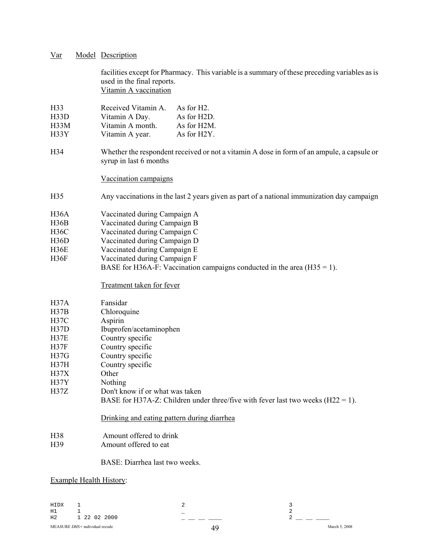| Var | Model Description |  |
|-----|-------------------|--|
|     |                   |  |

facilities except for Pharmacy. This variable is a summary of these preceding variables as is used in the final reports. Vitamin A vaccination

H33 Received Vitamin A. As for H2. H33D Vitamin A Day. As for H2D.

- H33M Vitamin A month. As for H2M.
- H33Y Vitamin A year. As for H2Y.
- H34 Whether the respondent received or not a vitamin A dose in form of an ampule, a capsule or syrup in last 6 months

## Vaccination campaigns

- H35 Any vaccinations in the last 2 years given as part of a national immunization day campaign
- H36A Vaccinated during Campaign A
- H36B Vaccinated during Campaign B
- H36C Vaccinated during Campaign C
- H36D Vaccinated during Campaign D
- H36E Vaccinated during Campaign E
- H36F Vaccinated during Campaign F BASE for H36A-F: Vaccination campaigns conducted in the area  $(H35 = 1)$ .

## Treatment taken for fever

| H37A              | Fansidar                                                                           |
|-------------------|------------------------------------------------------------------------------------|
| H37B              | Chloroquine                                                                        |
| H37C              | Aspirin                                                                            |
| H37D              | Ibuprofen/acetaminophen                                                            |
| H37E              | Country specific                                                                   |
| H37F              | Country specific                                                                   |
| H37G              | Country specific                                                                   |
| H37H              | Country specific                                                                   |
| H <sub>37X</sub>  | Other                                                                              |
| H <sub>37</sub> Y | Nothing                                                                            |
| <b>H37Z</b>       | Don't know if or what was taken                                                    |
|                   | BASE for H37A-Z: Children under three/five with fever last two weeks $(H22 = 1)$ . |

## Drinking and eating pattern during diarrhea

- H38 Amount offered to drink
- H39 Amount offered to eat

## BASE: Diarrhea last two weeks.

## Example Health History:

| HIDX |                                |               |
|------|--------------------------------|---------------|
| H1   |                                |               |
| H2   | 1 22 02 2000                   |               |
|      | MEASURE DHS+ individual recode | March 5, 2008 |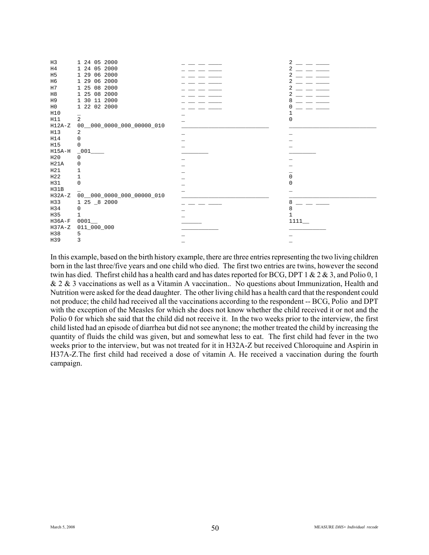| H3             | 1 24 05 2000                  | $\overline{c}$ |
|----------------|-------------------------------|----------------|
| H4             | 1 24 05 2000                  | 2              |
| H <sub>5</sub> | 1 29 06 2000                  | 2              |
| H <sub>6</sub> | 1 29 06 2000                  | 2              |
| H7             | 1 25 08 2000                  | 2              |
| H8             | 1 25 08 2000                  | 2              |
| H9             | 1 30 11 2000                  | 8              |
| $_{\rm H0}$    | 1 22 02 2000                  |                |
| H10            |                               |                |
| H11            | $\overline{2}$                | <sup>0</sup>   |
| $H12A-Z$       | $00$ __000_0000_000_00000_010 |                |
| H13            | 2                             |                |
| H14            | $\Omega$                      |                |
| H15            | 0                             |                |
| $H15A-H$       | $-001$                        |                |
| H20            | 0                             |                |
| H21A           | 0                             |                |
| H21            |                               |                |
| H22            |                               | $\Omega$       |
| H31            | 0                             | <sup>0</sup>   |
| H31B           |                               |                |
| $H32A-Z$       | $00$ __000_0000_000_00000_010 |                |
| H33            | 1 25 _8 2000                  | 8              |
| H34            | $\Omega$                      | 8              |
| H35            | 1                             | 1              |
| $H36A-F$       | 0001                          | 1111           |
| $H37A-Z$       | 011_000_000                   |                |
| H38            | 5                             |                |
| H39            | 3                             |                |

In this example, based on the birth history example, there are three entries representing the two living children born in the last three/five years and one child who died. The first two entries are twins, however the second twin has died. The first child has a health card and has dates reported for BCG, DPT 1 & 2 & 3, and Polio 0, 1 & 2 & 3 vaccinations as well as a Vitamin A vaccination.. No questions about Immunization, Health and Nutrition were asked for the dead daughter. The other living child has a health card that the respondent could not produce; the child had received all the vaccinations according to the respondent -- BCG, Polio and DPT with the exception of the Measles for which she does not know whether the child received it or not and the Polio 0 for which she said that the child did not receive it. In the two weeks prior to the interview, the first child listed had an episode of diarrhea but did not see anynone; the mother treated the child by increasing the quantity of fluids the child was given, but and somewhat less to eat. The first child had fever in the two weeks prior to the interview, but was not treated for it in H32A-Z but received Chloroquine and Aspirin in H37A-Z.The first child had received a dose of vitamin A. He received a vaccination during the fourth campaign.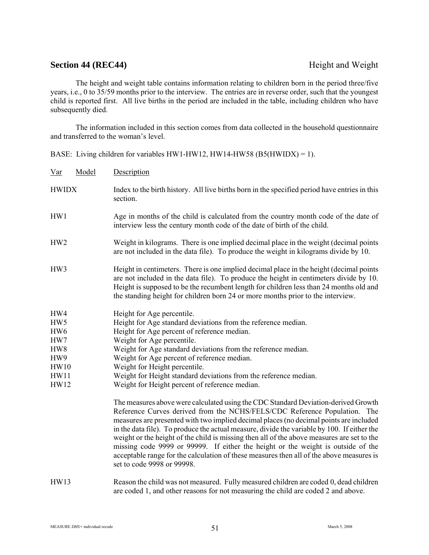## **Section 44 (REC44)** Height and Weight

The height and weight table contains information relating to children born in the period three/five years, i.e., 0 to 35/59 months prior to the interview. The entries are in reverse order, such that the youngest child is reported first. All live births in the period are included in the table, including children who have subsequently died.

The information included in this section comes from data collected in the household questionnaire and transferred to the woman's level.

BASE: Living children for variables HW1-HW12, HW14-HW58 (B5(HWIDX) = 1).

| Var                                                                                             | Model | Description                                                                                                                                                                                                                                                                                                                                                                                                                                                                                                                                                                                                                                                          |
|-------------------------------------------------------------------------------------------------|-------|----------------------------------------------------------------------------------------------------------------------------------------------------------------------------------------------------------------------------------------------------------------------------------------------------------------------------------------------------------------------------------------------------------------------------------------------------------------------------------------------------------------------------------------------------------------------------------------------------------------------------------------------------------------------|
| <b>HWIDX</b>                                                                                    |       | Index to the birth history. All live births born in the specified period have entries in this<br>section.                                                                                                                                                                                                                                                                                                                                                                                                                                                                                                                                                            |
| HW1                                                                                             |       | Age in months of the child is calculated from the country month code of the date of<br>interview less the century month code of the date of birth of the child.                                                                                                                                                                                                                                                                                                                                                                                                                                                                                                      |
| HW2                                                                                             |       | Weight in kilograms. There is one implied decimal place in the weight (decimal points<br>are not included in the data file). To produce the weight in kilograms divide by 10.                                                                                                                                                                                                                                                                                                                                                                                                                                                                                        |
| HW3                                                                                             |       | Height in centimeters. There is one implied decimal place in the height (decimal points<br>are not included in the data file). To produce the height in centimeters divide by 10.<br>Height is supposed to be the recumbent length for children less than 24 months old and<br>the standing height for children born 24 or more months prior to the interview.                                                                                                                                                                                                                                                                                                       |
| HW4<br>HW5<br>HW <sub>6</sub><br>HW7<br>HW8<br>HW9<br><b>HW10</b><br><b>HW11</b><br><b>HW12</b> |       | Height for Age percentile.<br>Height for Age standard deviations from the reference median.<br>Height for Age percent of reference median.<br>Weight for Age percentile.<br>Weight for Age standard deviations from the reference median.<br>Weight for Age percent of reference median.<br>Weight for Height percentile.<br>Weight for Height standard deviations from the reference median.<br>Weight for Height percent of reference median.                                                                                                                                                                                                                      |
|                                                                                                 |       | The measures above were calculated using the CDC Standard Deviation-derived Growth<br>Reference Curves derived from the NCHS/FELS/CDC Reference Population. The<br>measures are presented with two implied decimal places (no decimal points are included<br>in the data file). To produce the actual measure, divide the variable by 100. If either the<br>weight or the height of the child is missing then all of the above measures are set to the<br>missing code 9999 or 99999. If either the height or the weight is outside of the<br>acceptable range for the calculation of these measures then all of the above measures is<br>set to code 9998 or 99998. |
| HW13                                                                                            |       | Reason the child was not measured. Fully measured children are coded 0, dead children<br>are coded 1, and other reasons for not measuring the child are coded 2 and above.                                                                                                                                                                                                                                                                                                                                                                                                                                                                                           |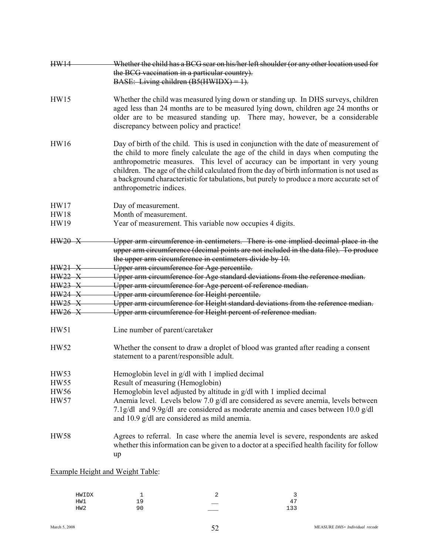| HW14                                    | Whether the child has a BCG sear on his/her left shoulder (or any other location used for                                                                                                                                                                                                                                                                                                                                                                                            |
|-----------------------------------------|--------------------------------------------------------------------------------------------------------------------------------------------------------------------------------------------------------------------------------------------------------------------------------------------------------------------------------------------------------------------------------------------------------------------------------------------------------------------------------------|
|                                         | the BCG vaccination in a particular country).                                                                                                                                                                                                                                                                                                                                                                                                                                        |
|                                         | BASE: Living children $(B5(HWIDX) = 1)$ .                                                                                                                                                                                                                                                                                                                                                                                                                                            |
| HW15                                    | Whether the child was measured lying down or standing up. In DHS surveys, children<br>aged less than 24 months are to be measured lying down, children age 24 months or<br>older are to be measured standing up. There may, however, be a considerable<br>discrepancy between policy and practice!                                                                                                                                                                                   |
| <b>HW16</b>                             | Day of birth of the child. This is used in conjunction with the date of measurement of<br>the child to more finely calculate the age of the child in days when computing the<br>anthropometric measures. This level of accuracy can be important in very young<br>children. The age of the child calculated from the day of birth information is not used as<br>a background characteristic for tabulations, but purely to produce a more accurate set of<br>anthropometric indices. |
| HW17                                    | Day of measurement.                                                                                                                                                                                                                                                                                                                                                                                                                                                                  |
| <b>HW18</b>                             | Month of measurement.                                                                                                                                                                                                                                                                                                                                                                                                                                                                |
| <b>HW19</b>                             | Year of measurement. This variable now occupies 4 digits.                                                                                                                                                                                                                                                                                                                                                                                                                            |
| $HW20 - X$                              | Upper arm circumference in centimeters. There is one implied decimal place in the<br>upper arm circumference (decimal points are not included in the data file). To produce<br>the upper arm circumference in centimeters divide by 10.                                                                                                                                                                                                                                              |
| $HW21 - X$                              | Upper arm circumference for Age percentile.                                                                                                                                                                                                                                                                                                                                                                                                                                          |
| HW22 X                                  | Upper arm circumference for Age standard deviations from the reference median.                                                                                                                                                                                                                                                                                                                                                                                                       |
| HW23 X                                  | Upper arm circumference for Age percent of reference median.                                                                                                                                                                                                                                                                                                                                                                                                                         |
| <b>HW24 X</b>                           | Upper arm circumference for Height percentile.                                                                                                                                                                                                                                                                                                                                                                                                                                       |
| HW25 X                                  | Upper arm circumference for Height standard deviations from the reference median.                                                                                                                                                                                                                                                                                                                                                                                                    |
| <b>HW26 X</b>                           | Upper arm circumference for Height percent of reference median.                                                                                                                                                                                                                                                                                                                                                                                                                      |
| HW51                                    | Line number of parent/caretaker                                                                                                                                                                                                                                                                                                                                                                                                                                                      |
| <b>HW52</b>                             | Whether the consent to draw a droplet of blood was granted after reading a consent<br>statement to a parent/responsible adult.                                                                                                                                                                                                                                                                                                                                                       |
| HW53                                    | Hemoglobin level in g/dl with 1 implied decimal                                                                                                                                                                                                                                                                                                                                                                                                                                      |
| HW55                                    | Result of measuring (Hemoglobin)                                                                                                                                                                                                                                                                                                                                                                                                                                                     |
| <b>HW56</b>                             | Hemoglobin level adjusted by altitude in g/dl with 1 implied decimal                                                                                                                                                                                                                                                                                                                                                                                                                 |
| HW57                                    | Anemia level. Levels below 7.0 g/dl are considered as severe anemia, levels between                                                                                                                                                                                                                                                                                                                                                                                                  |
|                                         | 7.1g/dl and 9.9g/dl are considered as moderate anemia and cases between 10.0 g/dl<br>and 10.9 g/dl are considered as mild anemia.                                                                                                                                                                                                                                                                                                                                                    |
| <b>HW58</b>                             | Agrees to referral. In case where the anemia level is severe, respondents are asked<br>whether this information can be given to a doctor at a specified health facility for follow<br>up                                                                                                                                                                                                                                                                                             |
| <b>Example Height and Weight Table:</b> |                                                                                                                                                                                                                                                                                                                                                                                                                                                                                      |

| HWIDX           | —   | ∼<br>— | ∽                                    |
|-----------------|-----|--------|--------------------------------------|
| HW1             | --  | ____   | <b>.</b><br>$\overline{\phantom{0}}$ |
| HW <sub>2</sub> | a r |        | 122<br>∸ ~<br>ت                      |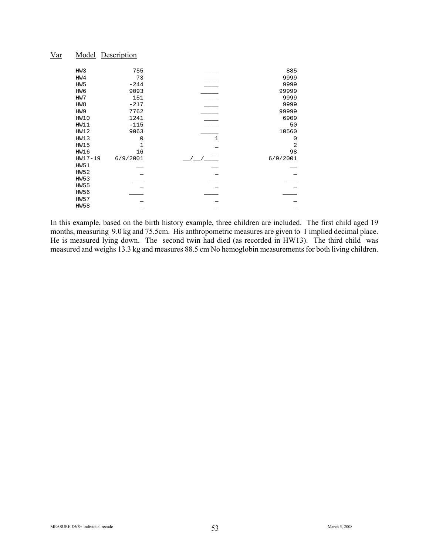| 885            |              | 755      | HW3             |  |
|----------------|--------------|----------|-----------------|--|
| 9999           |              | 73       | HW4             |  |
| 9999           |              | $-244$   | HW <sub>5</sub> |  |
| 99999          |              | 9093     | HW6             |  |
| 9999           |              | 151      | HW7             |  |
| 9999           |              | $-217$   | HW8             |  |
| 99999          |              | 7762     | HW9             |  |
| 6909           |              | 1241     | HW10            |  |
| 50             |              | $-115$   | HW11            |  |
| 10560          |              | 9063     | HW12            |  |
| 0              | $\mathbf{1}$ | 0        | HW13            |  |
| $\overline{2}$ |              | 1        | HW15            |  |
| 98             |              | 16       | HW16            |  |
| 6/9/2001       |              | 6/9/2001 | $HW17-19$       |  |
|                |              |          | <b>HW51</b>     |  |
|                |              |          | <b>HW52</b>     |  |
|                |              |          | <b>HW53</b>     |  |
|                |              |          | <b>HW55</b>     |  |
|                |              |          | HW56            |  |
|                |              |          | <b>HW57</b>     |  |
|                |              |          | <b>HW58</b>     |  |
|                |              |          |                 |  |

In this example, based on the birth history example, three children are included. The first child aged 19 months, measuring 9.0 kg and 75.5cm. His anthropometric measures are given to 1 implied decimal place. He is measured lying down. The second twin had died (as recorded in HW13). The third child was measured and weighs 13.3 kg and measures 88.5 cm No hemoglobin measurements for both living children.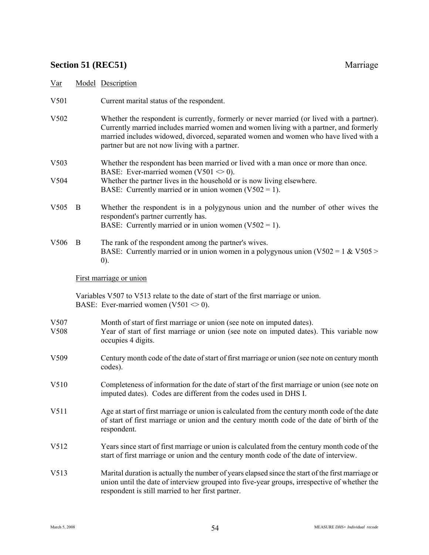# **Section 51 (REC51)** Marriage

| Var              |                                                                                                                                                                                                            | Model Description                                                                                                                                                                                                                                                                                                            |
|------------------|------------------------------------------------------------------------------------------------------------------------------------------------------------------------------------------------------------|------------------------------------------------------------------------------------------------------------------------------------------------------------------------------------------------------------------------------------------------------------------------------------------------------------------------------|
| V501             |                                                                                                                                                                                                            | Current marital status of the respondent.                                                                                                                                                                                                                                                                                    |
| V502             |                                                                                                                                                                                                            | Whether the respondent is currently, formerly or never married (or lived with a partner).<br>Currently married includes married women and women living with a partner, and formerly<br>married includes widowed, divorced, separated women and women who have lived with a<br>partner but are not now living with a partner. |
| V503             |                                                                                                                                                                                                            | Whether the respondent has been married or lived with a man once or more than once.<br>BASE: Ever-married women (V501 $\leq$ 0).                                                                                                                                                                                             |
| V504             |                                                                                                                                                                                                            | Whether the partner lives in the household or is now living elsewhere.<br>BASE: Currently married or in union women $(V502 = 1)$ .                                                                                                                                                                                           |
| V <sub>505</sub> | B                                                                                                                                                                                                          | Whether the respondent is in a polygynous union and the number of other wives the<br>respondent's partner currently has.<br>BASE: Currently married or in union women $(V502 = 1)$ .                                                                                                                                         |
| V506             | B                                                                                                                                                                                                          | The rank of the respondent among the partner's wives.<br>BASE: Currently married or in union women in a polygynous union ( $V502 = 1$ & $V505 >$<br>(0).                                                                                                                                                                     |
|                  |                                                                                                                                                                                                            | First marriage or union                                                                                                                                                                                                                                                                                                      |
|                  |                                                                                                                                                                                                            | Variables V507 to V513 relate to the date of start of the first marriage or union.<br>BASE: Ever-married women (V501 $\leq$ 0).                                                                                                                                                                                              |
| V507<br>V508     |                                                                                                                                                                                                            | Month of start of first marriage or union (see note on imputed dates).<br>Year of start of first marriage or union (see note on imputed dates). This variable now<br>occupies 4 digits.                                                                                                                                      |
| V509             | Century month code of the date of start of first marriage or union (see note on century month<br>codes).                                                                                                   |                                                                                                                                                                                                                                                                                                                              |
| V510             | Completeness of information for the date of start of the first marriage or union (see note on<br>imputed dates). Codes are different from the codes used in DHS I.                                         |                                                                                                                                                                                                                                                                                                                              |
| V511             | Age at start of first marriage or union is calculated from the century month code of the date<br>of start of first marriage or union and the century month code of the date of birth of the<br>respondent. |                                                                                                                                                                                                                                                                                                                              |
| V512             |                                                                                                                                                                                                            | Years since start of first marriage or union is calculated from the century month code of the<br>start of first marriage or union and the century month code of the date of interview.                                                                                                                                       |
| V513             |                                                                                                                                                                                                            | Marital duration is actually the number of years elapsed since the start of the first marriage or<br>union until the date of interview grouped into five-year groups, irrespective of whether the<br>respondent is still married to her first partner.                                                                       |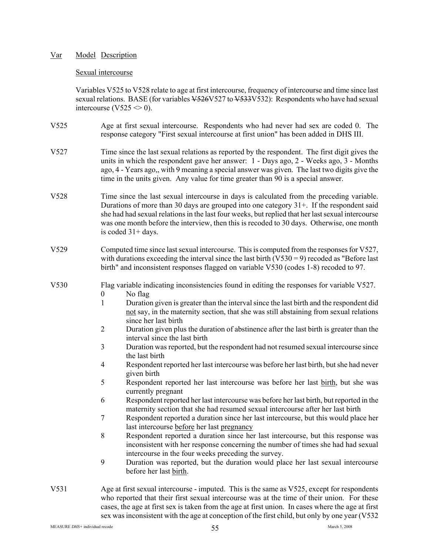## Sexual intercourse

Variables V525 to V528 relate to age at first intercourse, frequency of intercourse and time since last sexual relations. BASE (for variables  $\frac{1}{226}$ V527 to  $\frac{1}{333}$ V532): Respondents who have had sexual intercourse (V525  $\leq$  0).

- V525 Age at first sexual intercourse. Respondents who had never had sex are coded 0. The response category "First sexual intercourse at first union" has been added in DHS III.
- V527 Time since the last sexual relations as reported by the respondent. The first digit gives the units in which the respondent gave her answer: 1 - Days ago, 2 - Weeks ago, 3 - Months ago, 4 - Years ago,, with 9 meaning a special answer was given. The last two digits give the time in the units given. Any value for time greater than 90 is a special answer.
- V528 Time since the last sexual intercourse in days is calculated from the preceding variable. Durations of more than 30 days are grouped into one category 31+. If the respondent said she had had sexual relations in the last four weeks, but replied that her last sexual intercourse was one month before the interview, then this is recoded to 30 days. Otherwise, one month is coded 31+ days.
- V529 Computed time since last sexual intercourse. This is computed from the responses for V527, with durations exceeding the interval since the last birth  $(V530 = 9)$  recoded as "Before last" birth" and inconsistent responses flagged on variable V530 (codes 1-8) recoded to 97.

V530 Flag variable indicating inconsistencies found in editing the responses for variable V527.

- 0 No flag
- 1 Duration given is greater than the interval since the last birth and the respondent did not say, in the maternity section, that she was still abstaining from sexual relations since her last birth
- 2 Duration given plus the duration of abstinence after the last birth is greater than the interval since the last birth
- 3 Duration was reported, but the respondent had not resumed sexual intercourse since the last birth
- 4 Respondent reported her last intercourse was before her last birth, but she had never given birth
- 5 Respondent reported her last intercourse was before her last birth, but she was currently pregnant
- 6 Respondent reported her last intercourse was before her last birth, but reported in the maternity section that she had resumed sexual intercourse after her last birth
- 7 Respondent reported a duration since her last intercourse, but this would place her last intercourse before her last pregnancy
- 8 Respondent reported a duration since her last intercourse, but this response was inconsistent with her response concerning the number of times she had had sexual intercourse in the four weeks preceding the survey.
- 9 Duration was reported, but the duration would place her last sexual intercourse before her last birth.
- V531 Age at first sexual intercourse imputed. This is the same as V525, except for respondents who reported that their first sexual intercourse was at the time of their union. For these cases, the age at first sex is taken from the age at first union. In cases where the age at first sex was inconsistent with the age at conception of the first child, but only by one year (V532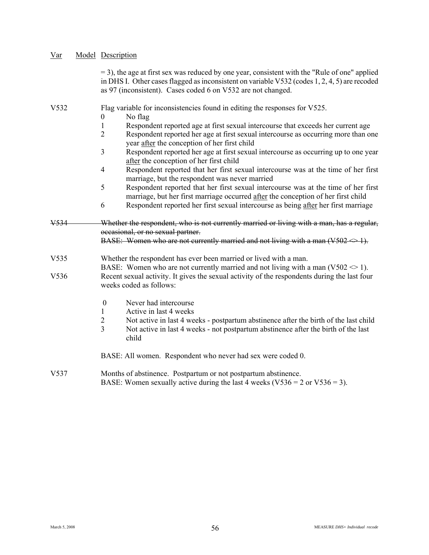| Var              | Model Description                                                                                                                                                                                                                                                |
|------------------|------------------------------------------------------------------------------------------------------------------------------------------------------------------------------------------------------------------------------------------------------------------|
|                  | $=$ 3), the age at first sex was reduced by one year, consistent with the "Rule of one" applied<br>in DHS I. Other cases flagged as inconsistent on variable V532 (codes 1, 2, 4, 5) are recoded<br>as 97 (inconsistent). Cases coded 6 on V532 are not changed. |
| V532             | Flag variable for inconsistencies found in editing the responses for V525.                                                                                                                                                                                       |
|                  | No flag<br>$\theta$                                                                                                                                                                                                                                              |
|                  | 1<br>Respondent reported age at first sexual intercourse that exceeds her current age<br>$\overline{2}$<br>Respondent reported her age at first sexual intercourse as occurring more than one<br>year after the conception of her first child                    |
|                  | $\overline{3}$<br>Respondent reported her age at first sexual intercourse as occurring up to one year<br>after the conception of her first child                                                                                                                 |
|                  | Respondent reported that her first sexual intercourse was at the time of her first<br>$\overline{4}$<br>marriage, but the respondent was never married                                                                                                           |
|                  | Respondent reported that her first sexual intercourse was at the time of her first<br>5<br>marriage, but her first marriage occurred after the conception of her first child                                                                                     |
|                  | Respondent reported her first sexual intercourse as being after her first marriage<br>6                                                                                                                                                                          |
|                  | Whether the respondent, who is not currently married or living with a man, has a regular,                                                                                                                                                                        |
|                  | occasional, or no sexual partner.<br>BASE: Women who are not currently married and not living with a man $(V502 \Leftrightarrow 1)$ .                                                                                                                            |
| V <sub>535</sub> | Whether the respondent has ever been married or lived with a man.                                                                                                                                                                                                |
| V536             | BASE: Women who are not currently married and not living with a man ( $V502 \le 1$ ).<br>Recent sexual activity. It gives the sexual activity of the respondents during the last four<br>weeks coded as follows:                                                 |
|                  | Never had intercourse<br>$\boldsymbol{0}$<br>Active in last 4 weeks<br>$\mathbf{1}$                                                                                                                                                                              |
|                  | $\overline{2}$<br>Not active in last 4 weeks - postpartum abstinence after the birth of the last child<br>$\overline{3}$<br>Not active in last 4 weeks - not postpartum abstinence after the birth of the last<br>child                                          |
|                  | BASE: All women. Respondent who never had sex were coded 0.                                                                                                                                                                                                      |
| V537             | Months of abstinence. Postpartum or not postpartum abstinence.<br>BASE: Women sexually active during the last 4 weeks ( $V536 = 2$ or $V536 = 3$ ).                                                                                                              |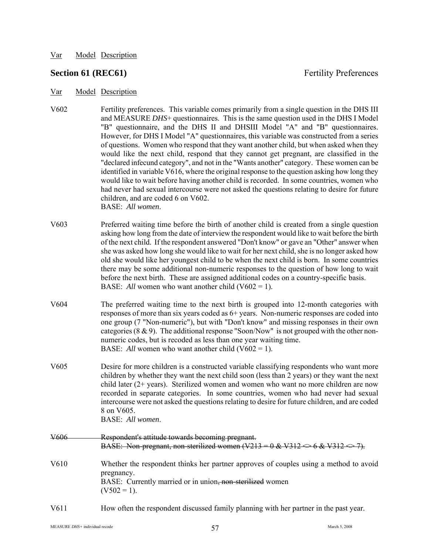## **Section 61 (REC61)** Fertility Preferences

- Var Model Description
- V602 Fertility preferences. This variable comes primarily from a single question in the DHS III and MEASURE *DHS*+ questionnaires. This is the same question used in the DHS I Model "B" questionnaire, and the DHS II and DHSIII Model "A" and "B" questionnaires. However, for DHS I Model "A" questionnaires, this variable was constructed from a series of questions. Women who respond that they want another child, but when asked when they would like the next child, respond that they cannot get pregnant, are classified in the "declared infecund category", and not in the "Wants another" category. These women can be identified in variable V616, where the original response to the question asking how long they would like to wait before having another child is recorded. In some countries, women who had never had sexual intercourse were not asked the questions relating to desire for future children, and are coded 6 on V602. BASE: *All women*.
- V603 Preferred waiting time before the birth of another child is created from a single question asking how long from the date of interview the respondent would like to wait before the birth of the next child. If the respondent answered "Don't know" or gave an "Other" answer when she was asked how long she would like to wait for her next child, she is no longer asked how old she would like her youngest child to be when the next child is born. In some countries there may be some additional non-numeric responses to the question of how long to wait before the next birth. These are assigned additional codes on a country-specific basis. BASE: *All* women who want another child  $(V602 = 1)$ .
- V604 The preferred waiting time to the next birth is grouped into 12-month categories with responses of more than six years coded as 6+ years. Non-numeric responses are coded into one group (7 "Non-numeric"), but with "Don't know" and missing responses in their own categories ( $8 \& 9$ ). The additional response "Soon/Now" is not grouped with the other nonnumeric codes, but is recoded as less than one year waiting time. BASE: *All* women who want another child  $(V602 = 1)$ .
- V605 Desire for more children is a constructed variable classifying respondents who want more children by whether they want the next child soon (less than 2 years) or they want the next child later (2+ years). Sterilized women and women who want no more children are now recorded in separate categories. In some countries, women who had never had sexual intercourse were not asked the questions relating to desire for future children, and are coded 8 on V605. BASE: *All women*.
- V606 Respondent's attitude towards becoming pregnant. BASE: Non-pregnant, non-sterilized women  $(V213 = 0 & 4 & V312 \Leftrightarrow 6 & V312 \Leftrightarrow$ V610 Whether the respondent thinks her partner approves of couples using a method to avoid pregnancy. BASE: Currently married or in union, non-sterilized women  $(V502 = 1)$ .
- V611 How often the respondent discussed family planning with her partner in the past year.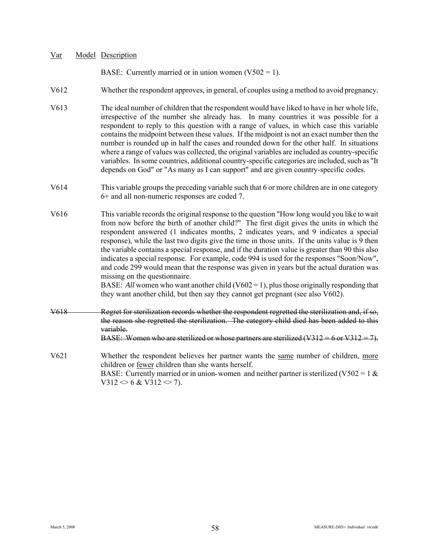BASE: Currently married or in union women  $(V502 = 1)$ .

- V612 Whether the respondent approves, in general, of couples using a method to avoid pregnancy.
- V613 The ideal number of children that the respondent would have liked to have in her whole life, irrespective of the number she already has. In many countries it was possible for a respondent to reply to this question with a range of values, in which case this variable contains the midpoint between these values. If the midpoint is not an exact number then the number is rounded up in half the cases and rounded down for the other half. In situations where a range of values was collected, the original variables are included as country-specific variables. In some countries, additional country-specific categories are included, such as "It depends on God" or "As many as I can support" and are given country-specific codes.
- V614 This variable groups the preceding variable such that 6 or more children are in one category 6+ and all non-numeric responses are coded 7.
- V616 This variable records the original response to the question "How long would you like to wait from now before the birth of another child?" The first digit gives the units in which the respondent answered (1 indicates months, 2 indicates years, and 9 indicates a special response), while the last two digits give the time in those units. If the units value is 9 then the variable contains a special response, and if the duration value is greater than 90 this also indicates a special response. For example, code 994 is used for the responses "Soon/Now", and code 299 would mean that the response was given in years but the actual duration was missing on the questionnaire.

BASE: *All* women who want another child (V602 = 1), plus those originally responding that they want another child, but then say they cannot get pregnant (see also V602).

- V618 Regret for sterilization records whether the respondent regretted the sterilization and, if so, the reason she regretted the sterilization. The category child died has been added to this variable. BASE: Women who are sterilized or whose partners are sterilized  $(V312 = 6$  or  $V312 = 7$ .
- V621 Whether the respondent believes her partner wants the same number of children, more children or fewer children than she wants herself. BASE: Currently married or in union-women and neither partner is sterilized (V502 = 1  $\&$  $V312 \le 6 \& V312 \le 7$ ).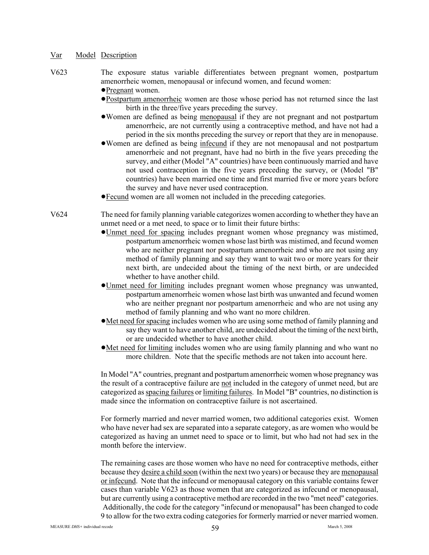- V623 The exposure status variable differentiates between pregnant women, postpartum amenorrheic women, menopausal or infecund women, and fecund women:
	- !Pregnant women.
	- !Postpartum amenorrheic women are those whose period has not returned since the last birth in the three/five years preceding the survey.
	- !Women are defined as being menopausal if they are not pregnant and not postpartum amenorrheic, are not currently using a contraceptive method, and have not had a period in the six months preceding the survey or report that they are in menopause.
	- !Women are defined as being infecund if they are not menopausal and not postpartum amenorrheic and not pregnant, have had no birth in the five years preceding the survey, and either (Model "A" countries) have been continuously married and have not used contraception in the five years preceding the survey, or (Model "B" countries) have been married one time and first married five or more years before the survey and have never used contraception.
	- !Fecund women are all women not included in the preceding categories.
- V624 The need for family planning variable categorizes women according to whether they have an unmet need or a met need, to space or to limit their future births:
	- !Unmet need for spacing includes pregnant women whose pregnancy was mistimed, postpartum amenorrheic women whose last birth was mistimed, and fecund women who are neither pregnant nor postpartum amenorrheic and who are not using any method of family planning and say they want to wait two or more years for their next birth, are undecided about the timing of the next birth, or are undecided whether to have another child.
	- !Unmet need for limiting includes pregnant women whose pregnancy was unwanted, postpartum amenorrheic women whose last birth was unwanted and fecund women who are neither pregnant nor postpartum amenorrheic and who are not using any method of family planning and who want no more children.
	- !Met need for spacing includes women who are using some method of family planning and say they want to have another child, are undecided about the timing of the next birth, or are undecided whether to have another child.
	- !Met need for limiting includes women who are using family planning and who want no more children. Note that the specific methods are not taken into account here.

In Model "A" countries, pregnant and postpartum amenorrheic women whose pregnancy was the result of a contraceptive failure are not included in the category of unmet need, but are categorized as spacing failures or limiting failures. In Model "B" countries, no distinction is made since the information on contraceptive failure is not ascertained.

For formerly married and never married women, two additional categories exist. Women who have never had sex are separated into a separate category, as are women who would be categorized as having an unmet need to space or to limit, but who had not had sex in the month before the interview.

The remaining cases are those women who have no need for contraceptive methods, either because they desire a child soon (within the next two years) or because they are menopausal or infecund. Note that the infecund or menopausal category on this variable contains fewer cases than variable V623 as those women that are categorized as infecund or menopausal, but are currently using a contraceptive method are recorded in the two "met need" categories. Additionally, the code for the category "infecund or menopausal" has been changed to code 9 to allow for the two extra coding categories for formerly married or never married women.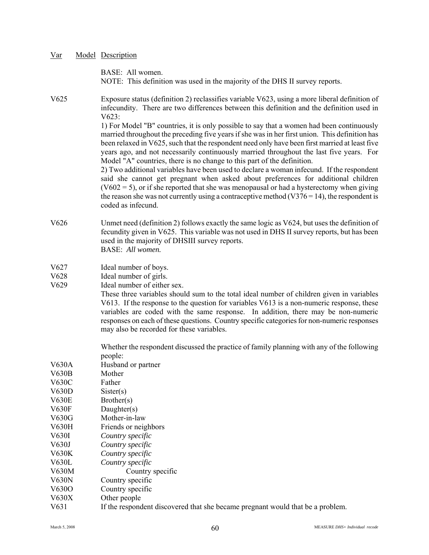| Var | Model Description |
|-----|-------------------|
|     |                   |

BASE: All women. NOTE: This definition was used in the majority of the DHS II survey reports.

V625 Exposure status (definition 2) reclassifies variable V623, using a more liberal definition of infecundity. There are two differences between this definition and the definition used in V623:

> 1) For Model "B" countries, it is only possible to say that a women had been continuously married throughout the preceding five years if she was in her first union. This definition has been relaxed in V625, such that the respondent need only have been first married at least five years ago, and not necessarily continuously married throughout the last five years. For Model "A" countries, there is no change to this part of the definition.

> 2) Two additional variables have been used to declare a woman infecund. If the respondent said she cannot get pregnant when asked about preferences for additional children  $(V602 = 5)$ , or if she reported that she was menopausal or had a hysterectomy when giving the reason she was not currently using a contraceptive method  $(V376 = 14)$ , the respondent is coded as infecund.

- V626 Unmet need (definition 2) follows exactly the same logic as V624, but uses the definition of fecundity given in V625. This variable was not used in DHS II survey reports, but has been used in the majority of DHSIII survey reports. BASE: *All women.*
- V627 Ideal number of boys.
- V628 Ideal number of girls.
- V629 Ideal number of either sex.

These three variables should sum to the total ideal number of children given in variables V613. If the response to the question for variables V613 is a non-numeric response, these variables are coded with the same response. In addition, there may be non-numeric responses on each of these questions. Country specific categories for non-numeric responses may also be recorded for these variables.

Whether the respondent discussed the practice of family planning with any of the following people:

| V630A        | Husband or partner                                                             |
|--------------|--------------------------------------------------------------------------------|
| V630B        | Mother                                                                         |
| V630C        | Father                                                                         |
| V630D        | Sister(s)                                                                      |
| <b>V630E</b> | Brother(s)                                                                     |
| V630F        | Daughter $(s)$                                                                 |
| V630G        | Mother-in-law                                                                  |
| V630H        | Friends or neighbors                                                           |
| V630I        | Country specific                                                               |
| V630J        | Country specific                                                               |
| V630K        | Country specific                                                               |
| V630L        | Country specific                                                               |
| V630M        | Country specific                                                               |
| V630N        | Country specific                                                               |
| V630O        | Country specific                                                               |
| V630X        | Other people                                                                   |
| V631         | If the respondent discovered that she became pregnant would that be a problem. |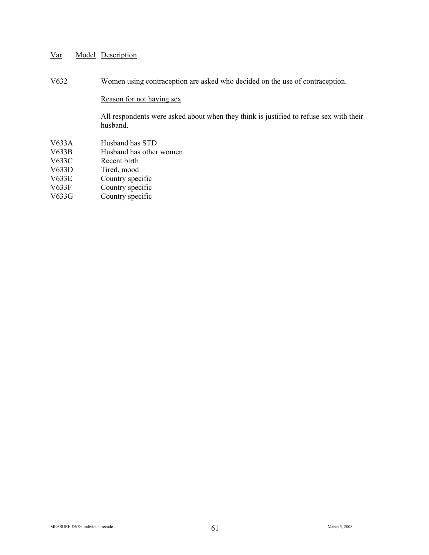V632 Women using contraception are asked who decided on the use of contraception.

## Reason for not having sex

All respondents were asked about when they think is justified to refuse sex with their husband.

- V633A Husband has STD<br>V633B Husband has other
- Husband has other women
- V633C Recent birth
- V633D Tired, mood
- V633E Country specific
- V633F Country specific
- V633G Country specific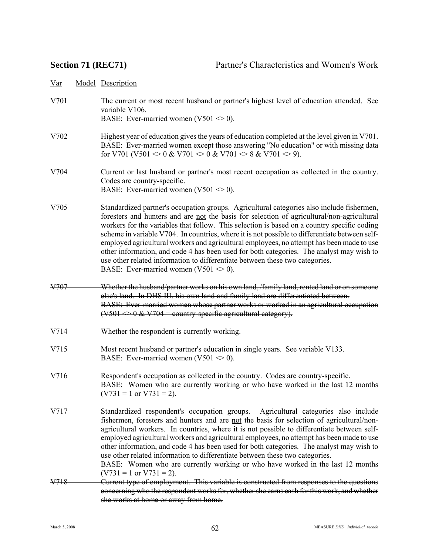V701 The current or most recent husband or partner's highest level of education attended. See variable V106.

BASE: Ever-married women  $(V501 \le 0)$ .

- V702 Highest year of education gives the years of education completed at the level given in V701. BASE: Ever-married women except those answering "No education" or with missing data for V701 (V501  $\leq 0$  & V701  $\leq 0$  & V701  $\leq 8$  & V701  $\leq 9$ ).
- V704 Current or last husband or partner's most recent occupation as collected in the country. Codes are country-specific. BASE: Ever-married women (V501  $\leq$  0).
- V705 Standardized partner's occupation groups. Agricultural categories also include fishermen, foresters and hunters and are not the basis for selection of agricultural/non-agricultural workers for the variables that follow. This selection is based on a country specific coding scheme in variable V704. In countries, where it is not possible to differentiate between selfemployed agricultural workers and agricultural employees, no attempt has been made to use other information, and code 4 has been used for both categories. The analyst may wish to use other related information to differentiate between these two categories. BASE: Ever-married women (V501  $\leq$  0).
- V707 Whether the husband/partner works on his own land, /family land, rented land or on someone else's land. In DHS III, his own land and family land are differentiated between. BASE: Ever-married women whose partner works or worked in an agricultural occupation  $(V501 \le 0 \& V704 = \text{country-specific agricultural category}.$
- V714 Whether the respondent is currently working.
- V715 Most recent husband or partner's education in single years. See variable V133. BASE: Ever-married women  $(V501 \le 0)$ .
- V716 Respondent's occupation as collected in the country. Codes are country-specific. BASE: Women who are currently working or who have worked in the last 12 months  $(V731 = 1 \text{ or } V731 = 2)$ .
- V717 Standardized respondent's occupation groups. Agricultural categories also include fishermen, foresters and hunters and are not the basis for selection of agricultural/nonagricultural workers. In countries, where it is not possible to differentiate between selfemployed agricultural workers and agricultural employees, no attempt has been made to use other information, and code 4 has been used for both categories. The analyst may wish to use other related information to differentiate between these two categories. BASE: Women who are currently working or who have worked in the last 12 months

 $(V731 = 1$  or  $V731 = 2$ ).

V718 Current type of employment. This variable is constructed from responses to the questions concerning who the respondent works for, whether she earns cash for this work, and whether she works at home or away from home.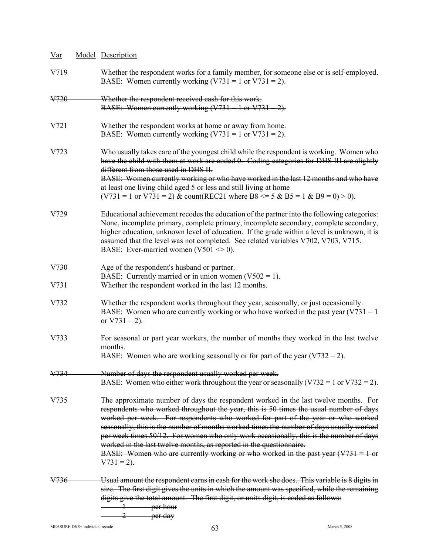| $Var$           | Model Description                                                                                                                                                                                                                                                                                                                                                                                                                                                                                                                                                                                                                  |  |  |
|-----------------|------------------------------------------------------------------------------------------------------------------------------------------------------------------------------------------------------------------------------------------------------------------------------------------------------------------------------------------------------------------------------------------------------------------------------------------------------------------------------------------------------------------------------------------------------------------------------------------------------------------------------------|--|--|
| V719            | Whether the respondent works for a family member, for someone else or is self-employed.<br>BASE: Women currently working $(V731 = 1$ or $V731 = 2$ ).                                                                                                                                                                                                                                                                                                                                                                                                                                                                              |  |  |
| V720            | Whether the respondent received cash for this work.<br>BASE: Women currently working $(V731 = 1$ or $V731 = 2)$ .                                                                                                                                                                                                                                                                                                                                                                                                                                                                                                                  |  |  |
| V721            | Whether the respondent works at home or away from home.<br>BASE: Women currently working $(V731 = 1$ or $V731 = 2$ ).                                                                                                                                                                                                                                                                                                                                                                                                                                                                                                              |  |  |
| V723            | Who usually takes care of the youngest child while the respondent is working. Women who<br>have the child with them at work are coded 0. Coding categories for DHS III are slightly<br>different from those used in DHS II.<br>BASE: Women currently working or who have worked in the last 12 months and who have<br>at least one living child aged 5 or less and still living at home<br>$(\text{V731} = 1 \text{ or } \text{V731} = 2)$ & count(REC21 where B8 <= 5 & B5 = 1 & B9 = 0) > 0).                                                                                                                                    |  |  |
| V729            | Educational achievement recodes the education of the partner into the following categories:<br>None, incomplete primary, complete primary, incomplete secondary, complete secondary,<br>higher education, unknown level of education. If the grade within a level is unknown, it is<br>assumed that the level was not completed. See related variables V702, V703, V715.<br>BASE: Ever-married women (V501 $\leq$ 0).                                                                                                                                                                                                              |  |  |
| V730            | Age of the respondent's husband or partner.<br>BASE: Currently married or in union women $(V502 = 1)$ .                                                                                                                                                                                                                                                                                                                                                                                                                                                                                                                            |  |  |
| V731            | Whether the respondent worked in the last 12 months.                                                                                                                                                                                                                                                                                                                                                                                                                                                                                                                                                                               |  |  |
| V732            | Whether the respondent works throughout they year, seasonally, or just occasionally.<br>BASE: Women who are currently working or who have worked in the past year $(V731 = 1$<br>or $V731 = 2$ ).                                                                                                                                                                                                                                                                                                                                                                                                                                  |  |  |
| <del>V733</del> | For seasonal or part year workers, the number of months they worked in the last twelve<br>months.<br>BASE: Women who are working seasonally or for part of the year $(V732 = 2)$ .                                                                                                                                                                                                                                                                                                                                                                                                                                                 |  |  |
| V734            | Number of days the respondent usually worked per week.<br>BASE: Women who either work throughout the year or seasonally $(V732 = 1$ or $V732 = 2)$ .                                                                                                                                                                                                                                                                                                                                                                                                                                                                               |  |  |
| V735            | The approximate number of days the respondent worked in the last twelve months. For<br>respondents who worked throughout the year, this is 50 times the usual number of days<br>worked per week. For respondents who worked for part of the year or who worked<br>seasonally, this is the number of months worked times the number of days usually worked<br>per week times 50/12. For women who only work occasionally, this is the number of days<br>worked in the last twelve months, as reported in the questionnaire.<br>BASE: Women who are currently working or who worked in the past year $(V731 = 1$ or<br>$V731 = 2$ ). |  |  |
| V736            | Usual amount the respondent earns in cash for the work she does. This variable is 8 digits in<br>size. The first digit gives the units in which the amount was specified, while the remaining<br>digits give the total amount. The first digit, or units digit, is coded as follows:<br>per hour<br><del>per day</del><br>$\overline{2}$                                                                                                                                                                                                                                                                                           |  |  |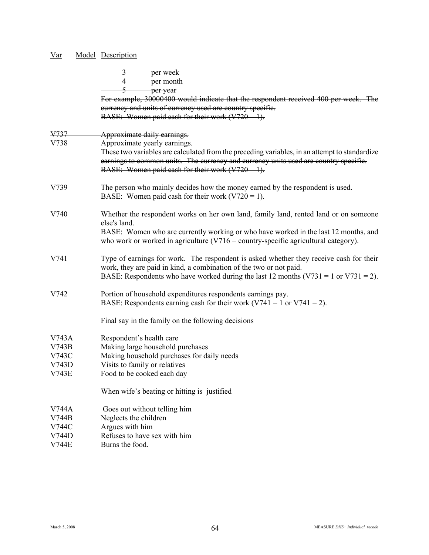|                       | 3 per week<br>4 per month                                                                                                                                                                                                                                       |
|-----------------------|-----------------------------------------------------------------------------------------------------------------------------------------------------------------------------------------------------------------------------------------------------------------|
|                       | $5$ per year<br>For example, 30000400 would indicate that the respondent received 400 per week. The<br>eurrency and units of currency used are country specific.                                                                                                |
|                       | BASE: Women paid cash for their work $(V720 = 1)$ .                                                                                                                                                                                                             |
| V737                  | Approximate daily earnings.                                                                                                                                                                                                                                     |
| V738                  | Approximate yearly earnings.                                                                                                                                                                                                                                    |
|                       | These two variables are calculated from the preceding variables, in an attempt to standardize<br>earnings to common units. The currency and currency units used are country specific.<br>BASE: Women paid eash for their work $(V720 = 1)$ .                    |
| V739                  | The person who mainly decides how the money earned by the respondent is used.<br>BASE: Women paid cash for their work $(V720 = 1)$ .                                                                                                                            |
| V740                  | Whether the respondent works on her own land, family land, rented land or on someone<br>else's land.                                                                                                                                                            |
|                       | BASE: Women who are currently working or who have worked in the last 12 months, and<br>who work or worked in agriculture $(V716 =$ country-specific agricultural category).                                                                                     |
| V741                  | Type of earnings for work. The respondent is asked whether they receive cash for their<br>work, they are paid in kind, a combination of the two or not paid.<br>BASE: Respondents who have worked during the last 12 months $(V731 = 1 \text{ or } V731 = 2)$ . |
| V742                  | Portion of household expenditures respondents earnings pay.<br>BASE: Respondents earning cash for their work ( $V741 = 1$ or $V741 = 2$ ).                                                                                                                      |
|                       | Final say in the family on the following decisions                                                                                                                                                                                                              |
| V743A                 | Respondent's health care                                                                                                                                                                                                                                        |
| V743B                 | Making large household purchases                                                                                                                                                                                                                                |
| V743C                 | Making household purchases for daily needs                                                                                                                                                                                                                      |
| V743D<br><b>V743E</b> | Visits to family or relatives<br>Food to be cooked each day                                                                                                                                                                                                     |
|                       |                                                                                                                                                                                                                                                                 |
|                       | When wife's beating or hitting is justified                                                                                                                                                                                                                     |
| V744A                 | Goes out without telling him                                                                                                                                                                                                                                    |
| V744B                 | Neglects the children                                                                                                                                                                                                                                           |
| V744C                 | Argues with him                                                                                                                                                                                                                                                 |
| V744D                 | Refuses to have sex with him                                                                                                                                                                                                                                    |
| <b>V744E</b>          | Burns the food.                                                                                                                                                                                                                                                 |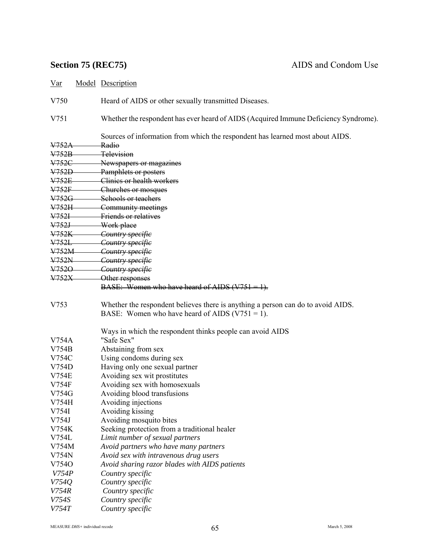V750 Heard of AIDS or other sexually transmitted Diseases.

V751 Whether the respondent has ever heard of AIDS (Acquired Immune Deficiency Syndrome).

Sources of information from which the respondent has learned most about AIDS.

| V <sub>752A</sub> | <u>Radio</u>                                                                                                                          |
|-------------------|---------------------------------------------------------------------------------------------------------------------------------------|
| V <sub>752B</sub> | Television                                                                                                                            |
| V752C             | Newspapers or magazines                                                                                                               |
| <del>V752D</del>  | Pamphlets or posters                                                                                                                  |
| V752E             | Clinics or health workers                                                                                                             |
| V752F             | Churches or mosques                                                                                                                   |
| V752G             | Schools or teachers                                                                                                                   |
| V752H             | Community meetings                                                                                                                    |
| V752I             | Friends or relatives                                                                                                                  |
| V752J             | Work place                                                                                                                            |
| V <sub>752K</sub> | Country specifie                                                                                                                      |
| V752L             | Country specifie                                                                                                                      |
| $V752M -$         | Country specific                                                                                                                      |
| V752N             | Country specifie                                                                                                                      |
| $V7520-$          | Country specifie                                                                                                                      |
| $V752X-$          | Other responses                                                                                                                       |
|                   | BASE: Women who have heard of AIDS $(V751 = 1)$ .                                                                                     |
| V753              | Whether the respondent believes there is anything a person can do to avoid AIDS.<br>BASE: Women who have heard of AIDS $(V751 = 1)$ . |
|                   | Ways in which the respondent thinks people can avoid AIDS                                                                             |
| V754A             | "Safe Sex"                                                                                                                            |
| V754B             | Abstaining from sex                                                                                                                   |
| V754C             | Using condoms during sex                                                                                                              |
| V754D             | Having only one sexual partner                                                                                                        |
| <b>V754E</b>      | Avoiding sex wit prostitutes                                                                                                          |
| V754F             | Avoiding sex with homosexuals                                                                                                         |
| V754G             | Avoiding blood transfusions                                                                                                           |
| V754H             | Avoiding injections                                                                                                                   |
| V754I             | Avoiding kissing                                                                                                                      |
| V754J             | Avoiding mosquito bites                                                                                                               |
| V754K             | Seeking protection from a traditional healer                                                                                          |
| V754L             | Limit number of sexual partners                                                                                                       |
| V754M             | Avoid partners who have many partners                                                                                                 |
| V754N             | Avoid sex with intravenous drug users                                                                                                 |
| V7540             | Avoid sharing razor blades with AIDS patients                                                                                         |
| V754P             | Country specific                                                                                                                      |
| V754Q             | Country specific                                                                                                                      |
| V754R             | Country specific                                                                                                                      |
| V754S             | Country specific                                                                                                                      |
| V754T             | Country specific                                                                                                                      |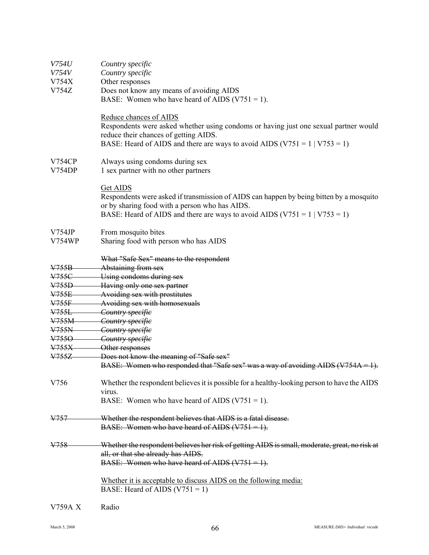| <i>V754U</i><br><i>V754V</i><br>V754X<br>V754Z | Country specific<br>Country specific<br>Other responses<br>Does not know any means of avoiding AIDS<br>BASE: Women who have heard of AIDS ( $V751 = 1$ ).                                                                                      |
|------------------------------------------------|------------------------------------------------------------------------------------------------------------------------------------------------------------------------------------------------------------------------------------------------|
|                                                | Reduce chances of AIDS<br>Respondents were asked whether using condoms or having just one sexual partner would<br>reduce their chances of getting AIDS.<br>BASE: Heard of AIDS and there are ways to avoid AIDS ( $V751 = 1   V753 = 1$ )      |
| <b>V754CP</b><br>V754DP                        | Always using condoms during sex<br>1 sex partner with no other partners                                                                                                                                                                        |
|                                                | <b>Get AIDS</b><br>Respondents were asked if transmission of AIDS can happen by being bitten by a mosquito<br>or by sharing food with a person who has AIDS.<br>BASE: Heard of AIDS and there are ways to avoid AIDS ( $V751 = 1   V753 = 1$ ) |
| V754JP<br><b>V754WP</b>                        | From mosquito bites<br>Sharing food with person who has AIDS                                                                                                                                                                                   |
|                                                | What "Safe Sex" means to the respondent                                                                                                                                                                                                        |
| <del>V755B</del>                               | Abstaining from sex                                                                                                                                                                                                                            |
| V755C                                          | Using condoms during sex                                                                                                                                                                                                                       |
| V755D                                          | Having only one sex partner                                                                                                                                                                                                                    |
| <b>V755E</b>                                   | Avoiding sex with prostitutes                                                                                                                                                                                                                  |
| V755F                                          | Avoiding sex with homosexuals                                                                                                                                                                                                                  |
| V755L                                          | Country specific                                                                                                                                                                                                                               |
| V755M                                          | Country specific                                                                                                                                                                                                                               |
| V755N                                          | Country specific                                                                                                                                                                                                                               |
| V7550                                          | Country specific                                                                                                                                                                                                                               |
| V755X                                          | Other responses                                                                                                                                                                                                                                |
| V755Z                                          | Does not know the meaning of "Safe sex"<br>BASE: Women who responded that "Safe sex" was a way of avoiding AIDS ( $V754A = 1$ ).                                                                                                               |
| V756                                           | Whether the respondent believes it is possible for a healthy-looking person to have the AIDS<br>virus.<br>BASE: Women who have heard of AIDS ( $V751 = 1$ ).                                                                                   |
| <del>V757</del>                                | Whether the respondent believes that AIDS is a fatal disease.<br>BASE: Women who have heard of AIDS $(V751 = 1)$ .                                                                                                                             |
| V758                                           | Whether the respondent believes her risk of getting AIDS is small, moderate, great, no risk at<br>all, or that she already has AIDS.<br>BASE: Women who have heard of AIDS $(V751 = 1)$ .                                                      |
|                                                | Whether it is acceptable to discuss AIDS on the following media:<br>BASE: Heard of AIDS $(V751 = 1)$                                                                                                                                           |
| <b>V759A X</b>                                 | Radio                                                                                                                                                                                                                                          |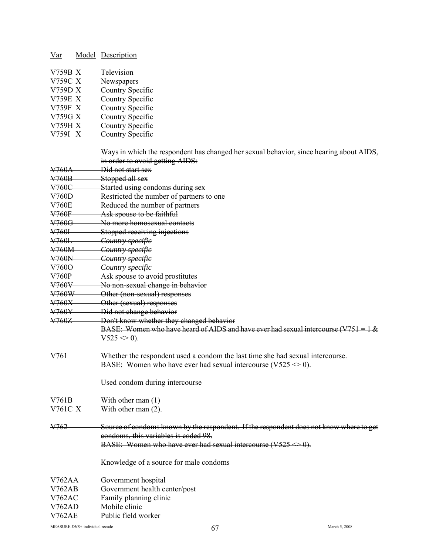|  | Var |  | Model Description |
|--|-----|--|-------------------|
|--|-----|--|-------------------|

| V759B X | Television |
|---------|------------|
|         |            |

- V759C X Newspapers
- V759D X Country Specific
- V759E X Country Specific
- V759F X Country Specific
- V759G X Country Specific
- V759H X Country Specific
- V759I X Country Specific

|                | Ways in which the respondent has changed her sexual behavior, since hearing about AIDS,<br>in order to avoid getting AIDS:                                                                |
|----------------|-------------------------------------------------------------------------------------------------------------------------------------------------------------------------------------------|
| V760A          | Did not start sex                                                                                                                                                                         |
| V760B          | Stopped all sex                                                                                                                                                                           |
| V760C          | Started using condoms during sex                                                                                                                                                          |
| V760D          | Restricted the number of partners to one                                                                                                                                                  |
| V760E          | Reduced the number of partners                                                                                                                                                            |
| ¥760F          | Ask spouse to be faithful                                                                                                                                                                 |
| V760G          | No more homosexual contacts                                                                                                                                                               |
| V760I          | Stopped receiving injections                                                                                                                                                              |
| V760L          | Country specifie                                                                                                                                                                          |
| V760M          | Country specific                                                                                                                                                                          |
| V760N          | Country specifie                                                                                                                                                                          |
| ¥7600          | Country specifie                                                                                                                                                                          |
| V760P          | Ask spouse to avoid prostitutes                                                                                                                                                           |
| V760V          | No non-sexual change in behavior                                                                                                                                                          |
| ¥760W          | Other (non-sexual) responses                                                                                                                                                              |
| V760X          | Other (sexual) responses                                                                                                                                                                  |
| ¥760¥          | Did not change behavior                                                                                                                                                                   |
| V760Z          | Don't know whether they changed behavior                                                                                                                                                  |
|                | BASE: Women who have heard of AIDS and have ever had sexual intercourse ( $V751 = 1$ &                                                                                                    |
|                | $\sqrt{525} \Leftrightarrow 0$ .                                                                                                                                                          |
| V761           | Whether the respondent used a condom the last time she had sexual intercourse.<br>BASE: Women who have ever had sexual intercourse (V525 $\leq$ 0).                                       |
|                | Used condom during intercourse                                                                                                                                                            |
| V761B          | With other man $(1)$                                                                                                                                                                      |
| <b>V761C X</b> | With other man $(2)$ .                                                                                                                                                                    |
|                |                                                                                                                                                                                           |
| V762           | Source of condoms known by the respondent. If the respondent does not know where to get<br>condoms, this variables is coded 98.<br>BASE: Women who have ever had sexual intercourse (V525 |
|                |                                                                                                                                                                                           |
|                | Knowledge of a source for male condoms                                                                                                                                                    |
| <b>V762AA</b>  | Government hospital                                                                                                                                                                       |
| V762AB         | Government health center/post                                                                                                                                                             |
| V762AC         | Family planning clinic                                                                                                                                                                    |
| V762AD         | Mobile clinic                                                                                                                                                                             |
| <b>V762AE</b>  | Public field worker                                                                                                                                                                       |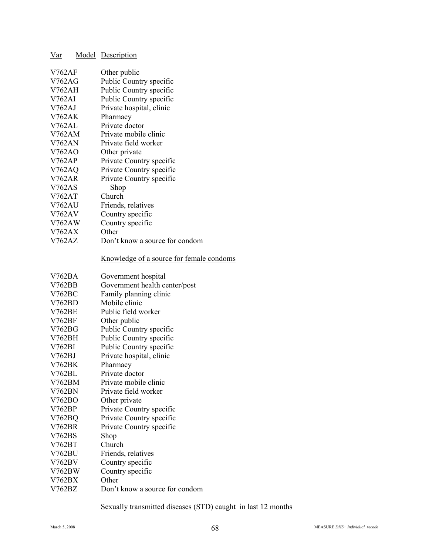| <u>Var</u>    | <b>Model</b> Description                 |
|---------------|------------------------------------------|
| <b>V762AF</b> | Other public                             |
| <b>V762AG</b> | Public Country specific                  |
| <b>V762AH</b> | Public Country specific                  |
| V762AI        | Public Country specific                  |
| V762AJ        | Private hospital, clinic                 |
| V762AK        | Pharmacy                                 |
| V762AL        | Private doctor                           |
| <b>V762AM</b> | Private mobile clinic                    |
| <b>V762AN</b> | Private field worker                     |
| V762AO        | Other private                            |
| V762AP        | Private Country specific                 |
| <b>V762AQ</b> | Private Country specific                 |
| <b>V762AR</b> | Private Country specific                 |
| <b>V762AS</b> | Shop                                     |
| <b>V762AT</b> | Church                                   |
| V762AU        | Friends, relatives                       |
| V762AV        | Country specific                         |
| V762AW        | Country specific                         |
| <b>V762AX</b> | Other                                    |
| <b>V762AZ</b> | Don't know a source for condom           |
|               | Knowledge of a source for female condoms |
| V762BA        | Government hospital                      |
| <b>V762BB</b> | Government health center/post            |
| V762BC        | Family planning clinic                   |
| V762BD        | Mobile clinic                            |
| <b>V762BE</b> | Public field worker                      |
| <b>V762BF</b> | Other public                             |
| V762BG        | Public Country specific                  |
| V762BH        | Public Country specific                  |
| V762BI        | Public Country specific                  |
| V762BJ        | Private hospital, clinic                 |
| V762BK        | Pharmacy                                 |
| V762BL        | Private doctor                           |
| V762BM        | Private mobile clinic                    |
| <b>V762BN</b> | Private field worker                     |
| V762BO        | Other private                            |
| V762BP        | Private Country specific                 |
| V762BQ        | Private Country specific                 |
| <b>V762BR</b> | Private Country specific                 |
| V762BS        | Shop                                     |
| V762BT        | Church                                   |
| <b>V762BU</b> | Friends, relatives                       |
| V762BV        | Country specific                         |
| V762BW        | Country specific                         |
| V762BX        | Other                                    |
| V762BZ        | Don't know a source for condom           |

Sexually transmitted diseases (STD) caught in last 12 months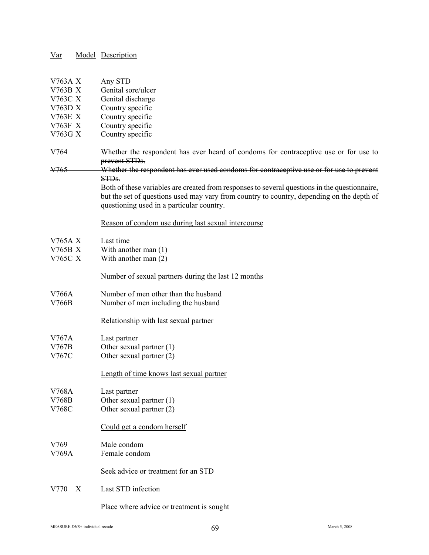| $\frac{Var}{Var}$         |   | <b>Model</b> Description                                                                      |
|---------------------------|---|-----------------------------------------------------------------------------------------------|
|                           |   |                                                                                               |
|                           |   |                                                                                               |
| V763A X                   |   | Any STD                                                                                       |
| <b>V763B X</b><br>V763C X |   | Genital sore/ulcer                                                                            |
| V763D X                   |   | Genital discharge<br>Country specific                                                         |
| <b>V763E X</b>            |   | Country specific                                                                              |
| V763F X                   |   | Country specific                                                                              |
| V763G X                   |   | Country specific                                                                              |
|                           |   |                                                                                               |
| V764                      |   | Whether the respondent has ever heard of condoms for contraceptive use or for use to          |
|                           |   | prevent STDs.                                                                                 |
| <del>V765</del>           |   | Whether the respondent has ever used condoms for contraceptive use or for use to prevent      |
|                           |   | STD <sub>s</sub> .                                                                            |
|                           |   | Both of these variables are created from responses to several questions in the questionnaire, |
|                           |   | but the set of questions used may vary from country to country, depending on the depth of     |
|                           |   | questioning used in a particular country.                                                     |
|                           |   | Reason of condom use during last sexual intercourse                                           |
|                           |   |                                                                                               |
| V765A X                   |   | Last time                                                                                     |
| V765B X                   |   | With another man $(1)$                                                                        |
| V765C X                   |   | With another man $(2)$                                                                        |
|                           |   |                                                                                               |
|                           |   | Number of sexual partners during the last 12 months                                           |
|                           |   |                                                                                               |
| V766A                     |   | Number of men other than the husband                                                          |
| V766B                     |   | Number of men including the husband                                                           |
|                           |   | Relationship with last sexual partner                                                         |
|                           |   |                                                                                               |
| V767A                     |   | Last partner                                                                                  |
| V767B                     |   | Other sexual partner (1)                                                                      |
| V767C                     |   | Other sexual partner (2)                                                                      |
|                           |   |                                                                                               |
|                           |   | Length of time knows last sexual partner                                                      |
| V768A                     |   | Last partner                                                                                  |
| V768B                     |   | Other sexual partner (1)                                                                      |
| V768C                     |   | Other sexual partner (2)                                                                      |
|                           |   |                                                                                               |
|                           |   | Could get a condom herself                                                                    |
|                           |   |                                                                                               |
| V769                      |   | Male condom                                                                                   |
| V769A                     |   | Female condom                                                                                 |
|                           |   |                                                                                               |
|                           |   | Seek advice or treatment for an STD                                                           |
| V770                      | X | Last STD infection                                                                            |
|                           |   |                                                                                               |

# Place where advice or treatment is sought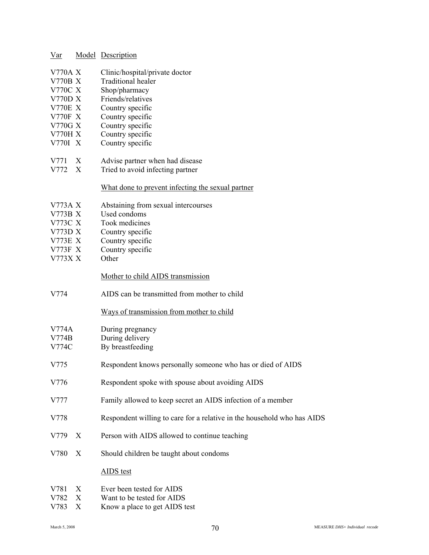| Var                       |   | <b>Model</b> Description                                                |
|---------------------------|---|-------------------------------------------------------------------------|
| <b>V770A X</b>            |   | Clinic/hospital/private doctor                                          |
| <b>V770B X</b>            |   | <b>Traditional healer</b>                                               |
| V770C X                   |   | Shop/pharmacy                                                           |
| <b>V770D X</b>            |   | Friends/relatives                                                       |
| <b>V770E X</b>            |   | Country specific                                                        |
| <b>V770F X</b>            |   | Country specific                                                        |
| V770G X                   |   | Country specific                                                        |
| <b>V770H X</b>            |   | Country specific                                                        |
| V770I X                   |   | Country specific                                                        |
| V771                      | X | Advise partner when had disease                                         |
| V772 X                    |   | Tried to avoid infecting partner                                        |
|                           |   | What done to prevent infecting the sexual partner                       |
| V773A X                   |   | Abstaining from sexual intercourses                                     |
| <b>V773B X</b><br>V773C X |   | Used condoms<br>Took medicines                                          |
| V773D X                   |   | Country specific                                                        |
| V773E X                   |   | Country specific                                                        |
| V773F X                   |   | Country specific                                                        |
| V773X X                   |   | Other                                                                   |
|                           |   | Mother to child AIDS transmission                                       |
| V774                      |   | AIDS can be transmitted from mother to child                            |
|                           |   | Ways of transmission from mother to child                               |
| V774A                     |   | During pregnancy                                                        |
| V774B                     |   | During delivery                                                         |
| V774C                     |   | By breastfeeding                                                        |
| V775                      |   | Respondent knows personally someone who has or died of AIDS             |
| V776                      |   | Respondent spoke with spouse about avoiding AIDS                        |
| V777                      |   | Family allowed to keep secret an AIDS infection of a member             |
| V778                      |   | Respondent willing to care for a relative in the household who has AIDS |
| V779                      | X | Person with AIDS allowed to continue teaching                           |
| V780                      | X | Should children be taught about condoms                                 |
|                           |   | <b>AIDS</b> test                                                        |
| V781                      | X | Ever been tested for AIDS                                               |
| V782                      | X | Want to be tested for AIDS                                              |
| V783                      | X | Know a place to get AIDS test                                           |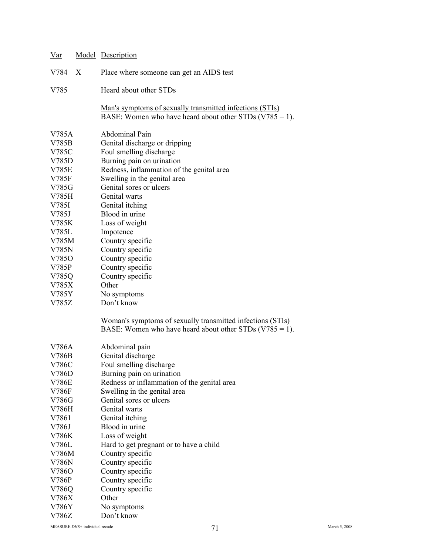| $\operatorname{Var}$                                                                                   |   | <b>Model</b> Description                                                                                                                                                                                                                                                                       |
|--------------------------------------------------------------------------------------------------------|---|------------------------------------------------------------------------------------------------------------------------------------------------------------------------------------------------------------------------------------------------------------------------------------------------|
| V784                                                                                                   | X | Place where someone can get an AIDS test                                                                                                                                                                                                                                                       |
| V785                                                                                                   |   | Heard about other STDs                                                                                                                                                                                                                                                                         |
|                                                                                                        |   | <u>Man's symptoms of sexually transmitted infections (STIs)</u><br>BASE: Women who have heard about other STDs $(V785 = 1)$ .                                                                                                                                                                  |
| V785A<br>V785B<br>V785C<br>V785D<br><b>V785E</b><br>V785F<br>V785G<br>V785H<br>V785I<br>V785J<br>V785K |   | <b>Abdominal Pain</b><br>Genital discharge or dripping<br>Foul smelling discharge<br>Burning pain on urination<br>Redness, inflammation of the genital area<br>Swelling in the genital area<br>Genital sores or ulcers<br>Genital warts<br>Genital itching<br>Blood in urine<br>Loss of weight |
| V785L<br>V785M<br>V785N<br>V7850<br>V785P<br>V785Q<br>V785X<br>V785Y<br>V785Z                          |   | Impotence<br>Country specific<br>Country specific<br>Country specific<br>Country specific<br>Country specific<br>Other<br>No symptoms<br>Don't know                                                                                                                                            |
|                                                                                                        |   | Woman's symptoms of sexually transmitted infections (STIs)<br>BASE: Women who have heard about other STDs $(V785 = 1)$ .                                                                                                                                                                       |
| V786A<br>V786B<br>V786C<br>V786D<br>V786E<br>V786F<br>V786G                                            |   | Abdominal pain<br>Genital discharge<br>Foul smelling discharge<br>Burning pain on urination<br>Redness or inflammation of the genital area<br>Swelling in the genital area<br>Genital sores or ulcers                                                                                          |
| V786H<br>V7861<br>V786J<br>V786K<br>V786L<br>V786M<br>V786N<br>V7860                                   |   | Genital warts<br>Genital itching<br>Blood in urine<br>Loss of weight<br>Hard to get pregnant or to have a child<br>Country specific<br>Country specific<br>Country specific                                                                                                                    |
| V786P<br>V786Q<br>V786X<br>V786Y<br>V786Z                                                              |   | Country specific<br>Country specific<br>Other<br>No symptoms<br>Don't know                                                                                                                                                                                                                     |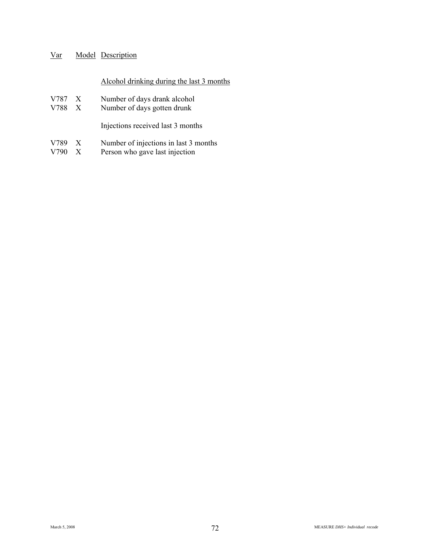# Alcohol drinking during the last 3 months

- V787 X Number of days drank alcohol<br>V788 X Number of days gotten drunk
- Number of days gotten drunk

Injections received last 3 months

- V789 X Number of injections in last 3 months<br>V790 X Person who gave last injection
- Person who gave last injection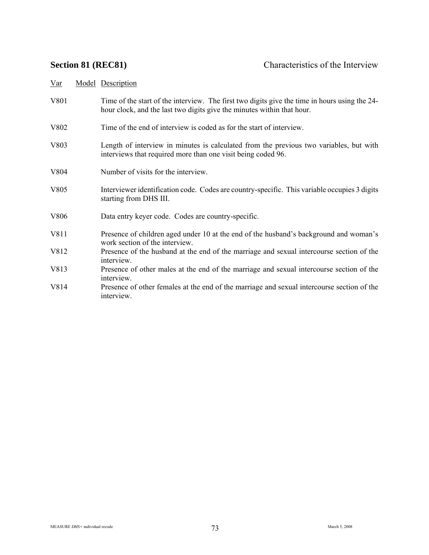| Var | Model Description |  |
|-----|-------------------|--|
|     |                   |  |

- V801 Time of the start of the interview. The first two digits give the time in hours using the 24hour clock, and the last two digits give the minutes within that hour.
- V802 Time of the end of interview is coded as for the start of interview.
- V803 Length of interview in minutes is calculated from the previous two variables, but with interviews that required more than one visit being coded 96.
- V804 Number of visits for the interview.
- V805 Interviewer identification code. Codes are country-specific. This variable occupies 3 digits starting from DHS III.
- V806 Data entry keyer code. Codes are country-specific.
- V811 Presence of children aged under 10 at the end of the husband's background and woman's work section of the interview.
- V812 Presence of the husband at the end of the marriage and sexual intercourse section of the interview.
- V813 Presence of other males at the end of the marriage and sexual intercourse section of the interview.
- V814 Presence of other females at the end of the marriage and sexual intercourse section of the interview.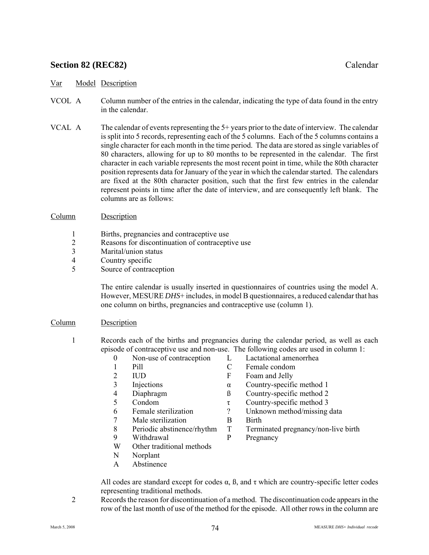# **Section 82 (REC82)** Calendar

### Var Model Description

- VCOL A Column number of the entries in the calendar, indicating the type of data found in the entry in the calendar.
- VCAL A The calendar of events representing the 5+ years prior to the date of interview. The calendar is split into 5 records, representing each of the 5 columns. Each of the 5 columns contains a single character for each month in the time period. The data are stored as single variables of 80 characters, allowing for up to 80 months to be represented in the calendar. The first character in each variable represents the most recent point in time, while the 80th character position represents data for January of the year in which the calendar started. The calendars are fixed at the 80th character position, such that the first few entries in the calendar represent points in time after the date of interview, and are consequently left blank. The columns are as follows:

#### Column Description

- 1 Births, pregnancies and contraceptive use
- 2 Reasons for discontinuation of contraceptive use
- 3 Marital/union status
- 4 Country specific
- 5 Source of contraception

 The entire calendar is usually inserted in questionnaires of countries using the model A. However, MESURE *DHS*+ includes, in model B questionnaires, a reduced calendar that has one column on births, pregnancies and contraceptive use (column 1).

### Column Description

- 1 Records each of the births and pregnancies during the calendar period, as well as each episode of contraceptive use and non-use. The following codes are used in column 1:
	- 0 Non-use of contraception L Lactational amenorrhea
	- 1 Pill C Female condom
	-
	-
	-
	-
	-
	- 7 Male sterilization B Birth
	-
	- 9 Withdrawal P Pregnancy
	- W Other traditional methods
	- N Norplant
	- A Abstinence

All codes are standard except for codes  $\alpha$ ,  $\beta$ , and  $\tau$  which are country-specific letter codes representing traditional methods.

 2 Records the reason for discontinuation of a method. The discontinuation code appears in the row of the last month of use of the method for the episode. All other rows in the column are

- 
- 
- 2 IUD F Foam and Jelly
- 3 Injections α Country-specific method 1
- 4 Diaphragm  $\beta$  Country-specific method 2<br>5 Condom  $\tau$  Country-specific method 3
	- Condom  $\tau$  Country-specific method 3<br>Female sterilization  $\gamma$  Unknown method/missing
- 6 Female sterilization ? Unknown method/missing data
	-
- 8 Periodic abstinence/rhythm T Terminated pregnancy/non-live birth
	-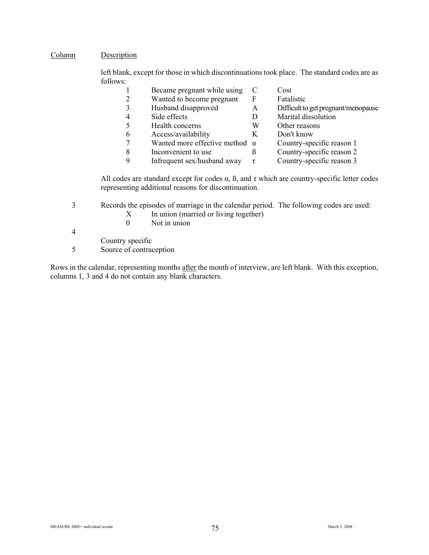### Column Description

left blank, except for those in which discontinuations took place. The standard codes are as follows:<br>1

|   | Became pregnant while using           |   | Cost                                |
|---|---------------------------------------|---|-------------------------------------|
|   | Wanted to become pregnant             | F | Fatalistic                          |
|   | Husband disapproved                   | A | Difficult to get pregnant/menopause |
| 4 | Side effects                          | D | Marital dissolution                 |
|   | Health concerns                       | W | Other reasons                       |
| 6 | Access/availability                   | Κ | Don't know                          |
|   | Wanted more effective method $\alpha$ |   | Country-specific reason 1           |
| 8 | Inconvenient to use                   | ß | Country-specific reason 2           |
| Q | Infrequent sex/husband away           | τ | Country-specific reason 3           |

All codes are standard except for codes  $\alpha$ ,  $\beta$ , and  $\tau$  which are country-specific letter codes representing additional reasons for discontinuation.

3 Records the episodes of marriage in the calendar period. The following codes are used:

- $X$  In union (married or living together)
- 0 Not in union

4

Country specific

5 Source of contraception

Rows in the calendar, representing months after the month of interview, are left blank. With this exception, columns 1, 3 and 4 do not contain any blank characters.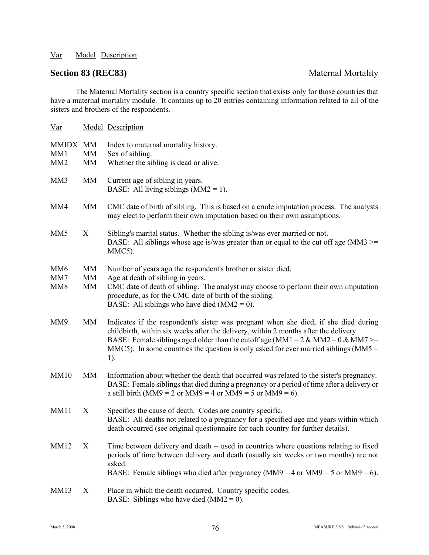# **Section 83 (REC83)** Maternal Mortality

The Maternal Mortality section is a country specific section that exists only for those countries that have a maternal mortality module. It contains up to 20 entries containing information related to all of the sisters and brothers of the respondents.

| $Var$                                     |                           | <b>Model Description</b>                                                                                                                                                                                                                                                                                                                                                |
|-------------------------------------------|---------------------------|-------------------------------------------------------------------------------------------------------------------------------------------------------------------------------------------------------------------------------------------------------------------------------------------------------------------------------------------------------------------------|
| MMIDX MM<br>MM1<br>MM <sub>2</sub>        | <b>MM</b><br>MM           | Index to maternal mortality history.<br>Sex of sibling.<br>Whether the sibling is dead or alive.                                                                                                                                                                                                                                                                        |
| MM3                                       | <b>MM</b>                 | Current age of sibling in years.<br>BASE: All living siblings $(MM2 = 1)$ .                                                                                                                                                                                                                                                                                             |
| MM4                                       | MM                        | CMC date of birth of sibling. This is based on a crude imputation process. The analysts<br>may elect to perform their own imputation based on their own assumptions.                                                                                                                                                                                                    |
| MM <sub>5</sub>                           | X                         | Sibling's marital status. Whether the sibling is/was ever married or not.<br>BASE: All siblings whose age is/was greater than or equal to the cut off age ( $MM3 \ge$<br>MMC5).                                                                                                                                                                                         |
| MM <sub>6</sub><br>MM7<br>MM <sub>8</sub> | <b>MM</b><br>MM<br>MM     | Number of years ago the respondent's brother or sister died.<br>Age at death of sibling in years.<br>CMC date of death of sibling. The analyst may choose to perform their own imputation<br>procedure, as for the CMC date of birth of the sibling.<br>BASE: All siblings who have died $(MM2 = 0)$ .                                                                  |
| MM9                                       | MM                        | Indicates if the respondent's sister was pregnant when she died, if she died during<br>childbirth, within six weeks after the delivery, within 2 months after the delivery.<br>BASE: Female siblings aged older than the cutoff age (MM1 = $2 \&$ MM2 = $0 \&$ MM7 >=<br>MMC5). In some countries the question is only asked for ever married siblings ( $MMS =$<br>1). |
| <b>MM10</b>                               | <b>MM</b>                 | Information about whether the death that occurred was related to the sister's pregnancy.<br>BASE: Female siblings that died during a pregnancy or a period of time after a delivery or<br>a still birth (MM9 = 2 or MM9 = 4 or MM9 = 5 or MM9 = 6).                                                                                                                     |
| <b>MM11</b>                               | $\boldsymbol{\mathrm{X}}$ | Specifies the cause of death. Codes are country specific.<br>BASE: All deaths not related to a pregnancy for a specified age and years within which<br>death occurred (see original questionnaire for each country for further details).                                                                                                                                |
| MM12                                      | X                         | Time between delivery and death -- used in countries where questions relating to fixed<br>periods of time between delivery and death (usually six weeks or two months) are not<br>asked.<br>BASE: Female siblings who died after pregnancy ( $MM9 = 4$ or $MM9 = 5$ or $MM9 = 6$ ).                                                                                     |
| <b>MM13</b>                               | X                         | Place in which the death occurred. Country specific codes.<br>BASE: Siblings who have died $(MM2 = 0)$ .                                                                                                                                                                                                                                                                |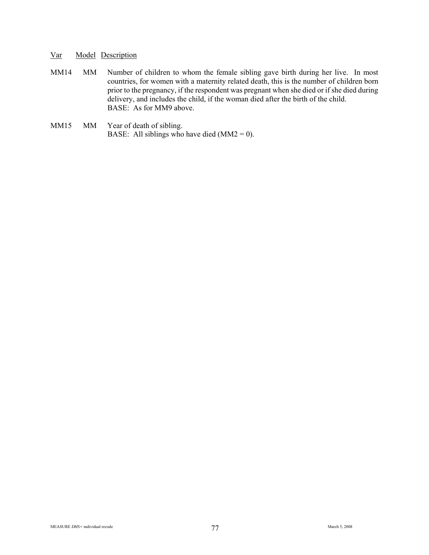- MM14 MM Number of children to whom the female sibling gave birth during her live. In most countries, for women with a maternity related death, this is the number of children born prior to the pregnancy, if the respondent was pregnant when she died or if she died during delivery, and includes the child, if the woman died after the birth of the child. BASE: As for MM9 above.
- MM15 MM Year of death of sibling. BASE: All siblings who have died  $(MM2 = 0)$ .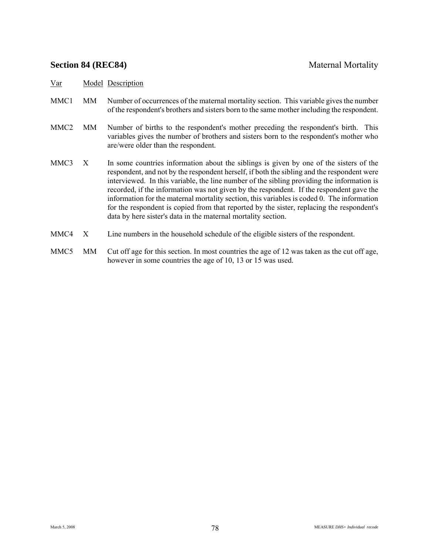## **Section 84 (REC84)** Maternal Mortality

- MMC1 MM Number of occurrences of the maternal mortality section. This variable gives the number of the respondent's brothers and sisters born to the same mother including the respondent.
- MMC2 MM Number of births to the respondent's mother preceding the respondent's birth. This variables gives the number of brothers and sisters born to the respondent's mother who are/were older than the respondent.
- MMC3 X In some countries information about the siblings is given by one of the sisters of the respondent, and not by the respondent herself, if both the sibling and the respondent were interviewed. In this variable, the line number of the sibling providing the information is recorded, if the information was not given by the respondent. If the respondent gave the information for the maternal mortality section, this variables is coded 0. The information for the respondent is copied from that reported by the sister, replacing the respondent's data by here sister's data in the maternal mortality section.
- MMC4 X Line numbers in the household schedule of the eligible sisters of the respondent.
- MMC5 MM Cut off age for this section. In most countries the age of 12 was taken as the cut off age, however in some countries the age of 10, 13 or 15 was used.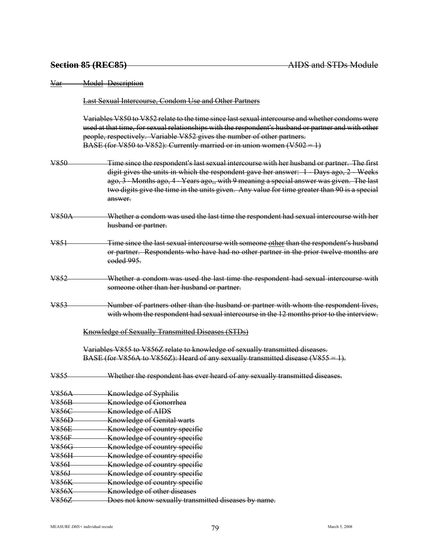Var Model Description Last Sexual Intercourse, Condom Use and Other Partners Variables V850 to V852 relate to the time since last sexual intercourse and whether condoms were used at that time, for sexual relationships with the respondent's husband or partner and with other people, respectively. Variable V852 gives the number of other partners. BASE (for V850 to V852): Currently married or in union women (V502 = 1) V850 Time since the respondent's last sexual intercourse with her husband or partner. The first digit gives the units in which the respondent gave her answer: 1 - Days ago, 2 - Weeks ago, 3 - Months ago, 4 - Years ago,, with 9 meaning a special answer was given. The last two digits give the time in the units given. Any value for time greater than 90 is a special answer. V850A Whether a condom was used the last time the respondent had sexual intercourse with her husband or partner. V851 Time since the last sexual intercourse with someone other than the respondent's husband or partner. Respondents who have had no other partner in the prior twelve months are coded 995. V852 Whether a condom was used the last time the respondent had sexual intercourse with someone other than her husband or partner. V853 Number of partners other than the husband or partner with whom the respondent lives, with whom the respondent had sexual intercourse in the 12 months prior to the interview. Knowledge of Sexually Transmitted Diseases (STDs) Variables V855 to V856Z relate to knowledge of sexually transmitted diseases. BASE (for V856A to V856Z): Heard of any sexually transmitted disease (V855 = 1). V855 Whether the respondent has ever heard of any sexually transmitted diseases. V856A Knowledge of Syphilis V856B Knowledge of Gonorrhea V856C Knowledge of AIDS V856D Knowledge of Genital warts V856E Knowledge of country specific V856F Knowledge of country specific V856G Knowledge of country specific V856H Knowledge of country specific V856I Knowledge of country specific V856J Knowledge of country specific V856K Knowledge of country specific V856X Knowledge of other diseases V856Z Does not know sexually transmitted diseases by name.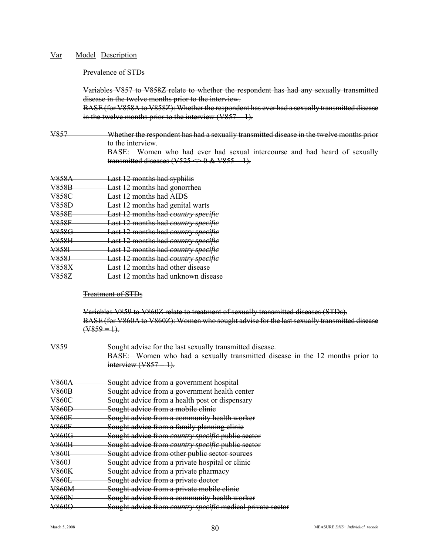#### Prevalence of STDs

Variables V857 to V858Z relate to whether the respondent has had any sexually transmitted disease in the twelve months prior to the interview.

BASE (for V858A to V858Z): Whether the respondent has ever had a sexually transmitted disease in the twelve months prior to the interview  $(V857 = 1)$ .

V857 Whether the respondent has had a sexually transmitted disease in the twelve months prior to the interview. BASE: Women who had ever had sexual intercourse and had heard of sexually

transmitted diseases (V525  $\Longleftrightarrow$  0 & V855 = 1). V858A Last 12 months had syphilis V858B Last 12 months had gonorrhea V858C Last 12 months had AIDS

- V858D Last 12 months had genital warts<br>V858E Last 12 months had country speci-**Last 12 months had** *country specific*
- V858F Last 12 months had *country specific*
- V858G Last 12 months had *country specific*
- V858H Last 12 months had *country specific*
- V858I Last 12 months had *country specific*
- V858J Last 12 months had *country specific*
- V858X Last 12 months had other disease
- V858Z Last 12 months had unknown disease

### Treatment of STDs

Variables V859 to V860Z relate to treatment of sexually transmitted diseases (STDs). BASE (for V860A to V860Z): Women who sought advise for the last sexually transmitted disease  $($ V859 = 1).

| V859         | Sought advise for the last sexually transmitted disease.                     |
|--------------|------------------------------------------------------------------------------|
|              | BASE: Women who had a sexually transmitted disease in the 12 months prior to |
|              | interview $(V857 = 1)$ .                                                     |
| <b>V860A</b> | Sought advice from a government hospital                                     |
| <b>V860B</b> | Sought advice from a government health center                                |
| <b>V860C</b> | Sought advice from a health post or dispensary                               |
| <b>V860D</b> | Sought advice from a mobile clinic                                           |
| <b>V860E</b> | Sought advice from a community health worker                                 |
| <b>V860F</b> | Sought advice from a family planning clinic                                  |
| <b>V860G</b> | Sought advice from country specific public sector                            |
| <b>V860H</b> | Sought advice from country specific public sector                            |
| V860I        | Sought advice from other public sector sources                               |
| V860J        | Sought advice from a private hospital or clinic                              |
| <b>V860K</b> | Sought advice from a private pharmacy                                        |
| <b>V860L</b> | Sought advice from a private doctor                                          |
| <b>V860M</b> | Sought advice from a private mobile clinie                                   |
| <b>V860N</b> | Sought advice from a community health worker                                 |
| V860O        | Sought advice from <i>country specific</i> medical private sector            |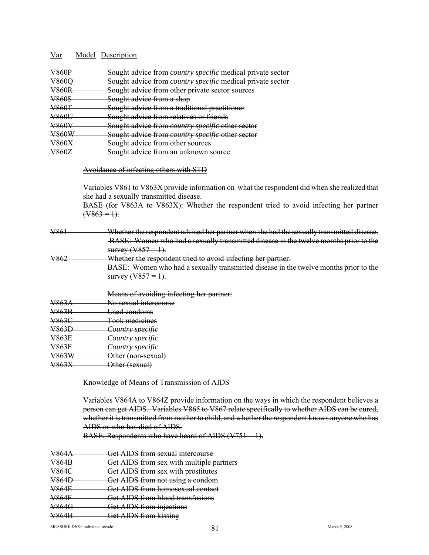| <b>V860D</b><br>$\sqrt{0001}$           | Sought advice from <i>country specific</i> medical private sector                                          |
|-----------------------------------------|------------------------------------------------------------------------------------------------------------|
| <b>V2600</b><br>$\sqrt{0000}$           | Sought advice from <i>country specific</i> medical private sector                                          |
| <b>V260P</b><br>$\sqrt{0001}$           | Sought advice from other private sector sources                                                            |
| <b>V2605</b><br>$\sqrt{1111111}$        | <u>Squabt advice from a shon</u><br><del>ovuzni auvice nom a snoc</del>                                    |
| <b>V260T</b><br>$\overline{\mathbf{v}}$ | Sought advice from a traditional practitioner<br><del>souzht auvice nom a uaunonar biacuubiel</del>        |
| V.86011<br>$\sqrt{0000}$                | Sought advice from relatives or friends                                                                    |
| <b>V260V</b><br>$\sqrt{000}$            | Sought advice from <i>country specific</i> other sector                                                    |
| VREOW<br>*********                      | Sought advice from country specific other sector<br><u>souzhi auvite from comun y specine other sector</u> |
| V860Y<br>$\sqrt{00071}$                 | Squaht advice from other courses<br><del>souzht auvice from other sources</del>                            |
| V2607<br>$\sqrt{000}$                   | <u>Sought advice trom an unknown source</u>                                                                |

#### Avoidance of infecting others with STD

Variables V861 to V863X provide information on what the respondent did when she realized that she had a sexually transmitted disease. BASE (for V863A to V863X): Whether the respondent tried to avoid infecting her partner

 $(\sqrt{863} = 1)$ .

| V861 | Whether the respondent advised her partner when she had the sexually transmitted disease.   |
|------|---------------------------------------------------------------------------------------------|
|      | BASE: Women who had a sexually transmitted disease in the twelve months prior to the        |
|      | survey $(V857 = 1)$ .                                                                       |
| V862 | Whether the respondent tried to avoid infecting her partner.                                |
|      | <b>BASE:</b> Women who had a sexually transmitted disease in the twelve months prior to the |
|      | survey $(V857 = 1$                                                                          |

|                  | Means of avoiding infecting her partner: |
|------------------|------------------------------------------|
| <del>V863A</del> | No sexual intercourse                    |
| <b>V863B</b>     | <del>Used condoms</del>                  |
| <del>V863C</del> | <b>Took medicines</b>                    |
| <del>V863D</del> | <del>Country specific</del>              |
| <del>V863E</del> | <del>Country specific</del>              |
| <u>V863F</u>     | <del>Country specific</del>              |
| <del>V863W</del> | Other (non-sexual)                       |
| <del>V863X</del> | <del>Other (sexual)</del>                |
|                  |                                          |

#### Knowledge of Means of Transmission of AIDS

Variables V864A to V864Z provide information on the ways in which the respondent believes a person can get AIDS. Variables V865 to V867 relate specifically to whether AIDS can be cured, whether it is transmitted from mother to child, and whether the respondent knows anyone who has AIDS or who has died of AIDS.

BASE: Respondents who have heard of AIDS  $(V751 = 1)$ .

| <b>V864A</b>     | Get AIDS from sexual intercourse         |
|------------------|------------------------------------------|
| <del>V864B</del> | Get AIDS from sex with multiple partners |
| <del>V864C</del> | Get AIDS from sex with prostitutes       |
| <b>V864D</b>     | Get AIDS from not using a condom         |
| <b>V864E</b>     | Get AIDS from homosexual contact         |
| <b>V864F</b>     | Get AIDS from blood transfusions         |
|                  | Get AIDS from injections                 |
|                  | Get AIDS from kissing                    |
|                  |                                          |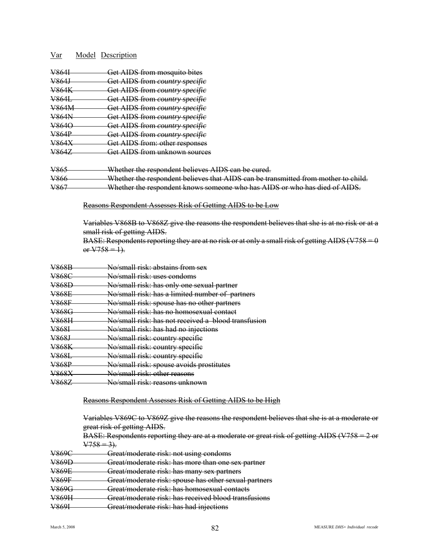| V864I        | Get AIDS from mosquito bites                                                       |
|--------------|------------------------------------------------------------------------------------|
| <u>V864J</u> | Get AIDS from country specific                                                     |
| V864K        | Get AIDS from country specific                                                     |
| V864L        | Get AIDS from country specific                                                     |
| V864M        | Get AIDS from country specific                                                     |
| V864N        | Get AIDS from country specific                                                     |
| V864O        | Get AIDS from country specific                                                     |
| <u>V864P</u> | Get AIDS from country specific                                                     |
| <u>V864X</u> | Get AIDS from: other responses                                                     |
| V864Z        | Get AIDS from unknown sources                                                      |
| V865         | Whether the respondent believes AIDS can be cured.                                 |
| V866         | Whether the respondent believes that AIDS can be transmitted from mother to child. |
| V867         | Whether the respondent knows someone who has AIDS or who has died of AIDS.         |
|              | Reasons Respondent Assesses Risk of Getting AIDS to be Low                         |

Variables V868B to V868Z give the reasons the respondent believes that she is at no risk or at a small risk of getting AIDS.

BASE: Respondents reporting they are at no risk or at only a small risk of getting AIDS (V758 =  $0$ or  $V758 = 1$ ).

| V868B            | No/small risk: abstains from sex                    |
|------------------|-----------------------------------------------------|
| <del>V868C</del> | No/small risk: uses condoms                         |
| <u>V868D</u>     | No/small risk: has only one sexual partner          |
| <b>V868E</b>     | No/small risk: has a limited number of partners     |
| <del>V868F</del> | No/small risk: spouse has no other partners         |
| <b>V868G</b>     | No/small risk: has no homosexual contact            |
| <del>V868H</del> | No/small risk: has not received a blood transfusion |
| <u>V868I</u>     | No/small risk: has had no injections                |
| <del>V868J</del> | No/small risk: country specific                     |
| <u>V868K</u>     | No/small risk: country specific                     |
| <del>V868L</del> | No/small risk: country specific                     |
| <u>V868P</u>     | No/small risk: spouse avoids prostitutes            |
| <u>V868X</u>     | No/small-risk: other reasons                        |
| <b>V868Z</b>     | No/small risk: reasons unknown                      |

#### Reasons Respondent Assesses Risk of Getting AIDS to be High

|                             |  | Variables V869C to V869Z give the reasons the respondent believes that she is at a moderate or |
|-----------------------------|--|------------------------------------------------------------------------------------------------|
| great risk of getting AIDS. |  |                                                                                                |

| $R\Lambda$ SE: Respondents reporting they are at a moderate or great risk of getting $\Lambda$ IDS (V758 = 2 or<br>$\overline{D}$ ASE. Respondents reporting they are at a moderate or great risk or getting $\overline{ADD}$ ( $\overline{VD}$ ) $\overline{Z}$ or |  |  |  |  |  |
|---------------------------------------------------------------------------------------------------------------------------------------------------------------------------------------------------------------------------------------------------------------------|--|--|--|--|--|
| $V758 = 3$ ).                                                                                                                                                                                                                                                       |  |  |  |  |  |
|                                                                                                                                                                                                                                                                     |  |  |  |  |  |

| <b>V869C</b>          | Great/moderate risk: not using condoms                                                     |
|-----------------------|--------------------------------------------------------------------------------------------|
| <b>V869D</b>          | Great/moderate risk: has more than one sex partner                                         |
| <b>V869E</b>          | Great/moderate risk: has many sex partners                                                 |
| <b>V869F</b>          | Great/moderate risk: spouse has other sexual partners                                      |
| V869G                 | Great/moderate risk: has homosexual contacts                                               |
| <b>V869H</b>          | Great/moderate rick: has received blood transfusions                                       |
| <b>V8601</b><br>100 L | Great/moderate rick: has had injections<br><del>heavmouerate nsk. nas nau injections</del> |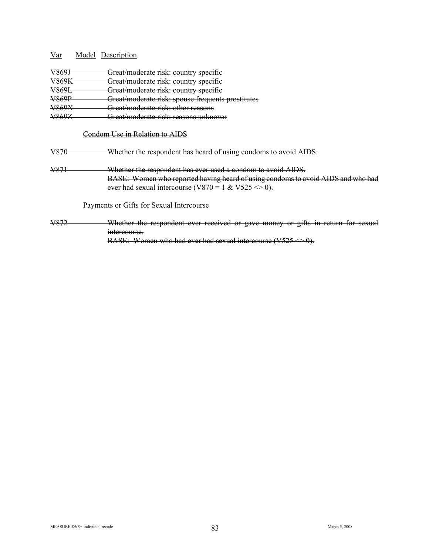| V869.            | Great/moderate risk: country specifie             |
|------------------|---------------------------------------------------|
| <b>V869K</b>     | Great/moderate risk: country specific             |
| <del>V869L</del> | Great/moderate risk: country specifie             |
| <b>V869P</b>     | Great/moderate risk: spouse frequents prostitutes |
| V.260            | Great/moderate risk: other reasons                |
|                  | Great/moderate risk: reasons unknown              |
|                  |                                                   |
|                  | $'$ ondom Hee in Relation to A                    |

### V870 Whether the respondent has heard of using condoms to avoid AIDS.

V871 Whether the respondent has ever used a condom to avoid AIDS. BASE: Women who reported having heard of using condoms to avoid AIDS and who had ever had sexual intercourse (V870 = 1 & V525  $\Longleftrightarrow$  0).

Payments or Gifts for Sexual Intercourse

V872 Whether the respondent ever received or gave money or gifts in return for sexual intercourse. BASE: Women who had ever had sexual intercourse  $(V525 \Leftrightarrow 0)$ .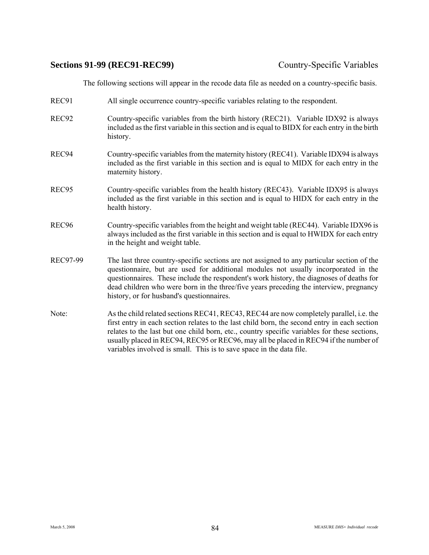### **Sections 91-99 (REC91-REC99)** Country-Specific Variables

The following sections will appear in the recode data file as needed on a country-specific basis.

- REC91 All single occurrence country-specific variables relating to the respondent.
- REC92 Country-specific variables from the birth history (REC21). Variable IDX92 is always included as the first variable in this section and is equal to BIDX for each entry in the birth history.
- REC94 Country-specific variables from the maternity history (REC41). Variable IDX94 is always included as the first variable in this section and is equal to MIDX for each entry in the maternity history.
- REC95 Country-specific variables from the health history (REC43). Variable IDX95 is always included as the first variable in this section and is equal to HIDX for each entry in the health history.
- REC96 Country-specific variables from the height and weight table (REC44). Variable IDX96 is always included as the first variable in this section and is equal to HWIDX for each entry in the height and weight table.
- REC97-99 The last three country-specific sections are not assigned to any particular section of the questionnaire, but are used for additional modules not usually incorporated in the questionnaires. These include the respondent's work history, the diagnoses of deaths for dead children who were born in the three/five years preceding the interview, pregnancy history, or for husband's questionnaires.
- Note: As the child related sections REC41, REC43, REC44 are now completely parallel, i.e. the first entry in each section relates to the last child born, the second entry in each section relates to the last but one child born, etc., country specific variables for these sections, usually placed in REC94, REC95 or REC96, may all be placed in REC94 if the number of variables involved is small. This is to save space in the data file.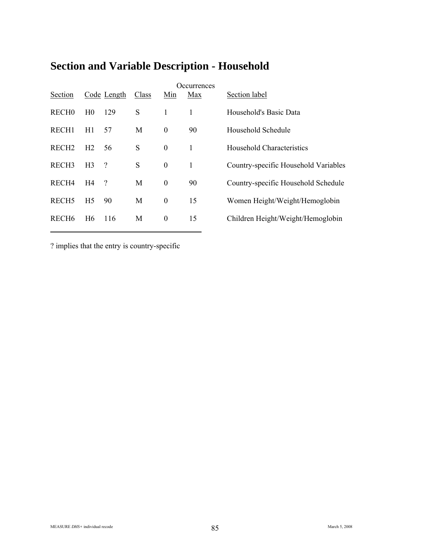| Section           |                | Code Length | Class | Min              | Occurrences<br>Max | Section label                        |
|-------------------|----------------|-------------|-------|------------------|--------------------|--------------------------------------|
| <b>RECHO</b>      | H <sub>0</sub> | 129         | S     | 1                |                    | Household's Basic Data               |
| RECH <sub>1</sub> | H1             | 57          | M     | $\boldsymbol{0}$ | 90                 | Household Schedule                   |
| RECH <sub>2</sub> | H <sub>2</sub> | 56          | S     | $\boldsymbol{0}$ | 1                  | Household Characteristics            |
| RECH <sub>3</sub> | H <sub>3</sub> | ?           | S     | $\boldsymbol{0}$ | $\mathbf{1}$       | Country-specific Household Variables |
| RECH <sub>4</sub> | H4             | ?           | M     | $\boldsymbol{0}$ | 90                 | Country-specific Household Schedule  |
| RECH <sub>5</sub> | H <sub>5</sub> | 90          | M     | $\boldsymbol{0}$ | 15                 | Women Height/Weight/Hemoglobin       |
| RECH <sub>6</sub> | H <sub>6</sub> | 116         | M     | $\boldsymbol{0}$ | 15                 | Children Height/Weight/Hemoglobin    |

# **Section and Variable Description - Household**

? implies that the entry is country-specific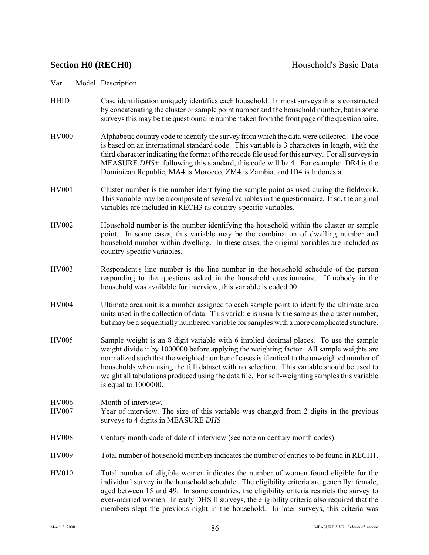- HHID Case identification uniquely identifies each household. In most surveys this is constructed by concatenating the cluster or sample point number and the household number, but in some surveys this may be the questionnaire number taken from the front page of the questionnaire.
- HV000 Alphabetic country code to identify the survey from which the data were collected. The code is based on an international standard code. This variable is 3 characters in length, with the third character indicating the format of the recode file used for this survey. For all surveys in MEASURE *DHS*+ following this standard, this code will be 4. For example: DR4 is the Dominican Republic, MA4 is Morocco, ZM4 is Zambia, and ID4 is Indonesia.
- HV001 Cluster number is the number identifying the sample point as used during the fieldwork. This variable may be a composite of several variables in the questionnaire. If so, the original variables are included in RECH3 as country-specific variables.
- HV002 Household number is the number identifying the household within the cluster or sample point. In some cases, this variable may be the combination of dwelling number and household number within dwelling. In these cases, the original variables are included as country-specific variables.
- HV003 Respondent's line number is the line number in the household schedule of the person responding to the questions asked in the household questionnaire. If nobody in the household was available for interview, this variable is coded 00.
- HV004 Ultimate area unit is a number assigned to each sample point to identify the ultimate area units used in the collection of data. This variable is usually the same as the cluster number, but may be a sequentially numbered variable for samples with a more complicated structure.
- HV005 Sample weight is an 8 digit variable with 6 implied decimal places. To use the sample weight divide it by 1000000 before applying the weighting factor. All sample weights are normalized such that the weighted number of cases is identical to the unweighted number of households when using the full dataset with no selection. This variable should be used to weight all tabulations produced using the data file. For self-weighting samples this variable is equal to 1000000.
- HV006 Month of interview. HV007 Year of interview. The size of this variable was changed from 2 digits in the previous surveys to 4 digits in MEASURE *DHS*+.
- HV008 Century month code of date of interview (see note on century month codes).
- HV009 Total number of household members indicates the number of entries to be found in RECH1.
- HV010 Total number of eligible women indicates the number of women found eligible for the individual survey in the household schedule. The eligibility criteria are generally: female, aged between 15 and 49. In some countries, the eligibility criteria restricts the survey to ever-married women. In early DHS II surveys, the eligibility criteria also required that the members slept the previous night in the household. In later surveys, this criteria was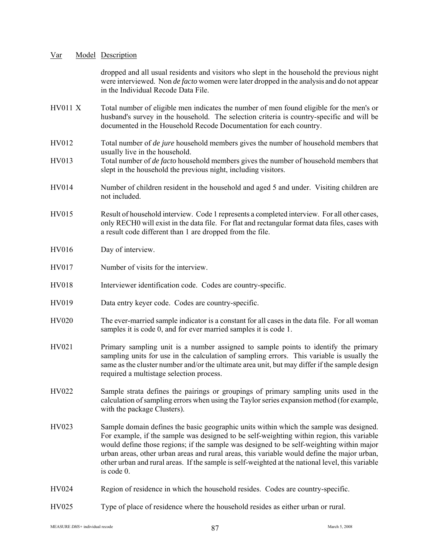|                | dropped and all usual residents and visitors who slept in the household the previous night<br>were interviewed. Non <i>de facto</i> women were later dropped in the analysis and do not appear<br>in the Individual Recode Data File.                                                                                                                                                                                                                                                            |
|----------------|--------------------------------------------------------------------------------------------------------------------------------------------------------------------------------------------------------------------------------------------------------------------------------------------------------------------------------------------------------------------------------------------------------------------------------------------------------------------------------------------------|
| <b>HV011 X</b> | Total number of eligible men indicates the number of men found eligible for the men's or<br>husband's survey in the household. The selection criteria is country-specific and will be<br>documented in the Household Recode Documentation for each country.                                                                                                                                                                                                                                      |
| HV012          | Total number of <i>de jure</i> household members gives the number of household members that                                                                                                                                                                                                                                                                                                                                                                                                      |
| HV013          | usually live in the household.<br>Total number of <i>de facto</i> household members gives the number of household members that<br>slept in the household the previous night, including visitors.                                                                                                                                                                                                                                                                                                 |
| HV014          | Number of children resident in the household and aged 5 and under. Visiting children are<br>not included.                                                                                                                                                                                                                                                                                                                                                                                        |
| HV015          | Result of household interview. Code 1 represents a completed interview. For all other cases,<br>only RECH0 will exist in the data file. For flat and rectangular format data files, cases with<br>a result code different than 1 are dropped from the file.                                                                                                                                                                                                                                      |
| <b>HV016</b>   | Day of interview.                                                                                                                                                                                                                                                                                                                                                                                                                                                                                |
| <b>HV017</b>   | Number of visits for the interview.                                                                                                                                                                                                                                                                                                                                                                                                                                                              |
| <b>HV018</b>   | Interviewer identification code. Codes are country-specific.                                                                                                                                                                                                                                                                                                                                                                                                                                     |
| HV019          | Data entry keyer code. Codes are country-specific.                                                                                                                                                                                                                                                                                                                                                                                                                                               |
| HV020          | The ever-married sample indicator is a constant for all cases in the data file. For all woman<br>samples it is code 0, and for ever married samples it is code 1.                                                                                                                                                                                                                                                                                                                                |
| HV021          | Primary sampling unit is a number assigned to sample points to identify the primary<br>sampling units for use in the calculation of sampling errors. This variable is usually the<br>same as the cluster number and/or the ultimate area unit, but may differ if the sample design<br>required a multistage selection process.                                                                                                                                                                   |
| HV022          | Sample strata defines the pairings or groupings of primary sampling units used in the<br>calculation of sampling errors when using the Taylor series expansion method (for example,<br>with the package Clusters).                                                                                                                                                                                                                                                                               |
| HV023          | Sample domain defines the basic geographic units within which the sample was designed.<br>For example, if the sample was designed to be self-weighting within region, this variable<br>would define those regions; if the sample was designed to be self-weighting within major<br>urban areas, other urban areas and rural areas, this variable would define the major urban,<br>other urban and rural areas. If the sample is self-weighted at the national level, this variable<br>is code 0. |
| HV024          | Region of residence in which the household resides. Codes are country-specific.                                                                                                                                                                                                                                                                                                                                                                                                                  |
| HV025          | Type of place of residence where the household resides as either urban or rural.                                                                                                                                                                                                                                                                                                                                                                                                                 |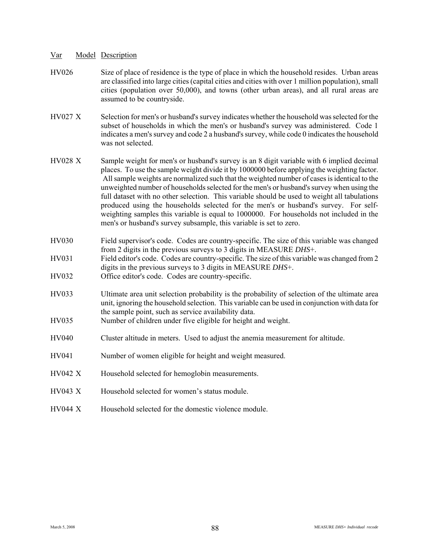- HV026 Size of place of residence is the type of place in which the household resides. Urban areas are classified into large cities (capital cities and cities with over 1 million population), small cities (population over 50,000), and towns (other urban areas), and all rural areas are assumed to be countryside.
- HV027 X Selection for men's or husband's survey indicates whether the household was selected for the subset of households in which the men's or husband's survey was administered. Code 1 indicates a men's survey and code 2 a husband's survey, while code 0 indicates the household was not selected.
- HV028 X Sample weight for men's or husband's survey is an 8 digit variable with 6 implied decimal places. To use the sample weight divide it by 1000000 before applying the weighting factor. All sample weights are normalized such that the weighted number of cases is identical to the unweighted number of households selected for the men's or husband's survey when using the full dataset with no other selection. This variable should be used to weight all tabulations produced using the households selected for the men's or husband's survey. For selfweighting samples this variable is equal to 1000000. For households not included in the men's or husband's survey subsample, this variable is set to zero.
- HV030 Field supervisor's code. Codes are country-specific. The size of this variable was changed from 2 digits in the previous surveys to 3 digits in MEASURE *DHS*+.
- HV031 Field editor's code. Codes are country-specific. The size of this variable was changed from 2 digits in the previous surveys to 3 digits in MEASURE *DHS*+.
- HV032 Office editor's code. Codes are country-specific.
- HV033 Ultimate area unit selection probability is the probability of selection of the ultimate area unit, ignoring the household selection. This variable can be used in conjunction with data for the sample point, such as service availability data.
- HV035 Number of children under five eligible for height and weight.
- HV040 Cluster altitude in meters. Used to adjust the anemia measurement for altitude.
- HV041 Number of women eligible for height and weight measured.
- HV042 X Household selected for hemoglobin measurements.
- HV043 X Household selected for women's status module.
- HV044 X Household selected for the domestic violence module.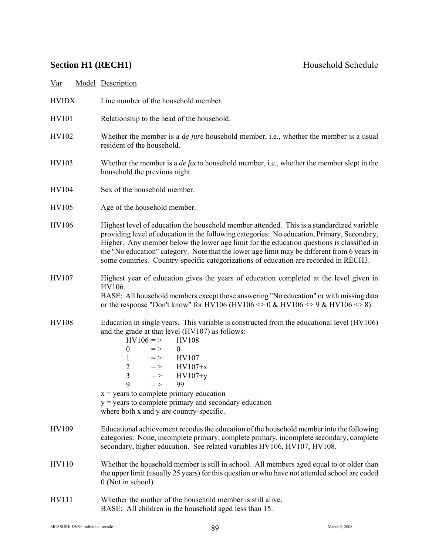# **Section H1 (RECH1)** Household Schedule

| <u>Var</u>   |  | <b>Model Description</b>                                                                                                                                                                                                                                                                                                                                                                                                                                                                                                                    |  |  |
|--------------|--|---------------------------------------------------------------------------------------------------------------------------------------------------------------------------------------------------------------------------------------------------------------------------------------------------------------------------------------------------------------------------------------------------------------------------------------------------------------------------------------------------------------------------------------------|--|--|
| <b>HVIDX</b> |  | Line number of the household member.                                                                                                                                                                                                                                                                                                                                                                                                                                                                                                        |  |  |
| <b>HV101</b> |  | Relationship to the head of the household.                                                                                                                                                                                                                                                                                                                                                                                                                                                                                                  |  |  |
| HV102        |  | Whether the member is a <i>de jure</i> household member, i.e., whether the member is a usual<br>resident of the household.                                                                                                                                                                                                                                                                                                                                                                                                                  |  |  |
| HV103        |  | Whether the member is a <i>de facto</i> household member, i.e., whether the member slept in the<br>household the previous night.                                                                                                                                                                                                                                                                                                                                                                                                            |  |  |
| HV104        |  | Sex of the household member.                                                                                                                                                                                                                                                                                                                                                                                                                                                                                                                |  |  |
| <b>HV105</b> |  | Age of the household member.                                                                                                                                                                                                                                                                                                                                                                                                                                                                                                                |  |  |
| <b>HV106</b> |  | Highest level of education the household member attended. This is a standardized variable<br>providing level of education in the following categories: No education, Primary, Secondary,<br>Higher. Any member below the lower age limit for the education questions is classified in<br>the "No education" category. Note that the lower age limit may be different from 6 years in<br>some countries. Country-specific categorizations of education are recorded in RECH3.                                                                |  |  |
| HV107        |  | Highest year of education gives the years of education completed at the level given in<br>HV106.                                                                                                                                                                                                                                                                                                                                                                                                                                            |  |  |
|              |  | BASE: All household members except those answering "No education" or with missing data<br>or the response "Don't know" for HV106 (HV106 $\approx$ 0 & HV106 $\approx$ 9 & HV106 $\approx$ 8).                                                                                                                                                                                                                                                                                                                                               |  |  |
| <b>HV108</b> |  | Education in single years. This variable is constructed from the educational level (HV106)<br>and the grade at that level (HV107) as follows:<br>$HV106 = >$<br><b>HV108</b><br>$\boldsymbol{0}$<br>$=$ $>$<br>$\overline{0}$<br>HV107<br>1<br>$=$ $>$<br>$\overline{2}$<br>$HV107+x$<br>$=$ $>$<br>$\overline{\mathbf{3}}$<br>$=$ $>$<br>$HV107+y$<br>9<br>99<br>$=$ $>$<br>$x = \text{years}$ to complete primary education<br>$y = \text{years}$ to complete primary and secondary education<br>where both x and y are country-specific. |  |  |
| HV109        |  | Educational achievement recodes the education of the household member into the following<br>categories: None, incomplete primary, complete primary, incomplete secondary, complete<br>secondary, higher education. See related variables HV106, HV107, HV108.                                                                                                                                                                                                                                                                               |  |  |
| HV110        |  | Whether the household member is still in school. All members aged equal to or older than<br>the upper limit (usually 25 years) for this question or who have not attended school are coded<br>0 (Not in school).                                                                                                                                                                                                                                                                                                                            |  |  |
| HV111        |  | Whether the mother of the household member is still alive.<br>BASE: All children in the household aged less than 15.                                                                                                                                                                                                                                                                                                                                                                                                                        |  |  |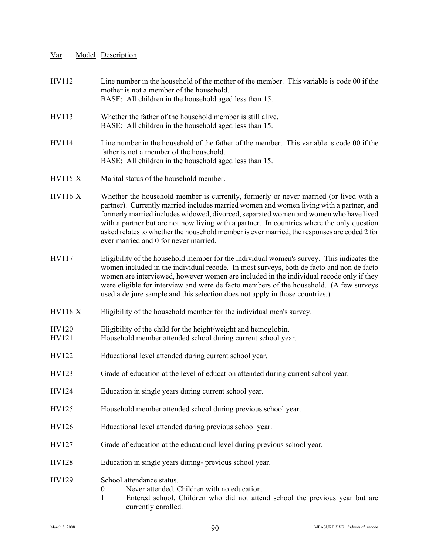| HV112          | Line number in the household of the mother of the member. This variable is code 00 if the<br>mother is not a member of the household.<br>BASE: All children in the household aged less than 15.                                                                                                                                                                                                                                                                                                                  |  |  |  |  |
|----------------|------------------------------------------------------------------------------------------------------------------------------------------------------------------------------------------------------------------------------------------------------------------------------------------------------------------------------------------------------------------------------------------------------------------------------------------------------------------------------------------------------------------|--|--|--|--|
| HV113          | Whether the father of the household member is still alive.<br>BASE: All children in the household aged less than 15.                                                                                                                                                                                                                                                                                                                                                                                             |  |  |  |  |
| HV114          | Line number in the household of the father of the member. This variable is code 00 if the<br>father is not a member of the household.<br>BASE: All children in the household aged less than 15.                                                                                                                                                                                                                                                                                                                  |  |  |  |  |
| <b>HV115 X</b> | Marital status of the household member.                                                                                                                                                                                                                                                                                                                                                                                                                                                                          |  |  |  |  |
| <b>HV116 X</b> | Whether the household member is currently, formerly or never married (or lived with a<br>partner). Currently married includes married women and women living with a partner, and<br>formerly married includes widowed, divorced, separated women and women who have lived<br>with a partner but are not now living with a partner. In countries where the only question<br>asked relates to whether the household member is ever married, the responses are coded 2 for<br>ever married and 0 for never married. |  |  |  |  |
| HV117          | Eligibility of the household member for the individual women's survey. This indicates the<br>women included in the individual recode. In most surveys, both de facto and non de facto<br>women are interviewed, however women are included in the individual recode only if they<br>were eligible for interview and were de facto members of the household. (A few surveys<br>used a de jure sample and this selection does not apply in those countries.)                                                       |  |  |  |  |
| <b>HV118 X</b> | Eligibility of the household member for the individual men's survey.                                                                                                                                                                                                                                                                                                                                                                                                                                             |  |  |  |  |
| HV120<br>HV121 | Eligibility of the child for the height/weight and hemoglobin.<br>Household member attended school during current school year.                                                                                                                                                                                                                                                                                                                                                                                   |  |  |  |  |
| HV122          | Educational level attended during current school year.                                                                                                                                                                                                                                                                                                                                                                                                                                                           |  |  |  |  |
| HV123          | Grade of education at the level of education attended during current school year.                                                                                                                                                                                                                                                                                                                                                                                                                                |  |  |  |  |
| HV124          | Education in single years during current school year.                                                                                                                                                                                                                                                                                                                                                                                                                                                            |  |  |  |  |
| HV125          | Household member attended school during previous school year.                                                                                                                                                                                                                                                                                                                                                                                                                                                    |  |  |  |  |
| HV126          | Educational level attended during previous school year.                                                                                                                                                                                                                                                                                                                                                                                                                                                          |  |  |  |  |
| HV127          | Grade of education at the educational level during previous school year.                                                                                                                                                                                                                                                                                                                                                                                                                                         |  |  |  |  |
| <b>HV128</b>   | Education in single years during- previous school year.                                                                                                                                                                                                                                                                                                                                                                                                                                                          |  |  |  |  |
| HV129          | School attendance status.<br>Never attended. Children with no education.<br>$\boldsymbol{0}$<br>$\mathbf{1}$<br>Entered school. Children who did not attend school the previous year but are<br>currently enrolled.                                                                                                                                                                                                                                                                                              |  |  |  |  |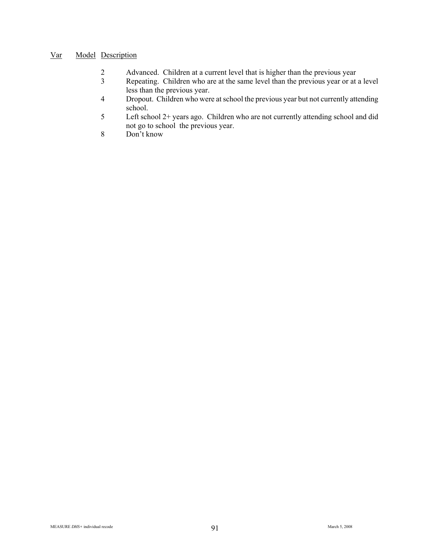- 2 Advanced. Children at a current level that is higher than the previous year<br>
2 Repeating. Children who are at the same level than the previous year or at
- Repeating. Children who are at the same level than the previous year or at a level less than the previous year.
- 4 Dropout. Children who were at school the previous year but not currently attending school.
- 5 Left school 2+ years ago. Children who are not currently attending school and did not go to school the previous year.
- 8 Don't know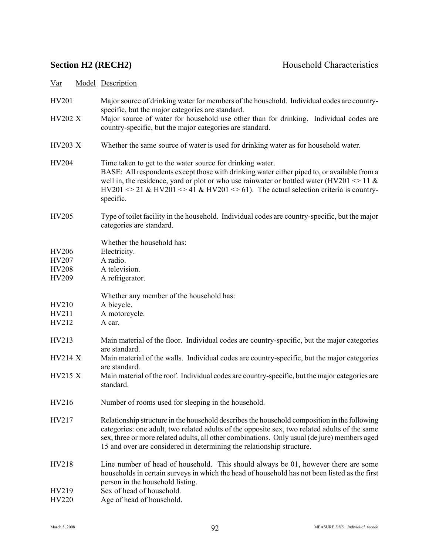| HV201                                          | Major source of drinking water for members of the household. Individual codes are country-<br>specific, but the major categories are standard.                                                                                                                                                                                                                                      |
|------------------------------------------------|-------------------------------------------------------------------------------------------------------------------------------------------------------------------------------------------------------------------------------------------------------------------------------------------------------------------------------------------------------------------------------------|
| <b>HV202 X</b>                                 | Major source of water for household use other than for drinking. Individual codes are<br>country-specific, but the major categories are standard.                                                                                                                                                                                                                                   |
| <b>HV203 X</b>                                 | Whether the same source of water is used for drinking water as for household water.                                                                                                                                                                                                                                                                                                 |
| HV204                                          | Time taken to get to the water source for drinking water.<br>BASE: All respondents except those with drinking water either piped to, or available from a<br>well in, the residence, yard or plot or who use rainwater or bottled water (HV201 $\leq$ 11 &<br>$HV201 \approx 21$ & HV201 $\approx 41$ & HV201 $\approx 61$ ). The actual selection criteria is country-<br>specific. |
| HV205                                          | Type of toilet facility in the household. Individual codes are country-specific, but the major<br>categories are standard.                                                                                                                                                                                                                                                          |
| <b>HV206</b><br>HV207<br><b>HV208</b><br>HV209 | Whether the household has:<br>Electricity.<br>A radio.<br>A television.<br>A refrigerator.                                                                                                                                                                                                                                                                                          |
| HV210<br>HV211<br>HV212                        | Whether any member of the household has:<br>A bicycle.<br>A motorcycle.<br>A car.                                                                                                                                                                                                                                                                                                   |
| HV213                                          | Main material of the floor. Individual codes are country-specific, but the major categories                                                                                                                                                                                                                                                                                         |
| <b>HV214 X</b>                                 | are standard.<br>Main material of the walls. Individual codes are country-specific, but the major categories<br>are standard.                                                                                                                                                                                                                                                       |
| <b>HV215 X</b>                                 | Main material of the roof. Individual codes are country-specific, but the major categories are<br>standard.                                                                                                                                                                                                                                                                         |
| HV216                                          | Number of rooms used for sleeping in the household.                                                                                                                                                                                                                                                                                                                                 |
| HV217                                          | Relationship structure in the household describes the household composition in the following<br>categories: one adult, two related adults of the opposite sex, two related adults of the same<br>sex, three or more related adults, all other combinations. Only usual (de jure) members aged<br>15 and over are considered in determining the relationship structure.              |
| HV218                                          | Line number of head of household. This should always be 01, however there are some<br>households in certain surveys in which the head of household has not been listed as the first<br>person in the household listing.                                                                                                                                                             |
| HV219<br>HV220                                 | Sex of head of household.<br>Age of head of household.                                                                                                                                                                                                                                                                                                                              |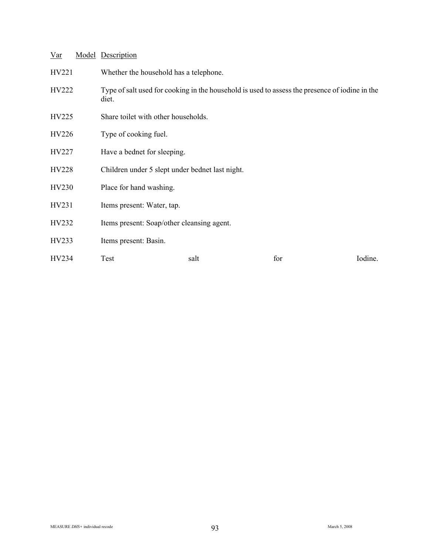| <u>Var</u> | <b>Model Description</b>                                                                                |      |     |         |
|------------|---------------------------------------------------------------------------------------------------------|------|-----|---------|
| HV221      | Whether the household has a telephone.                                                                  |      |     |         |
| HV222      | Type of salt used for cooking in the household is used to assess the presence of iodine in the<br>diet. |      |     |         |
| HV225      | Share toilet with other households.                                                                     |      |     |         |
| HV226      | Type of cooking fuel.                                                                                   |      |     |         |
| HV227      | Have a bednet for sleeping.                                                                             |      |     |         |
| HV228      | Children under 5 slept under bednet last night.                                                         |      |     |         |
| HV230      | Place for hand washing.                                                                                 |      |     |         |
| HV231      | Items present: Water, tap.                                                                              |      |     |         |
| HV232      | Items present: Soap/other cleansing agent.                                                              |      |     |         |
| HV233      | Items present: Basin.                                                                                   |      |     |         |
| HV234      | Test                                                                                                    | salt | for | Iodine. |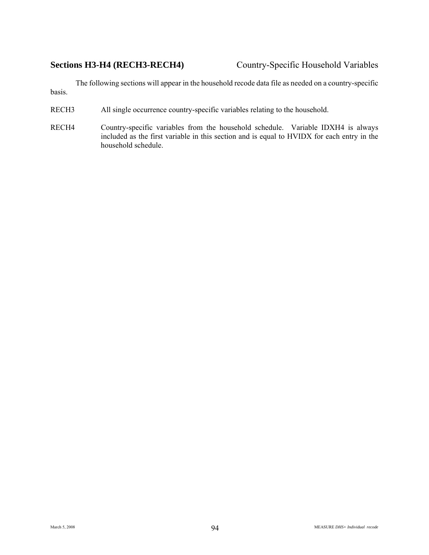# **Sections H3-H4 (RECH3-RECH4)** Country-Specific Household Variables

The following sections will appear in the household recode data file as needed on a country-specific basis.

- RECH3 All single occurrence country-specific variables relating to the household.
- RECH4 Country-specific variables from the household schedule. Variable IDXH4 is always included as the first variable in this section and is equal to HVIDX for each entry in the household schedule.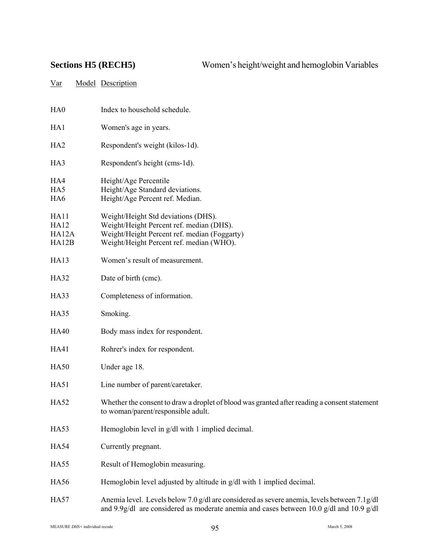| HA <sub>0</sub>                       | Index to household schedule.                                                                                                                                                                      |
|---------------------------------------|---------------------------------------------------------------------------------------------------------------------------------------------------------------------------------------------------|
| HA1                                   | Women's age in years.                                                                                                                                                                             |
| HA <sub>2</sub>                       | Respondent's weight (kilos-1d).                                                                                                                                                                   |
| HA3                                   | Respondent's height (cms-1d).                                                                                                                                                                     |
| HA4<br>HA5<br>HA <sub>6</sub>         | Height/Age Percentile<br>Height/Age Standard deviations.<br>Height/Age Percent ref. Median.                                                                                                       |
| HA11<br><b>HA12</b><br>HA12A<br>HA12B | Weight/Height Std deviations (DHS).<br>Weight/Height Percent ref. median (DHS).<br>Weight/Height Percent ref. median (Foggarty)<br>Weight/Height Percent ref. median (WHO).                       |
| <b>HA13</b>                           | Women's result of measurement.                                                                                                                                                                    |
| <b>HA32</b>                           | Date of birth (cmc).                                                                                                                                                                              |
| HA33                                  | Completeness of information.                                                                                                                                                                      |
| <b>HA35</b>                           | Smoking.                                                                                                                                                                                          |
| <b>HA40</b>                           | Body mass index for respondent.                                                                                                                                                                   |
| <b>HA41</b>                           | Rohrer's index for respondent.                                                                                                                                                                    |
| <b>HA50</b>                           | Under age 18.                                                                                                                                                                                     |
| <b>HA51</b>                           | Line number of parent/caretaker.                                                                                                                                                                  |
| <b>HA52</b>                           | Whether the consent to draw a droplet of blood was granted after reading a consent statement<br>to woman/parent/responsible adult.                                                                |
| <b>HA53</b>                           | Hemoglobin level in g/dl with 1 implied decimal.                                                                                                                                                  |
| <b>HA54</b>                           | Currently pregnant.                                                                                                                                                                               |
| <b>HA55</b>                           | Result of Hemoglobin measuring.                                                                                                                                                                   |
| <b>HA56</b>                           | Hemoglobin level adjusted by altitude in g/dl with 1 implied decimal.                                                                                                                             |
| <b>HA57</b>                           | Anemia level. Levels below 7.0 g/dl are considered as severe anemia, levels between 7.1 g/dl<br>and 9.9 $g$ /dl are considered as moderate anemia and cases between 10.0 $g$ /dl and 10.9 $g$ /dl |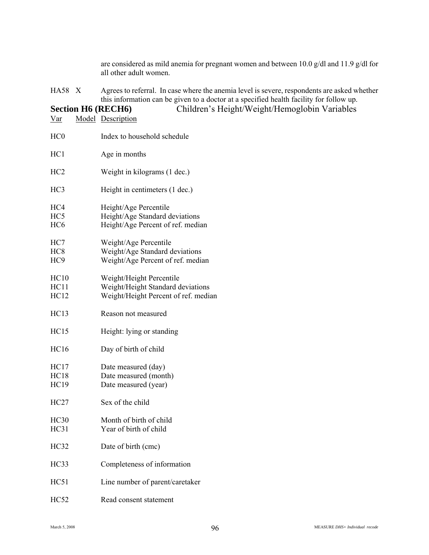are considered as mild anemia for pregnant women and between 10.0  $g/dl$  and 11.9  $g/dl$  for all other adult women.

HA58 X Agrees to referral. In case where the anemia level is severe, respondents are asked whether this information can be given to a doctor at a specified health facility for follow up.

# **Section H6 (RECH6)** Children's Height/Weight/Hemoglobin Variables

Var Model Description HC0 Index to household schedule HC1 Age in months HC2 Weight in kilograms (1 dec.) HC3 Height in centimeters (1 dec.) HC4 Height/Age Percentile HC5 Height/Age Standard deviations HC6 Height/Age Percent of ref. median HC7 Weight/Age Percentile HC8 Weight/Age Standard deviations HC9 Weight/Age Percent of ref. median HC10 Weight/Height Percentile HC11 Weight/Height Standard deviations HC12 Weight/Height Percent of ref. median HC13 Reason not measured HC15 Height: lying or standing HC16 Day of birth of child HC17 Date measured (day) HC18 Date measured (month) HC19 Date measured (year) HC27 Sex of the child HC30 Month of birth of child HC31 Year of birth of child HC32 Date of birth (cmc) HC33 Completeness of information HC51 Line number of parent/caretaker HC52 Read consent statement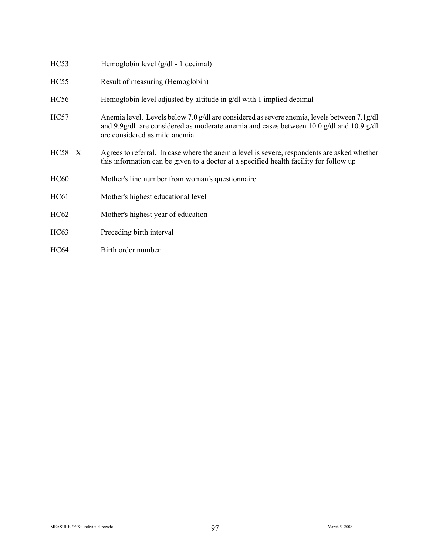| HC53             | Hemoglobin level (g/dl - 1 decimal)                                                                                                                                                                                              |
|------------------|----------------------------------------------------------------------------------------------------------------------------------------------------------------------------------------------------------------------------------|
| HC <sub>55</sub> | Result of measuring (Hemoglobin)                                                                                                                                                                                                 |
| <b>HC56</b>      | Hemoglobin level adjusted by altitude in g/dl with 1 implied decimal                                                                                                                                                             |
| HC57             | Anemia level. Levels below 7.0 g/dl are considered as severe anemia, levels between 7.1 g/dl<br>and 9.9 $g/dl$ are considered as moderate anemia and cases between 10.0 $g/dl$ and 10.9 $g/dl$<br>are considered as mild anemia. |
| <b>HC58</b> X    | Agrees to referral. In case where the anemia level is severe, respondents are asked whether<br>this information can be given to a doctor at a specified health facility for follow up                                            |
| <b>HC60</b>      | Mother's line number from woman's questionnaire                                                                                                                                                                                  |
| HC61             | Mother's highest educational level                                                                                                                                                                                               |
| HC62             | Mother's highest year of education                                                                                                                                                                                               |
| HC63             | Preceding birth interval                                                                                                                                                                                                         |
| <b>HC64</b>      | Birth order number                                                                                                                                                                                                               |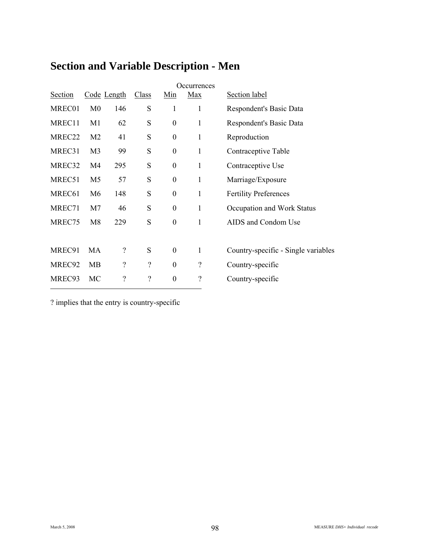|                    |                |                          |                          |                  | Occurrences              |                                     |
|--------------------|----------------|--------------------------|--------------------------|------------------|--------------------------|-------------------------------------|
| Section            |                | Code Length              | Class                    | Min              | Max                      | Section label                       |
| MREC01             | M <sub>0</sub> | 146                      | S                        | 1                | 1                        | Respondent's Basic Data             |
| MREC11             | M <sub>1</sub> | 62                       | S                        | $\boldsymbol{0}$ | $\mathbf{1}$             | Respondent's Basic Data             |
| MREC22             | M <sub>2</sub> | 41                       | S                        | $\boldsymbol{0}$ | $\mathbf{1}$             | Reproduction                        |
| MREC31             | M <sub>3</sub> | 99                       | S                        | $\boldsymbol{0}$ | $\mathbf{1}$             | Contraceptive Table                 |
| MREC32             | M4             | 295                      | S                        | $\boldsymbol{0}$ | $\mathbf{1}$             | Contraceptive Use                   |
| MREC51             | M <sub>5</sub> | 57                       | S                        | $\boldsymbol{0}$ | $\mathbf{1}$             | Marriage/Exposure                   |
| MREC <sub>61</sub> | M <sub>6</sub> | 148                      | ${\bf S}$                | $\boldsymbol{0}$ | $\mathbf{1}$             | <b>Fertility Preferences</b>        |
| MREC71             | M <sub>7</sub> | 46                       | S                        | $\boldsymbol{0}$ | $\mathbf{1}$             | Occupation and Work Status          |
| MREC75             | M8             | 229                      | S                        | $\boldsymbol{0}$ | 1                        | AIDS and Condom Use                 |
|                    |                |                          |                          |                  |                          |                                     |
| MREC91             | MA             | $\overline{\mathcal{L}}$ | S                        | $\boldsymbol{0}$ | 1                        | Country-specific - Single variables |
| MREC92             | MB             | $\overline{\mathcal{L}}$ | $\overline{\mathcal{C}}$ | $\mathbf{0}$     | $\overline{\mathcal{L}}$ | Country-specific                    |
| MREC93             | MC             | $\overline{\mathcal{C}}$ | $\overline{\mathcal{L}}$ | $\boldsymbol{0}$ | $\overline{\mathcal{L}}$ | Country-specific                    |

# **Section and Variable Description - Men**

? implies that the entry is country-specific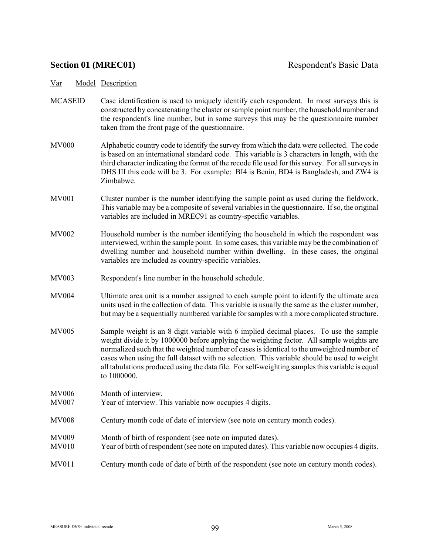- MCASEID Case identification is used to uniquely identify each respondent. In most surveys this is constructed by concatenating the cluster or sample point number, the household number and the respondent's line number, but in some surveys this may be the questionnaire number taken from the front page of the questionnaire.
- MV000 Alphabetic country code to identify the survey from which the data were collected. The code is based on an international standard code. This variable is 3 characters in length, with the third character indicating the format of the recode file used for this survey. For all surveys in DHS III this code will be 3. For example: BI4 is Benin, BD4 is Bangladesh, and ZW4 is Zimbabwe.
- MV001 Cluster number is the number identifying the sample point as used during the fieldwork. This variable may be a composite of several variables in the questionnaire. If so, the original variables are included in MREC91 as country-specific variables.
- MV002 Household number is the number identifying the household in which the respondent was interviewed, within the sample point. In some cases, this variable may be the combination of dwelling number and household number within dwelling. In these cases, the original variables are included as country-specific variables.
- MV003 Respondent's line number in the household schedule.
- MV004 Ultimate area unit is a number assigned to each sample point to identify the ultimate area units used in the collection of data. This variable is usually the same as the cluster number, but may be a sequentially numbered variable for samples with a more complicated structure.
- MV005 Sample weight is an 8 digit variable with 6 implied decimal places. To use the sample weight divide it by 1000000 before applying the weighting factor. All sample weights are normalized such that the weighted number of cases is identical to the unweighted number of cases when using the full dataset with no selection. This variable should be used to weight all tabulations produced using the data file. For self-weighting samples this variable is equal to 1000000.
- MV006 Month of interview. MV007 Year of interview. This variable now occupies 4 digits.
- MV008 Century month code of date of interview (see note on century month codes).
- MV009 Month of birth of respondent (see note on imputed dates).
- MV010 Year of birth of respondent (see note on imputed dates). This variable now occupies 4 digits.
- MV011 Century month code of date of birth of the respondent (see note on century month codes).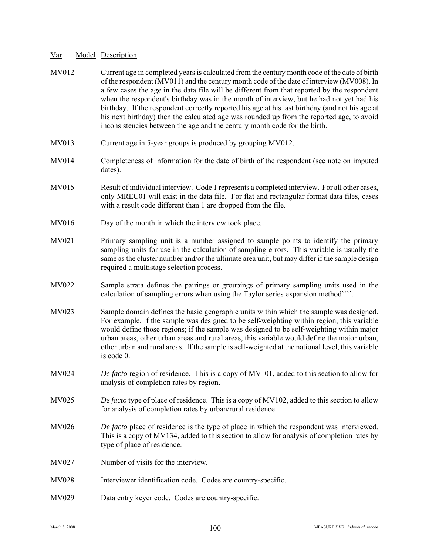| MV012        | Current age in completed years is calculated from the century month code of the date of birth<br>of the respondent (MV011) and the century month code of the date of interview (MV008). In<br>a few cases the age in the data file will be different from that reported by the respondent<br>when the respondent's birthday was in the month of interview, but he had not yet had his<br>birthday. If the respondent correctly reported his age at his last birthday (and not his age at<br>his next birthday) then the calculated age was rounded up from the reported age, to avoid<br>inconsistencies between the age and the century month code for the birth. |
|--------------|--------------------------------------------------------------------------------------------------------------------------------------------------------------------------------------------------------------------------------------------------------------------------------------------------------------------------------------------------------------------------------------------------------------------------------------------------------------------------------------------------------------------------------------------------------------------------------------------------------------------------------------------------------------------|
| MV013        | Current age in 5-year groups is produced by grouping MV012.                                                                                                                                                                                                                                                                                                                                                                                                                                                                                                                                                                                                        |
| <b>MV014</b> | Completeness of information for the date of birth of the respondent (see note on imputed<br>dates).                                                                                                                                                                                                                                                                                                                                                                                                                                                                                                                                                                |
| <b>MV015</b> | Result of individual interview. Code 1 represents a completed interview. For all other cases,<br>only MREC01 will exist in the data file. For flat and rectangular format data files, cases<br>with a result code different than 1 are dropped from the file.                                                                                                                                                                                                                                                                                                                                                                                                      |
| <b>MV016</b> | Day of the month in which the interview took place.                                                                                                                                                                                                                                                                                                                                                                                                                                                                                                                                                                                                                |
| MV021        | Primary sampling unit is a number assigned to sample points to identify the primary<br>sampling units for use in the calculation of sampling errors. This variable is usually the<br>same as the cluster number and/or the ultimate area unit, but may differ if the sample design<br>required a multistage selection process.                                                                                                                                                                                                                                                                                                                                     |
| <b>MV022</b> | Sample strata defines the pairings or groupings of primary sampling units used in the<br>calculation of sampling errors when using the Taylor series expansion method ```.                                                                                                                                                                                                                                                                                                                                                                                                                                                                                         |
| MV023        | Sample domain defines the basic geographic units within which the sample was designed.<br>For example, if the sample was designed to be self-weighting within region, this variable<br>would define those regions; if the sample was designed to be self-weighting within major<br>urban areas, other urban areas and rural areas, this variable would define the major urban,<br>other urban and rural areas. If the sample is self-weighted at the national level, this variable<br>is code 0.                                                                                                                                                                   |
| MV024        | De facto region of residence. This is a copy of MV101, added to this section to allow for<br>analysis of completion rates by region.                                                                                                                                                                                                                                                                                                                                                                                                                                                                                                                               |
| <b>MV025</b> | De facto type of place of residence. This is a copy of MV102, added to this section to allow<br>for analysis of completion rates by urban/rural residence.                                                                                                                                                                                                                                                                                                                                                                                                                                                                                                         |
| <b>MV026</b> | De facto place of residence is the type of place in which the respondent was interviewed.<br>This is a copy of MV134, added to this section to allow for analysis of completion rates by<br>type of place of residence.                                                                                                                                                                                                                                                                                                                                                                                                                                            |
| MV027        | Number of visits for the interview.                                                                                                                                                                                                                                                                                                                                                                                                                                                                                                                                                                                                                                |
| <b>MV028</b> | Interviewer identification code. Codes are country-specific.                                                                                                                                                                                                                                                                                                                                                                                                                                                                                                                                                                                                       |
| MV029        | Data entry keyer code. Codes are country-specific.                                                                                                                                                                                                                                                                                                                                                                                                                                                                                                                                                                                                                 |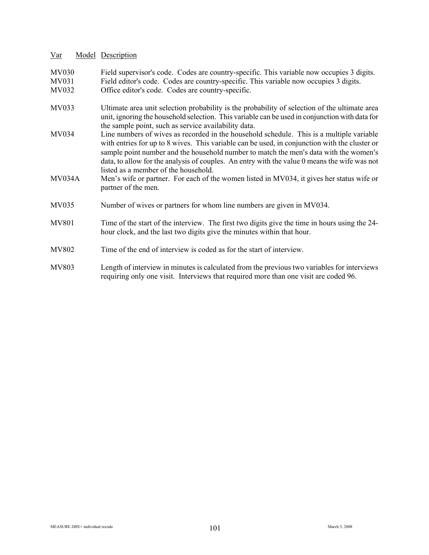MV030 Field supervisor's code. Codes are country-specific. This variable now occupies 3 digits.<br>MV031 Field editor's code. Codes are country-specific. This variable now occupies 3 digits.

- Field editor's code. Codes are country-specific. This variable now occupies  $\hat{3}$  digits.
- MV032 Office editor's code. Codes are country-specific.
- MV033 Ultimate area unit selection probability is the probability of selection of the ultimate area unit, ignoring the household selection. This variable can be used in conjunction with data for the sample point, such as service availability data.
- MV034 Line numbers of wives as recorded in the household schedule. This is a multiple variable with entries for up to 8 wives. This variable can be used, in conjunction with the cluster or sample point number and the household number to match the men's data with the women's data, to allow for the analysis of couples. An entry with the value 0 means the wife was not listed as a member of the household.
- MV034A Men's wife or partner. For each of the women listed in MV034, it gives her status wife or partner of the men.
- MV035 Number of wives or partners for whom line numbers are given in MV034.
- MV801 Time of the start of the interview. The first two digits give the time in hours using the 24hour clock, and the last two digits give the minutes within that hour.
- MV802 Time of the end of interview is coded as for the start of interview.
- MV803 Length of interview in minutes is calculated from the previous two variables for interviews requiring only one visit. Interviews that required more than one visit are coded 96.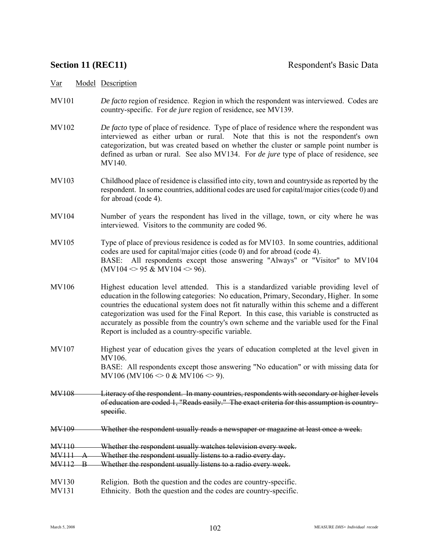- MV101 *De facto* region of residence. Region in which the respondent was interviewed. Codes are country-specific. For *de jure* region of residence, see MV139.
- MV102 *De facto* type of place of residence. Type of place of residence where the respondent was interviewed as either urban or rural. Note that this is not the respondent's own categorization, but was created based on whether the cluster or sample point number is defined as urban or rural. See also MV134. For *de jure* type of place of residence, see MV140.
- MV103 Childhood place of residence is classified into city, town and countryside as reported by the respondent. In some countries, additional codes are used for capital/major cities (code 0) and for abroad (code 4).
- MV104 Number of years the respondent has lived in the village, town, or city where he was interviewed. Visitors to the community are coded 96.
- MV105 Type of place of previous residence is coded as for MV103. In some countries, additional codes are used for capital/major cities (code 0) and for abroad (code 4). BASE: All respondents except those answering "Always" or "Visitor" to MV104  $(MV104 \ll 95 \& MV104 \ll 96)$ .
- MV106 Highest education level attended. This is a standardized variable providing level of education in the following categories: No education, Primary, Secondary, Higher. In some countries the educational system does not fit naturally within this scheme and a different categorization was used for the Final Report. In this case, this variable is constructed as accurately as possible from the country's own scheme and the variable used for the Final Report is included as a country-specific variable.
- MV107 Highest year of education gives the years of education completed at the level given in MV106. BASE: All respondents except those answering "No education" or with missing data for MV106 (MV106  $\leq$  0 & MV106  $\leq$  9).
- MV108 Literacy of the respondent. In many countries, respondents with secondary or higher levels of education are coded 1, "Reads easily." The exact criteria for this assumption is countryspecific.
- MV109 Whether the respondent usually reads a newspaper or magazine at least once a week.
- MV110 Whether the respondent usually watches television every week.
- MV111 A Whether the respondent usually listens to a radio every day.
- MV112 B Whether the respondent usually listens to a radio every week.
- MV130 Religion. Both the question and the codes are country-specific.
- MV131 Ethnicity. Both the question and the codes are country-specific.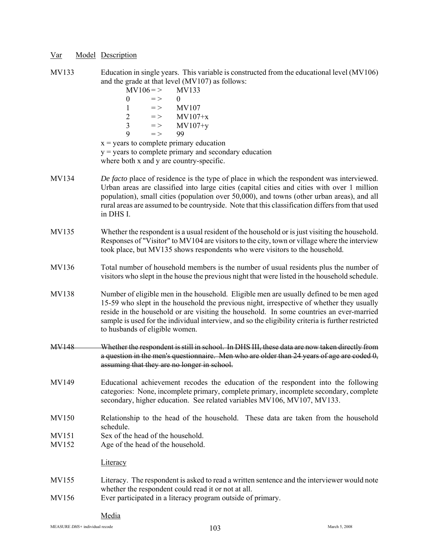MV133 Education in single years. This variable is constructed from the educational level (MV106) and the grade at that level (MV107) as follows:

|                | $MV106 = >$<br>MV133<br>$\theta$<br>$=$ $>$<br>$\theta$<br><b>MV107</b><br>1<br>$\!=$ $>$<br>$\overline{2}$<br>$MV107+x$<br>$=$ $>$<br>3<br>$MV107+y$<br>$=$ $>$<br>9<br>99<br>$=$ $>$<br>$x =$ years to complete primary education<br>$y =$ years to complete primary and secondary education<br>where both x and y are country-specific.                                                                                |  |  |  |  |  |
|----------------|---------------------------------------------------------------------------------------------------------------------------------------------------------------------------------------------------------------------------------------------------------------------------------------------------------------------------------------------------------------------------------------------------------------------------|--|--|--|--|--|
| MV134          | De facto place of residence is the type of place in which the respondent was interviewed.<br>Urban areas are classified into large cities (capital cities and cities with over 1 million<br>population), small cities (population over 50,000), and towns (other urban areas), and all<br>rural areas are assumed to be countryside. Note that this classification differs from that used<br>in DHS I.                    |  |  |  |  |  |
| MV135          | Whether the respondent is a usual resident of the household or is just visiting the household.<br>Responses of "Visitor" to MV104 are visitors to the city, town or village where the interview<br>took place, but MV135 shows respondents who were visitors to the household.                                                                                                                                            |  |  |  |  |  |
| MV136          | Total number of household members is the number of usual residents plus the number of<br>visitors who slept in the house the previous night that were listed in the household schedule.                                                                                                                                                                                                                                   |  |  |  |  |  |
| MV138          | Number of eligible men in the household. Eligible men are usually defined to be men aged<br>15-59 who slept in the household the previous night, irrespective of whether they usually<br>reside in the household or are visiting the household. In some countries an ever-married<br>sample is used for the individual interview, and so the eligibility criteria is further restricted<br>to husbands of eligible women. |  |  |  |  |  |
| MV148          | Whether the respondent is still in school. In DHS III, these data are now taken directly from<br>a question in the men's questionnaire. Men who are older than 24 years of age are coded $\theta$ .<br>assuming that they are no longer in school.                                                                                                                                                                        |  |  |  |  |  |
| MV149          | Educational achievement recodes the education of the respondent into the following<br>categories: None, incomplete primary, complete primary, incomplete secondary, complete<br>secondary, higher education. See related variables MV106, MV107, MV133.                                                                                                                                                                   |  |  |  |  |  |
| MV150          | Relationship to the head of the household. These data are taken from the household<br>schedule.                                                                                                                                                                                                                                                                                                                           |  |  |  |  |  |
| MV151<br>MV152 | Sex of the head of the household.<br>Age of the head of the household.<br>Literacy                                                                                                                                                                                                                                                                                                                                        |  |  |  |  |  |
| MV155          | Literacy. The respondent is asked to read a written sentence and the interviewer would note                                                                                                                                                                                                                                                                                                                               |  |  |  |  |  |
| MV156          | whether the respondent could read it or not at all.<br>Ever participated in a literacy program outside of primary.                                                                                                                                                                                                                                                                                                        |  |  |  |  |  |

### Media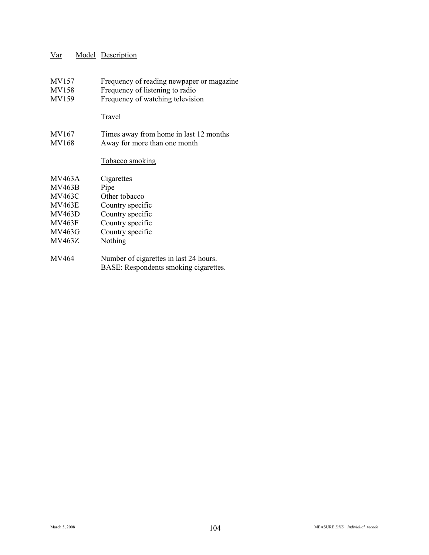- MV157 Frequency of reading newpaper or magazine<br>MV158 Frequency of listening to radio
- Frequency of listening to radio
- MV159 Frequency of watching television

#### **Travel**

MV167 Times away from home in last 12 months<br>MV168 Away for more than one month Away for more than one month

#### Tobacco smoking

| <b>MV463A</b> | Cigarettes                             |
|---------------|----------------------------------------|
| <b>MV463B</b> | Pipe                                   |
| MV463C        | Other tobacco                          |
| <b>MV463E</b> | Country specific                       |
| <b>MV463D</b> | Country specific                       |
| <b>MV463F</b> | Country specific                       |
| MV463G        | Country specific                       |
| <b>MV463Z</b> | Nothing                                |
|               |                                        |
| MV464         | Number of cigarettes in last 24 hours. |

BASE: Respondents smoking cigarettes.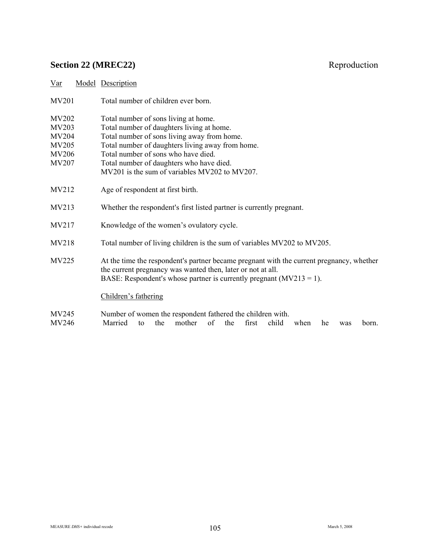# **Section 22 (MREC22)** Reproduction

| <u>Var</u>   | Model Description                                                                                                                                                                                                                 |
|--------------|-----------------------------------------------------------------------------------------------------------------------------------------------------------------------------------------------------------------------------------|
| <b>MV201</b> | Total number of children ever born.                                                                                                                                                                                               |
| MV202        | Total number of sons living at home.                                                                                                                                                                                              |
| MV203        | Total number of daughters living at home.                                                                                                                                                                                         |
| <b>MV204</b> | Total number of sons living away from home.                                                                                                                                                                                       |
| MV205        | Total number of daughters living away from home.                                                                                                                                                                                  |
| <b>MV206</b> | Total number of sons who have died.                                                                                                                                                                                               |
| MV207        | Total number of daughters who have died.                                                                                                                                                                                          |
|              | MV201 is the sum of variables MV202 to MV207.                                                                                                                                                                                     |
| MV212        | Age of respondent at first birth.                                                                                                                                                                                                 |
| MV213        | Whether the respondent's first listed partner is currently pregnant.                                                                                                                                                              |
| MV217        | Knowledge of the women's ovulatory cycle.                                                                                                                                                                                         |
| MV218        | Total number of living children is the sum of variables MV202 to MV205.                                                                                                                                                           |
| MV225        | At the time the respondent's partner became pregnant with the current pregnancy, whether<br>the current pregnancy was wanted then, later or not at all.<br>BASE: Respondent's whose partner is currently pregnant $(MV213 = 1)$ . |
|              | Children's fathering                                                                                                                                                                                                              |
| MV245        | Number of women the respondent fathered the children with.                                                                                                                                                                        |

MV246 Married to the mother of the first child when he was born.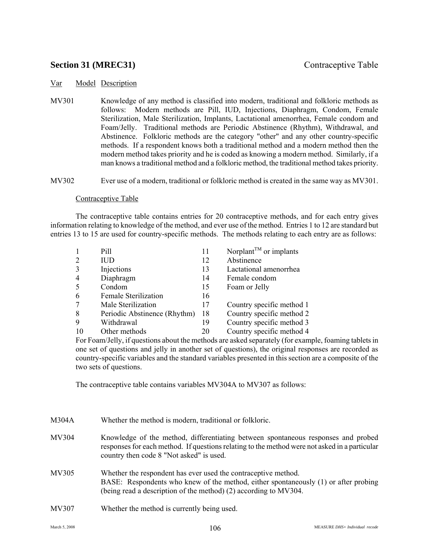## **Section 31 (MREC31)** Contraceptive Table

### Var Model Description

MV301 Knowledge of any method is classified into modern, traditional and folkloric methods as follows: Modern methods are Pill, IUD, Injections, Diaphragm, Condom, Female Sterilization, Male Sterilization, Implants, Lactational amenorrhea, Female condom and Foam/Jelly. Traditional methods are Periodic Abstinence (Rhythm), Withdrawal, and Abstinence. Folkloric methods are the category "other" and any other country-specific methods. If a respondent knows both a traditional method and a modern method then the modern method takes priority and he is coded as knowing a modern method. Similarly, if a man knows a traditional method and a folkloric method, the traditional method takes priority.

MV302 Ever use of a modern, traditional or folkloric method is created in the same way as MV301.

#### Contraceptive Table

The contraceptive table contains entries for 20 contraceptive methods, and for each entry gives information relating to knowledge of the method, and ever use of the method. Entries 1 to 12 are standard but entries 13 to 15 are used for country-specific methods. The methods relating to each entry are as follows:

|                | Pill                         | 11 | Norplant <sup><math>TM</math></sup> or implants |
|----------------|------------------------------|----|-------------------------------------------------|
| 2              | <b>IUD</b>                   | 12 | Abstinence                                      |
| 3              | Injections                   | 13 | Lactational amenorrhea                          |
| $\overline{4}$ | Diaphragm                    | 14 | Female condom                                   |
| 5              | Condom                       | 15 | Foam or Jelly                                   |
| 6              | <b>Female Sterilization</b>  | 16 |                                                 |
| 7              | Male Sterilization           | 17 | Country specific method 1                       |
| 8              | Periodic Abstinence (Rhythm) | 18 | Country specific method 2                       |
| 9              | Withdrawal                   | 19 | Country specific method 3                       |
| 10             | Other methods                | 20 | Country specific method 4                       |

For Foam/Jelly, if questions about the methods are asked separately (for example, foaming tablets in one set of questions and jelly in another set of questions), the original responses are recorded as country-specific variables and the standard variables presented in this section are a composite of the two sets of questions.

The contraceptive table contains variables MV304A to MV307 as follows:

| M304A | Whether the method is modern, traditional or folkloric.                                                                                                                                                                        |
|-------|--------------------------------------------------------------------------------------------------------------------------------------------------------------------------------------------------------------------------------|
| MV304 | Knowledge of the method, differentiating between spontaneous responses and probed<br>responses for each method. If questions relating to the method were not asked in a particular<br>country then code 8 "Not asked" is used. |
| MV305 | Whether the respondent has ever used the contraceptive method.<br>BASE: Respondents who knew of the method, either spontaneously (1) or after probing<br>(being read a description of the method) (2) according to MV304.      |
| MV307 | Whether the method is currently being used.                                                                                                                                                                                    |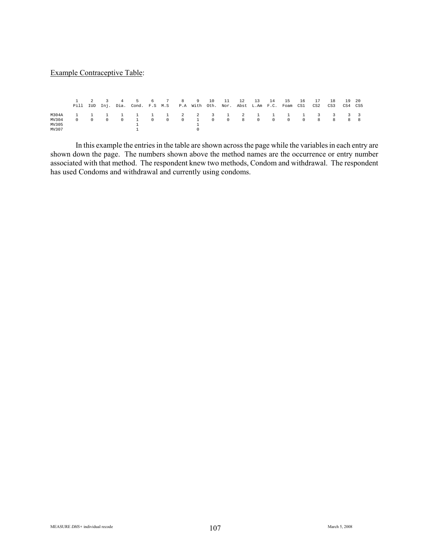#### Example Contraceptive Table:

|       |  |  | 2 3 4 5 6 7 8 9 10 11 12 13 14 15<br>Pill IUD Inj. Dia. Cond. F.S M.S P.A With Oth. Nor. Abst L.Am F.C. Foam CS1 CS2 CS3 CS4 CS5 |  |  |  |  |  | 16 | 17 | 18 | - 19 20 |  |
|-------|--|--|----------------------------------------------------------------------------------------------------------------------------------|--|--|--|--|--|----|----|----|---------|--|
|       |  |  |                                                                                                                                  |  |  |  |  |  |    |    |    |         |  |
| MV304 |  |  |                                                                                                                                  |  |  |  |  |  |    |    |    |         |  |
| MV305 |  |  |                                                                                                                                  |  |  |  |  |  |    |    |    |         |  |
| MV307 |  |  |                                                                                                                                  |  |  |  |  |  |    |    |    |         |  |

In this example the entries in the table are shown across the page while the variables in each entry are shown down the page. The numbers shown above the method names are the occurrence or entry number associated with that method. The respondent knew two methods, Condom and withdrawal. The respondent has used Condoms and withdrawal and currently using condoms.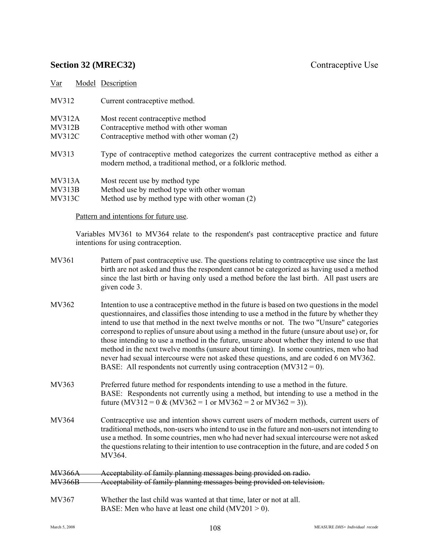# **Section 32 (MREC32)** Contraceptive Use

| Var                | Model Description                                                                                                                                    |
|--------------------|------------------------------------------------------------------------------------------------------------------------------------------------------|
| MV312              | Current contraceptive method.                                                                                                                        |
| M <sub>V312A</sub> | Most recent contraceptive method                                                                                                                     |
| MV312B             | Contraceptive method with other woman                                                                                                                |
| <b>MV312C</b>      | Contraceptive method with other woman (2)                                                                                                            |
| MV313              | Type of contraceptive method categorizes the current contraceptive method as either a<br>modern method, a traditional method, or a folkloric method. |
| MV313A             | Most recent use by method type                                                                                                                       |
| M <sub>V313B</sub> | Method use by method type with other woman                                                                                                           |
| MV313C             | Method use by method type with other woman (2)                                                                                                       |
|                    |                                                                                                                                                      |

# Pattern and intentions for future use.

Variables MV361 to MV364 relate to the respondent's past contraceptive practice and future intentions for using contraception.

| MV361                          | Pattern of past contraceptive use. The questions relating to contraceptive use since the last<br>birth are not asked and thus the respondent cannot be categorized as having used a method<br>since the last birth or having only used a method before the last birth. All past users are<br>given code 3.                                                                                                                                                                                                                                                                                                                                                                                                                                             |
|--------------------------------|--------------------------------------------------------------------------------------------------------------------------------------------------------------------------------------------------------------------------------------------------------------------------------------------------------------------------------------------------------------------------------------------------------------------------------------------------------------------------------------------------------------------------------------------------------------------------------------------------------------------------------------------------------------------------------------------------------------------------------------------------------|
| MV362                          | Intention to use a contraceptive method in the future is based on two questions in the model<br>questionnaires, and classifies those intending to use a method in the future by whether they<br>intend to use that method in the next twelve months or not. The two "Unsure" categories<br>correspond to replies of unsure about using a method in the future (unsure about use) or, for<br>those intending to use a method in the future, unsure about whether they intend to use that<br>method in the next twelve months (unsure about timing). In some countries, men who had<br>never had sexual intercourse were not asked these questions, and are coded 6 on MV362.<br>BASE: All respondents not currently using contraception $(MV312 = 0)$ . |
| MV363                          | Preferred future method for respondents intending to use a method in the future.<br>BASE: Respondents not currently using a method, but intending to use a method in the<br>future (MV312 = 0 & (MV362 = 1 or MV362 = 2 or MV362 = 3)).                                                                                                                                                                                                                                                                                                                                                                                                                                                                                                                |
| MV364                          | Contraceptive use and intention shows current users of modern methods, current users of<br>traditional methods, non-users who intend to use in the future and non-users not intending to<br>use a method. In some countries, men who had never had sexual intercourse were not asked<br>the questions relating to their intention to use contraception in the future, and are coded 5 on<br>MV364.                                                                                                                                                                                                                                                                                                                                                     |
| <b>MV366A</b><br><b>MV366B</b> | Acceptability of family planning messages being provided on radio.<br>Acceptability of family planning messages being provided on television.                                                                                                                                                                                                                                                                                                                                                                                                                                                                                                                                                                                                          |
| MV367                          | Whether the last child was wanted at that time, later or not at all.                                                                                                                                                                                                                                                                                                                                                                                                                                                                                                                                                                                                                                                                                   |

BASE: Men who have at least one child  $(MV201 > 0)$ .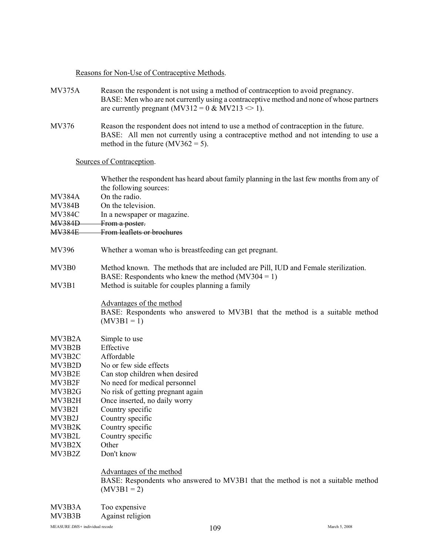# Reasons for Non-Use of Contraceptive Methods.

| <b>MV375A</b> | Reason the respondent is not using a method of contraception to avoid pregnancy.<br>BASE: Men who are not currently using a contraceptive method and none of whose partners<br>are currently pregnant (MV312 = $0 \& MV213 \le 1$ ). |
|---------------|--------------------------------------------------------------------------------------------------------------------------------------------------------------------------------------------------------------------------------------|
| MV376         | Reason the respondent does not intend to use a method of contraception in the future.<br>BASE: All men not currently using a contraceptive method and not intending to use a<br>method in the future ( $MV362 = 5$ ).                |
|               | Sources of Contraception.                                                                                                                                                                                                            |
|               | Whether the respondent has heard about family planning in the last few months from any of<br>the following sources:                                                                                                                  |
| <b>MV384A</b> | On the radio.                                                                                                                                                                                                                        |
| <b>MV384B</b> | On the television.                                                                                                                                                                                                                   |
| <b>MV384C</b> | In a newspaper or magazine.                                                                                                                                                                                                          |
| <b>MV384D</b> | From a poster.                                                                                                                                                                                                                       |
| <b>MV384E</b> | From leaflets or brochures                                                                                                                                                                                                           |
| MV396         | Whether a woman who is breastfeeding can get pregnant.                                                                                                                                                                               |
| MV3B0         | Method known. The methods that are included are Pill, IUD and Female sterilization.<br>BASE: Respondents who knew the method $(MV304 = 1)$                                                                                           |
| MV3B1         | Method is suitable for couples planning a family                                                                                                                                                                                     |
|               | Advantages of the method<br>BASE: Respondents who answered to MV3B1 that the method is a suitable method<br>$(MV3B1 = 1)$                                                                                                            |
| MV3B2A        | Simple to use                                                                                                                                                                                                                        |
| MV3B2B        | Effective                                                                                                                                                                                                                            |
| MV3B2C        | Affordable                                                                                                                                                                                                                           |
| MV3B2D        | No or few side effects                                                                                                                                                                                                               |
| MV3B2E        | Can stop children when desired                                                                                                                                                                                                       |
| MV3B2F        | No need for medical personnel                                                                                                                                                                                                        |
| MV3B2G        | No risk of getting pregnant again                                                                                                                                                                                                    |
| MV3B2H        | Once inserted, no daily worry                                                                                                                                                                                                        |
| MV3B2I        | Country specific                                                                                                                                                                                                                     |
| MV3B2J        | Country specific                                                                                                                                                                                                                     |
| MV3B2K        | Country specific                                                                                                                                                                                                                     |
| MV3B2L        | Country specific                                                                                                                                                                                                                     |
| MV3B2X        | Other                                                                                                                                                                                                                                |
| MV3B2Z        | Don't know                                                                                                                                                                                                                           |
|               | Advantages of the method                                                                                                                                                                                                             |
|               | BASE: Respondents who answered to MV3B1 that the method is not a suitable method<br>$(MV3B1 = 2)$                                                                                                                                    |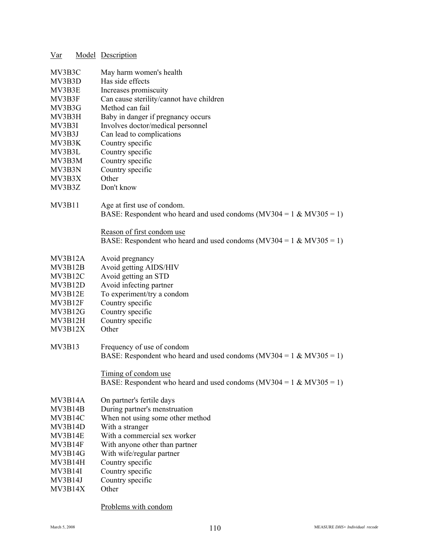| Var              |  | Model Description                                                       |
|------------------|--|-------------------------------------------------------------------------|
|                  |  |                                                                         |
| MV3B3C           |  | May harm women's health<br>Has side effects                             |
| MV3B3D<br>MV3B3E |  | Increases promiscuity                                                   |
| MV3B3F           |  | Can cause sterility/cannot have children                                |
|                  |  | Method can fail                                                         |
| MV3B3G           |  |                                                                         |
| MV3B3H           |  | Baby in danger if pregnancy occurs                                      |
| MV3B3I           |  | Involves doctor/medical personnel                                       |
| MV3B3J<br>MV3B3K |  | Can lead to complications                                               |
| MV3B3L           |  | Country specific                                                        |
| MV3B3M           |  | Country specific<br>Country specific                                    |
| MV3B3N           |  | Country specific                                                        |
| MV3B3X           |  | Other                                                                   |
| MV3B3Z           |  | Don't know                                                              |
|                  |  |                                                                         |
| <b>MV3B11</b>    |  | Age at first use of condom.                                             |
|                  |  | BASE: Respondent who heard and used condoms (MV304 = $1 \& MV305 = 1$ ) |
|                  |  |                                                                         |
|                  |  | Reason of first condom use                                              |
|                  |  | BASE: Respondent who heard and used condoms (MV304 = 1 & MV305 = 1)     |
|                  |  |                                                                         |
| MV3B12A          |  | Avoid pregnancy                                                         |
| MV3B12B          |  | Avoid getting AIDS/HIV                                                  |
| MV3B12C          |  | Avoid getting an STD                                                    |
| MV3B12D          |  | Avoid infecting partner                                                 |
| MV3B12E          |  | To experiment/try a condom                                              |
| MV3B12F          |  | Country specific                                                        |
| MV3B12G          |  | Country specific                                                        |
| MV3B12H          |  | Country specific                                                        |
| MV3B12X          |  | Other                                                                   |
|                  |  |                                                                         |
| <b>MV3B13</b>    |  | Frequency of use of condom                                              |
|                  |  | BASE: Respondent who heard and used condoms (MV304 = $1 \& MV305 = 1$ ) |
|                  |  |                                                                         |
|                  |  | Timing of condom use                                                    |
|                  |  | BASE: Respondent who heard and used condoms (MV304 = 1 & MV305 = 1)     |
|                  |  |                                                                         |
| MV3B14A          |  | On partner's fertile days                                               |
| MV3B14B          |  | During partner's menstruation                                           |
| MV3B14C          |  | When not using some other method                                        |
| MV3B14D          |  | With a stranger                                                         |
| MV3B14E          |  | With a commercial sex worker                                            |
| MV3B14F          |  | With anyone other than partner                                          |
| MV3B14G          |  | With wife/regular partner                                               |
| MV3B14H          |  | Country specific                                                        |
| MV3B14I          |  | Country specific                                                        |
| MV3B14J          |  | Country specific                                                        |
| MV3B14X          |  | Other                                                                   |

Problems with condom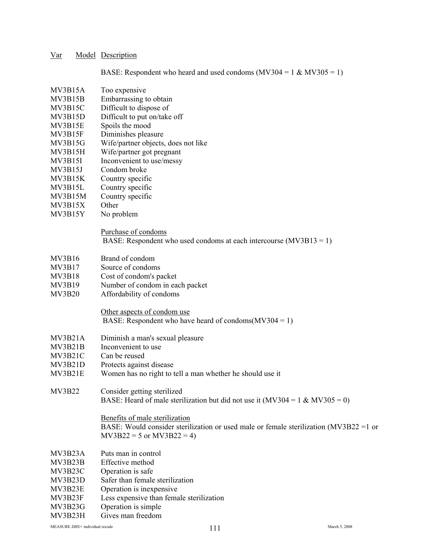BASE: Respondent who heard and used condoms  $(MV304 = 1 \& MV305 = 1)$ 

- MV3B15A Too expensive
- MV3B15B Embarrassing to obtain
- MV3B15C Difficult to dispose of
- MV3B15D Difficult to put on/take off
- MV3B15E Spoils the mood
- MV3B15F Diminishes pleasure
- MV3B15G Wife/partner objects, does not like
- MV3B15H Wife/partner got pregnant
- MV3B15I Inconvenient to use/messy
- MV3B15J Condom broke
- MV3B15K Country specific
- MV3B15L Country specific
- MV3B15M Country specific
- MV3B15X Other
- MV3B15Y No problem

### Purchase of condoms BASE: Respondent who used condoms at each intercourse (MV3B13 = 1)

- MV3B16 Brand of condom
- MV3B17 Source of condoms
- MV3B18 Cost of condom's packet
- MV3B19 Number of condom in each packet
- MV3B20 Affordability of condoms

# Other aspects of condom use

# BASE: Respondent who have heard of condoms( $MV304 = 1$ )

- MV3B21A Diminish a man's sexual pleasure
- MV3B21B Inconvenient to use
- MV3B21C Can be reused
- MV3B21D Protects against disease
- MV3B21E Women has no right to tell a man whether he should use it
- MV3B22 Consider getting sterilized BASE: Heard of male sterilization but did not use it (MV304 = 1 & MV305 = 0)

#### Benefits of male sterilization

BASE: Would consider sterilization or used male or female sterilization (MV3B22 =1 or  $MV3B22 = 5$  or  $MV3B22 = 4$ )

- MV3B23A Puts man in control
- MV3B23B Effective method
- MV3B23C Operation is safe
- MV3B23D Safer than female sterilization
- MV3B23E Operation is inexpensive
- MV3B23F Less expensive than female sterilization
- MV3B23G Operation is simple
- MV3B23H Gives man freedom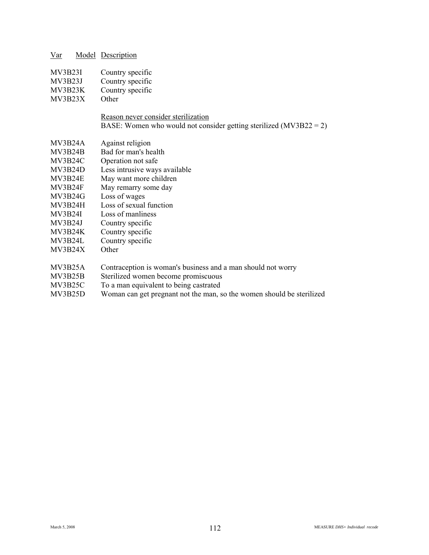| Var | Model Description |
|-----|-------------------|
|     |                   |

| Country specific<br>MV3B23I |  |
|-----------------------------|--|
|-----------------------------|--|

- MV3B23J Country specific
- MV3B23K Country specific
- MV3B23X Other

## Reason never consider sterilization

BASE: Women who would not consider getting sterilized (MV3B22 = 2)

- MV3B24A Against religion
- MV3B24B Bad for man's health
- MV3B24C Operation not safe
- MV3B24D Less intrusive ways available
- MV3B24E May want more children
- MV3B24F May remarry some day
- MV3B24G Loss of wages
- MV3B24H Loss of sexual function
- MV3B24I Loss of manliness
- MV3B24J Country specific
- MV3B24K Country specific
- MV3B24L Country specific
- MV3B24X Other
- MV3B25A Contraception is woman's business and a man should not worry
- MV3B25B Sterilized women become promiscuous
- MV3B25C To a man equivalent to being castrated
- MV3B25D Woman can get pregnant not the man, so the women should be sterilized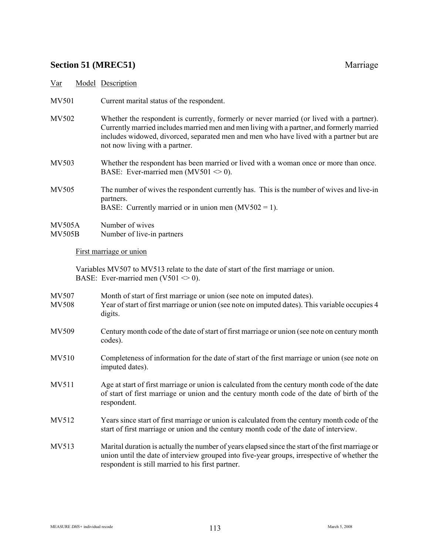# **Section 51 (MREC51)** Marriage

Var Model Description

| MV501                 | Current marital status of the respondent.                                                                                                                                                                                                                                                                            |
|-----------------------|----------------------------------------------------------------------------------------------------------------------------------------------------------------------------------------------------------------------------------------------------------------------------------------------------------------------|
| MV502                 | Whether the respondent is currently, formerly or never married (or lived with a partner).<br>Currently married includes married men and men living with a partner, and formerly married<br>includes widowed, divorced, separated men and men who have lived with a partner but are<br>not now living with a partner. |
| MV503                 | Whether the respondent has been married or lived with a woman once or more than once.<br>BASE: Ever-married men (MV501 $\leq$ 0).                                                                                                                                                                                    |
| MV505                 | The number of wives the respondent currently has. This is the number of wives and live-in<br>partners.<br>BASE: Currently married or in union men $(MV502 = 1)$ .                                                                                                                                                    |
| MV505A<br>MV505B      | Number of wives<br>Number of live-in partners                                                                                                                                                                                                                                                                        |
|                       | First marriage or union                                                                                                                                                                                                                                                                                              |
|                       | Variables MV507 to MV513 relate to the date of start of the first marriage or union.<br>BASE: Ever-married men (V501 $\leq$ 0).                                                                                                                                                                                      |
| MV507<br><b>MV508</b> | Month of start of first marriage or union (see note on imputed dates).<br>Year of start of first marriage or union (see note on imputed dates). This variable occupies 4<br>digits.                                                                                                                                  |
| MV509                 | Century month code of the date of start of first marriage or union (see note on century month<br>codes).                                                                                                                                                                                                             |
| MV510                 | Completeness of information for the date of start of the first marriage or union (see note on<br>imputed dates).                                                                                                                                                                                                     |
| MV511                 | Age at start of first marriage or union is calculated from the century month code of the date<br>of start of first marriage or union and the century month code of the date of birth of the<br>respondent.                                                                                                           |
| MV512                 | Years since start of first marriage or union is calculated from the century month code of the<br>start of first marriage or union and the century month code of the date of interview.                                                                                                                               |

MV513 Marital duration is actually the number of years elapsed since the start of the first marriage or union until the date of interview grouped into five-year groups, irrespective of whether the respondent is still married to his first partner.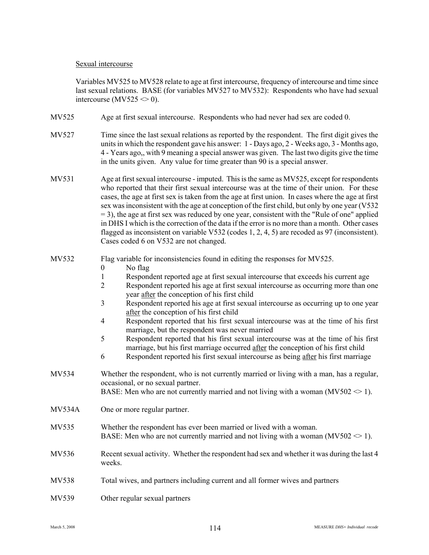### Sexual intercourse

Variables MV525 to MV528 relate to age at first intercourse, frequency of intercourse and time since last sexual relations. BASE (for variables MV527 to MV532): Respondents who have had sexual intercourse (MV525  $\leq$  0).

- MV525 Age at first sexual intercourse. Respondents who had never had sex are coded 0.
- MV527 Time since the last sexual relations as reported by the respondent. The first digit gives the units in which the respondent gave his answer: 1 - Days ago, 2 - Weeks ago, 3 - Months ago, 4 - Years ago,, with 9 meaning a special answer was given. The last two digits give the time in the units given. Any value for time greater than 90 is a special answer.
- MV531 Age at first sexual intercourse imputed. This is the same as MV525, except for respondents who reported that their first sexual intercourse was at the time of their union. For these cases, the age at first sex is taken from the age at first union. In cases where the age at first sex was inconsistent with the age at conception of the first child, but only by one year (V532  $= 3$ ), the age at first sex was reduced by one year, consistent with the "Rule of one" applied in DHS I which is the correction of the data if the error is no more than a month. Other cases flagged as inconsistent on variable V532 (codes 1, 2, 4, 5) are recoded as 97 (inconsistent). Cases coded 6 on V532 are not changed.

### MV532 Flag variable for inconsistencies found in editing the responses for MV525.

- 0 No flag
- 1 Respondent reported age at first sexual intercourse that exceeds his current age
- 2 Respondent reported his age at first sexual intercourse as occurring more than one year after the conception of his first child
- 3 Respondent reported his age at first sexual intercourse as occurring up to one year after the conception of his first child
- 4 Respondent reported that his first sexual intercourse was at the time of his first marriage, but the respondent was never married
- 5 Respondent reported that his first sexual intercourse was at the time of his first marriage, but his first marriage occurred after the conception of his first child
- 6 Respondent reported his first sexual intercourse as being after his first marriage
- MV534 Whether the respondent, who is not currently married or living with a man, has a regular, occasional, or no sexual partner. BASE: Men who are not currently married and not living with a woman ( $MV502 \le 1$ ).
- MV534A One or more regular partner.
- MV535 Whether the respondent has ever been married or lived with a woman. BASE: Men who are not currently married and not living with a woman ( $MV502 \le 1$ ).
- MV536 Recent sexual activity. Whether the respondent had sex and whether it was during the last 4 weeks.
- MV538 Total wives, and partners including current and all former wives and partners
- MV539 Other regular sexual partners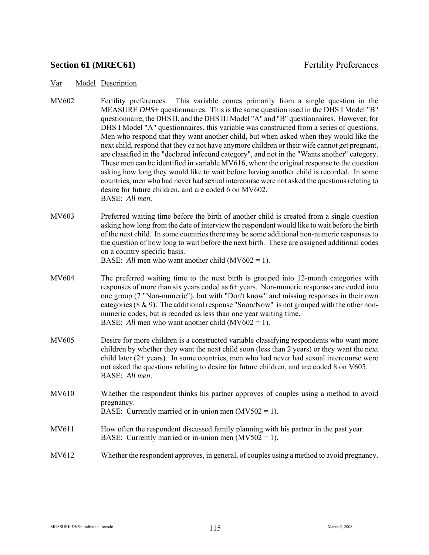# **Section 61 (MREC61)** Fertility Preferences

#### Var Model Description

- MV602 Fertility preferences. This variable comes primarily from a single question in the MEASURE *DHS*+ questionnaires. This is the same question used in the DHS I Model "B" questionnaire, the DHS II, and the DHS III Model "A" and "B" questionnaires. However, for DHS I Model "A" questionnaires, this variable was constructed from a series of questions. Men who respond that they want another child, but when asked when they would like the next child, respond that they ca not have anymore children or their wife cannot get pregnant, are classified in the "declared infecund category", and not in the "Wants another" category. These men can be identified in variable MV616, where the original response to the question asking how long they would like to wait before having another child is recorded. In some countries, men who had never had sexual intercourse were not asked the questions relating to desire for future children, and are coded 6 on MV602. BASE: *All men*.
- MV603 Preferred waiting time before the birth of another child is created from a single question asking how long from the date of interview the respondent would like to wait before the birth of the next child. In some countries there may be some additional non-numeric responses to the question of how long to wait before the next birth. These are assigned additional codes on a country-specific basis.

BASE: *All* men who want another child (MV602 = 1).

- MV604 The preferred waiting time to the next birth is grouped into 12-month categories with responses of more than six years coded as 6+ years. Non-numeric responses are coded into one group (7 "Non-numeric"), but with "Don't know" and missing responses in their own categories (8  $\&$  9). The additional response "Soon/Now" is not grouped with the other nonnumeric codes, but is recoded as less than one year waiting time. BASE: *All* men who want another child (MV602 = 1).
- MV605 Desire for more children is a constructed variable classifying respondents who want more children by whether they want the next child soon (less than 2 years) or they want the next child later (2+ years). In some countries, men who had never had sexual intercourse were not asked the questions relating to desire for future children, and are coded 8 on V605. BASE: *All men*.
- MV610 Whether the respondent thinks his partner approves of couples using a method to avoid pregnancy. BASE: Currently married or in-union men  $(MV502 = 1)$ .
- MV611 How often the respondent discussed family planning with his partner in the past year. BASE: Currently married or in-union men  $(MV502 = 1)$ .
- MV612 Whether the respondent approves, in general, of couples using a method to avoid pregnancy.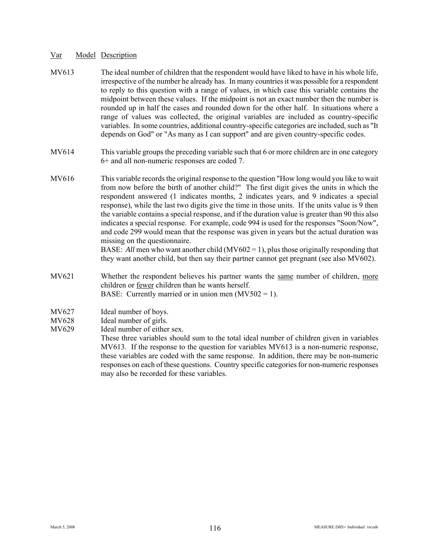- MV613 The ideal number of children that the respondent would have liked to have in his whole life, irrespective of the number he already has. In many countries it was possible for a respondent to reply to this question with a range of values, in which case this variable contains the midpoint between these values. If the midpoint is not an exact number then the number is rounded up in half the cases and rounded down for the other half. In situations where a range of values was collected, the original variables are included as country-specific variables. In some countries, additional country-specific categories are included, such as "It depends on God" or "As many as I can support" and are given country-specific codes.
- MV614 This variable groups the preceding variable such that 6 or more children are in one category 6+ and all non-numeric responses are coded 7.
- MV616 This variable records the original response to the question "How long would you like to wait from now before the birth of another child?" The first digit gives the units in which the respondent answered (1 indicates months, 2 indicates years, and 9 indicates a special response), while the last two digits give the time in those units. If the units value is 9 then the variable contains a special response, and if the duration value is greater than 90 this also indicates a special response. For example, code 994 is used for the responses "Soon/Now", and code 299 would mean that the response was given in years but the actual duration was missing on the questionnaire.

BASE: *All* men who want another child (MV602 = 1), plus those originally responding that they want another child, but then say their partner cannot get pregnant (see also MV602).

- MV621 Whether the respondent believes his partner wants the same number of children, more children or fewer children than he wants herself. BASE: Currently married or in union men  $(MV502 = 1)$ .
- MV627 Ideal number of boys.
- MV628 Ideal number of girls.
- MV629 Ideal number of either sex.

These three variables should sum to the total ideal number of children given in variables MV613. If the response to the question for variables MV613 is a non-numeric response, these variables are coded with the same response. In addition, there may be non-numeric responses on each of these questions. Country specific categories for non-numeric responses may also be recorded for these variables.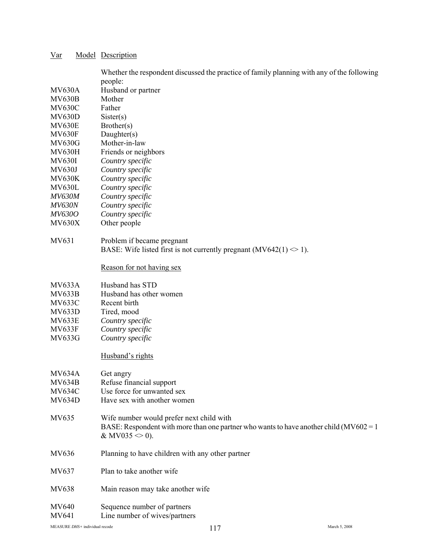|                       | Whether the respondent discussed the practice of family planning with any of the following                      |
|-----------------------|-----------------------------------------------------------------------------------------------------------------|
|                       | people:                                                                                                         |
| <b>MV630A</b>         | Husband or partner                                                                                              |
| <b>MV630B</b>         | Mother                                                                                                          |
| <b>MV630C</b>         | Father                                                                                                          |
| <b>MV630D</b>         | Sister(s)                                                                                                       |
| <b>MV630E</b>         | Brother(s)                                                                                                      |
| <b>MV630F</b>         | Daughter(s)                                                                                                     |
| <b>MV630G</b>         | Mother-in-law                                                                                                   |
| <b>MV630H</b>         | Friends or neighbors                                                                                            |
| <b>MV630I</b>         | Country specific                                                                                                |
| <b>MV630J</b>         | Country specific                                                                                                |
| <b>MV630K</b>         | Country specific                                                                                                |
| <b>MV630L</b>         | Country specific                                                                                                |
| <b>MV630M</b>         | Country specific                                                                                                |
| <b>MV630N</b>         | Country specific                                                                                                |
| MV630O                | Country specific                                                                                                |
| <b>MV630X</b>         | Other people                                                                                                    |
| MV631                 | Problem if became pregnant                                                                                      |
|                       | BASE: Wife listed first is not currently pregnant (MV642(1) $\leq$ 1).                                          |
|                       | Reason for not having sex                                                                                       |
| <b>MV633A</b>         | Husband has STD                                                                                                 |
| <b>MV633B</b>         | Husband has other women                                                                                         |
| <b>MV633C</b>         | Recent birth                                                                                                    |
| <b>MV633D</b>         | Tired, mood                                                                                                     |
| <b>MV633E</b>         | Country specific                                                                                                |
| <b>MV633F</b>         | Country specific                                                                                                |
| MV633G                | Country specific                                                                                                |
|                       | Husband's rights                                                                                                |
| <b>MV634A</b>         | Get angry                                                                                                       |
| <b>MV634B</b>         | Refuse financial support                                                                                        |
| <b>MV634C</b>         | Use force for unwanted sex                                                                                      |
| <b>MV634D</b>         | Have sex with another women                                                                                     |
| MV635                 | Wife number would prefer next child with                                                                        |
|                       | BASE: Respondent with more than one partner who wants to have another child $(MV602 = 1)$<br>& MV035 $\leq$ 0). |
| MV636                 | Planning to have children with any other partner                                                                |
| MV637                 | Plan to take another wife                                                                                       |
| MV638                 | Main reason may take another wife                                                                               |
| <b>MV640</b><br>MV641 | Sequence number of partners<br>Line number of wives/partners                                                    |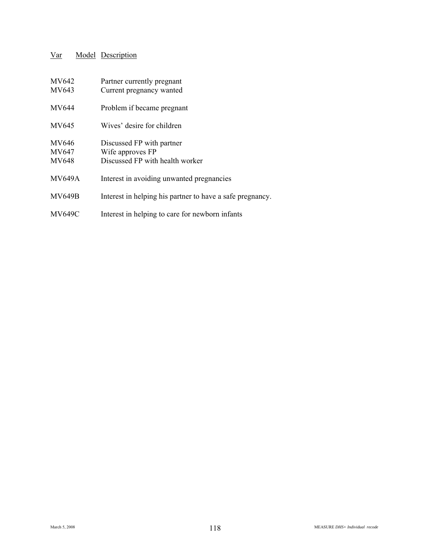| MV642<br>MV643                 | Partner currently pregnant<br>Current pregnancy wanted                           |
|--------------------------------|----------------------------------------------------------------------------------|
| MV644                          | Problem if became pregnant                                                       |
| MV645                          | Wives' desire for children                                                       |
| MV646<br>MV647<br><b>MV648</b> | Discussed FP with partner<br>Wife approves FP<br>Discussed FP with health worker |
| <b>MV649A</b>                  | Interest in avoiding unwanted pregnancies                                        |
| <b>MV649B</b>                  | Interest in helping his partner to have a safe pregnancy.                        |
| <b>MV649C</b>                  | Interest in helping to care for newborn infants                                  |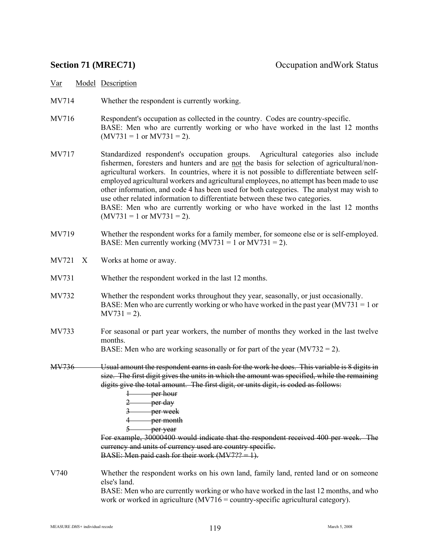| Var   | Model Description                                                                                                                                                                                        |
|-------|----------------------------------------------------------------------------------------------------------------------------------------------------------------------------------------------------------|
| MV714 | Whether the respondent is currently working.                                                                                                                                                             |
| MV716 | Respondent's occupation as collected in the country. Codes are country-specific.<br>BASE: Men who are currently working or who have worked in the last 12 months<br>$(MV731 = 1 \text{ or } MV731 = 2).$ |
| MM717 | Agricultural categories also include<br>Standardized respondent's occupation groups                                                                                                                      |

MV717 Standardized respondent's occupation groups. Agricultural categories also include fishermen, foresters and hunters and are not the basis for selection of agricultural/nonagricultural workers. In countries, where it is not possible to differentiate between selfemployed agricultural workers and agricultural employees, no attempt has been made to use other information, and code 4 has been used for both categories. The analyst may wish to use other related information to differentiate between these two categories. BASE: Men who are currently working or who have worked in the last 12 months  $(MV731 = 1$  or  $MV731 = 2$ ).

- MV719 Whether the respondent works for a family member, for someone else or is self-employed. BASE: Men currently working  $(MV731 = 1 \text{ or } MV731 = 2)$ .
- MV721 X Works at home or away.
- MV731 Whether the respondent worked in the last 12 months.
- MV732 Whether the respondent works throughout they year, seasonally, or just occasionally. BASE: Men who are currently working or who have worked in the past year  $(MV731 = 1$  or  $M<sub>V</sub>731 = 2$ ).
- MV733 For seasonal or part year workers, the number of months they worked in the last twelve months.

BASE: Men who are working seasonally or for part of the year  $(MV732 = 2)$ .

- MV736 Usual amount the respondent earns in cash for the work he does. This variable is 8 digits in size. The first digit gives the units in which the amount was specified, while the remaining digits give the total amount. The first digit, or units digit, is coded as follows:
	- 1 per hour
	- $2$  per day
	- 3 per week
	- 4 **per month**
	- 5 **per year**

For example, 30000400 would indicate that the respondent received 400 per week. The currency and units of currency used are country specific. BASE: Men paid cash for their work  $(MV7?? = 1)$ .

V740 Whether the respondent works on his own land, family land, rented land or on someone else's land.

BASE: Men who are currently working or who have worked in the last 12 months, and who work or worked in agriculture (MV716 = country-specific agricultural category).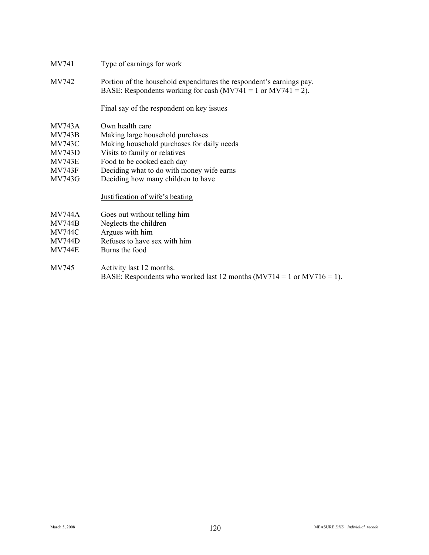- MV741 Type of earnings for work
- MV742 Portion of the household expenditures the respondent's earnings pay. BASE: Respondents working for cash  $(MV741 = 1$  or  $MV741 = 2)$ .

### Final say of the respondent on key issues

- MV743A Own health care
- MV743B Making large household purchases
- MV743C Making household purchases for daily needs
- MV743D Visits to family or relatives
- MV743E Food to be cooked each day
- MV743F Deciding what to do with money wife earns
- MV743G Deciding how many children to have

### Justification of wife's beating

- MV744A Goes out without telling him
- MV744B Neglects the children
- MV744C Argues with him
- MV744D Refuses to have sex with him
- MV744E Burns the food
- MV745 Activity last 12 months. BASE: Respondents who worked last 12 months  $(MV714 = 1 \text{ or } MV716 = 1)$ .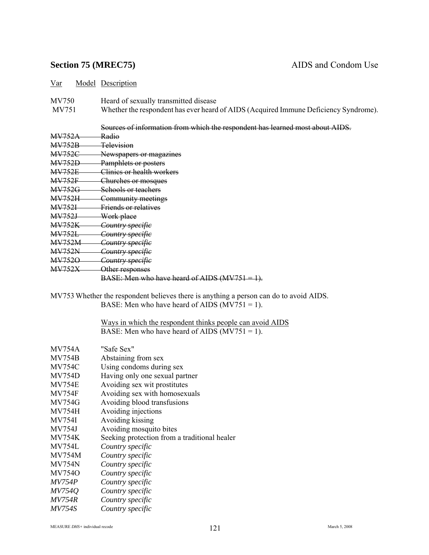## **Section 75 (MREC75)** AIDS and Condom Use

Var Model Description

MV750 Heard of sexually transmitted disease

MV751 Whether the respondent has ever heard of AIDS (Acquired Immune Deficiency Syndrome).

|               | Sources of information from which the respondent has learned most about AIDS. |
|---------------|-------------------------------------------------------------------------------|
| <b>MV752A</b> | Radio                                                                         |
| <b>MV752B</b> | Television                                                                    |
| <b>MV752C</b> | Newspapers or magazines                                                       |
| <b>MV752D</b> | Pamphlets or posters                                                          |
| <b>MV752E</b> | Clinies or health workers                                                     |
| <b>MV752F</b> | Churches or mosques                                                           |
| <b>MV752G</b> | Schools or teachers                                                           |
| <b>MV752H</b> | Community meetings                                                            |
| <b>MV7521</b> | Friends or relatives                                                          |
| <b>MV752J</b> | Work place                                                                    |
| <b>MV752K</b> | <del>Country specific</del>                                                   |
| <b>MV752L</b> | <del>Country specific</del>                                                   |
| <b>MV752M</b> | <del>Country specific</del>                                                   |
| <b>MV752N</b> | Country specifie                                                              |
| <b>MV7520</b> | Country specifie                                                              |
| <b>MV752X</b> | Other responses                                                               |
|               | BASE: Men who have heard of AIDS $(MV751 = 1)$ .                              |

MV753 Whether the respondent believes there is anything a person can do to avoid AIDS. BASE: Men who have heard of AIDS  $(MV751 = 1)$ .

> Ways in which the respondent thinks people can avoid AIDS BASE: Men who have heard of AIDS  $(MV751 = 1)$ .

| Abstaining from sex                          |
|----------------------------------------------|
| Using condoms during sex                     |
| Having only one sexual partner               |
| Avoiding sex wit prostitutes                 |
| Avoiding sex with homosexuals                |
| Avoiding blood transfusions                  |
| Avoiding injections                          |
| Avoiding kissing                             |
| Avoiding mosquito bites                      |
| Seeking protection from a traditional healer |
| Country specific                             |
| Country specific                             |
| Country specific                             |
| Country specific                             |
| Country specific                             |
| Country specific                             |
| Country specific                             |
| Country specific                             |
|                                              |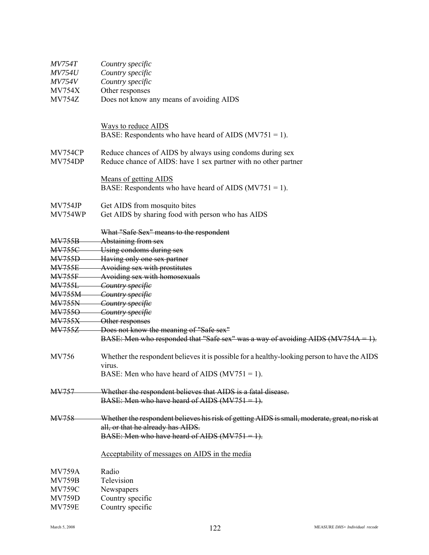| <i>MV754T</i> | Country specific                                                                               |  |  |  |  |
|---------------|------------------------------------------------------------------------------------------------|--|--|--|--|
| <b>MV754U</b> | Country specific                                                                               |  |  |  |  |
| <b>MV754V</b> | Country specific                                                                               |  |  |  |  |
| <b>MV754X</b> | Other responses                                                                                |  |  |  |  |
| <b>MV754Z</b> | Does not know any means of avoiding AIDS                                                       |  |  |  |  |
|               | <b>Ways to reduce AIDS</b>                                                                     |  |  |  |  |
|               | BASE: Respondents who have heard of AIDS ( $MV751 = 1$ ).                                      |  |  |  |  |
| MV754CP       | Reduce chances of AIDS by always using condoms during sex                                      |  |  |  |  |
| MV754DP       | Reduce chance of AIDS: have 1 sex partner with no other partner                                |  |  |  |  |
|               | <b>Means of getting AIDS</b>                                                                   |  |  |  |  |
|               | BASE: Respondents who have heard of AIDS ( $MV751 = 1$ ).                                      |  |  |  |  |
| MV754JP       | Get AIDS from mosquito bites                                                                   |  |  |  |  |
| MV754WP       | Get AIDS by sharing food with person who has AIDS                                              |  |  |  |  |
|               | What "Safe Sex" means to the respondent                                                        |  |  |  |  |
| <b>MV755B</b> | Abstaining from sex                                                                            |  |  |  |  |
| <b>MV755C</b> | Using condoms during sex                                                                       |  |  |  |  |
| <b>MV755D</b> | Having only one sex partner                                                                    |  |  |  |  |
| <b>MV755E</b> | Avoiding sex with prostitutes                                                                  |  |  |  |  |
| <b>MV755F</b> | Avoiding sex with homosexuals                                                                  |  |  |  |  |
| <b>MV755L</b> | Country specifie                                                                               |  |  |  |  |
| <b>MV755M</b> | Country specific                                                                               |  |  |  |  |
| <b>MV755N</b> | Country specifie                                                                               |  |  |  |  |
| <b>MV7550</b> | Country specific                                                                               |  |  |  |  |
| <b>MV755X</b> | Other responses                                                                                |  |  |  |  |
| <b>MV755Z</b> | Does not know the meaning of "Safe sex"                                                        |  |  |  |  |
|               | BASE: Men who responded that "Safe sex" was a way of avoiding AIDS (MV754A = 1).               |  |  |  |  |
| MV756         | Whether the respondent believes it is possible for a healthy-looking person to have the AIDS   |  |  |  |  |
|               | virus.<br>BASE: Men who have heard of AIDS ( $MV751 = 1$ ).                                    |  |  |  |  |
| <b>MV757</b>  | Whether the respondent believes that AIDS is a fatal disease.                                  |  |  |  |  |
|               | BASE: Men who have heard of AIDS $(MV751 = 1)$ .                                               |  |  |  |  |
| <b>MV758</b>  | Whether the respondent believes his risk of getting AIDS is small, moderate, great, no risk at |  |  |  |  |
|               | all, or that he already has AIDS.                                                              |  |  |  |  |
|               | BASE: Men who have heard of AIDS $(MV751 = 1)$ .                                               |  |  |  |  |
|               | Acceptability of messages on AIDS in the media                                                 |  |  |  |  |
| <b>MV759A</b> | Radio                                                                                          |  |  |  |  |
| <b>MV759B</b> | Television                                                                                     |  |  |  |  |
| <b>MV759C</b> | Newspapers                                                                                     |  |  |  |  |
| <b>MV759D</b> | Country specific                                                                               |  |  |  |  |
| <b>MV759E</b> | Country specific                                                                               |  |  |  |  |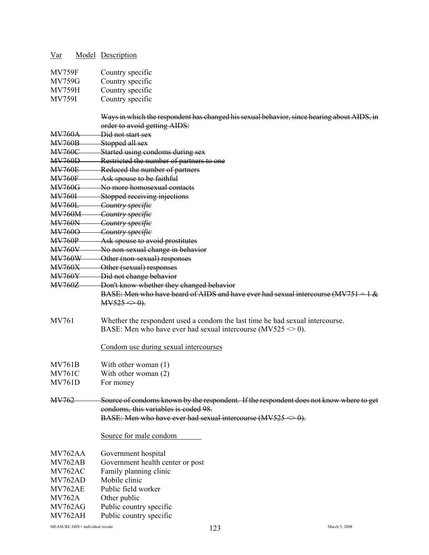| Var                            |  | <b>Model</b> Description                                                                   |  |  |  |  |
|--------------------------------|--|--------------------------------------------------------------------------------------------|--|--|--|--|
| <b>MV759F</b>                  |  | Country specific                                                                           |  |  |  |  |
| <b>MV759G</b>                  |  | Country specific                                                                           |  |  |  |  |
| <b>MV759H</b>                  |  | Country specific                                                                           |  |  |  |  |
| <b>MV759I</b>                  |  | Country specific                                                                           |  |  |  |  |
|                                |  |                                                                                            |  |  |  |  |
|                                |  | Ways in which the respondent has changed his sexual behavior, since hearing about AIDS, in |  |  |  |  |
|                                |  | order to avoid getting AIDS:                                                               |  |  |  |  |
| <b>MV760A</b>                  |  | Did not start sex                                                                          |  |  |  |  |
| <b>MV760B</b>                  |  | Stopped all sex                                                                            |  |  |  |  |
| <b>MV760C</b>                  |  | Started using condoms during sex                                                           |  |  |  |  |
| <b>MV760D</b>                  |  | Restricted the number of partners to one                                                   |  |  |  |  |
| <b>MV760E</b><br><b>MV760F</b> |  | Reduced the number of partners<br>Ask spouse to be faithful                                |  |  |  |  |
| <b>MV760G</b>                  |  | No more homosexual contacts                                                                |  |  |  |  |
| <b>MV760I</b>                  |  | Stopped receiving injections                                                               |  |  |  |  |
| <b>MV760L</b>                  |  | Country specifie                                                                           |  |  |  |  |
| <b>MV760M</b>                  |  | Country specifie                                                                           |  |  |  |  |
| <b>MV760N</b>                  |  | Country specifie                                                                           |  |  |  |  |
| <b>MV760O</b>                  |  | Country specific                                                                           |  |  |  |  |
| <b>MV760P</b>                  |  | Ask spouse to avoid prostitutes                                                            |  |  |  |  |
| <b>MV760V</b>                  |  | No non-sexual change in behavior                                                           |  |  |  |  |
| <b>MV760W</b>                  |  | Other (non-sexual) responses                                                               |  |  |  |  |
| <b>MV760X</b>                  |  | Other (sexual) responses                                                                   |  |  |  |  |
| <b>MV760Y</b>                  |  | Did not change behavior                                                                    |  |  |  |  |
| <b>MV760Z</b>                  |  | Don't know whether they changed behavior                                                   |  |  |  |  |
|                                |  | BASE: Men who have heard of AIDS and have ever had sexual intercourse (MV751               |  |  |  |  |
|                                |  | $MV525 \Leftrightarrow 0$ .                                                                |  |  |  |  |
| MV761                          |  | Whether the respondent used a condom the last time he had sexual intercourse.              |  |  |  |  |
|                                |  | BASE: Men who have ever had sexual intercourse (MV525 $\leq$ 0).                           |  |  |  |  |
|                                |  |                                                                                            |  |  |  |  |
|                                |  | Condom use during sexual intercourses                                                      |  |  |  |  |
|                                |  |                                                                                            |  |  |  |  |
| <b>MV761B</b>                  |  | With other woman (1)                                                                       |  |  |  |  |
| <b>MV761C</b>                  |  | With other woman (2)                                                                       |  |  |  |  |
| <b>MV761D</b>                  |  | For money                                                                                  |  |  |  |  |
| MV762                          |  | Source of condoms known by the respondent. If the respondent does not know where to get    |  |  |  |  |
|                                |  | condoms, this variables is coded 98.                                                       |  |  |  |  |
|                                |  | BASE: Men who have ever had sexual intercourse (MV525 $\Longleftrightarrow$ 0).            |  |  |  |  |
|                                |  | Source for male condom                                                                     |  |  |  |  |
|                                |  |                                                                                            |  |  |  |  |
| MV762AA                        |  | Government hospital                                                                        |  |  |  |  |
| MV762AB                        |  | Government health center or post                                                           |  |  |  |  |
| MV762AC                        |  | Family planning clinic                                                                     |  |  |  |  |
| MV762AD                        |  | Mobile clinic                                                                              |  |  |  |  |
| MV762AE                        |  | Public field worker                                                                        |  |  |  |  |
| <b>MV762A</b>                  |  | Other public                                                                               |  |  |  |  |
| <b>MV762AG</b>                 |  | Public country specific                                                                    |  |  |  |  |
| MV762AH                        |  | Public country specific                                                                    |  |  |  |  |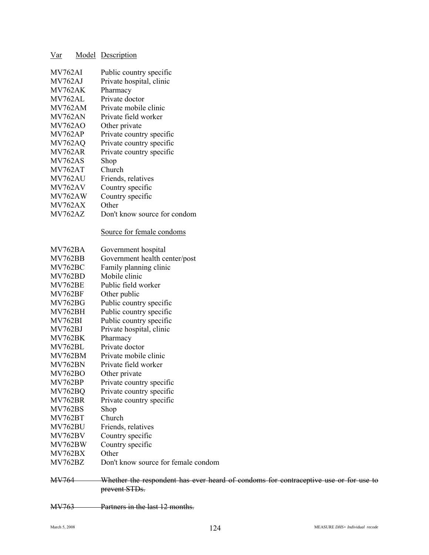| Var            | <b>Model</b> Description                    |
|----------------|---------------------------------------------|
| MV762AI        | Public country specific                     |
| MV762AJ        | Private hospital, clinic                    |
| MV762AK        | Pharmacy                                    |
| MV762AL        | Private doctor                              |
| MV762AM        | Private mobile clinic                       |
| MV762AN        | Private field worker                        |
| <b>MV762AO</b> | Other private                               |
| <b>MV762AP</b> | Private country specific                    |
| MV762AQ        | Private country specific                    |
| <b>MV762AR</b> | Private country specific                    |
| <b>MV762AS</b> | Shop                                        |
| MV762AT        | Church                                      |
| MV762AU        | Friends, relatives                          |
| MV762AV        | Country specific                            |
| MV762AW        | Country specific                            |
| <b>MV762AX</b> | Other                                       |
| <b>MV762AZ</b> | Don't know source for condom                |
|                |                                             |
|                | Source for female condoms                   |
| MV762BA        | Government hospital                         |
| MV762BB        | Government health center/post               |
| MV762BC        | Family planning clinic                      |
| MV762BD        | Mobile clinic                               |
| <b>MV762BE</b> | Public field worker                         |
| <b>MV762BF</b> | Other public                                |
| <b>MV762BG</b> | Public country specific                     |
| <b>MV762BH</b> | Public country specific                     |
| <b>MV762BI</b> | Public country specific                     |
| MV762BJ        | Private hospital, clinic                    |
| MV762BK        | Pharmacy                                    |
| MV762BL        | Private doctor                              |
| MV762BM        | Private mobile clinic                       |
| MV762BN        | Private field worker                        |
|                |                                             |
| <b>MV762BO</b> | Other private                               |
| <b>MV762BP</b> | Private country specific                    |
| MV762BQ        | Private country specific                    |
| <b>MV762BR</b> | Private country specific                    |
| <b>MV762BS</b> | Shop                                        |
| <b>MV762BT</b> | Church                                      |
| MV762BU        | Friends, relatives                          |
| <b>MV762BV</b> | Country specific                            |
| MV762BW        | Country specific                            |
| <b>MV762BX</b> | Other                                       |
| <b>MV762BZ</b> | Don't know source for female condom         |
|                |                                             |
| MV764          | Whether the respondent has ever heard of co |
|                | prevent STDs.                               |

ondoms for contraceptive use or for use to prevent STDs.

MV763 Partners in the last 12 months.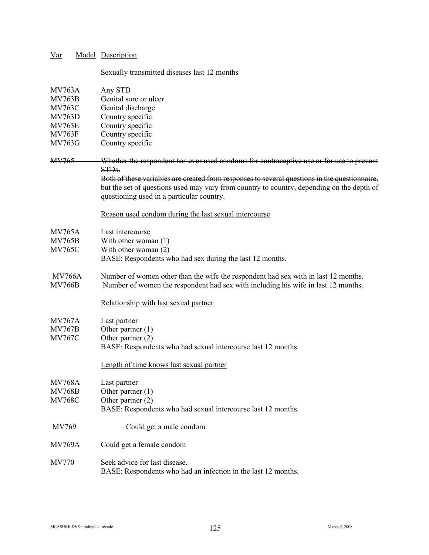| Var                                          |  | <b>Model Description</b>                                                                                                                                                                                                                |
|----------------------------------------------|--|-----------------------------------------------------------------------------------------------------------------------------------------------------------------------------------------------------------------------------------------|
| Sexually transmitted diseases last 12 months |  |                                                                                                                                                                                                                                         |
| <b>MV763A</b>                                |  | Any STD                                                                                                                                                                                                                                 |
| <b>MV763B</b>                                |  | Genital sore or ulcer                                                                                                                                                                                                                   |
| <b>MV763C</b>                                |  | Genital discharge                                                                                                                                                                                                                       |
| <b>MV763D</b>                                |  | Country specific                                                                                                                                                                                                                        |
| <b>MV763E</b>                                |  | Country specific                                                                                                                                                                                                                        |
| <b>MV763F</b>                                |  | Country specific                                                                                                                                                                                                                        |
| <b>MV763G</b>                                |  | Country specific                                                                                                                                                                                                                        |
| <b>MV765</b>                                 |  | Whether the respondent has ever used condoms for contraceptive use or for use to prevent<br>STD <sub>s</sub> .                                                                                                                          |
|                                              |  | Both of these variables are created from responses to several questions in the questionnaire,<br>but the set of questions used may vary from country to country, depending on the depth of<br>questioning used in a particular country. |
|                                              |  | Reason used condom during the last sexual intercourse                                                                                                                                                                                   |
| <b>MV765A</b>                                |  | Last intercourse                                                                                                                                                                                                                        |
| <b>MV765B</b>                                |  | With other woman $(1)$                                                                                                                                                                                                                  |
| <b>MV765C</b>                                |  | With other woman (2)                                                                                                                                                                                                                    |
|                                              |  | BASE: Respondents who had sex during the last 12 months.                                                                                                                                                                                |
| <b>MV766A</b>                                |  | Number of women other than the wife the respondent had sex with in last 12 months.                                                                                                                                                      |
| <b>MV766B</b>                                |  | Number of women the respondent had sex with including his wife in last 12 months.                                                                                                                                                       |
|                                              |  | Relationship with last sexual partner                                                                                                                                                                                                   |
| <b>MV767A</b>                                |  | Last partner                                                                                                                                                                                                                            |
| <b>MV767B</b>                                |  | Other partner $(1)$                                                                                                                                                                                                                     |
| <b>MV767C</b>                                |  | Other partner $(2)$<br>BASE: Respondents who had sexual intercourse last 12 months.                                                                                                                                                     |
|                                              |  | Length of time knows last sexual partner                                                                                                                                                                                                |
| <b>MV768A</b>                                |  | Last partner                                                                                                                                                                                                                            |
| <b>MV768B</b>                                |  | Other partner $(1)$                                                                                                                                                                                                                     |
| <b>MV768C</b>                                |  | Other partner (2)                                                                                                                                                                                                                       |
|                                              |  | BASE: Respondents who had sexual intercourse last 12 months.                                                                                                                                                                            |
| MV769                                        |  | Could get a male condom                                                                                                                                                                                                                 |
| <b>MV769A</b>                                |  | Could get a female condom                                                                                                                                                                                                               |
| MV770                                        |  | Seek advice for last disease.                                                                                                                                                                                                           |
|                                              |  | BASE: Respondents who had an infection in the last 12 months.                                                                                                                                                                           |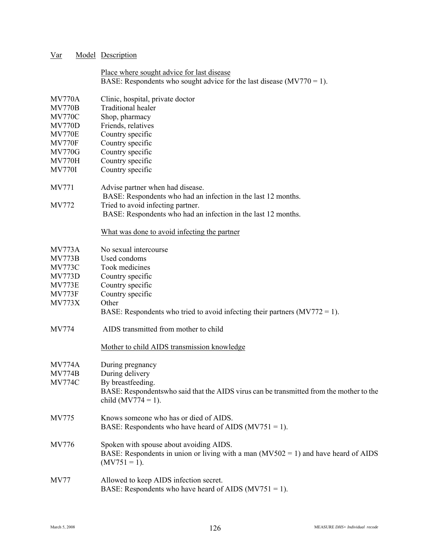| Var                            |  | <b>Model</b> Description                                                                 |  |  |  |  |
|--------------------------------|--|------------------------------------------------------------------------------------------|--|--|--|--|
|                                |  | Place where sought advice for last disease                                               |  |  |  |  |
|                                |  | BASE: Respondents who sought advice for the last disease $(MV770 = 1)$ .                 |  |  |  |  |
|                                |  |                                                                                          |  |  |  |  |
| <b>MV770A</b><br><b>MV770B</b> |  | Clinic, hospital, private doctor<br><b>Traditional healer</b>                            |  |  |  |  |
| <b>MV770C</b>                  |  | Shop, pharmacy                                                                           |  |  |  |  |
| <b>MV770D</b>                  |  | Friends, relatives                                                                       |  |  |  |  |
| <b>MV770E</b>                  |  | Country specific                                                                         |  |  |  |  |
| <b>MV770F</b>                  |  | Country specific                                                                         |  |  |  |  |
| <b>MV770G</b>                  |  | Country specific                                                                         |  |  |  |  |
| <b>MV770H</b>                  |  | Country specific                                                                         |  |  |  |  |
| <b>MV770I</b>                  |  | Country specific                                                                         |  |  |  |  |
|                                |  |                                                                                          |  |  |  |  |
| <b>MV771</b>                   |  | Advise partner when had disease.                                                         |  |  |  |  |
|                                |  | BASE: Respondents who had an infection in the last 12 months.                            |  |  |  |  |
| MV772                          |  | Tried to avoid infecting partner.                                                        |  |  |  |  |
|                                |  | BASE: Respondents who had an infection in the last 12 months.                            |  |  |  |  |
|                                |  | What was done to avoid infecting the partner                                             |  |  |  |  |
| M <sub>V</sub> 773A            |  | No sexual intercourse                                                                    |  |  |  |  |
| <b>MV773B</b>                  |  | Used condoms                                                                             |  |  |  |  |
| <b>MV773C</b>                  |  | Took medicines                                                                           |  |  |  |  |
| <b>MV773D</b>                  |  | Country specific                                                                         |  |  |  |  |
| <b>MV773E</b>                  |  | Country specific                                                                         |  |  |  |  |
| <b>MV773F</b>                  |  | Country specific                                                                         |  |  |  |  |
| <b>MV773X</b>                  |  | Other                                                                                    |  |  |  |  |
|                                |  | BASE: Respondents who tried to avoid infecting their partners $(MV772 = 1)$ .            |  |  |  |  |
| <b>MV774</b>                   |  | AIDS transmitted from mother to child                                                    |  |  |  |  |
|                                |  | Mother to child AIDS transmission knowledge                                              |  |  |  |  |
| <b>MV774A</b>                  |  | During pregnancy                                                                         |  |  |  |  |
| <b>MV774B</b>                  |  | During delivery                                                                          |  |  |  |  |
| <b>MV774C</b>                  |  | By breastfeeding.                                                                        |  |  |  |  |
|                                |  | BASE: Respondents who said that the AIDS virus can be transmitted from the mother to the |  |  |  |  |
|                                |  | child $(MV774 = 1)$ .                                                                    |  |  |  |  |
| <b>MV775</b>                   |  | Knows someone who has or died of AIDS.                                                   |  |  |  |  |
|                                |  | BASE: Respondents who have heard of AIDS ( $MV751 = 1$ ).                                |  |  |  |  |
|                                |  |                                                                                          |  |  |  |  |
| MV776                          |  | Spoken with spouse about avoiding AIDS.                                                  |  |  |  |  |
|                                |  | BASE: Respondents in union or living with a man $(MV502 = 1)$ and have heard of AIDS     |  |  |  |  |
|                                |  | $(MV751 = 1)$ .                                                                          |  |  |  |  |
| <b>MV77</b>                    |  | Allowed to keep AIDS infection secret.                                                   |  |  |  |  |
|                                |  | BASE: Respondents who have heard of AIDS ( $MV751 = 1$ ).                                |  |  |  |  |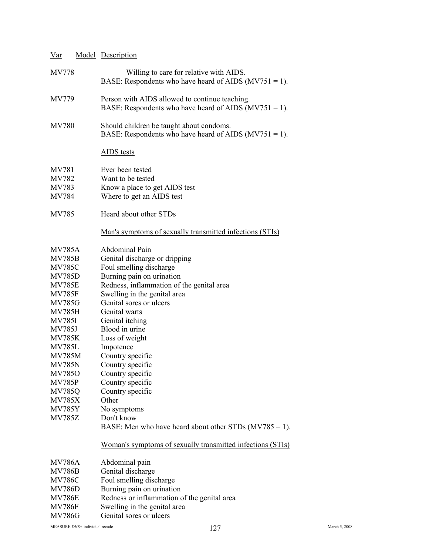| Var                                                                                                                                                                                                                                                                                                                                              |  | <b>Model</b> Description                                                                                                                                                                                                                                                                                                                                                                                                                                                                                    |
|--------------------------------------------------------------------------------------------------------------------------------------------------------------------------------------------------------------------------------------------------------------------------------------------------------------------------------------------------|--|-------------------------------------------------------------------------------------------------------------------------------------------------------------------------------------------------------------------------------------------------------------------------------------------------------------------------------------------------------------------------------------------------------------------------------------------------------------------------------------------------------------|
| <b>MV778</b>                                                                                                                                                                                                                                                                                                                                     |  | Willing to care for relative with AIDS.<br>BASE: Respondents who have heard of AIDS $(MV751 = 1)$ .                                                                                                                                                                                                                                                                                                                                                                                                         |
| MV779                                                                                                                                                                                                                                                                                                                                            |  | Person with AIDS allowed to continue teaching.<br>BASE: Respondents who have heard of AIDS $(MV751 = 1)$ .                                                                                                                                                                                                                                                                                                                                                                                                  |
| <b>MV780</b>                                                                                                                                                                                                                                                                                                                                     |  | Should children be taught about condoms.<br>BASE: Respondents who have heard of AIDS ( $MV751 = 1$ ).                                                                                                                                                                                                                                                                                                                                                                                                       |
|                                                                                                                                                                                                                                                                                                                                                  |  | <b>AIDS</b> tests                                                                                                                                                                                                                                                                                                                                                                                                                                                                                           |
| MV781<br>MV782<br>MV783<br><b>MV784</b>                                                                                                                                                                                                                                                                                                          |  | Ever been tested<br>Want to be tested<br>Know a place to get AIDS test<br>Where to get an AIDS test                                                                                                                                                                                                                                                                                                                                                                                                         |
| MV785                                                                                                                                                                                                                                                                                                                                            |  | Heard about other STDs                                                                                                                                                                                                                                                                                                                                                                                                                                                                                      |
|                                                                                                                                                                                                                                                                                                                                                  |  | <u>Man's symptoms of sexually transmitted infections (STIs)</u>                                                                                                                                                                                                                                                                                                                                                                                                                                             |
| <b>MV785A</b><br><b>MV785B</b><br><b>MV785C</b><br><b>MV785D</b><br><b>MV785E</b><br><b>MV785F</b><br><b>MV785G</b><br><b>MV785H</b><br><b>MV785I</b><br><b>MV785J</b><br><b>MV785K</b><br><b>MV785L</b><br><b>MV785M</b><br><b>MV785N</b><br><b>MV785O</b><br><b>MV785P</b><br><b>MV785Q</b><br><b>MV785X</b><br><b>MV785Y</b><br><b>MV785Z</b> |  | Abdominal Pain<br>Genital discharge or dripping<br>Foul smelling discharge<br>Burning pain on urination<br>Redness, inflammation of the genital area<br>Swelling in the genital area<br>Genital sores or ulcers<br>Genital warts<br>Genital itching<br>Blood in urine<br>Loss of weight<br>Impotence<br>Country specific<br>Country specific<br>Country specific<br>Country specific<br>Country specific<br>Other<br>No symptoms<br>Don't know<br>BASE: Men who have heard about other STDs $(MV785 = 1)$ . |
|                                                                                                                                                                                                                                                                                                                                                  |  | <u>Woman's symptoms of sexually transmitted infections (STIs)</u>                                                                                                                                                                                                                                                                                                                                                                                                                                           |
| <b>MV786A</b><br><b>MV786B</b><br><b>MV786C</b><br><b>MV786D</b><br><b>MV786E</b><br><b>MV786F</b><br><b>MV786G</b>                                                                                                                                                                                                                              |  | Abdominal pain<br>Genital discharge<br>Foul smelling discharge<br>Burning pain on urination<br>Redness or inflammation of the genital area<br>Swelling in the genital area<br>Genital sores or ulcers                                                                                                                                                                                                                                                                                                       |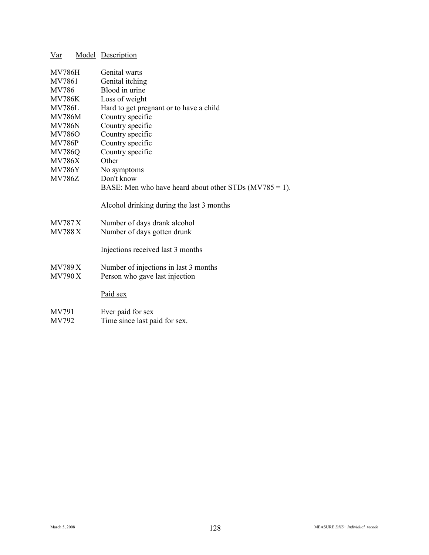| Var           |  | <b>Model</b> Description                                  |
|---------------|--|-----------------------------------------------------------|
| <b>MV786H</b> |  | Genital warts                                             |
| MV7861        |  | Genital itching                                           |
| MV786         |  | Blood in urine                                            |
| <b>MV786K</b> |  | Loss of weight                                            |
| <b>MV786L</b> |  | Hard to get pregnant or to have a child                   |
| <b>MV786M</b> |  | Country specific                                          |
| <b>MV786N</b> |  | Country specific                                          |
| <b>MV786O</b> |  | Country specific                                          |
| <b>MV786P</b> |  | Country specific                                          |
| <b>MV786Q</b> |  | Country specific                                          |
| <b>MV786X</b> |  | Other                                                     |
| <b>MV786Y</b> |  | No symptoms                                               |
| <b>MV786Z</b> |  | Don't know                                                |
|               |  | BASE: Men who have heard about other STDs $(MV785 = 1)$ . |
|               |  | Alcohol drinking during the last 3 months                 |
| <b>MV787X</b> |  | Number of days drank alcohol                              |
| <b>MV788X</b> |  | Number of days gotten drunk                               |
|               |  |                                                           |
|               |  | Injections received last 3 months                         |
| <b>MV789X</b> |  | Number of injections in last 3 months                     |
| <b>MV790X</b> |  | Person who gave last injection                            |
|               |  |                                                           |
|               |  | Paid sex                                                  |
| MV791         |  | Ever paid for sex                                         |
|               |  |                                                           |

MV792 Time since last paid for sex.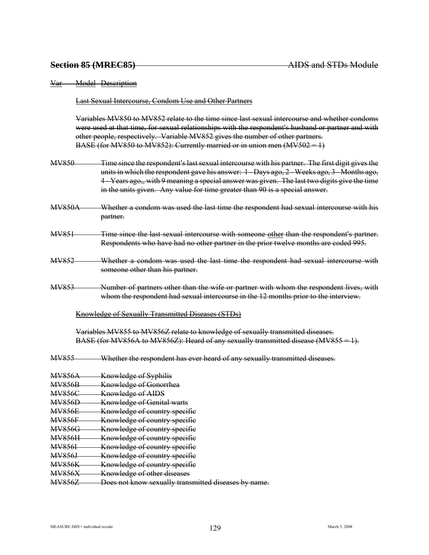Last Sexual Intercourse, Condom Use and Other Partners

Variables MV850 to MV852 relate to the time since last sexual intercourse and whether condoms were used at that time, for sexual relationships with the respondent's husband or partner and with other people, respectively. Variable MV852 gives the number of other partners. BASE (for MV850 to MV852): Currently married or in union men  $(MV502 = 1)$ 

- MV850 Time since the respondent's last sexual intercourse with his partner. The first digit gives the units in which the respondent gave his answer: 1 - Days ago, 2 - Weeks ago, 3 - Months ago, 4 - Years ago,, with 9 meaning a special answer was given. The last two digits give the time in the units given. Any value for time greater than 90 is a special answer.
- MV850A Whether a condom was used the last time the respondent had sexual intercourse with his partner.
- MV851 Time since the last sexual intercourse with someone other than the respondent's partner. Respondents who have had no other partner in the prior twelve months are coded 995.
- MV852 Whether a condom was used the last time the respondent had sexual intercourse with someone other than his partner.
- MV853 Number of partners other than the wife or partner with whom the respondent lives, with whom the respondent had sexual intercourse in the 12 months prior to the interview.

Knowledge of Sexually Transmitted Diseases (STDs)

Variables MV855 to MV856Z relate to knowledge of sexually transmitted diseases. BASE (for MV856A to MV856Z): Heard of any sexually transmitted disease (MV855 = 1).

- MV855 Whether the respondent has ever heard of any sexually transmitted diseases.
- MV856A Knowledge of Syphilis
- MV856B Knowledge of Gonorrhea
- MV856C Knowledge of AIDS
- MV856D Knowledge of Genital warts
- MV856E Knowledge of country specific
- MV856F Knowledge of country specific
- MV856G Knowledge of country specific
- MV856H Knowledge of country specific
- MV856I Knowledge of country specific
- MV856J Knowledge of country specific
- MV856K Knowledge of country specific
- MV856X Knowledge of other diseases

MV856Z Does not know sexually transmitted diseases by name.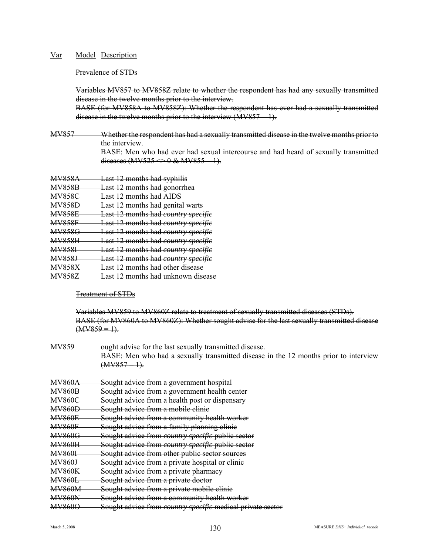#### Prevalence of STDs

Variables MV857 to MV858Z relate to whether the respondent has had any sexually transmitted disease in the twelve months prior to the interview.

BASE (for MV858A to MV858Z): Whether the respondent has ever had a sexually transmitted disease in the twelve months prior to the interview  $(MV857 = 1)$ .

MV857 Whether the respondent has had a sexually transmitted disease in the twelve months prior to the interview. BASE: Men who had ever had sexual intercourse and had heard of sexually transmitted

diseases (MV525  $\Longleftrightarrow$  0 & MV855 = 1).

| <b>MV858A</b> | <b>Last 12 months had syphilis</b>         |
|---------------|--------------------------------------------|
| <b>MV858B</b> | Last 12 months had gonorrhea               |
| <b>MV858C</b> | <b>Last 12 months had AIDS</b>             |
| <b>MV858D</b> | <b>Last 12 months had genital warts</b>    |
| <b>MV858E</b> | <b>Last 12 months had country specific</b> |
| <b>MV858F</b> | <b>Last 12 months had country specific</b> |
| <b>MV858G</b> | <b>Last 12 months had country specific</b> |
| <b>MV858H</b> | <b>Last 12 months had country specific</b> |
| <b>MV858L</b> | <b>Last 12 months had country specific</b> |
| <b>MV858J</b> | <b>Last 12 months had country specific</b> |
| <b>MV858X</b> | <b>Last 12 months had other disease</b>    |
| <b>MV858Z</b> | Last 12 months had unknown disease         |

#### Treatment of STDs

Variables MV859 to MV860Z relate to treatment of sexually transmitted diseases (STDs). BASE (for MV860A to MV860Z): Whether sought advise for the last sexually transmitted disease  $(MV859 = 1)$ .

MV859 ought advise for the last sexually transmitted disease. BASE: Men who had a sexually transmitted disease in the 12 months prior to interview  $(MV857 = 1)$ .

| <b>MV860A</b> | Sought advice from a government hospital                          |
|---------------|-------------------------------------------------------------------|
| <b>MV860B</b> | Sought advice from a government health center                     |
| <b>MV860C</b> | Sought advice from a health post or dispensary                    |
| <b>MV860D</b> | Sought advice from a mobile clinic                                |
| <b>MV860E</b> | Sought advice from a community health worker                      |
| <b>MV860F</b> | Sought advice from a family planning clinic                       |
| <b>MV860G</b> | Sought advice from <i>country specific</i> public sector          |
| <b>MV860H</b> | Sought advice from <i>country specific</i> public sector          |
| <b>MV860I</b> | Sought advice from other public sector sources                    |
| <b>MV860J</b> | Sought advice from a private hospital or clinic                   |
| <b>MV860K</b> | Sought advice from a private pharmacy                             |
| <b>MV860L</b> | Sought advice from a private doctor                               |
| <b>MV860M</b> | Sought advice from a private mobile clinic                        |
| <b>MV860N</b> | Sought advice from a community health worker                      |
| <b>MV8600</b> | Sought advice from <i>country specific</i> medical private sector |
|               |                                                                   |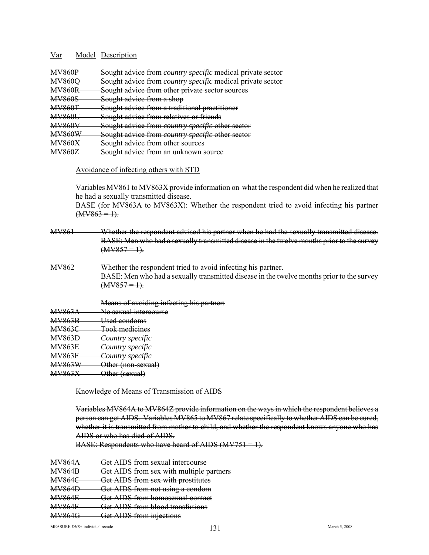| <b>MV860D</b><br>$\overline{\mathbf{v}}$ | <u>Sought advice from country specific medical private sector</u><br><del>sought auvice nom c<i>ountry specifi</i>c meurcal private sector</del> |
|------------------------------------------|--------------------------------------------------------------------------------------------------------------------------------------------------|
| <b>MV8600</b><br><b>IVI V OUVU</b>       | Sought advice from <i>country specific</i> medical private sector                                                                                |
| <b>MV860P</b><br><b>IVI V OUVIN</b>      | Sought advice from other private sector sources                                                                                                  |
| <b>MV860S</b><br>IVI V OUVU              | Sought advise from a shon<br><del>ovuzni auvice nom a sno</del> d                                                                                |
| <b>MV860T</b><br><b>IVI V OUV I</b>      | Sought advice from a traditional practitioner                                                                                                    |
| MVRANI<br>$\overline{\mathbf{v}}$        | Sought advice from relatives or friends                                                                                                          |
| <b>MVREOV</b><br>IVI V OUV V             | Sought advice from <i>country specific</i> other sector                                                                                          |
| MV260W<br>$\overline{\mathbf{v}}$        | Sought advice from country enecitie other sector<br><u>souzhi auvite n'om comun v specine other sector</u>                                       |
| <b>MV860Y</b><br>$1$ VI V OVVZY          | Squaht advice from other cources<br><del>ovuzni auvice nom ouiei sources</del>                                                                   |
| V.2607<br>ILL LOOD                       | <u> Saught advice tram an unknawn saurce</u><br><del>ovuzni auvice nom an unknown source</del>                                                   |
|                                          |                                                                                                                                                  |

#### Avoidance of infecting others with STD

Variables MV861 to MV863X provide information on what the respondent did when he realized that he had a sexually transmitted disease. BASE (for MV863A to MV863X): Whether the respondent tried to avoid infecting his partner

 $(MV863 = 1)$ .

- MV861 Whether the respondent advised his partner when he had the sexually transmitted disease. BASE: Men who had a sexually transmitted disease in the twelve months prior to the survey  $(MV857 = 1)$ .
- MV862 Whether the respondent tried to avoid infecting his partner. BASE: Men who had a sexually transmitted disease in the twelve months prior to the survey  $(MV857 = 1)$ .
	- Means of avoiding infecting his partner:

| <b>MV863A</b> |  | No cavual intercourse |
|---------------|--|-----------------------|
| $1$ vi v OUJT |  | TWO SCAULE INTOICOULS |

| <b>MV863B</b> | Llead condome           |
|---------------|-------------------------|
|               | <del>USUU UUNUUNS</del> |
|               |                         |

MV863C Took medicines

MV863D *Country specific*

MV863E *Country specific*

MV863F *Country specific*

MV863W Other (non-sexual)

MV863X Other (sexual)

### Knowledge of Means of Transmission of AIDS

Variables MV864A to MV864Z provide information on the ways in which the respondent believes a person can get AIDS. Variables MV865 to MV867 relate specifically to whether AIDS can be cured, whether it is transmitted from mother to child, and whether the respondent knows anyone who has AIDS or who has died of AIDS.

BASE: Respondents who have heard of AIDS  $(MV751 = 1)$ .

|               | Get AIDS from sexual intercourse         |
|---------------|------------------------------------------|
|               | Get AIDS from sex with multiple partners |
| <b>MV864C</b> | Get AIDS from sex with prostitutes       |
|               | Get AIDS from not using a condom         |
|               | Get AIDS from homosexual contact         |
|               | Get AIDS from blood transfusions         |
|               | Get AIDS from injections                 |
|               |                                          |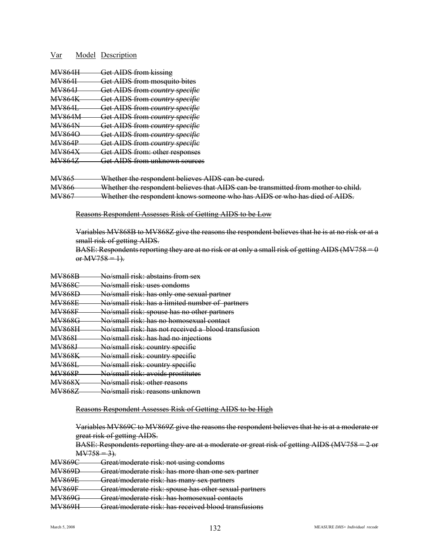| <b>MV864H</b>     | <b>Get AIDS from kissing</b>              |
|-------------------|-------------------------------------------|
| <del>MV864I</del> | <b>Get AIDS from mosquito bites</b>       |
| <del>MV864J</del> | <b>Get AIDS from country specific</b>     |
| <b>MV864K</b>     | <del>Get AIDS from country specific</del> |
| <b>MV864L</b>     | <b>Get AIDS from country specific</b>     |
| <b>MV864M</b>     | Get AIDS from country specific            |
| <b>MV864N</b>     | Get AIDS from country specific            |
| <b>MV8640</b>     | Get AIDS from country specific            |
| <b>MV864P</b>     | Get AIDS from country specific            |
| <b>MV864X</b>     | <b>Get AIDS from: other responses</b>     |
| <b>MV8647</b>     | Get AIDS from unknown sources             |
|                   |                                           |

MV865 Whether the respondent believes AIDS can be cured.

MV866 Whether the respondent believes that AIDS can be transmitted from mother to child.

MV867 Whether the respondent knows someone who has AIDS or who has died of AIDS.

Reasons Respondent Assesses Risk of Getting AIDS to be Low

Variables MV868B to MV868Z give the reasons the respondent believes that he is at no risk or at a small risk of getting AIDS.

BASE: Respondents reporting they are at no risk or at only a small risk of getting AIDS (MV758 = 0 or  $M<sub>V</sub>758 = 1$ .

| MVQ6QD            | No/cmall right abotaing from gay |  |  |
|-------------------|----------------------------------|--|--|
| <b>IVI V OUQD</b> | туу энцип нэх, адэкинэ нунгээд   |  |  |

| <b>MV868C</b>         | No/cmall right uses condoms           |
|-----------------------|---------------------------------------|
| <del>ivi v ovou</del> | <u>1907 SHRAH TISK. USOS CONGONIS</u> |

MV868D No/small risk: has only one sexual partner

MV868E No/small risk: has a limited number of partners

- MV868F No/small risk: spouse has no other partners
- MV868G No/small risk: has no homosexual contact
- MV868H No/small risk: has not received a blood transfusion
- MV868I No/small risk: has had no injections
- MV868J No/small risk: country specific
- MV868K No/small risk: country specific
- MV868L No/small risk: country specific
- MV868P No/small risk: avoids prostitutes
- MV868X No/small risk: other reasons
- MV868Z No/small risk: reasons unknown

Reasons Respondent Assesses Risk of Getting AIDS to be High

Variables MV869C to MV869Z give the reasons the respondent believes that he is at a moderate or great risk of getting AIDS.

BASE: Respondents reporting they are at a moderate or great risk of getting AIDS (MV758 = 2 or  $M<sub>V</sub>758 = 3$ .

| <b>MV860C</b>      | Great/moderate right not using condoms |                                        |
|--------------------|----------------------------------------|----------------------------------------|
| <del>w voolg</del> |                                        | Great moderate risk, not using condoms |

- MV869D Great/moderate risk: has more than one sex partner
- MV869E Great/moderate risk: has many sex partners
- MV869F Great/moderate risk: spouse has other sexual partners
- MV869G Great/moderate risk: has homosexual contacts

MV869H Great/moderate risk: has received blood transfusions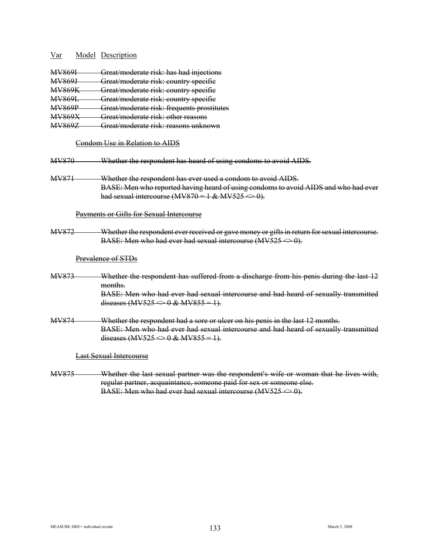| MV869I        | Great/moderate risk: has had injections                                                                                                                                     |
|---------------|-----------------------------------------------------------------------------------------------------------------------------------------------------------------------------|
| <b>MV869J</b> | Great/moderate risk: country specific                                                                                                                                       |
| <b>MV869K</b> | Great/moderate risk: country specific                                                                                                                                       |
| <b>MV869L</b> | Great/moderate risk: country specific                                                                                                                                       |
| <b>MV869P</b> | Great/moderate risk: frequents prostitutes                                                                                                                                  |
| <b>MV869X</b> | Great/moderate risk: other reasons                                                                                                                                          |
| <b>MV869Z</b> | Great/moderate risk: reasons unknown                                                                                                                                        |
|               | Condom Use in Relation to AIDS                                                                                                                                              |
| MV870         | Whether the respondent has heard of using condoms to avoid AIDS.                                                                                                            |
| <b>MV871</b>  | Whether the respondent has ever used a condom to avoid AIDS.                                                                                                                |
|               | BASE: Men who reported having heard of using condoms to avoid AIDS and who had ever                                                                                         |
|               | had sexual intercourse (MV870 = 1 & MV525 $\Longleftrightarrow$ 0).                                                                                                         |
|               | Payments or Gifts for Sexual Intercourse                                                                                                                                    |
| MV872         | Whether the respondent ever received or gave money or gifts in return for sexual intercourse.<br>BASE: Men who had ever had sexual intercourse (MV525 $\Leftrightarrow$ 0). |
|               | Prevalence of STDs                                                                                                                                                          |
| MV873         | Whether the respondent has suffered from a discharge from his penis during the last 12                                                                                      |
|               | months.                                                                                                                                                                     |
|               | BASE: Men who had ever had sexual intercourse and had heard of sexually transmitted                                                                                         |
|               | diseases (MV525 $\Longleftrightarrow$ 0 & MV855 = 1).                                                                                                                       |
| MV874         | Whether the respondent had a sore or ulcer on his penis in the last 12 months.                                                                                              |
|               | BASE: Men who had ever had sexual intercourse and had heard of sexually transmitted                                                                                         |
|               | diseases (MV525 $\Longleftrightarrow$ 0 & MV855 = 1).                                                                                                                       |
|               | <b>Last Sexual Intercourse</b>                                                                                                                                              |
| MV875         | Whether the last sexual partner was the respondent's wife or woman that he lives with,                                                                                      |
|               | regular partner, acquaintance, someone paid for sex or someone else.                                                                                                        |

MEASURE *DHS*+ individual recode March 5, 2008

BASE: Men who had ever had sexual intercourse  $(MV525 \le 0)$ .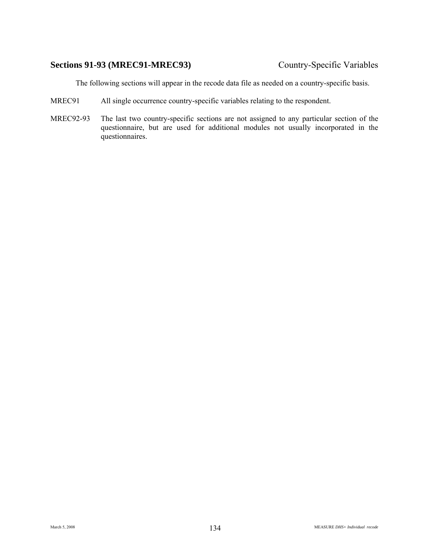# **Sections 91-93 (MREC91-MREC93)** Country-Specific Variables

The following sections will appear in the recode data file as needed on a country-specific basis.

- MREC91 All single occurrence country-specific variables relating to the respondent.
- MREC92-93 The last two country-specific sections are not assigned to any particular section of the questionnaire, but are used for additional modules not usually incorporated in the questionnaires.